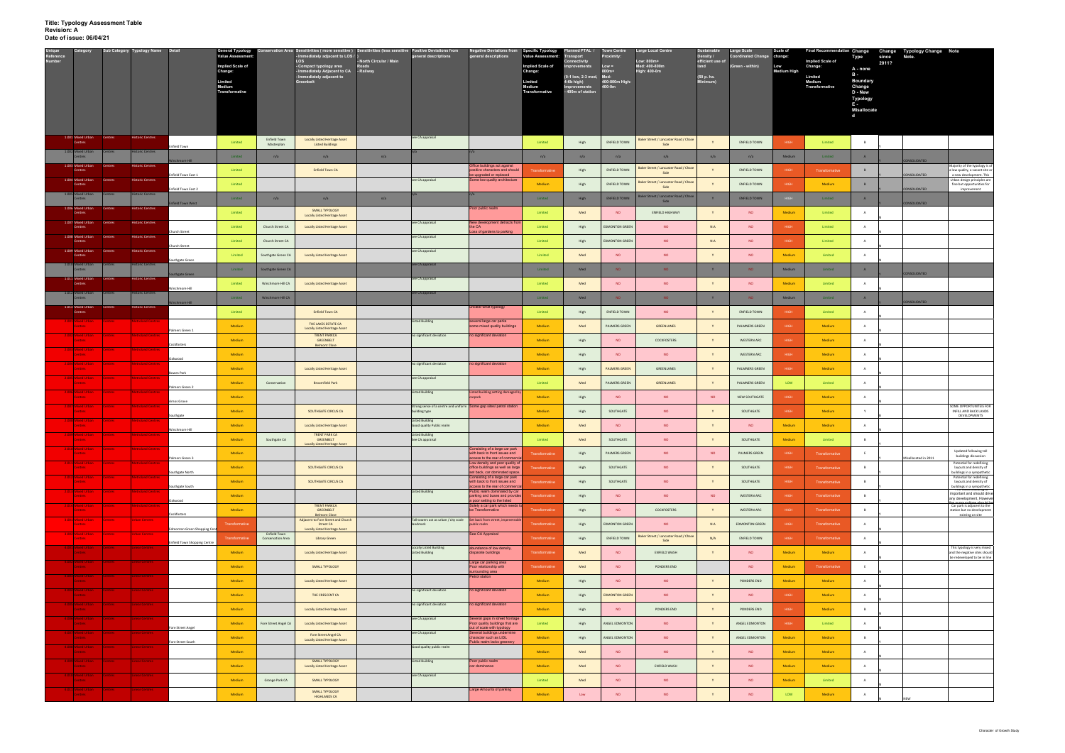| Unique<br>Reference<br>Number<br>Sub Category Typology Name Detail<br>Category            |                          |                                     | <b>General Typology</b><br><b>Value Assessment</b> |                                                 | servation Area Sensitivities (more sensitive) Sensitivities (less sensitive Positive Deviations from<br>- Immediately adjacent to LOS / ) |                                  | general descriptions                                                               | <b>Negative Deviations from<br/>general descriptions</b>                                         | Specific Typology<br>Value Assessment: | lanned PTAL /<br>port                | <b>Town Centre</b><br>Proximity | <b>Large Local Centre</b>                     | <b>Sustainable</b><br>Density / | <b>Large Scale</b><br>Coordinated Change change: | Scale of           | Final Recommendation Change Change Typology Change Note | Type<br>since                        | Note. |                     |                                                                                                             |
|-------------------------------------------------------------------------------------------|--------------------------|-------------------------------------|----------------------------------------------------|-------------------------------------------------|-------------------------------------------------------------------------------------------------------------------------------------------|----------------------------------|------------------------------------------------------------------------------------|--------------------------------------------------------------------------------------------------|----------------------------------------|--------------------------------------|---------------------------------|-----------------------------------------------|---------------------------------|--------------------------------------------------|--------------------|---------------------------------------------------------|--------------------------------------|-------|---------------------|-------------------------------------------------------------------------------------------------------------|
|                                                                                           |                          |                                     | <b>Implied Scale of</b><br>Change:                 |                                                 | LOS<br>- Compact typology area<br>- Immediately Adjacent to CA   - Railway                                                                | - North Circular / Main<br>Roads |                                                                                    |                                                                                                  | Implied Scale of<br>Change:            |                                      | $Low =$<br>800m+                | Low: 800m+<br>Med: 400-800m<br>High: 400-0m   | efficient use of<br>land        | (Green - within)                                 | Low<br>Medium High | <b>Implied Scale of</b><br>Change:                      | 2011?<br>A - none                    |       |                     |                                                                                                             |
|                                                                                           |                          |                                     | Limited                                            |                                                 | - Immediately adjacent to                                                                                                                 |                                  |                                                                                    |                                                                                                  | Limited                                | 0-1 low, 2-3 med, Med:<br>4-6b high) | 400-800m High                   |                                               | (50 p. ha.<br>Minimum)          |                                                  |                    | Limited<br>Medium                                       | $B -$<br><b>Boundary</b>             |       |                     |                                                                                                             |
|                                                                                           |                          |                                     | Medium<br>Transformative                           |                                                 |                                                                                                                                           |                                  |                                                                                    |                                                                                                  | Medium<br>Transformative               | Improvements<br>- 400m of station    | 400-0m                          |                                               |                                 |                                                  |                    | <b>Transformative</b>                                   | Change<br>D - New<br><b>Typology</b> |       |                     |                                                                                                             |
|                                                                                           |                          |                                     |                                                    |                                                 |                                                                                                                                           |                                  |                                                                                    |                                                                                                  |                                        |                                      |                                 |                                               |                                 |                                                  |                    |                                                         | E -<br><b>Misallocate</b>            |       |                     |                                                                                                             |
|                                                                                           |                          |                                     |                                                    |                                                 |                                                                                                                                           |                                  |                                                                                    |                                                                                                  |                                        |                                      |                                 |                                               |                                 |                                                  |                    |                                                         | d                                    |       |                     |                                                                                                             |
| 1.001 Mixed Urban<br>Centres                                                              | <b>Historic Centres</b>  |                                     |                                                    |                                                 |                                                                                                                                           |                                  |                                                                                    |                                                                                                  |                                        |                                      |                                 |                                               |                                 |                                                  |                    |                                                         |                                      |       |                     |                                                                                                             |
| Centres                                                                                   |                          | <b>Enfield Town</b>                 | Limited                                            | Enfield Town<br>Masterplan                      | <b>Locally Listed Heritage Asset</b><br><b>Listed Buildings</b>                                                                           |                                  | see CA appraisal                                                                   |                                                                                                  | Limited                                | High                                 | <b>ENFIELD TOWN</b>             | Baker Street / Lancaster Road / Chase<br>Side |                                 | <b>ENFIELD TOWN</b>                              | HIGH               | Limited                                                 | B                                    |       |                     |                                                                                                             |
| Centres                                                                                   | <b>pric Centres</b>      |                                     | Limited                                            | n/a                                             | n/a                                                                                                                                       | n/a                              |                                                                                    |                                                                                                  | n/a                                    | n/a                                  | n/a                             | n/a                                           | n/a                             | n/a                                              | Medium             | Limited                                                 | A                                    |       | ONSOLIDATED         |                                                                                                             |
| 1.003 Mixed Urbar<br>Centres<br>Centres                                                   | <b>Historic Centres</b>  | Infield Town East 1                 | Limited                                            |                                                 | <b>Enfield Town CA</b>                                                                                                                    |                                  |                                                                                    | Office buildings act against<br>psitive characters and should<br>e upgraded or replaced          | Transformative                         | High                                 | <b>ENFIELD TOWN</b>             | Baker Street / Lancaster Road / Chase<br>Side |                                 | <b>ENFIELD TOWN</b>                              | HIGH               | Transformative                                          | $\mathsf{B}$                         |       | CONSOLIDATED        | Majority of the typology is c<br>a low quality, a vacant site o<br>a new development. This                  |
| 1.004 Mixed Urban<br>Centres<br>Centres                                                   | <b>Historic Centres</b>  | Infield Town East 2                 | Limited                                            |                                                 |                                                                                                                                           |                                  | see CA appraisal                                                                   | Some low quality architecture                                                                    | Medium                                 | High                                 | <b>ENFIELD TOWN</b>             | Baker Street / Lancaster Road / Chase<br>Side |                                 | <b>ENFIELD TOWN</b>                              | HIGH               | Medium                                                  | B                                    |       | CONSOLIDATED        | Urban design principles are<br>fine but opportunities for                                                   |
| 1.005 Mixed Urbar<br>Centres                                                              | oric Centres             |                                     | Limited                                            | n/a                                             | n/a                                                                                                                                       | n/a                              |                                                                                    |                                                                                                  | Limited                                | High                                 | <b>ENFIELD TOWN</b>             | Baker Street / Lancaster Road / Chase<br>Side | $\mathbf{Y}$                    | <b>ENFIELD TOWN</b>                              |                    | Limited                                                 | A                                    |       |                     | improvement                                                                                                 |
| 1.006 Mixed Urba<br>Centres<br>Centres                                                    | <b>Historic Centres</b>  | field Town West                     | Limited                                            |                                                 | <b>SMALL TYPOLOGY</b><br><b>Locally Listed Heritage Asset</b>                                                                             |                                  |                                                                                    | 'oor public realm                                                                                | Limited                                | Med                                  | <b>NO</b>                       | <b>ENFIELD HIGHWAY</b>                        | $\mathbf{Y}$                    | <b>NO</b>                                        | Medium             | Limited                                                 | $\overline{A}$                       |       | CONSOLIDATED        |                                                                                                             |
| 1.007 Mixed Urban<br>Centres<br>Centres                                                   | <b>Historic Centres</b>  |                                     | Limited                                            | Church Street CA                                | <b>Locally Listed Heritage Asset</b>                                                                                                      |                                  | see CA appraisal                                                                   | New development detracts fror<br>the CA                                                          | Limited                                | High                                 | <b>EDMONTON GREEN</b>           | <b>NO</b>                                     | N.A                             | <b>NO</b>                                        | HIGH               | Limited                                                 | A                                    |       |                     |                                                                                                             |
| 1.008 Mixed Urban<br>Centres<br>Centres                                                   | <b>Historic Centres</b>  | hurch Street                        | Limited                                            | Church Street CA                                |                                                                                                                                           |                                  | see CA appraisal                                                                   | Loss of gardens to parking                                                                       | Limited                                | High                                 | <b>EDMONTON GREEN</b>           | <b>NO</b>                                     | N.A                             | <b>NO</b>                                        | <b>HIGH</b>        | Limited                                                 | A                                    |       |                     |                                                                                                             |
| 1.009 Mixed Urbar<br>Centre:                                                              | <b>Historic Centres</b>  | hurch Street                        |                                                    |                                                 |                                                                                                                                           |                                  | see CA appraisal                                                                   |                                                                                                  |                                        |                                      |                                 |                                               |                                 |                                                  |                    |                                                         |                                      |       |                     |                                                                                                             |
| Centres<br>1.010 Mixed Urban<br><b>Potres</b>                                             | istoric Centres          | iouthgate Green                     | Limited                                            | Southgate Green CA                              | <b>Locally Listed Heritage Asset</b>                                                                                                      |                                  | see CA appraisal                                                                   |                                                                                                  | Limited                                | Med                                  | <b>NO</b>                       | <b>NO</b>                                     | Y                               | <b>NO</b>                                        | Medium             | Limited                                                 | $\overline{A}$                       |       |                     |                                                                                                             |
| <b>Centres</b><br>1.011 Mixed Urba<br>Centres                                             | <b>Historic Centres</b>  | ste Green                           | Limited                                            | Southgate Green CA                              |                                                                                                                                           |                                  | see CA appraisal                                                                   |                                                                                                  | Limited                                | Med                                  | NO.                             | NO.                                           | Y                               | <b>NO</b>                                        | Medium             | Limited                                                 | A                                    |       | ONSOLIDATED         |                                                                                                             |
| Centres<br>1.012 Mixed Urban<br><b>Pontres</b>                                            | toric Centres            | inchmore Hill                       | Limited                                            | Winchmore Hill CA                               | <b>Locally Listed Heritage Asset</b>                                                                                                      |                                  |                                                                                    |                                                                                                  | Limited                                | Med                                  | <b>NO</b>                       | <b>NO</b>                                     |                                 | <b>NO</b>                                        | Medium             | Limited                                                 | $\overline{A}$                       |       |                     |                                                                                                             |
| Centres                                                                                   |                          |                                     | Limited                                            | Winchmore Hill CA                               |                                                                                                                                           |                                  | see CA appraisal                                                                   |                                                                                                  | Limited                                | Med                                  | NO.                             | NO.                                           | Y                               | <b>NO</b>                                        | Medium             | Limited                                                 | A                                    |       | CONSOLIDATED        |                                                                                                             |
| 1.013 Mixed Urbar<br>Centres<br>Centres                                                   | <b>Historic Centres</b>  |                                     | Limited                                            |                                                 | <b>Enfield Town CA</b>                                                                                                                    |                                  |                                                                                    | inclear what typology                                                                            | Limited                                | High                                 | <b>ENFIELD TOWN</b>             | NO.                                           | $\mathbf{v}$                    | <b>ENFIELD TOWN</b>                              | HIGH               | Limited                                                 | A                                    |       |                     |                                                                                                             |
| 2.001 Mixed Urban<br><b>Centres</b>                                                       | <b>Metroland Centres</b> | almers Green 1                      | Medium                                             |                                                 | THE LAKES ESTATE CA<br><b>Locally Listed Heritage Asset</b>                                                                               |                                  | <b>Listed Building</b>                                                             | several large car parks<br>ome mixed quality buildings                                           | Medium                                 | Med                                  | PALMERS GREEN                   | <b>GREENLANES</b>                             |                                 | PALMNERS GREEN                                   | HIGH               | Medium                                                  | A                                    |       |                     |                                                                                                             |
| 2.002 Mixed Urban<br>Centres<br><b>Centres</b>                                            | <b>Metroland Centres</b> | Cockfosters                         | Medium                                             |                                                 | <b>TRENT PARKCA</b><br>GREENBELT<br><b>Belmont Close</b>                                                                                  |                                  | no significant deviation                                                           | no significant deviation                                                                         | Medium                                 | High                                 | <b>NO</b>                       | COCKFOSTERS                                   | Y                               | <b>WESTERN ARC</b>                               | HIGH               | Medium                                                  | A                                    |       |                     |                                                                                                             |
| 2.003 Mixed Urban<br><b>Centres</b><br><b>Centres</b>                                     | <b>Metroland Centres</b> |                                     | Medium                                             |                                                 |                                                                                                                                           |                                  |                                                                                    |                                                                                                  | Medium                                 | High                                 | <b>NO</b>                       | <b>NO</b>                                     | Y                               | <b>WESTERN ARC</b>                               | <b>HIGH</b>        | Medium                                                  | A                                    |       |                     |                                                                                                             |
| 2.004 Mixed Urban<br><b>Centres</b><br><b>Centres</b>                                     | Metroland Centres        | Jakwood                             | Medium                                             |                                                 | <b>Locally Listed Heritage Asset</b>                                                                                                      |                                  | no significant deviation                                                           | no significant deviation                                                                         | Medium                                 | High                                 | <b>PALMERS GREEN</b>            | GREENLANES                                    | Y                               | PALMNERS GREEN                                   | HIGH               | Medium                                                  | A                                    |       |                     |                                                                                                             |
| 2.005 Mixed Urbar<br>Centres                                                              | <b>Metroland Centres</b> | owes Park                           | Medium                                             | Conservation                                    | <b>Broomfield Park</b>                                                                                                                    |                                  | see CA appraisal                                                                   |                                                                                                  | Limited                                | Med                                  | PALMERS GREEN                   | <b>GREENLANES</b>                             | Y                               | PALMNERS GREEN                                   | LOW                | Limited                                                 | A                                    |       |                     |                                                                                                             |
| 2.006 Mixed Urban<br><b>Centres</b><br><b>Centres</b>                                     | <b>Metroland Centres</b> | almers Green 2                      | Medium                                             |                                                 |                                                                                                                                           |                                  | <b>Listed Building</b>                                                             | sted building setting damaged b                                                                  | Medium                                 | High                                 | <b>NO</b>                       | <b>NO</b>                                     | NO                              | NEW SOUTHGATE                                    | HIGH               | Medium                                                  | A                                    |       |                     |                                                                                                             |
| 2.007 Mixed Urban Centres<br>Centres                                                      | <b>Metroland Centres</b> | <b>Arnos Grove</b>                  | Medium                                             |                                                 | SOUTHGATE CIRCUS CA                                                                                                                       |                                  | Strong sense of a centre and uniform Some gap sites/ petrol station                |                                                                                                  | Medium                                 |                                      | SOUTHGATE                       | <b>NO</b>                                     | $\mathbf{Y}$                    | SOUTHGATE                                        | HIGH               | Medium                                                  | Y                                    |       |                     | SOME OPPORTUNITEIS FOR<br>INFILL AND BACK LANDS                                                             |
| 2.008 Mixed Urban<br>Centres                                                              | <b>Metroland Centres</b> | outhgate                            |                                                    |                                                 |                                                                                                                                           |                                  | building type<br><b>Listed Building</b>                                            |                                                                                                  |                                        | High                                 |                                 |                                               |                                 |                                                  |                    |                                                         |                                      |       |                     | DEVELOPMENTS                                                                                                |
| <b>Centres</b><br>2.009 Mixed Urban Centres                                               | Metroland Centres        | Ninchmore Hill                      | Medium                                             |                                                 | <b>Locally Listed Heritage Asset</b><br><b>TRENT PARK CA</b>                                                                              |                                  | Good quality Public realm<br><b>Listed Building</b>                                |                                                                                                  | Medium                                 | Med                                  | <b>NO</b>                       | <b>NO</b>                                     |                                 | <b>NO</b>                                        | Medium             | Medium                                                  | A                                    |       |                     |                                                                                                             |
| Centres :                                                                                 |                          |                                     | Medium                                             | Southgate CA                                    | <b>GREENBELT</b><br>Locally Listed Heritage Asset                                                                                         |                                  | See CA appraisal                                                                   | Consisting of a large car park                                                                   | Limited                                | Med                                  | SOUTHGATE                       | <b>NO</b>                                     | Y                               | SOUTHGATE                                        | Medium             | Limited                                                 | B                                    |       |                     |                                                                                                             |
| Centres<br>2.011 Mixed Urban Centres Metroland Centres                                    |                          | Palmers Green 3                     | <b>Medium</b>                                      |                                                 |                                                                                                                                           |                                  |                                                                                    | with back to front issues and<br>iccess to the rear of commer<br>Low density and poor quality of | Transformative                         | High                                 | PALMERS GREEN                   | <b>NO</b>                                     | <b>NO</b>                       | PALMERS GREEN                                    | HIGH               | Transformative                                          | E                                    |       | Misallocated in 201 | Updated following tall<br>buildings discussion<br>Potential for redefining                                  |
| <b>Centres</b><br>2.012 Mixed Urban Centres Metroland Centres                             |                          | <b>Southgate North</b>              | Medium                                             |                                                 | SOUTHGATE CIRCUS CA                                                                                                                       |                                  |                                                                                    | office buildings as well as large<br>set back, car dominated space                               | Transformative                         | High                                 | SOUTHGATE                       | <b>NO</b>                                     | Y                               | SOUTHGATE                                        | HIGH               | Transformative                                          | B                                    |       |                     | layouts and density of<br>buildings in a sympathetic                                                        |
| <b>Centres</b>                                                                            |                          | Southgate South                     | Medium                                             |                                                 | SOUTHGATE CIRCUS CA                                                                                                                       |                                  |                                                                                    | Consisting of a large car park<br>with back to front issues and<br>ccess to the rear of commer   | Transformative                         | High                                 | SOUTHGATE                       | <b>NO</b>                                     | Y                               | SOUTHGATE                                        | HIGH               | Transformative                                          | B                                    |       |                     | Potential for redefining<br>layouts and density of<br>buildings in a sympathetic<br>Trie listed building is |
| 2.013 Mixed Urban Centres<br><b>Centres</b>                                               | Metroland Centres        | Oakwood                             | Medium                                             |                                                 |                                                                                                                                           |                                  | <b>Listed Building</b>                                                             | Public realm dominated by car<br>arking and buses and provides<br>a poor setting to the listed   | Transformative                         | High                                 | <b>NO</b>                       | <b>NO</b>                                     | <b>NO</b>                       | WESTERN ARC                                      | HIGH               | Transformative                                          | B                                    |       |                     | important and should drive<br>any development, Howev                                                        |
| 2.014 Mixed Urban<br><b>Centres</b><br><b>Centres</b>                                     | Metroland Centres        | Cockfosters                         | Medium                                             |                                                 | <b>TRENT PARKCA</b><br>GREENBELT<br><b>Belmont Close</b>                                                                                  |                                  |                                                                                    | Solely a car park which needs t<br>be Transformative                                             | Transformative                         | High                                 | <b>NO</b>                       | COCKFOSTERS                                   | Y                               | <b>WESTERN ARC</b>                               | HIGH               | Transformative                                          | $\overline{B}$                       |       |                     | Car park is adjacent to the<br>station but no development<br>existing on site                               |
| <b>3.001 Mixed Urban</b><br><b>Centres</b>                                                | <b>Urban Centres</b>     | Edmonton Green Shopping Cer         | ransformative                                      |                                                 | Adjacent to Fore Street and Church<br>Street CA<br><b>Locally Listed Heritage Asset</b>                                                   |                                  | Tall towers act as urban / city scale Set back from street, impenetral<br>landmark | ublic realm                                                                                      | Transformative                         | High                                 | <b>EDMONTON GREEN</b>           | <b>NO</b>                                     | N.A                             | <b>EDMONTON GREEN</b>                            | HIGH               | Transformative                                          | A                                    |       |                     |                                                                                                             |
| 3.002 Mixed Urban<br>Centres<br><b>Centres</b>                                            | Urban Centres            |                                     | Transformative                                     | <b>Enfield Town</b><br><b>Conservation Area</b> | Library Green                                                                                                                             |                                  |                                                                                    | See CA Appraisal                                                                                 | Transformative                         | High                                 | <b>ENFIELD TOWN</b>             | Baker Street / Lancaster Road / Chase<br>Side | N/A                             | <b>ENFIELD TOWN</b>                              | HIGH               | Transformative                                          | A                                    |       |                     |                                                                                                             |
| 4.001 Mixed Urban<br><b>Centres</b>                                                       | <b>Linear Centres</b>    | <b>Enfield Town Shopping Centre</b> | Medium                                             |                                                 | <b>Locally Listed Heritage Asset</b>                                                                                                      |                                  | <b>Locally Listed Building</b><br><b>Listed Building</b>                           | bundance of low density<br>disparate buildings                                                   | Transformative                         | Med                                  | <b>NO</b>                       | ENFIELD WASH                                  | Y                               | <b>NO</b>                                        | Medium             | Medium                                                  | A                                    |       |                     | This typology is very mixed<br>and the negative sites should                                                |
| 4.002 Mixed Urban Centres Linear Centres<br><b>Centres</b>                                |                          |                                     | Medium                                             |                                                 | SMALL TYPOLOGY                                                                                                                            |                                  |                                                                                    | Large car parking area<br>Poor relationship with                                                 | Transformative                         | Med                                  | <b>NO</b>                       | PONDERS END                                   |                                 | <b>NO</b>                                        | Medium             | Transformative                                          | E                                    |       |                     | be redeveloped to be in line                                                                                |
| 4.003 Mixed Urban<br><b>Centres</b><br><b>Centres</b>                                     | Linear Centres           |                                     | <b>Medium</b>                                      |                                                 | <b>Locally Listed Heritage Asset</b>                                                                                                      |                                  |                                                                                    | rrounding area<br>Petrol station                                                                 | Medium                                 | High                                 | <b>NO</b>                       | <b>NO</b>                                     | Y                               | PONDERS END                                      | Medium             | Medium                                                  | $\overline{A}$                       |       |                     |                                                                                                             |
| 4.004 Mixed Urban<br><b>Centres</b><br><b>Centres</b>                                     | <b>Linear Centres</b>    |                                     |                                                    |                                                 |                                                                                                                                           |                                  | no significant deviation                                                           | no significant deviation                                                                         | Medium                                 |                                      |                                 | <b>NO</b>                                     | Y                               | <b>NO</b>                                        | HIGH               |                                                         |                                      |       |                     |                                                                                                             |
| 4.005 Mixed Urban                                                                         | <b>Linear Centres</b>    |                                     | Medium                                             |                                                 | THE CRESCENT CA                                                                                                                           |                                  | no significant deviation                                                           | no significant deviation                                                                         |                                        | High                                 | <b>EDMONTON GREEN</b>           |                                               |                                 |                                                  |                    | Medium                                                  | A                                    |       |                     |                                                                                                             |
| <b>Centres</b><br>4.006 Mixed Urban Centres                                               | <b>Linear Centres</b>    |                                     | <b>Medium</b>                                      |                                                 | <b>Locally Listed Heritage Asset</b>                                                                                                      |                                  | see CA appraisal                                                                   | Several gaps in street frontage                                                                  | Medium                                 | High                                 | <b>NO</b>                       | PONDERS END                                   | Y                               | PONDERS END                                      | HIGH               | Medium                                                  | B                                    |       |                     |                                                                                                             |
| <b>Centres</b><br>4.007 Mixed Urban Centres                                               | Linear Centres           | Fore Street Angel                   | Medium                                             | Fore Street Angel CA                            | <b>Locally Listed Heritage Asset</b>                                                                                                      |                                  | see CA appraisal                                                                   | Poor quality buildings that are<br>out of scale with typology<br>Several buildings undermine     | Limited                                | High                                 | ANGEL EDMONTON                  | <b>NO</b>                                     | Y                               | ANGEL EDMONTON                                   | HIGH               | Limited                                                 | A                                    |       |                     |                                                                                                             |
| <b>Centres</b><br>4.008 Mixed Urban Centres                                               |                          | Fore Street South                   | Medium                                             |                                                 | Fore Street Angel CA<br><b>Locally Listed Heritage Asset</b>                                                                              |                                  |                                                                                    | haracter such as LIDL<br>Public realm lacks greenery                                             | Medium                                 | High                                 | ANGEL EDMONTON                  | <b>NO</b>                                     | Y                               | ANGEL EDMONTON                                   | Medium             | Medium                                                  | $\mathbf{B}$                         |       |                     |                                                                                                             |
| <b>Centres</b>                                                                            | Linear Centres           |                                     | Medium                                             |                                                 |                                                                                                                                           |                                  | Good quality public realm                                                          |                                                                                                  | Medium                                 | Med                                  | <b>NO</b>                       | <b>NO</b>                                     | Y                               | <b>NO</b>                                        | Medium             | Medium                                                  | A                                    |       |                     |                                                                                                             |
| 4.009 Mixed Urban Centres<br><b>Centres</b>                                               | Linear Centres           |                                     | Medium                                             |                                                 | <b>SMALL TYPOLOGY</b><br><b>Locally Listed Heritage Asset</b>                                                                             |                                  | <b>Listed Building</b>                                                             | Poor public realm<br>car dominance                                                               | Medium                                 | Med                                  | <b>NO</b>                       | ENFIELD WASH                                  | Y                               | <b>NO</b>                                        | Medium             | Medium                                                  | $\overline{A}$                       |       |                     |                                                                                                             |
| 4.010 Mixed Urban<br><b>Centres</b><br><b>Centres</b>                                     | Linear Centres           |                                     | Medium                                             | Grange Park CA                                  | SMALL TYPOLOGY                                                                                                                            |                                  | see CA appraisal                                                                   |                                                                                                  | Limited                                | Med                                  | <b>NO</b>                       | <b>NO</b>                                     |                                 | <b>NO</b>                                        | Medium             | Limited                                                 | A                                    |       |                     |                                                                                                             |
| 4.011 Mixed Urban Centres Linear Centres<br><b>Experiment Section Contract</b> (Contract) |                          |                                     | Medium                                             |                                                 | <b>SMALL TYPOLOGY</b><br><b>HIGHLANDS CA</b>                                                                                              |                                  |                                                                                    | Large Amounts of parking                                                                         | Medium                                 | Low                                  | <b>NO</b>                       | <b>NO</b>                                     | Y                               | <b>NO</b>                                        | LOW                | Medium                                                  | A                                    |       |                     |                                                                                                             |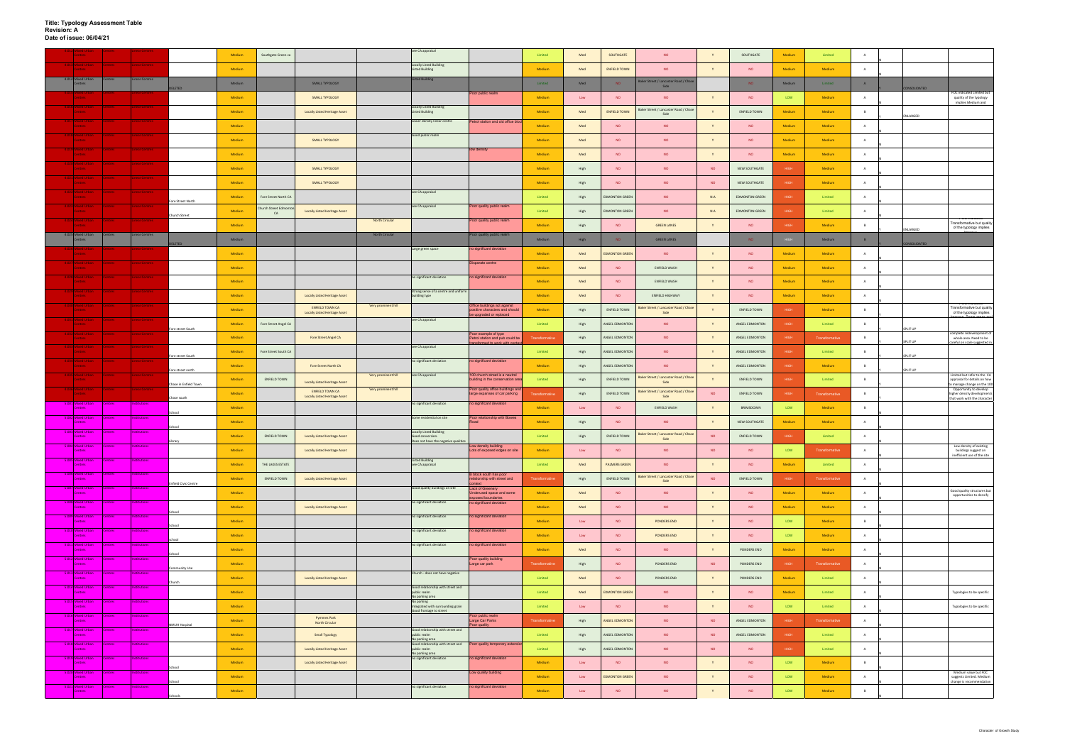|                                                           |                |                       |                             | Medium | Southgate Green ca        |                                                                |                       | see CA appraisal                                                                           |                                                                      | Limited        | Med            | SOUTHGATE             | <b>NO</b>                                          |           | SOUTHGATE             | Medium      | Limited        | $\mathbf{A}$   |                                  |                                                                                    |
|-----------------------------------------------------------|----------------|-----------------------|-----------------------------|--------|---------------------------|----------------------------------------------------------------|-----------------------|--------------------------------------------------------------------------------------------|----------------------------------------------------------------------|----------------|----------------|-----------------------|----------------------------------------------------|-----------|-----------------------|-------------|----------------|----------------|----------------------------------|------------------------------------------------------------------------------------|
| <b>13 Mixed Urban</b><br><b>Centres</b>                   | Centres :      | <b>Linear Centres</b> |                             | Medium |                           |                                                                |                       | <b>Locally Listed Building</b><br><b>Listed Building</b>                                   |                                                                      | Medium         | Med            | <b>ENFIELD TOWN</b>   | <b>NO</b>                                          |           | <b>NO</b>             | Medium      | Medium         | $\overline{A}$ |                                  |                                                                                    |
| 4.014 Mixed Urban<br>Centres                              | <b>Centres</b> | inear Centres         |                             | Medium |                           | SMALL TYPOLOGY                                                 |                       | isted Building                                                                             |                                                                      | Limited        | Med            | NO                    | Baker Street / Lancaster Road / Chas<br>Side       |           | NO <sub>1</sub>       | Medium      | Limited        | A              |                                  |                                                                                    |
| <b>Mixed Urba</b><br><b>Centres</b>                       |                | <b>Linear Centres</b> | ELETED                      | Medium |                           | SMALL TYPOLOGY                                                 |                       |                                                                                            | Poor public realm                                                    | Medium         | Low            | <b>NO</b>             | <b>NO</b>                                          |           | <b>NO</b>             | LOW         | Medium         | A              | CONSOLIDATED                     | FOC indicated Limited but<br>quality of the typology                               |
| Mixed Urban<br><b>Centres</b>                             |                | Linear Centres        |                             | Medium |                           | <b>Locally Listed Heritage Asset</b>                           |                       | Locally Listed Building<br><b>Listed Building</b>                                          |                                                                      | Medium         | Med            | <b>ENFIELD TOWN</b>   | Baker Street / Lancaster Road / Chase              | Y         | <b>ENFIELD TOWN</b>   | Medium      | Medium         | <b>B</b>       |                                  | implies Medium and                                                                 |
| .017 Mixed Urban<br><b>Centres</b>                        |                | <b>Linear Centres</b> |                             | Medium |                           |                                                                |                       | Lower density linear centre                                                                | Petrol station and old office blo                                    | Medium         | Med            | <b>NO</b>             | Side<br><b>NO</b>                                  |           | <b>NO</b>             | Medium      | Medium         | A              | ENLARGED                         |                                                                                    |
| 8 Mixed Urban                                             |                | <b>Linear Centres</b> |                             |        |                           |                                                                |                       | Good public realm                                                                          |                                                                      |                |                |                       |                                                    |           |                       |             |                |                |                                  |                                                                                    |
| Centres<br>019 Mixed Urban                                |                | <b>Linear Centres</b> |                             | Medium |                           | SMALL TYPOLOGY                                                 |                       |                                                                                            | low density                                                          | Medium         | Med            | NO                    | <b>NO</b>                                          | Y         | <b>NO</b>             | Medium      | Medium         | A              |                                  |                                                                                    |
| <b>Centres</b><br>020 Mixed Urban                         |                | <b>Linear Centres</b> |                             | Medium |                           |                                                                |                       |                                                                                            |                                                                      | Medium         | Med            | <b>NO</b>             | <b>NO</b>                                          | Y         | <b>NO</b>             | Medium      | Medium         | $\overline{A}$ |                                  |                                                                                    |
| <b>Centres</b><br>1 Mixed Urban                           |                | <b>Linear Centres</b> |                             | Medium |                           | SMALL TYPOLOGY                                                 |                       |                                                                                            |                                                                      | Medium         | High           | <b>NO</b>             | <b>NO</b>                                          | <b>NO</b> | NEW SOUTHGATE         | <b>HIGH</b> | Medium         | $\overline{A}$ |                                  |                                                                                    |
| Centres<br>.022 Mixed Urban                               | <b>Centres</b> | Linear Centres        |                             | Medium |                           | SMALL TYPOLOGY                                                 |                       | see CA appraisal                                                                           |                                                                      | Medium         | High           | <b>NO</b>             | <b>NO</b>                                          | <b>NO</b> | NEW SOUTHGATE         | <b>HIGH</b> | Medium         | A              |                                  |                                                                                    |
| <b>Centres</b><br>023 Mixed Urban                         |                | Linear Centres        | Fore Street North           | Medium | Fore Street North CA      |                                                                |                       | see CA appraisal                                                                           |                                                                      | Limited        | High           | <b>EDMONTON GREEN</b> | <b>NO</b>                                          | N.A       | <b>EDMONTON GREEN</b> | <b>HIGH</b> | Limited        | A              |                                  |                                                                                    |
| <b>Centres</b><br>.024 Mixed Urban Centres Linear Centres | <b>Centres</b> |                       | Church Street               | Medium | nurch Street Edmont<br>CA | <b>Locally Listed Heritage Asset</b>                           |                       |                                                                                            | Poor quality public realm                                            | Limited        | High           | <b>EDMONTON GREEN</b> | <b>NO</b>                                          | N.A       | <b>EDMONTON GREEN</b> | <b>HIGH</b> | Limited        | $\mathbf{A}$   |                                  | <b>TOC INDICATED</b>                                                               |
| <b>Centres</b>                                            |                |                       |                             | Medium |                           |                                                                | <b>North Circular</b> |                                                                                            | oor quality public realm                                             | Medium         | High           | <b>NO</b>             | <b>GREEN LANES</b>                                 | Y         | <b>NO</b>             | <b>HIGH</b> | Medium         | B              | ENLARGED                         | Transformative but quality<br>of the typology implies                              |
| 4.025 Mixed Urban<br>Centres                              | Centres        | <b>Linear Centres</b> | ELETED                      | Medium |                           |                                                                | <b>North Circular</b> |                                                                                            | Poor quality public realm                                            | Medium         | High           | NO                    | <b>GREEN LANES</b>                                 |           | NO <sub>1</sub>       |             | Medium         | B              | <b><i><u>INSOLIDATED</u></i></b> |                                                                                    |
| Centres                                                   |                |                       |                             | Medium |                           |                                                                |                       | Large green space                                                                          | no significant deviation                                             | Medium         | Med            | <b>EDMONTON GREEN</b> | <b>NO</b>                                          | Y         | <b>NO</b>             | Medium      | Medium         | $\overline{A}$ |                                  |                                                                                    |
| 7 Mixed Urban<br><b>Centres</b>                           | <b>Centres</b> | Linear Centres        |                             | Medium |                           |                                                                |                       |                                                                                            | Disparate centre                                                     | Medium         | Med            | NO                    | ENFIELD WASH                                       |           | <b>NO</b>             | Medium      | Medium         | A              |                                  |                                                                                    |
| 8 Mixed Urbar<br>Centres                                  |                | inear Centres         |                             | Medium |                           |                                                                |                       | no significant deviation                                                                   | o significant deviation                                              | Medium         | Med            | NO.                   | <b>ENFIELD WASH</b>                                | Y         | <b>NO</b>             | Medium      | Medium         | A              |                                  |                                                                                    |
| 029 Mixed Urban<br><b>Centres</b>                         |                | <b>Linear Centres</b> |                             | Medium |                           | <b>Locally Listed Heritage Asset</b>                           |                       | Strong sense of a centre and uniform<br>building type                                      |                                                                      | Medium         | Med            | NO                    | ENFIELD HIGHWAY                                    | Y         | <b>NO</b>             | Medium      | Medium         | A              |                                  |                                                                                    |
| 030 Mixed Urban<br><b>Centres</b>                         |                | Linear Centres        |                             | Medium |                           | <b>ENFIELD TOWN CA</b>                                         | Very prominent hill   |                                                                                            | Office buildings act against<br>positive characters and should       | Medium         | High           | ENFIELD TOWN          | Baker Street / Lancaster Road / Chase              | Y         | <b>ENFIELD TOWN</b>   | <b>HIGH</b> | <b>Medium</b>  | B              |                                  | TVV INIVATO<br>Transformative but quality                                          |
| 031 Mixed Urban<br><b>Centres</b>                         |                | <b>Linear Centres</b> |                             | Medium | Fore Street Angel CA      | <b>Locally Listed Heritage Asset</b>                           |                       | see CA appraisal                                                                           | be upgraded or replaced                                              | Limited        | High           | ANGEL EDMONTON        | Side<br><b>NO</b>                                  |           | ANGEL EDMONTON        | <b>HIGH</b> | Limited        | $\mathsf{B}$   |                                  | of the typology implies<br>aug Cama araa                                           |
| Mixed Urban<br>Centres                                    |                | Linear Centres        | Fore street South           | Medium |                           | Fore Street Angel CA                                           |                       |                                                                                            | Poor example of type<br>Petrol station and pub could be              | Transformative | High           | ANGEL EDMONTON        | <b>NO</b>                                          |           | ANGEL EDMONTON        | HIGH        | Transformative | B              | SPLIT UP                         | complete redevelopment of<br>whole area. Need to be                                |
| 033 Mixed Urban<br>Centres                                |                | Linear Centres        |                             | Medium | Fore Street South CA      |                                                                |                       | see CA appraisal                                                                           | nsformed to work with conte                                          | Limited        | High           | ANGEL EDMONTON        | <b>NO</b>                                          | Y         | ANGEL EDMONTON        | <b>HIGH</b> | Limited        | B              | SPLIT UP                         | careful on scale suggested in                                                      |
| 34 Mixed Urban<br><b>Centres</b>                          | <b>Centres</b> | Linear Centres        | Fore street South           |        |                           |                                                                |                       | no significant deviation                                                                   | no significant deviation                                             |                |                |                       |                                                    |           |                       |             |                |                | SPLIT UP                         |                                                                                    |
| 335 Mixed Urban                                           |                | Linear Centres        | Fore street north           | Medium |                           | Fore Street North CA                                           | Very prominent hill   | see CA appraisal                                                                           | 100 church street is a neutral                                       | Medium         | High           | ANGEL EDMONTON        | <b>NO</b><br>Baker Street / Lancaster Road / Chase | Y         | ANGEL EDMONTON        | <b>HIGH</b> | Medium         | B              | SPLIT UP                         | Limited but refer to the CA                                                        |
| <b>Centres</b><br>036 Mixed Urban                         | <b>Centres</b> | Linear Centres        | Chase in Enfield Town       | Medium | <b>ENFIELD TOWN</b>       | <b>Locally Listed Heritage Asset</b><br><b>ENFIELD TOWN CA</b> | Very prominent hill   |                                                                                            | uilding in the conservation are<br>Poor quality office buildings and | Limited        | High           | <b>ENFIELD TOWN</b>   | Side                                               | Y         | <b>ENFIELD TOWN</b>   | <b>HIGH</b> | Limited        | <b>B</b>       |                                  | appraisal for details on how<br>manage change on the 100<br>Opportunity to develop |
| <b>Centres</b><br>1 Mixed Urban                           | ntres          | ution                 | hase south                  | Medium |                           | <b>Locally Listed Heritage Asset</b>                           |                       | no significant deviation                                                                   | large expanses of car parking<br>no significant deviation            | Transformativ  | High           | <b>ENFIELD TOWN</b>   | Baker Street / Lancaster Road / Chase<br>Side      | <b>NO</b> | ENFIELD TOWN          | HIGH        | Transformative | B              |                                  | higher density developments<br>that work with the character                        |
| <b>Centres</b><br>.002 Mixed Urbar                        | <b>Intres</b>  | <b>stitution</b>      | School                      | Medium |                           |                                                                |                       | Some residential on site                                                                   | Poor relationship with Bowes                                         | Medium         | Low            | NO                    | ENFIELD WASH                                       | Y         | BRIMSDOWN             | LOW         | Medium         | $\overline{B}$ |                                  |                                                                                    |
| <b>Centres</b>                                            |                | itutions              | School                      | Medium |                           |                                                                |                       |                                                                                            |                                                                      | Medium         | High           | <b>NO</b>             | <b>NO</b>                                          | Y         | NEW SOUTHGATE         | Medium      | Medium         | A              |                                  |                                                                                    |
| .003 Mixed Urban<br><b>Centres</b>                        | <b>Centres</b> |                       | ibrary                      | Medium | ENFIELD TOWN              | <b>Locally Listed Heritage Asset</b>                           |                       | <b>Locally Listed Building</b><br>Good conversion.<br>Does not have the negative qualities |                                                                      | Limited        | High           | <b>ENFIELD TOWN</b>   | Baker Street / Lancaster Road / Chase<br>Side      | <b>NO</b> | ENFIELD TOWN          | <b>HIGH</b> | Limited        | $\overline{A}$ |                                  |                                                                                    |
| 5.004 Mixed Urban<br><b>Centres</b>                       | Centres        | Institutions          |                             | Medium |                           | <b>Locally Listed Heritage Asset</b>                           |                       |                                                                                            | Low density building<br>Lots of exposed edges on site                | Medium         | Low            | NO.                   | <b>NO</b>                                          | NO.       | <b>NO</b>             | LOW         | Transformative | A              |                                  | Low density of existing<br>buildings suggest an<br>inefficient use of the site     |
| .005 Mixed Urban<br><b>Centres</b>                        | <b>Centres</b> | itution               |                             | Medium | THE LAKES ESTATE          |                                                                |                       | <b>Listed Building</b><br>see CA appraisal                                                 |                                                                      | Limited        | Med            | <b>PALMERS GREEN</b>  | <b>NO</b>                                          | Y         | <b>NO</b>             | Medium      | Limited        | $\mathsf{A}$   |                                  |                                                                                    |
| 006 Mixed Urban<br><b>Centres</b>                         | <b>atres</b>   | titution              | <b>Enfield Civic Centre</b> | Medium | ENFIELD TOWN              | <b>Locally Listed Heritage Asset</b>                           |                       |                                                                                            | block south has poor<br>elationship with street and<br>ntext         | Transformative | High           | <b>ENFIELD TOWN</b>   | Baker Street / Lancaster Road / Chase<br>Side      | <b>NO</b> | <b>ENFIELD TOWN</b>   | <b>HIGH</b> | Transformative | $\overline{A}$ |                                  |                                                                                    |
| 5.007 Mixed Urban<br><b>Centres</b>                       | <b>Centres</b> | <b>Institutions</b>   |                             | Medium |                           |                                                                |                       | Good quality buildings on site                                                             | Lack of Greenery<br>nderused space and some<br>xposed boundaries     | Medium         | Med            | <b>NO</b>             | <b>NO</b>                                          |           | <b>NO</b>             | Medium      | Medium         | A              |                                  | Good quality structures but<br>opportunities to densify                            |
| 5.008 Mixed Urban<br><b>Centres</b>                       |                | titutions:            | School                      | Medium |                           | <b>Locally Listed Heritage Asset</b>                           |                       | no significant deviation                                                                   | no significant deviation                                             | Medium         | Med            | NO                    | <b>NO</b>                                          | Y         | <b>NO</b>             | Medium      | Medium         | A              |                                  |                                                                                    |
| .009 Mixed Urban<br><b>Centres</b>                        | entres         | stitutions            |                             | Medium |                           |                                                                |                       | no significant deviation                                                                   | o significant deviation                                              | Medium         | Low            | NO.                   | PONDERS END                                        | Y         | <b>NO</b>             | LOW         | Medium         | B              |                                  |                                                                                    |
| .010 Mixed Urban<br>Centres                               | <b>Centres</b> | titutions             | School                      | Medium |                           |                                                                |                       | no significant deviation                                                                   | o significant deviation                                              | Medium         | Low            | NO                    | PONDERS END                                        | Y         | <b>NO</b>             | LOW         | Medium         | A              |                                  |                                                                                    |
| 5.011 Mixed Urban<br><b>Centres</b>                       | Centres        | Institutions          | school                      | Medium |                           |                                                                |                       | no significant deviation                                                                   | no significant deviation                                             | Medium         | Med            | <b>NO</b>             | <b>NO</b>                                          | Y         | PONDERS END           | Medium      | Medium         | A              |                                  |                                                                                    |
| 012 Mixed Urban<br>Centres                                | <b>Centres</b> | itution               | School                      | Medium |                           |                                                                |                       |                                                                                            | Poor quality building<br>Large car park                              | Transformative | High           | NO                    | PONDERS END                                        | <b>NO</b> | PONDERS END           | HIGH        | Transformative | A              |                                  |                                                                                    |
| 5.013 Mixed Urban<br><b>Centres</b>                       | ntres          | stitutions            | Community Use               | Medium |                           | Locally Listed Heritage Asset                                  |                       | Church - does not have negative                                                            |                                                                      | Limited        | Med            | NO.                   | PONDERS END                                        | Y         | PONDERS END           | Medium      | Limited        | $\overline{A}$ |                                  |                                                                                    |
| 5.014 Mixed Urban<br><b>Centres</b>                       | <b>Centres</b> | <b>Institutions</b>   | Church                      | Medium |                           |                                                                |                       | Good relationship with street and                                                          |                                                                      | Limited        | Med            |                       | <b>NO</b>                                          | Y         | <b>NO</b>             | Medium      | Limited        | A              |                                  |                                                                                    |
| .015 Mixed Urban                                          | ntres          | <b>stitutions</b>     |                             |        |                           |                                                                |                       | public realm<br>No parking area<br>No parking                                              |                                                                      |                |                | <b>EDMONTON GREEN</b> |                                                    |           |                       |             |                |                |                                  | Typologies to be specific                                                          |
| <b>Centres</b><br>5.016 Mixed Urban                       | <b>Centres</b> | stitutions            |                             | Medium |                           | <b>Pymmes Park</b>                                             |                       | Integrated with surrounding grain<br>Good frontage to street                               | Poor public realm                                                    | Limited        | Low            | NO.                   | <b>NO</b>                                          | Y         | <b>NO</b>             | LOW         | Limited        | A              |                                  | Typologies to be specific                                                          |
| <b>Centres</b><br>5.017 Mixed Urban                       | <b>Centres</b> | <b>Institutions</b>   | NMUH Hospital               | Medium |                           | North Circular                                                 |                       | Good relationship with street and                                                          | Large Car Parks<br>Poor quality                                      | Transformative | High           | ANGEL EDMONTON        | <b>NO</b>                                          | <b>NO</b> | ANGEL EDMONTON        | HIGH        | Transformative | A              |                                  |                                                                                    |
| <b>Centres</b><br>5.018 Mixed Urban                       | <b>Centres</b> | <b>istitutions</b>    |                             | Medium |                           | <b>Small Typology</b>                                          |                       | public realm<br>No parking area<br>Good relationship with street and                       | Poor quality temporary extens                                        | Limited        | High           | ANGEL EDMONTON        | <b>NO</b>                                          | <b>NO</b> | ANGEL EDMONTON        | <b>HIGH</b> | Limited        | $\overline{A}$ |                                  |                                                                                    |
| <b>Centres</b><br>19 Mixed Urban                          | ntres          | utions                |                             | Medium |                           | <b>Locally Listed Heritage Asset</b>                           |                       | public realm<br>No parking area<br>no significant deviation                                | no significant deviation                                             | Limited        | High           | ANGEL EDMONTON        | <b>NO</b>                                          | <b>NO</b> | <b>NO</b>             | <b>HIGH</b> | Limited        | A              |                                  |                                                                                    |
| <b>Centres</b><br>.020 Mixed Urban                        | ntres          | stitutions            | School                      | Medium |                           | <b>Locally Listed Heritage Asset</b>                           |                       |                                                                                            |                                                                      | Medium         | Low            | NO                    | NO                                                 | Y         | <b>NO</b>             | LOW         | Medium         | B              |                                  |                                                                                    |
| <b>Centres</b>                                            |                |                       | School                      | Medium |                           |                                                                |                       |                                                                                            | Low quality building                                                 | Medium         | Low            | <b>EDMONTON GREEN</b> | <b>NO</b>                                          | Y         | <b>NO</b>             | LOW         | Medium         | $\overline{A}$ |                                  | Medium value but FOC<br>suggests Limited. Medium<br>change is recommendation       |
| 5.021 Mixed Urban<br><b>Centres</b>                       | <b>Centres</b> | <b>Institutions</b>   | Schools                     | Medium |                           |                                                                |                       | no significant deviation                                                                   | o significant deviation                                              | Medium         | $\mathsf{Low}$ | NO                    | <b>NO</b>                                          | Y         | <b>NO</b>             | LOW         | Medium         | B              |                                  |                                                                                    |
|                                                           |                |                       |                             |        |                           |                                                                |                       |                                                                                            |                                                                      |                |                |                       |                                                    |           |                       |             |                |                |                                  |                                                                                    |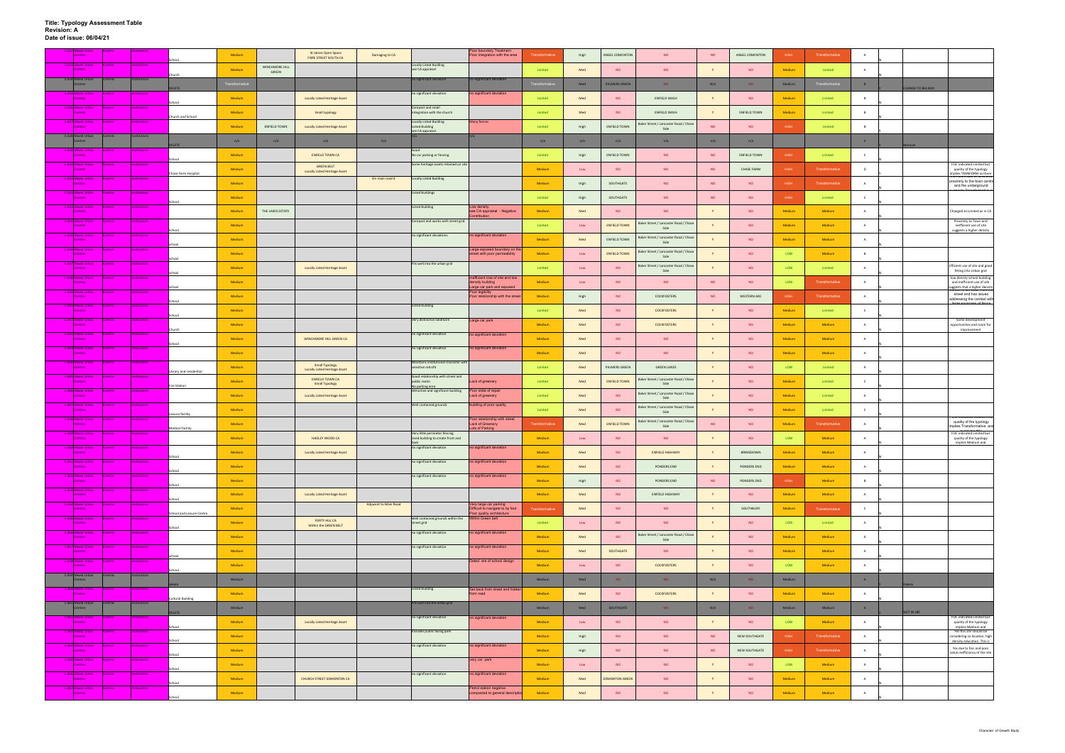| Aixed Urbar                                 |                |                        |                           | Medium        |                                | St James Open Space<br>FORE STREET SOUTH CA | Damaging to CA        |                                                                            | Poor boundary Treatment<br>Poor integration with the area                        | <b>Transformative</b> | High | ANGEL EDMONTON        | <b>NO</b>                                     | <b>NO</b> | ANGEL EDMONTON      | HIGH   | Transformative | A              |                                                                                                                      |
|---------------------------------------------|----------------|------------------------|---------------------------|---------------|--------------------------------|---------------------------------------------|-----------------------|----------------------------------------------------------------------------|----------------------------------------------------------------------------------|-----------------------|------|-----------------------|-----------------------------------------------|-----------|---------------------|--------|----------------|----------------|----------------------------------------------------------------------------------------------------------------------|
| 5.023 Mixed Urban<br>Centres                | <b>Centres</b> | <b>Institutions</b>    |                           | Medium        | WINCHMORE HILL<br><b>GREEN</b> |                                             |                       | Locally Listed Building<br>see CA appraisal                                |                                                                                  | Limited               | Med  | <b>NO</b>             | <b>NO</b>                                     |           | <b>NO</b>           | Medium | Limited        | A              |                                                                                                                      |
| 5.024 Mixed Urban<br>Centres                | entres         | stitutions             | hurch                     | Transformativ |                                |                                             |                       | no significant deviation                                                   | no significant deviation                                                         | Francformat           | Med  | <b>PALMERS GREEN</b>  | NO.                                           | N/A       | NO.                 | Medium | ansformativ    | B              |                                                                                                                      |
| Mixed Urban<br>Centres                      |                |                        | <b>ELETE</b>              | Medium        |                                | Locally Listed Heritage Asset               |                       | no significant deviation                                                   | no significant deviation                                                         | Limited               | Med  | <b>NO</b>             | ENFIELD WASH                                  |           | <b>NO</b>           | Medium | Limited        | B              | HANGE TO BIG BOX                                                                                                     |
| 5.026 Mixed Urban<br><b>Centres</b>         | <b>Centres</b> | <b>Institutions</b>    | Schoo                     | Medium        |                                | Small typology                              |                       | Compact and small<br>Integration with the church                           |                                                                                  | Limited               | Med  | <b>NO</b>             | ENFIELD WASH                                  |           | <b>ENFIELD TOWN</b> | Medium | Limited        | $\overline{B}$ |                                                                                                                      |
| 5.027 Mixed Urban<br><b>Centres</b>         |                | stitution <sup>®</sup> | Church and School         | Medium        | ENFIELD TOWN                   | Locally Listed Heritage Asset               |                       | <b>Locally Listed Building</b><br><b>Listed Building</b>                   | Many fences                                                                      | Limited               | High | ENFIELD TOWN          | Baker Street / Lancaster Road / Chas          | <b>NO</b> | <b>NO</b>           | HIGH   | Limited        | B              |                                                                                                                      |
| 5.028 Mixed Urban<br>Centres                | entres         | stitutions             |                           |               |                                |                                             |                       | see CA appraisal                                                           |                                                                                  |                       |      |                       | Side                                          |           |                     |        |                |                |                                                                                                                      |
| Mixed Urbar                                 |                |                        | <b>ELETE</b>              | n/a           | n/a                            | n/a                                         | n/a                   |                                                                            |                                                                                  | n/a                   | n/a  | n/a                   | n/a                                           | n/a       | n/a                 |        |                | E              |                                                                                                                      |
| <b>Centres</b><br>5.030 Mixed Urban         | Centres        | <b>Institutions</b>    |                           | Medium        |                                | <b>ENFIELD TOWN CA</b><br><b>GREEN BELT</b> |                       | No car parking or fencing<br>Some heritage assets retained on site         |                                                                                  | Limited               | High | ENFIELD TOWN          | <b>NO</b>                                     | <b>NO</b> | ENFIELD TOWN        | HIGH   | Limited        | - F            | FOC indicated Limited but                                                                                            |
| <b>Centres</b><br>.031 Mixed Urban          | <b>Centres</b> | tution:                | Chase Farm Hospital       | Medium        |                                | <b>Locally Listed Heritage Asset</b>        | On main road d        | <b>Locally Listed Building</b>                                             |                                                                                  | Medium                | Low  | <b>NO</b>             | <b>NO</b>                                     | <b>NO</b> | <b>CHASE FARM</b>   | HIGH   | Transformative | D              | quality of the typology<br>nplies TRANFORM as there                                                                  |
| <b>Centres</b><br>5.032 Mixed Urban         | ntres          | titution <sup>®</sup>  |                           | Medium        |                                |                                             |                       | <b>Listed Buildings</b>                                                    |                                                                                  | Medium                | High | SOUTHGATE             | <b>NO</b>                                     | <b>NO</b> | <b>NO</b>           | HIGH   | Transformative | A              | proximity to the town centre<br>and the underground                                                                  |
| <b>Centres</b><br>.033 Mixed Urban          | ntres          | stitutions             | School                    | Medium        |                                |                                             |                       | <b>Listed Building</b>                                                     | Low density                                                                      | Limited               | High | SOUTHGATE             | <b>NO</b>                                     | <b>NO</b> | <b>NO</b>           | HIGH   | Limited        | E              |                                                                                                                      |
| Centres                                     |                |                        |                           | Medium        | THE LAKES ESTATE               |                                             |                       |                                                                            | see CA appraisal - Negative<br>ontribution                                       | Medium                | Med  | <b>NO</b>             | <b>NO</b>                                     |           | NO                  | Medium | Medium         | $\overline{A}$ | Changed to Limited as in CA                                                                                          |
| 5.034 Mixed Urban<br><b>Centres</b>         | ntres          | stitution              | School                    | Medium        |                                |                                             |                       | Compact and works with street grid                                         |                                                                                  | Limited               | Low  | <b>ENFIELD TOWN</b>   | Baker Street / Lancaster Road / Chase<br>Side |           | <b>NO</b>           | Medium | Medium         | A              | Proximity to Town and<br>inefficient use of site<br>suggests a higher density                                        |
| .035 Mixed Urban<br><b>Centres</b>          | ntres          | itution:               | chool                     | Medium        |                                |                                             |                       | no significant deviations                                                  | no significant deviation                                                         | Medium                | Med  | <b>ENFIELD TOWN</b>   | Baker Street / Lancaster Road / Chase<br>Side |           | <b>NO</b>           | Medium | Medium         | A              |                                                                                                                      |
| .036 Mixed Urban<br><b>Centres</b>          | ntres          | stitution:             | chool                     | Medium        |                                |                                             |                       |                                                                            | Large exposed boundary on the<br>street with poor permeability                   | Medium                | Low  | <b>ENFIELD TOWN</b>   | Baker Street / Lancaster Road / Chase<br>Side |           | <b>NO</b>           | LOW    | Medium         | B              |                                                                                                                      |
| 5.037 Mixed Urban<br><b>Centres</b>         | <b>Centres</b> | <b>Institutions</b>    | choo                      | Medium        |                                | <b>Locally Listed Heritage Asset</b>        |                       | Fits well into the urban grid                                              |                                                                                  | Limited               | Low  | <b>NO</b>             | Baker Street / Lancaster Road / Chase<br>Side |           | <b>NO</b>           | LOW    | Limited        |                | Efficient use of site and good<br>fitting into Urban grid                                                            |
| 5.038 Mixed Urban<br>Centres                | ntres          | tution:                |                           | Medium        |                                |                                             |                       |                                                                            | nefficient Use of site and low<br>density building                               | Medium                | Low  | <b>NO</b>             | <b>NO</b>                                     | <b>NO</b> | <b>NO</b>           | LOW    | Transformative | <b>A</b>       | low density school building<br>and inefficient use of site                                                           |
| .039 Mixed Urban<br><b>Centres</b>          | ntres          | <b>istitutions</b>     | school                    | Medium        |                                |                                             |                       |                                                                            | arge car park and exposed<br>Poor legibility<br>Poor relationship with the stree | Medium                | High | <b>NO</b>             | COCKFOSTERS                                   | <b>NO</b> | WESTERN ARC         | HIGH   | Transformative | $\overline{A}$ | iggests that a higher density<br>Crioor is set oack from the<br>street and has issues<br>addressing the context with |
| .040 Mixed Urban<br>Centres                 | <b>Centres</b> | stitutions             | ichool                    | Medium        |                                |                                             |                       | <b>Listed Building</b>                                                     |                                                                                  | Limited               | Med  | NO                    | <b>COCKFOSTERS</b>                            |           | <b>NO</b>           | Medium | Limited        | E              |                                                                                                                      |
| 5.041 Mixed Urban<br><b>Centres</b>         | entres         | <b>istitutions</b>     | ichool                    | Medium        |                                |                                             |                       | Very distinctive landmark                                                  | Large car park                                                                   | Medium                | Med  | <b>NO</b>             | <b>COCKFOSTERS</b>                            |           | <b>NO</b>           | Medium | Medium         | A              | Some development<br>opportunities and room for                                                                       |
| 5.042 Mixed Urban<br><b>Centres</b>         | entres         | <b>stitutions</b>      | <b>Church</b>             | Medium        |                                | WINCHMORE HILL GREEN CA                     |                       | no significant deviation                                                   | no significant deviation                                                         | Medium                | Med  | <b>NO</b>             | <b>NO</b>                                     |           | <b>NO</b>           | Medium | Medium         | A              | improvement                                                                                                          |
| 5.043 Mixed Urban                           | ntres          | titution               | School                    |               |                                |                                             |                       | no significant deviation                                                   | no significant deviation                                                         |                       |      |                       |                                               |           |                     |        |                |                |                                                                                                                      |
| <b>Centres</b><br>5.044 Mixed Urban         | <b>Centres</b> | <b>Institutions</b>    |                           | Medium        |                                | <b>Small Typology</b>                       |                       | Maintains institutional character with                                     |                                                                                  | Medium                | Med  | <b>NO</b>             | <b>NO</b>                                     |           | <b>NO</b>           | Medium | Medium         | A              |                                                                                                                      |
| <b>Centres</b><br>5.045 Mixed Urban         | ntres          | ctitution              | Library and residential   | Medium        |                                | <b>Locally Listed Heritage Asset</b>        |                       | sensitive retrofit<br>Good relationship with street and                    |                                                                                  | Limited               | Med  | PALMERS GREEN         | <b>GREEN LANES</b>                            |           | <b>NO</b>           | LOW    | Limited        | A              |                                                                                                                      |
| <b>Centres</b><br>5.046 Mixed Urban         | <b>Centres</b> | <b>nstitutions</b>     | <b>Fire Station</b>       | Medium        |                                | <b>ENFIELD TOWN CA</b><br>Small Typology    |                       | public realm<br>No parking area<br>Attractive and significant building     | Lack of greenery<br>Poor state of repair                                         | Limited               | Med  | <b>ENFIELD TOWN</b>   | Baker Street / Lancaster Road / Chase<br>Side |           | <b>NO</b>           | Medium | Limited        | E              |                                                                                                                      |
| Centres<br>5.047 Mixed Urban                | <b>Centres</b> | Institutions           |                           | Medium        |                                | Locally Listed Heritage Asset               |                       | Well contained grounds                                                     | Lack of greenery                                                                 | Limited               | Med  | <b>NO</b>             | Baker Street / Lancaster Road / Chase<br>Side |           | <b>NO</b>           | Medium | Limited        | A              |                                                                                                                      |
| Centres                                     |                |                        | eisure facility           | Medium        |                                |                                             |                       |                                                                            | building of poor quality                                                         | Limited               | Med  | <b>NO</b>             | Baker Street / Lancaster Road / Chase<br>Side |           | <b>NO</b>           | Medium | Limited        | E              | <b>OC INGICATED MEDIU</b>                                                                                            |
| 5.048 Mixed Urban<br><b>Centres</b>         | Centres        | Institutions           | Medical facility          | Medium        |                                |                                             |                       |                                                                            | Poor relationship with street<br>Lack of Greenery<br>ots of Parking              | Transformative        | Med  | <b>ENFIELD TOWN</b>   | Baker Street / Lancaster Road / Chase<br>Side | <b>NO</b> | <b>NO</b>           | Medium | Transformative | A              | quality of the typology<br>mplies Transformative and                                                                 |
| .049 Mixed Urban<br>Centres                 | ntres          | tution:                |                           | Medium        |                                | HADLEY WOOD CA                              |                       | Very little perimeter fencing<br>Used building to create front and<br>back |                                                                                  | Medium                | Low  | <b>NO</b>             | <b>NO</b>                                     |           | <b>NO</b>           | LOW    | Medium         | A              | FOC indicated Limited but<br>quality of the typology<br>implies Medium and                                           |
| .050 Mixed Urban<br><b>Centres</b>          |                |                        | Schoo                     | Medium        |                                | <b>Locally Listed Heritage Asset</b>        |                       | no significant deviation                                                   | no significant deviation                                                         | Medium                | Med  | <b>NO</b>             | ENFIELD HIGHWAY                               |           | BRIMSDOWN           | Medium | Medium         | $\overline{A}$ |                                                                                                                      |
| 5.051 Mixed Urban<br><b>Centres</b>         | <b>Centres</b> | <b>Institutions</b>    | School                    | Medium        |                                |                                             |                       | no significant deviation                                                   | no significant deviation                                                         | Medium                | Med  | NO                    | PONDERS END                                   | Y         | PONDERS END         | Medium | Medium         | A              |                                                                                                                      |
| 5.052 Mixed Urban<br><b>Centres</b>         |                | titution <sup>,</sup>  | School                    | Medium        |                                |                                             |                       | no significant deviation                                                   | no significant deviation                                                         | Medium                | High | <b>NO</b>             | PONDERS END                                   | <b>NO</b> | PONDERS END         | HIGH   | Medium         | B              |                                                                                                                      |
| 5.053 Mixed Urban<br><b>Centres</b>         | <b>Centres</b> | <b>nstitutions</b>     |                           | Medium        |                                | <b>Locally Listed Heritage Asset</b>        |                       |                                                                            |                                                                                  | Medium                | Med  | NO                    | <b>ENFIELD HIGHWAY</b>                        |           | <b>NO</b>           | Medium | Medium         | A              |                                                                                                                      |
| 5.054 Mixed Urban<br>Centres                | <b>Centres</b> | <b>Institutions</b>    | ichool                    | Medium        |                                |                                             | Adjacent to Main Road |                                                                            | Very large car parking<br>Difficult to navigate to by foot                       | <b>Transformative</b> | Med  | <b>NO</b>             | <b>NO</b>                                     |           | SOUTHBURY           | Medium | Transformative | E              |                                                                                                                      |
| 5.055 Mixed Urban<br><b>Centres</b>         | Centres        | <b>Institutions</b>    | School and Leisure Centre | Medium        |                                | FORTY HILL CA<br>Within the GREEN BELT      |                       | Well contained grounds within the Within Green belt<br>street grid         | Poor quality architecture                                                        | Limited               | Low  | <b>NO</b>             | <b>NO</b>                                     |           | <b>NO</b>           | LOW    | Limited        | A              |                                                                                                                      |
| 5.056 Mixed Urban<br><b>Centres</b>         | entres         | titutions              | School                    | Medium        |                                |                                             |                       | no significant deviation                                                   | no significant deviation                                                         | Medium                | Med  | <b>NO</b>             | Baker Street / Lancaster Road / Chase<br>Side |           | <b>NO</b>           | Medium | Medium         | A              |                                                                                                                      |
| 5.057 Mixed Urban<br><b>Centres</b>         | entres         | <b>stitutions</b>      |                           | Medium        |                                |                                             |                       | no significant deviation                                                   | no significant deviation                                                         | Medium                | Med  | SOUTHGATE             | <b>NO</b>                                     |           | <b>NO</b>           | Medium | Medium         | A              |                                                                                                                      |
| 5.058 Mixed Urban<br><b>Centres</b>         | <b>Centres</b> | <b>Institutions</b>    | chool                     | Medium        |                                |                                             |                       |                                                                            | Dated era of school design                                                       | Medium                | Low  | NO                    | <b>COCKFOSTERS</b>                            |           | <b>NO</b>           | LOW    | Medium         | A              |                                                                                                                      |
| 5.059 Mixed Urban<br>Centres                | Centres        | Institutions           | chool                     | Medium        |                                |                                             |                       |                                                                            |                                                                                  | Medium                | Med  | NO.                   | NO.                                           | N/A       | NO                  | Medium |                | A              |                                                                                                                      |
| <b>6.060 Mixed Urban</b>                    |                | :ution                 |                           |               |                                |                                             |                       | Listed Building                                                            | Set back from street and hidd                                                    |                       |      |                       |                                               |           |                     |        |                |                |                                                                                                                      |
| <b>Centres</b><br>5.061 Mixed Urban Centres |                | Institutions           | Cultural Building         | Medium        |                                |                                             |                       | Fits well into the urban grid                                              | rom road                                                                         | Medium                | Med  | <b>NO</b>             | COCKFOSTERS                                   | Y         | <b>NO</b>           | Medium | Medium         | A              |                                                                                                                      |
| Centres<br>5.062 Mixed Urban                |                | titution:              | <b>ELETE</b>              | Medium        |                                |                                             |                       | no significant deviation                                                   | no significant deviation                                                         | Medium                | Med  | SOUTHGATE             | NO.                                           | N/A       | NO.                 | Medium | Medium         | A              | NOT IN LBE<br>FOC indicated Limited but                                                                              |
| <b>Centres</b><br>5.063 Mixed Urban         | <b>ntres</b>   | titution:              | School                    | Medium        |                                | Locally Listed Heritage Asset               |                       | Includes public facing park                                                |                                                                                  | Medium                | Low  | <b>NO</b>             | <b>NO</b>                                     |           | <b>NO</b>           | LOW    | Medium         | A              | quality of the typology<br>implies Medium and<br>Yes this site should be                                             |
| <b>Centres</b><br>5.064 Mixed Urban         | <b>Centres</b> | Institutions           | School                    | Medium        |                                |                                             |                       | no significant deviation                                                   | no significant deviation                                                         | Medium                | High | <b>NO</b>             | NO                                            | <b>NO</b> | NEW SOUTHGATE       | HIGH   | Transformative | A              | onsidering co location, high<br>density education. This is                                                           |
| <b>Centres</b><br>5.065 Mixed Urban         | <b>Centres</b> | <b>Institutions</b>    | ichool                    | Medium        |                                |                                             |                       |                                                                            |                                                                                  | Medium                | High | <b>NO</b>             | <b>NO</b>                                     | <b>NO</b> | NEW SOUTHGATE       | HIGH   | Transformative | A              | Yes due to foci and poor<br>value inefficiency of the site                                                           |
| <b>Centres</b>                              |                |                        | ichool                    | Medium        |                                |                                             |                       |                                                                            | very car park                                                                    | Medium                | Low  | NO                    | <b>NO</b>                                     |           | <b>NO</b>           | LOW    | Medium         | A              |                                                                                                                      |
| 5.066 Mixed Urban<br><b>Centres</b>         | ntres          | stitutions             | School                    | Medium        |                                | CHURCH STREET EDMONTON CA                   |                       | no significant deviation                                                   | no significant deviation                                                         | Medium                | Med  | <b>EDMONTON GREEN</b> | <b>NO</b>                                     |           | <b>NO</b>           | Medium | Medium         | A              |                                                                                                                      |
| 5.067 Mixed Urban<br><b>Centres</b>         | <b>Centres</b> | <b>Institutions</b>    | School                    | Medium        |                                |                                             |                       |                                                                            | Petrol station negative<br>compacted to general descriptio                       | Medium                | Med  | NO                    | <b>NO</b>                                     |           | <b>NO</b>           | Medium | Medium         | A              |                                                                                                                      |
|                                             |                |                        |                           |               |                                |                                             |                       |                                                                            |                                                                                  |                       |      |                       |                                               |           |                     |        |                |                |                                                                                                                      |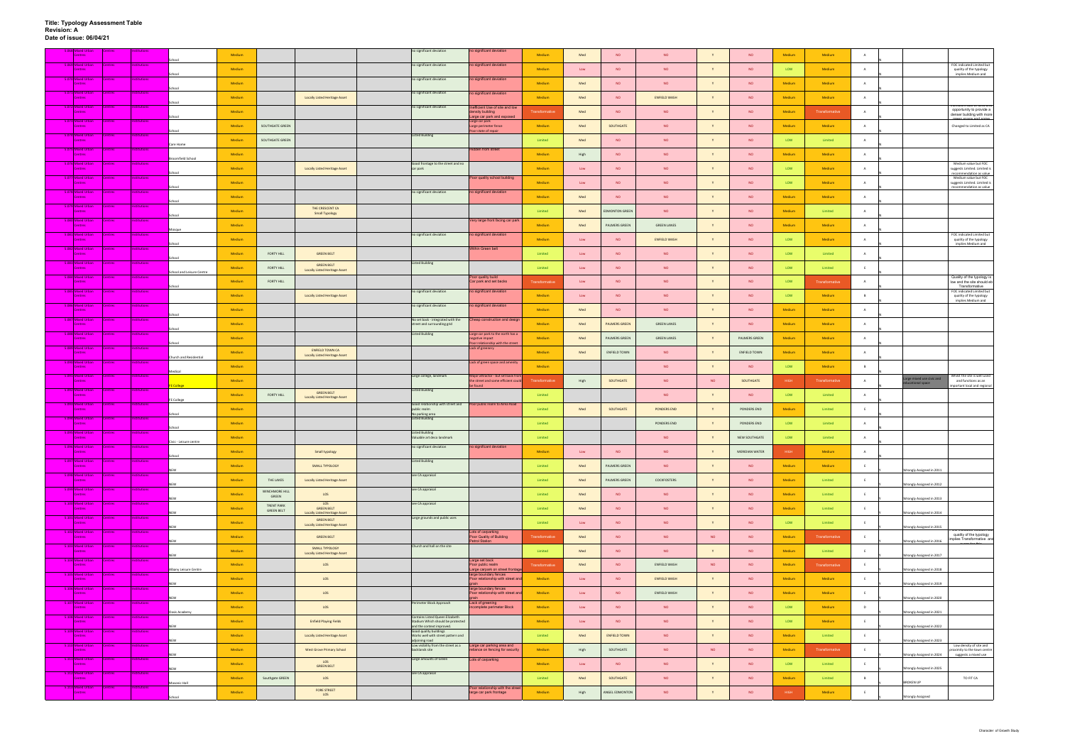| <b>Centre:</b>                      | Mixed Urbar      |                |                     |                           | Medium |                                        |                                                                  | no significant deviation                                                                  | o significant deviation                                                                     | Medium         | Med            | <b>NO</b>             | <b>NO</b>           | Y         | <b>NO</b>       | Medium      | Medium         | $\mathbf{A}$   |                                                                                          |
|-------------------------------------|------------------|----------------|---------------------|---------------------------|--------|----------------------------------------|------------------------------------------------------------------|-------------------------------------------------------------------------------------------|---------------------------------------------------------------------------------------------|----------------|----------------|-----------------------|---------------------|-----------|-----------------|-------------|----------------|----------------|------------------------------------------------------------------------------------------|
| 5.069 Mixed Urban                   |                  | <b>Centres</b> | <b>nstitutions</b>  | School                    | Medium |                                        |                                                                  | no significant deviation                                                                  | no significant deviation                                                                    | Medium         | Low            | <b>NO</b>             | <b>NO</b>           |           | <b>NO</b>       | LOW         | Medium         | A              | FOC indicated Limited but<br>quality of the typology<br>implies Medium and               |
| .070 Mixed Urban<br><b>Centres</b>  |                  |                | <b>titutions</b>    |                           | Medium |                                        |                                                                  | no significant deviation                                                                  | no significant deviation                                                                    | Medium         | Med            | <b>NO</b>             | <b>NO</b>           |           | NO.             | Medium      | Medium         | A              |                                                                                          |
| 5.071 Mixed Urban<br><b>Centres</b> |                  | <b>Centres</b> | stitutions          | School                    | Medium |                                        | <b>Locally Listed Heritage Asset</b>                             | no significant deviation                                                                  | no significant deviation                                                                    | Medium         | Med            | <b>NO</b>             | <b>ENFIELD WASH</b> | Y         | <b>NO</b>       | Medium      | Medium         | A              |                                                                                          |
| 5.072 Mixed Urban<br>Centre         |                  | <b>Centres</b> | <b>itutions</b>     | School                    | Medium |                                        |                                                                  | no significant deviation                                                                  | nefficient Use of site and low<br>density building                                          | Transformative | Med            | <b>NO</b>             | <b>NO</b>           |           | <b>NO</b>       | Medium      | Transformative | $\overline{A}$ | ncient use or lang<br>opportunity to provide a<br>denser building with more              |
| 5.073 Mixed Urban<br><b>Centres</b> |                  | Centres        | <b>Institutions</b> | School                    | Medium | SOUTHGATE GREEN                        |                                                                  |                                                                                           | arge car park and exposed<br>Large car park<br>Large perimeter fence                        | Medium         | Med            | SOUTHGATE             | <b>NO</b>           |           | <b>NO</b>       | Medium      | Medium         | A              | Changed to Limited as CA                                                                 |
| <b>Centres</b>                      | 74 Mixed Urban   | entres         | ution               | School                    | Medium | SOUTHGATE GREEN                        |                                                                  | <b>Listed Building</b>                                                                    | oor state of repair                                                                         | Limited        | Med            | NO                    | <b>NO</b>           | Y         | <b>NO</b>       | LOW         | Limited        | A              |                                                                                          |
| 5.075 Mixed Urban<br><b>Centres</b> |                  | <b>atres</b>   | titution            | Care Home                 | Medium |                                        |                                                                  |                                                                                           | lidden from street                                                                          | Medium         |                | NO                    | <b>NO</b>           | Y         | <b>NO</b>       | Medium      | Medium         | $\overline{A}$ |                                                                                          |
| 5.076 Mixed Urban                   |                  | <b>Centres</b> | <b>Institutions</b> | Broomfield School         |        |                                        |                                                                  | Good frontage to the street and no                                                        |                                                                                             |                | High           |                       |                     |           |                 |             |                |                | Medium value but FOC                                                                     |
| <b>Centres</b>                      | 077 Mixed Urban  |                | <b>itution</b>      | ichool                    | Medium |                                        | <b>Locally Listed Heritage Asset</b>                             | car park                                                                                  | Poor quality school building                                                                | Medium         | $\mathsf{Low}$ | <b>NO</b>             | <b>NO</b>           |           | <b>NO</b>       | LOW         | Medium         | $\overline{A}$ | suggests Limited. Limited is<br>recommendation as value<br>Medium value but FOC          |
| <b>Centres</b>                      | 078 Mixed Urban  | ntres          | tution              | School                    | Medium |                                        |                                                                  | no significant deviation                                                                  | no significant deviation                                                                    | Medium         | Low            | <b>NO</b>             | <b>NO</b>           | Y         | <b>NO</b>       | LOW         | Medium         | A              | suggests Limited. Limited is<br>recommendation as value                                  |
| <b>Centres</b><br>5.079 Mixed Urban |                  | entres         | stitutions          | School                    | Medium |                                        |                                                                  |                                                                                           |                                                                                             | Medium         | Med            | <b>NO</b>             | <b>NO</b>           | Y         | <b>NO</b>       | Medium      | Medium         | A              |                                                                                          |
| Centres<br>.080 Mixed Urban         |                  | <b>Intres</b>  | titutions           | ichool                    | Medium |                                        | THE CRESCENT CA<br>Small Typology                                |                                                                                           | Very large front facing car parl                                                            | Limited        | Med            | <b>EDMONTON GREEN</b> | <b>NO</b>           | Y         | <b>NO</b>       | Medium      | Limited        | $\overline{A}$ |                                                                                          |
| <b>Centres</b><br>.081 Mixed Urban  |                  |                |                     |                           | Medium |                                        |                                                                  |                                                                                           |                                                                                             | Medium         | Med            | PALMERS GREEN         | <b>GREEN LANES</b>  |           | <b>NO</b>       | Medium      | Medium         | A              | FOC indicated Limited but                                                                |
| Centres                             |                  | ntres          |                     | School                    | Medium |                                        |                                                                  | no significant deviation                                                                  | no significant deviation                                                                    | Medium         | Low            | <b>NO</b>             | <b>ENFIELD WASH</b> | <b>V</b>  | <b>NO</b>       | LOW         | Medium         | A              | quality of the typology<br>implies Medium and                                            |
| 5.082 Mixed Urban<br><b>Centres</b> |                  | <b>Centres</b> | stitutions          | School                    | Medium | FORTY HILL                             | <b>GREEN BELT</b>                                                |                                                                                           | Within Green belt                                                                           | Limited        | Low            | <b>NO</b>             | <b>NO</b>           | Y         | <b>NO</b>       | LOW         | Limited        | A              |                                                                                          |
| 5.083 Mixed Urban<br><b>Centres</b> |                  | <b>Centres</b> | <b>Institutions</b> | School and Leisure Centre | Medium | FORTY HILL                             | <b>GREEN BELT</b><br><b>Locally Listed Heritage Asset</b>        | <b>Listed Building</b>                                                                    |                                                                                             | Limited        | Low            | <b>NO</b>             | <b>NO</b>           |           | <b>NO</b>       | LOW         | Limited        | E              |                                                                                          |
| 5.084 Mixed Urban<br><b>Centres</b> |                  |                | titution            | School                    | Medium | FORTY HILL                             |                                                                  |                                                                                           | Poor quality build<br>Car park and set backs                                                | Transformativ  | Low            | NO                    | <b>NO</b>           |           | <b>NO</b>       | LOW         | Transformative | A              | Quality of the typology is<br>low and the site should eb<br>Transformative               |
| 5.085 Mixed Urban<br>Centre:        |                  | <b>Centres</b> | titutions           |                           | Medium |                                        | <b>Locally Listed Heritage Asset</b>                             | no significant deviation                                                                  | no significant deviation                                                                    | Medium         | $\mathsf{Low}$ | <b>NO</b>             | <b>NO</b>           |           | <b>NO</b>       | LOW         | Medium         | B              | FOC indicated Limited but<br>quality of the typology<br>implies Medium and               |
| .086 Mixed Urban<br>Centres         |                  | <b>atres</b>   | itution             |                           | Medium |                                        |                                                                  | no significant deviation                                                                  | no significant deviation                                                                    | Medium         | Med            | <b>NO</b>             | <b>NO</b>           | Y         | <b>NO</b>       | Medium      | Medium         | A              |                                                                                          |
| 5.087 Mixed Urban<br><b>Centres</b> |                  | Centres        | Institutions        | School                    | Medium |                                        |                                                                  | No set back - integrated with the<br>street and surrounding grid                          | Cheap construction and design                                                               | Medium         | Med            | <b>PALMERS GREEN</b>  | <b>GREEN LANES</b>  |           | <b>NO</b>       | Medium      | Medium         | A              |                                                                                          |
| .088 Mixed Urban<br>Centres         |                  | ntres          | ution               | School                    | Medium |                                        |                                                                  | <b>Listed Building</b>                                                                    | Large car park to the north has a<br>gative impact                                          | Medium         | Med            | PALMERS GREEN         | <b>GREEN LANES</b>  | Y         | PALMERS GREEN   | Medium      | Medium         | A              |                                                                                          |
| .089 Mixed Urbar<br><b>Centres</b>  |                  | ntres          | titution            | School                    | Medium |                                        | <b>ENFIELD TOWN CA</b><br><b>Locally Listed Heritage Asset</b>   |                                                                                           | oor relationship with the street<br>Lack of greenery                                        | Medium         | Med            | <b>ENFIELD TOWN</b>   | <b>NO</b>           | Y         | ENFIELD TOWN    | Medium      | Medium         | A              |                                                                                          |
| Centres                             | 090 Mixed Urban  | ntres          | itutions            | hurch and Residential     | Medium |                                        |                                                                  |                                                                                           | Lack of green space and amenit                                                              | Medium         |                |                       | <b>NO</b>           |           | <b>NO</b>       | LOW         | Medium         | B              |                                                                                          |
| .091 Mixed Urban<br><b>Centres</b>  |                  |                | <b>itution</b>      | ledical                   | Medium |                                        |                                                                  | Large college, landmark                                                                   | Major attractor - but set back fro<br>the street and some efficient could                   | Transformative | High           | SOUTHGATE             | NO.                 | <b>NO</b> | SOUTHGATE       | HIGH        | Transformative | A              | Vhilst the site is well used<br>arge mixed use civic and<br>and functions as an          |
| .092 Mixed Urban<br><b>Centres</b>  |                  | entres         | tution              | College                   | Medium | FORTY HILL                             | <b>GREEN BELT</b>                                                | <b>Listed Building</b>                                                                    | found                                                                                       | Limited        |                |                       | <b>NO</b>           |           | <b>NO</b>       | LOW         | Limited        | A              | ducational space<br>nportant local and regional                                          |
| .093 Mixed Urban                    |                  | <b>atres</b>   | titution            | FE College                |        |                                        | <b>Locally Listed Heritage Asset</b>                             | Good relationship with street and                                                         | Poor public realm to Alma Road                                                              |                |                |                       |                     |           |                 |             |                |                |                                                                                          |
| <b>Centres</b><br>5.094 Mixed Urban |                  | <b>Centres</b> | <b>Institutions</b> |                           | Medium |                                        |                                                                  | public realm<br>No parking area<br><b>Listed Building</b>                                 |                                                                                             | Limited        | Med            | SOUTHGATE             | PONDERS END         | Y         | PONDERS END     | Medium      | Limited        | E              |                                                                                          |
| <b>Centres</b><br>095 Mixed Urban   |                  | <b>atres</b>   | ution               | School                    | Medium |                                        |                                                                  | <b>Listed Building</b>                                                                    |                                                                                             | Limited        |                |                       | PONDERS END         |           | PONDERS END     | LOW         | Limited        |                |                                                                                          |
| <b>Centres</b><br>5.096 Mixed Urban |                  | Centres        | Institution         | Civic - Leisure centre    | Medium |                                        |                                                                  | Valuable art deco landmark<br>no significant deviation                                    | no significant deviation                                                                    | Limited        |                |                       | <b>NO</b>           | Y         | NEW SOUTHGATE   | LOW         | Limited        | $\overline{A}$ |                                                                                          |
| Centres<br>5.097 Mixed Urban        |                  | <b>Centres</b> | <b>Institutions</b> | School                    | Medium |                                        | Small typology                                                   | <b>Listed Building</b>                                                                    |                                                                                             | Medium         | Low            | <b>NO</b>             | <b>NO</b>           |           | MERIDIAN WATER  | <b>HIGH</b> | Medium         | A              |                                                                                          |
| Centres<br>5.098 Mixed Urban        |                  | entres         | setitutions         | NEW                       | Medium |                                        | SMALL TYPOLOGY                                                   |                                                                                           |                                                                                             | Limited        | Med            | PALMERS GREEN         | <b>NO</b>           | Y         | NO <sub>1</sub> | Medium      | Medium         | E              | Wrongly Assigned in 2011                                                                 |
| <b>Centres</b>                      | .099 Mixed Urban |                |                     | NEW                       | Medium | THE LAKES                              | Locally Listed Heritage Asset                                    | see CA appraisal                                                                          |                                                                                             | Limited        | Med            | PALMERS GREEN         | COCKFOSTERS         | Y         | <b>NO</b>       | Medium      | Limited        | E              | Wrongly Assigned in 2012                                                                 |
| Centres                             |                  | <b>Centres</b> | stitutions          | <b>NEW</b>                | Medium | WINCHMORE HILL<br>GREEN                | LOS                                                              | see CA appraisal                                                                          |                                                                                             | Limited        | Med            | NO                    | <b>NO</b>           | Y         | <b>NO</b>       | Medium      | Limited        | E              | Wrongly Assigned in 2013                                                                 |
| 5.100 Mixed Urban<br><b>Centres</b> |                  | ntres          | stitutions          | NEW                       | Medium | <b>TRENT PARK</b><br><b>GREEN BELT</b> | LOS<br><b>GREEN BELT</b><br><b>Locally Listed Heritage Asset</b> | see CA appraisal                                                                          |                                                                                             | Limited        | Med            | NO.                   | <b>NO</b>           | Y         | <b>NO</b>       | Medium      | Limited        | E              | <b>Nrongly Assigned in 2014</b>                                                          |
| 5.101 Mixed Urban<br><b>Centres</b> |                  | <b>Centres</b> | Institutions        |                           | Medium |                                        | <b>GREEN BELT</b><br><b>Locally Listed Heritage Asset</b>        | Large grounds and public uses                                                             |                                                                                             | Limited        | $\mathsf{Low}$ | NO                    | <b>NO</b>           | Y         | <b>NO</b>       | LOW         | Limited        | E              | <b>Nrongly Assigned in 2015</b><br>io ingicated wegigin pu                               |
| 5.102 Mixed Urban<br>Centres        |                  | entres         | <b>itutions</b>     | <b>NEW</b>                | Medium |                                        | <b>GREEN BELT</b>                                                |                                                                                           | Lots of carparking<br>Poor Quality of Building<br><b>Petrol Station</b>                     | Transformative | Med            | <b>NO</b>             | <b>NO</b>           | <b>NO</b> | <b>NO</b>       | Medium      | Transformative | E              | quality of the typology<br>implies Transformative and<br><b>Nrongly Assigned in 2016</b> |
| 5.103 Mixed Urban<br><b>Centres</b> |                  | Centres        | stitutions          | NEW                       | Medium |                                        | SMALL TYPOLOGY<br><b>Locally Listed Heritage Asset</b>           | Church and hall on the site                                                               |                                                                                             | Limited        | Med            | NO.                   | <b>NO</b>           | Y         | <b>NO</b>       | Medium      | Limited        | E              | Wrongly Assigned in 2017                                                                 |
| 5.104 Mixed Urban<br>Centres        |                  | <b>Lentres</b> | stitutions          | Albany Leisure Centre     | Medium |                                        | LOS                                                              |                                                                                           | Large set back<br>Poor public realm                                                         | Transformative | Med            | NO                    | ENFIELD WASH        | NO.       | <b>NO</b>       | Medium      | Transformative | E              |                                                                                          |
| 5.105 Mixed Urban<br><b>Centres</b> |                  | <b>Centres</b> | <b>Institutions</b> |                           | Medium |                                        | LOS                                                              |                                                                                           | Large carpark on street fronta<br>large boundary fences<br>Poor relationship with street an | Medium         | Low            | <b>NO</b>             | ENFIELD WASH        |           | <b>NO</b>       | Medium      | Medium         | E              | Wrongly Assigned in 2018                                                                 |
| 5.106 Mixed Urban<br><b>Centres</b> |                  | <b>Centres</b> | titutions           | <b>NEW</b>                | Medium |                                        | LOS                                                              |                                                                                           | large boundary fences<br>Poor relationship with street ar                                   | Medium         | $\mathsf{Low}$ | NO                    | ENFIELD WASH        | Y         | <b>NO</b>       | Medium      | Medium         | E              | Wrongly Assigned in 2019                                                                 |
| <b>Centres</b>                      | 107 Mixed Urban  | <b>atres</b>   | titutions           | <b>NEW</b>                | Medium |                                        | LOS                                                              | Perimeter Block Approach                                                                  | Lack of greening<br>complete perimeter Block                                                | Medium         | Low            | NO                    | <b>NO</b>           | Y         | <b>NO</b>       | LOW         | Medium         | D              | Wrongly Assigned in 2020                                                                 |
| 5.108 Mixed Urban<br><b>Centres</b> |                  | <b>Centres</b> | <b>Institutions</b> | <b>Oasis Academy</b>      | Medium |                                        | <b>Enfield Playing Fields</b>                                    | Contains Listed Queen Elizabeth<br>Stadium Which should be protected                      |                                                                                             | Medium         | $\mathsf{Low}$ | <b>NO</b>             | <b>NO</b>           |           | <b>NO</b>       | LOW         | Medium         | E              | Wrongly Assigned in 2021                                                                 |
| 5.109 Mixed Urban<br><b>Centres</b> |                  | ntres          | titutions:          | <b>NEW</b>                | Medium |                                        | Locally Listed Heritage Asset                                    | and the context improved.<br>Good quality buildings<br>Works well with street pattern and |                                                                                             | Limited        | Med            | <b>ENFIELD TOWN</b>   | <b>NO</b>           | Y         | <b>NO</b>       | Medium      | Limited        | E              | Wrongly Assigned in 2022                                                                 |
| 5.110 Mixed Urban                   |                  | <b>Centres</b> | <b>nstitutions</b>  | NEW                       | Medium |                                        | <b>West Grove Primary School</b>                                 | adjoining road<br>Low visibility from the street as a<br>backlands site                   | Large car parking area and                                                                  | Medium         |                | SOUTHGATE             | <b>NO</b>           | <b>NO</b> | <b>NO</b>       | Medium      | Transformative | E              | Wrongly Assigned in 2023<br>Low density of site and<br>oximity to the town centre        |
| <b>Centres</b><br>5.111 Mixed Urban |                  | <b>Centres</b> | stitutions          | <b>NEW</b>                |        |                                        | LOS                                                              | Large amounts of Green                                                                    | eliance on fencing for security<br>Lots of carparking                                       |                | High           |                       |                     |           |                 |             |                |                | Wrongly Assigned in 2024<br>suggests a mixed use                                         |
| Centres<br>5 112 Mixed Urban        |                  | <b>Centres</b> | Institutions        | NEW                       | Medium |                                        | <b>GREEN BELT</b>                                                | see CA appraisal                                                                          |                                                                                             | Medium         | Low            | NO                    | <b>NO</b>           | Y         | <b>NO</b>       | LOW         | Limited        | E              | Wrongly Assigned in 2025                                                                 |
| <b>Centres</b>                      | .113 Mixed Urban | <b>Centres</b> | itutions            | Masonic Hall              | Medium | Southgate GREEN                        | LOS<br><b>FORE STREET</b>                                        |                                                                                           | Poor relationship with the street                                                           | Limited        | Med            | SOUTHGATE             | <b>NO</b>           | Y         | <b>NO</b>       | Medium      | Limited        | B              | TO FIT CA<br><b>BROKEN UP</b>                                                            |
| <b>Centres</b>                      |                  |                |                     | School                    | Medium |                                        | LOS                                                              |                                                                                           | large car park frontage                                                                     | Medium         | High           | ANGEL EDMONTON        | NO                  | Y         | NO              | <b>HIGH</b> | Medium         | E              | <b>Wrongly Assigned</b>                                                                  |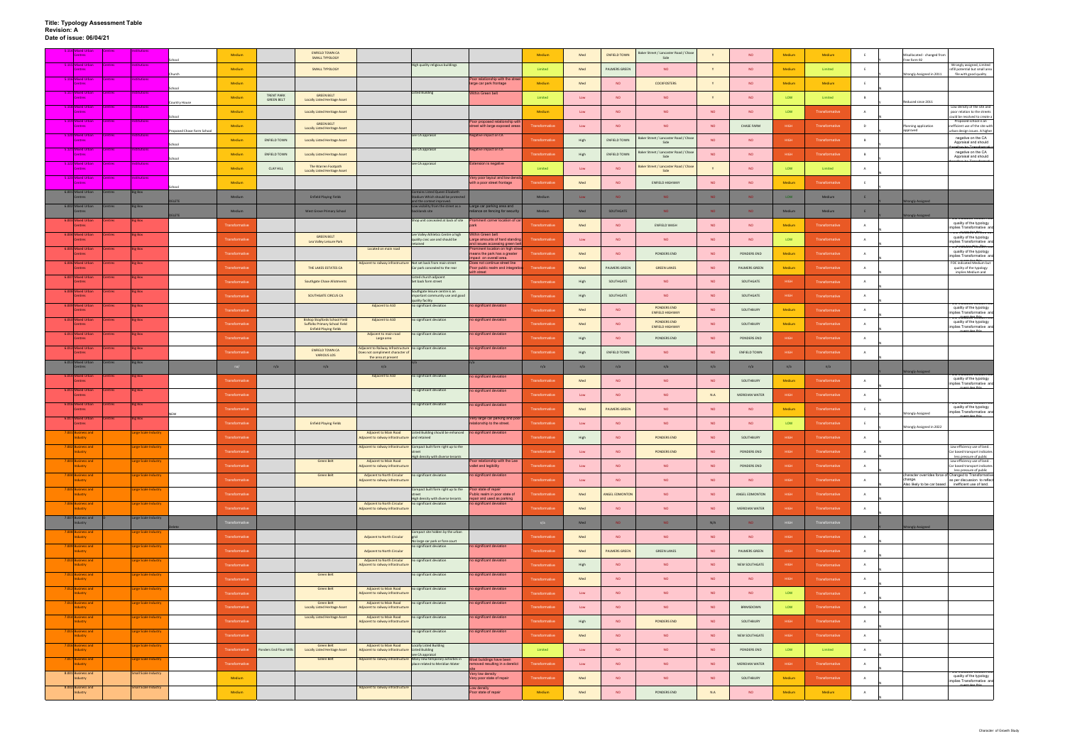| Centres                             |              |                             |                           | Medium               |                         | <b>ENFIELD TOWN CA</b><br><b>SMALL TYPOLOGY</b>                                                               |                                                                                                 |                                                                                                                            |                                                                                         | Medium                | Med         | <b>ENFIELD TOWN</b>  | Baker Street / Lancaster Road / Chase<br>Side |           | <b>NO</b>           | Medium      | Medium                |   | Misallocated - changed fron<br>Free form 92                                                      |                                                                                               |
|-------------------------------------|--------------|-----------------------------|---------------------------|----------------------|-------------------------|---------------------------------------------------------------------------------------------------------------|-------------------------------------------------------------------------------------------------|----------------------------------------------------------------------------------------------------------------------------|-----------------------------------------------------------------------------------------|-----------------------|-------------|----------------------|-----------------------------------------------|-----------|---------------------|-------------|-----------------------|---|--------------------------------------------------------------------------------------------------|-----------------------------------------------------------------------------------------------|
| <b>S</b> Mixed Urbar<br>Centres     |              |                             |                           | Medium               |                         | <b>SMALL TYPOLOGY</b>                                                                                         |                                                                                                 | High quality religious buildings                                                                                           |                                                                                         | Limited               | Med         | PALMERS GREEN        | <b>NO</b>                                     |           | <b>NO</b>           | Medium      | Limited               | E |                                                                                                  | Wrongly assigned, Limited<br>nfill potential but small area                                   |
| 5.116 Mixed Urban<br><b>Centres</b> | <b>entre</b> | <b>itution</b>              | Church                    | Medium               |                         |                                                                                                               |                                                                                                 |                                                                                                                            | Poor relationship with the stree<br>large car park frontage                             | Medium                | Med         | <b>NO</b>            | <b>COCKFOSTERS</b>                            | Y         | <b>NO</b>           | Medium      | Medium                |   | Wrongly Assigned in 2011                                                                         | file with good quality                                                                        |
| 5.117 Mixed Urbar                   | Centre:      | <b>Institutions</b>         |                           | Medium               | <b>TRENT PARK</b>       | <b>GREEN BELT</b>                                                                                             |                                                                                                 | <b>Listed Building</b>                                                                                                     | Within Green belt                                                                       | Limited               | ${\sf Low}$ | <b>NO</b>            | <b>NO</b>                                     |           | <b>NO</b>           | LOW         | Limited               |   |                                                                                                  |                                                                                               |
| 5.118 Mixed Urbar<br><b>Centres</b> |              | <b>itution</b>              | ountry House              | Medium               | <b>GREEN BELT</b>       | <b>Locally Listed Heritage Asset</b>                                                                          |                                                                                                 |                                                                                                                            |                                                                                         | Medium                | Low         | <b>NO</b>            | <b>NO</b>                                     | <b>NO</b> | <b>NO</b>           | LOW         | Transformative        |   | Reduced since 2011                                                                               | ow density of the site and<br>poor relation to the streets                                    |
| 5.119 Mixed Urban                   | entre:       | itution                     |                           |                      |                         | <b>Locally Listed Heritage Asset</b><br><b>GREEN BELT</b>                                                     |                                                                                                 |                                                                                                                            | Poor proposed relationship wit                                                          |                       |             |                      |                                               |           |                     |             |                       |   |                                                                                                  | ould be resolved to create a<br>Proposed school is an                                         |
| 120 Mixed Urbar                     |              | titutions                   | roposed Chase Farm School | Medium               |                         | <b>Locally Listed Heritage Asset</b>                                                                          |                                                                                                 | see CA appraisal                                                                                                           | treet with large exposed areas<br><b>Negative impact on CA</b>                          |                       | Low         | <b>NO</b>            | <b>NO</b>                                     | <b>NO</b> | <b>CHASE FARM</b>   | <b>HIGH</b> | <b>Transformative</b> | D | Planning application<br>oroved                                                                   | efficient use of the site with<br>orban design issues. A higher<br>The area is identified as  |
| 5.121 Mixed Urban                   | Centres      | Institutions                |                           | Medium               | <b>ENFIELD TOWN</b>     | <b>Locally Listed Heritage Asset</b>                                                                          |                                                                                                 | see CA appraisal                                                                                                           | <b>Negative impact on CA</b>                                                            | Transformative        | High        | <b>ENFIELD TOWN</b>  | Baker Street / Lancaster Road / Chase<br>Side | <b>NO</b> | <b>NO</b>           | HIGH        | Transformative        | B |                                                                                                  | negative on the CA<br>Appraisal and should<br><del>ne areans Toentheo als</del>               |
| <b>Centres</b>                      |              |                             | School                    | Medium               | <b>ENFIELD TOWN</b>     | <b>Locally Listed Heritage Asset</b>                                                                          |                                                                                                 |                                                                                                                            |                                                                                         | Transformativ         | High        | ENFIELD TOWN         | Baker Street / Lancaster Road / Chase<br>Side | <b>NO</b> | <b>NO</b>           | <b>HIGH</b> | Transformative        |   |                                                                                                  | negative on the CA<br>Appraisal and should                                                    |
| 5.122 Mixed Urbar<br>Centres        |              |                             |                           | Medium               | <b>CLAY HILL</b>        | The Warren Footpath<br><b>Locally Listed Heritage Asset</b>                                                   |                                                                                                 | see CA appraisal                                                                                                           | <b>Extension is negative</b>                                                            | Limited               | Low         | <b>NO</b>            | Baker Street / Lancaster Road / Chase<br>Side |           | <b>NO</b>           | LOW         | Limited               | A |                                                                                                  |                                                                                               |
| 5.123 Mixed Urbar                   | entre:       | titutions                   | School                    | Medium               |                         |                                                                                                               |                                                                                                 |                                                                                                                            | Very poor layout and low den<br>with a poor street frontage                             | <b>Transformativ</b>  | Med         | <b>NO</b>            | <b>ENFIELD HIGHWAY</b>                        | <b>NO</b> | <b>NO</b>           | Medium      | Transformative        |   |                                                                                                  |                                                                                               |
| 6.001 Mixed Urban<br>Centres        | ntres        | <b>Big Box</b>              | <b>DELETE</b>             | Medium               |                         | <b>Enfield Playing Fields</b>                                                                                 |                                                                                                 | ontains Listed Queen Elizabet<br>Stadium Which should be protected                                                         |                                                                                         | Medium                | Low         | NO.                  | <b>NO</b>                                     | <b>NO</b> | <b>NO</b>           | LOW         | Medium                |   |                                                                                                  |                                                                                               |
| 6.002 Mixed Urbar<br><b>Pontres</b> |              | <b>Big Box</b>              |                           | Medium               |                         | <b>West Grove Primary School</b>                                                                              |                                                                                                 | and the context improved.<br>Low visibility from the street as a<br>packlands site                                         | Large car parking area and<br>eliance on fencing for securit                            | Medium                | Med         | SOUTHGATE            | NO.                                           | NO        | NO <sub>1</sub>     | Medium      | Medium                | E | ongly Assigned                                                                                   |                                                                                               |
| 6.003 Mixed Urba                    |              | <b>Big Box</b>              | <b>ELETE</b>              | Transformative       |                         |                                                                                                               |                                                                                                 | Shop unit concealed at back of site                                                                                        | rominent corner location of c                                                           | Transformativ         | Med         | <b>NO</b>            | ENFIELD WASH                                  | <b>NO</b> | <b>NO</b>           | Medium      | Transformative        | A | ongly Assigned                                                                                   | quality of the typology<br>mplies Transformative and                                          |
| 6.004 Mixed Urba<br><b>Centres</b>  |              | <b>Big Box</b>              |                           | Transformative       |                         | <b>GREEN BELT</b>                                                                                             |                                                                                                 | Lee Valley Athletics Centre a high<br>quality civic use and should be                                                      | Vithin Green belt<br>Large amounts of hard standin                                      | ransformativ          | Low         | <b>NO</b>            | <b>NO</b>                                     | <b>NO</b> | <b>NO</b>           | LOW         | Transformative        |   |                                                                                                  | roc macaulanthimea par<br>quality of the typology                                             |
| 6.005 Mixed Urba                    |              | <b>Big Box</b>              |                           |                      |                         | Lea Valley Leisure Park                                                                                       | Located on main road                                                                            | etained                                                                                                                    | and issues accessing green be<br>Prominent location on high stre                        |                       |             |                      |                                               |           |                     |             |                       |   |                                                                                                  | implies Transformative and<br>.<br>Ochrarcared hirediam ood<br>quality of the typology        |
| Centres<br>6.006 Mixed Urbar        | ntre:        | <b>Big Box</b>              |                           | Transformative       |                         |                                                                                                               | Adjacent to railway infrastructure Not set back from main street                                |                                                                                                                            | means the park has a greater<br>npact on overall area.<br>Does not continue street line | ransformativ          | Med         | <b>NO</b>            | PONDERS END                                   | <b>NO</b> | PONDERS END         | Medium      | Transformative        |   |                                                                                                  | mplies Transformative and<br>FOC indicated Medium but                                         |
| <b>Centres</b><br>6.007 Mixed Urban |              | <b>Big Box</b>              |                           | Transformative       |                         | THE LAKES ESTATES CA                                                                                          |                                                                                                 | Car park concealed to the rear<br>Listed church adjacent                                                                   | Poor public realm and integration<br>with street                                        | <b>Transformative</b> | Med         | PALMERS GREEN        | <b>GREEN LANES</b>                            | <b>NO</b> | PALMERS GREEN       | Medium      | Transformative        | A |                                                                                                  | quality of the typology<br>implies Medium and                                                 |
| Centres                             |              |                             |                           | Transformative       |                         | <b>Southgate Chase Allotments</b>                                                                             |                                                                                                 | Set back form street                                                                                                       |                                                                                         | Transformativ         | High        | SOUTHGATE            | <b>NO</b>                                     | <b>NO</b> | SOUTHGATE           | <b>HIGH</b> | <b>Transformative</b> |   |                                                                                                  |                                                                                               |
| 6.008 Mixed Urba<br><b>Centres</b>  | ntre:        | <b>Big Box</b>              |                           | Transformative       |                         | SOUTHGATE CIRCUS CA                                                                                           |                                                                                                 | Southgate leisure centre is an<br>important community use and good<br>quality facility                                     |                                                                                         | Transformativ         | High        | SOUTHGATE            | <b>NO</b>                                     | <b>NO</b> | SOUTHGATE           | HIGH        | Transformative        |   |                                                                                                  | OC maicated wearann pa                                                                        |
| 6.009 Mixed Urba<br><b>Centres</b>  |              | <b>Big Box</b>              |                           | Transformative       |                         |                                                                                                               | Adjacent to A10                                                                                 | no significant deviation                                                                                                   | no significant deviation                                                                | Transformativ         | Med         | NO                   | <b>PONDERS END</b><br><b>ENFIELD HIGHWAY</b>  | <b>NO</b> | SOUTHBURY           | Medium      | Transformative        |   |                                                                                                  | quality of the typology<br>implies Transformative and                                         |
| 6.010 Mixed Urbar<br><b>Centres</b> |              | <b>Big Box</b>              |                           | Transformative       |                         | <b>Bishop Stopfords School Field</b><br><b>Suffolks Primary School Field</b><br><b>Enfield Playing Fields</b> | Adjacent to A10                                                                                 | no significant deviation                                                                                                   | no significant deviation                                                                | Transformati          | Med         | NO                   | PONDERS END<br><b>ENFIELD HIGHWAY</b>         | <b>NO</b> | SOUTHBURY           | Medium      | Transformative        | A |                                                                                                  | <del>och rarcatela wikinam oad</del><br>quality of the typology<br>implies Transformative and |
| 6.011 Mixed Urba<br><b>Centres</b>  |              | <b>Big Box</b>              |                           | Transformative       |                         |                                                                                                               | Adjacent to main road<br>Large area                                                             | no significant deviation                                                                                                   | ho significant deviation                                                                | Transformativ         | High        | NO                   | PONDERS END                                   | <b>NO</b> | PONDERS END         | HIGH        | Transformative        |   |                                                                                                  |                                                                                               |
| 6.012 Mixed Urban                   | entre:       | <b>Big Box</b>              |                           | Transformativ        |                         | <b>ENFIELD TOWN CA</b><br><b>VARIOUS LOS</b>                                                                  | Adjacent to Railway Infrastructure no significant deviation<br>Does not compliment character of |                                                                                                                            | ho significant deviation                                                                | Transformativ         | High        | <b>ENFIELD TOWN</b>  | <b>NO</b>                                     | <b>NO</b> | <b>ENFIELD TOWN</b> | HIGH        | Transformative        |   |                                                                                                  |                                                                                               |
| 6.013 Mixed Urban<br><b>Potres</b>  |              | <b>Big Box</b>              |                           |                      | n/a                     | n/a                                                                                                           | the area at present<br>n/a                                                                      |                                                                                                                            |                                                                                         | n/a                   | n/a         | n/a                  | n/a                                           | n/a       | n/a                 | n/a         | n/a                   |   |                                                                                                  |                                                                                               |
| 6.014 Mixed Urba                    |              | <b>Big Box</b>              |                           | Transformative       |                         |                                                                                                               | Adjacent to A10                                                                                 | no significant deviation                                                                                                   | no significant deviation                                                                | <b>Transformat</b>    | Med         | <b>NO</b>            | <b>NO</b>                                     | <b>NO</b> | SOUTHBURY           | Medium      | Transformative        |   | rongly Assigned                                                                                  | quality of the typology                                                                       |
| 6.015 Mixed Urbar                   | entre:       | <b>Big Box</b>              |                           |                      |                         |                                                                                                               |                                                                                                 | no significant deviation                                                                                                   | no significant deviation                                                                |                       |             |                      |                                               |           |                     |             |                       |   |                                                                                                  | mplies Transformative and                                                                     |
| Centres<br>6.016 Mixed Urba         |              | <b>Big Box</b>              |                           | Transformative       |                         |                                                                                                               |                                                                                                 | no significant deviation                                                                                                   | no significant deviation                                                                | Transformative        | Low         | NO                   | <b>NO</b>                                     | N.A       | MERIDIAN WATER      | HIGH        | Transformative        |   |                                                                                                  |                                                                                               |
| Centres<br>6.017 Mixed Urbar        |              | <b>Big Box</b>              |                           | Transformative       |                         |                                                                                                               |                                                                                                 |                                                                                                                            | Very large car parking and por                                                          | Transformativ         | Med         | <b>PALMERS GREEN</b> | <b>NO</b>                                     | <b>NO</b> | <b>NO</b>           | Medium      | Transformative        |   | rongly Assigned                                                                                  | quality of the typology<br>implies Transformative and                                         |
| <b>Centres</b>                      |              |                             |                           | Transformative       |                         | <b>Enfield Playing Fields</b>                                                                                 | Adjacent to Main Road                                                                           | Listed Building should be enhanced no significant deviation                                                                | elationship to the street.                                                              | Transformativ         | Low         | <b>NO</b>            | <b>NO</b>                                     | <b>NO</b> | <b>NO</b>           | LOW         | Transformative        |   | Wrongly Assigned in 2022                                                                         |                                                                                               |
| 001 Business and<br>Industry        |              | Large Scale Industry        |                           | Transformative       |                         |                                                                                                               | Adjacent to railway infrastructure and retained                                                 |                                                                                                                            |                                                                                         | Transformativ         | High        | NO.                  | PONDERS END                                   | <b>NO</b> | SOUTHBURY           | <b>HIGH</b> | Transformative        |   |                                                                                                  |                                                                                               |
| Industry                            |              |                             |                           | Transformative       |                         |                                                                                                               |                                                                                                 | Adjacent to railway infrastructure Compact built form right up to the<br>High density with diverse tenants                 |                                                                                         | Transformative        | Low         | <b>NO</b>            | PONDERS END                                   | <b>NO</b> | PONDERS END         | HIGH        | Transformative        |   |                                                                                                  | Car based transport indicates<br>less pressure of public                                      |
| 003 Business and<br>Industry        |              | Large Scale Industry        |                           | Transformative       |                         | Green Belt                                                                                                    | Adjacent to Main Road<br>Adjacent to railway infrastructure                                     |                                                                                                                            | Poor relationship with the Lee<br>vallet and legibility                                 | Transformative        | Low         | NO                   | <b>NO</b>                                     | <b>NO</b> | PONDERS END         | HIGH        | Transformative        | A |                                                                                                  | Low efficiency use of land<br>Car based transport indicates<br>less pressure of public        |
| 7.004 Business and<br>Industry      |              | <b>Large Scale Industry</b> |                           | Transformative       |                         | <b>Green Belt</b>                                                                                             | <b>Adjacent to North Circular</b><br>Adjacent to railway infrastructure                         | no significant deviation                                                                                                   | no significant deviation                                                                | <b>Transformative</b> | Low         | NO                   | <b>NO</b>                                     | <b>NO</b> | <b>NO</b>           | HIGH        | Transformative        | A | character overrides force of Changed to Transformative<br>change.<br>Also likely to be car based | as per discussion to reflect<br>inefficient use of land.                                      |
| 7.005 Business and<br>Industry      |              | Large Scale Industry        |                           | Transformative       |                         |                                                                                                               |                                                                                                 | Compact built form right up to the                                                                                         | Poor state of repair<br>Public realm in poor state of                                   | Transformative        | Med         | ANGEL EDMONTON       | NO.                                           | <b>NO</b> | ANGEL EDMONTON      | <b>HIGH</b> | Transformative        | A |                                                                                                  |                                                                                               |
| 7.006 Business and<br>Industry      |              | <b>Large Scale Industry</b> |                           | Transformative       |                         |                                                                                                               | <b>Adjacent to North Circular</b><br>Adjacent to railway infrastructure                         | High density with diverse tenants<br>no significant deviation                                                              | repair and used as parking<br>no significant deviation                                  | Transformative        | Med         | <b>NO</b>            | <b>NO</b>                                     | <b>NO</b> | MERIDIAN WATER      | HIGH        | Transformative        |   |                                                                                                  |                                                                                               |
| 7.007 Business and                  |              | Large Scale Industry        |                           | <b>Transformativ</b> |                         |                                                                                                               |                                                                                                 |                                                                                                                            |                                                                                         | n/a                   | Med         | NO.                  | NO <sub>1</sub>                               | N/A       | NO                  |             | <b>Transformative</b> |   |                                                                                                  |                                                                                               |
| 7.008 Business and<br>Industry      |              | Large Scale Industry        |                           | Transformative       |                         |                                                                                                               | Adjacent to North Circular                                                                      | Compact site hidden by the urban                                                                                           |                                                                                         | <b>Transformative</b> | Med         | NO.                  | <b>NO</b>                                     | <b>NO</b> | <b>NO</b>           | HIGH        | Transformative        | A | <b>Vrongly Assigned</b>                                                                          |                                                                                               |
| 7.009 Business and                  |              | Large Scale Industry        |                           |                      |                         |                                                                                                               |                                                                                                 | No large car park or fore court<br>no significant deviation                                                                | no significant deviation                                                                |                       |             |                      |                                               |           |                     |             |                       |   |                                                                                                  |                                                                                               |
| Industry<br>7.010 Business and      |              | Large Scale Industry        |                           | Transformative       |                         |                                                                                                               | <b>Adjacent to North Circular</b><br><b>Adjacent to North Circular</b>                          | no significant deviation                                                                                                   | no significant deviation                                                                | Transformative        | Med         | <b>PALMERS GREEN</b> | <b>GREEN LANES</b>                            | <b>NO</b> | PALMERS GREEN       | HIGH        | Transformative        |   |                                                                                                  |                                                                                               |
| Industry<br>7.011 Business and      |              | <b>Large Scale Industry</b> |                           | Transformative       |                         | Green Belt                                                                                                    | Adjacent to railway infrastructure                                                              | no significant deviation                                                                                                   | no significant deviation                                                                | <b>Transformative</b> | High        | NO                   | <b>NO</b>                                     | <b>NO</b> | NEW SOUTHGATE       | HIGH        | Transformative        | A |                                                                                                  |                                                                                               |
| Industry<br>7.012 Business and      |              | Large Scale Industry        |                           | Transformative       |                         | <b>Green Belt</b>                                                                                             | <b>Adjacent to Main Road</b>                                                                    | no significant deviation                                                                                                   | no significant deviation                                                                | Transformative        | Med         | NO                   | <b>NO</b>                                     | <b>NO</b> | <b>NO</b>           | HIGH        | Transformative        | A |                                                                                                  |                                                                                               |
| Industry                            |              |                             |                           | Transformative       |                         |                                                                                                               | Adjacent to railway infrastructure                                                              |                                                                                                                            |                                                                                         | Transformative        | Low         | NO                   | <b>NO</b>                                     | NO        | <b>NO</b>           | LOW         | Transformative        | A |                                                                                                  |                                                                                               |
| 7.013 Business and<br>Industry      |              | Large Scale Industry        |                           | Transformative       |                         | <b>Green Belt</b><br><b>Locally Listed Heritage Asset</b>                                                     | Adjacent to Main Road<br>Adjacent to railway infrastructure                                     | no significant deviation                                                                                                   | no significant deviation                                                                | Transformative        | Low         | <b>NO</b>            | <b>NO</b>                                     | <b>NO</b> | BRIMSDOWN           | LOW         | Transformative        | A |                                                                                                  |                                                                                               |
| 1.014 Business and<br>Industry      |              | Large Scale Industry        |                           | Transformative       |                         | <b>Locally Listed Heritage Asset</b>                                                                          | Adjacent to Main Road<br>Adjacent to railway infrastructure                                     | no significant deviation                                                                                                   | no significant deviation                                                                | Transformative        | High        | NO                   | PONDERS END                                   | <b>NO</b> | SOUTHBURY           | HIGH        | Transformative        | A |                                                                                                  |                                                                                               |
| 7.015 Business and<br>Industry      |              | <b>Large Scale Industry</b> |                           | Transformative       |                         |                                                                                                               |                                                                                                 | no significant deviation                                                                                                   | no significant deviation                                                                | <b>Transformative</b> | Med         | NO                   | <b>NO</b>                                     | <b>NO</b> | NEW SOUTHGATE       | HIGH        | Transformative        | A |                                                                                                  |                                                                                               |
| 7.016 Business and<br>Industry      |              | <b>Large Scale Industry</b> |                           | Transformative       | Ponders End Flour Mills | Green Belt<br><b>Locally Listed Heritage Asset</b>                                                            | <b>Adiacent to Main Road</b><br>Adjacent to railway infrastructure Listed Building              | Locally Listed Building                                                                                                    |                                                                                         | Limited               | Low         | <b>NO</b>            | <b>NO</b>                                     | <b>NO</b> | PONDERS END         | LOW         | Limited               | A |                                                                                                  |                                                                                               |
| 7.017 Business and<br>Industry      |              | Large Scale Industry        |                           | Transformative       |                         | <b>Green Belt</b>                                                                                             |                                                                                                 | see CA appraisal<br>Adjacent to railway infrastructure Many new temporary activities in<br>place related to Meridian Water | Most buildings have been<br>removed resulting in a derelict                             | Transformative        | Low         | NO                   | <b>NO</b>                                     | <b>NO</b> | MERIDIAN WATER      | HIGH        | Transformative        | A |                                                                                                  |                                                                                               |
| 8.001 Business and<br>Industry      |              | <b>Small Scale Industry</b> |                           | Medium               |                         |                                                                                                               |                                                                                                 |                                                                                                                            | Very low density<br>Very poor state of repair                                           | <b>Transformative</b> | Med         | NO                   | NO <sub>1</sub>                               | <b>NO</b> | SOUTHBURY           | Medium      | Transformative        | A |                                                                                                  | quality of the typology                                                                       |
| 8.002 Business and                  |              | Small Scale Industry        |                           |                      |                         |                                                                                                               | Adjacent to railway infrastructure                                                              |                                                                                                                            | Low density                                                                             |                       |             |                      |                                               |           |                     |             |                       |   |                                                                                                  | implies Transformative and                                                                    |
| Industry                            |              |                             |                           | Medium               |                         |                                                                                                               |                                                                                                 |                                                                                                                            | Poor state of repair                                                                    | Medium                | Med         | NO.                  | PONDERS END                                   | N.A       | <b>NO</b>           | Medium      | Medium                | A |                                                                                                  |                                                                                               |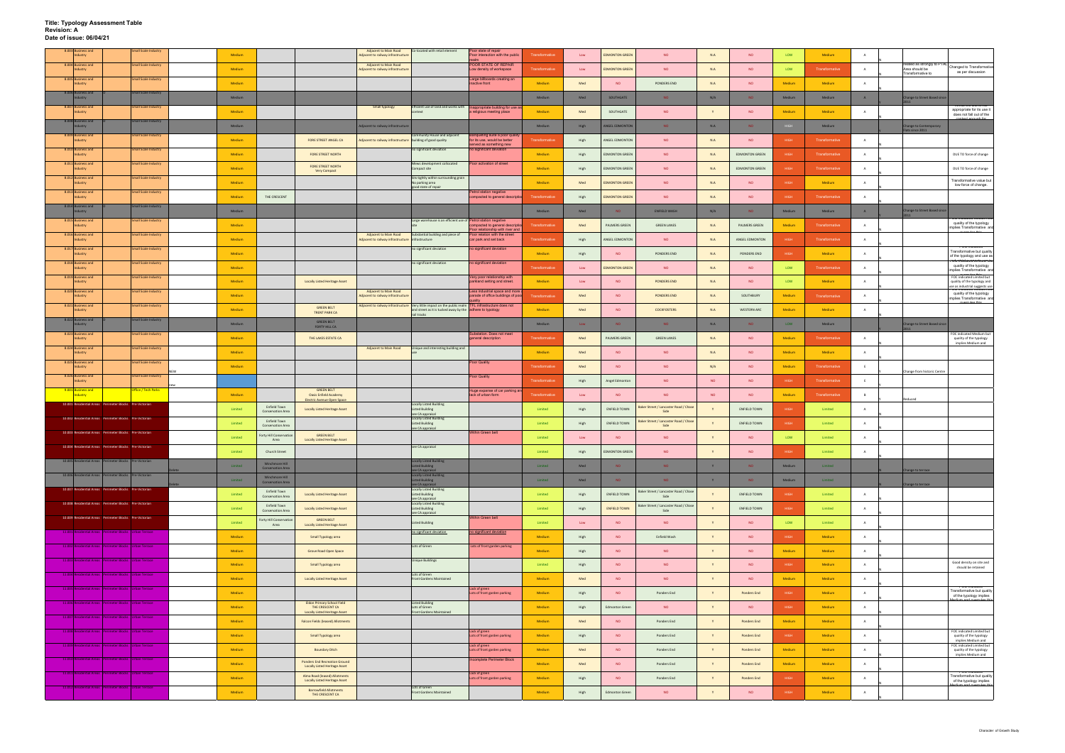| 8.003 Business and<br>Industry                          | <b>Small Scale Industry</b> | Medium        |                                                            |                                                                              | <b>Adjacent to Main Road</b><br>Adjacent to railway infrastructure                | Co-located with retail element                                                                        | Poor state of repair<br>Poor interaction with the public            | Transformative        | Low  | <b>EDMONTON GREEN</b> | <b>NO</b>                                     | N.A                     | <b>NO</b>             | LOW         | Medium                          |                |                                     |                                                                                        |
|---------------------------------------------------------|-----------------------------|---------------|------------------------------------------------------------|------------------------------------------------------------------------------|-----------------------------------------------------------------------------------|-------------------------------------------------------------------------------------------------------|---------------------------------------------------------------------|-----------------------|------|-----------------------|-----------------------------------------------|-------------------------|-----------------------|-------------|---------------------------------|----------------|-------------------------------------|----------------------------------------------------------------------------------------|
| 8.004 Business and                                      | <b>Small Scale Industry</b> |               |                                                            |                                                                              | Adjacent to Main Road                                                             |                                                                                                       | POOR STATE OF REPAIR                                                |                       |      |                       |                                               |                         |                       |             |                                 |                | related as strongly to PT.          | Changed to Transformative                                                              |
| Industry<br>8.005 Business and                          | Small Scale Industry        | Medium        |                                                            |                                                                              | Adjacent to railway infrastructure                                                |                                                                                                       | Low density of workspace<br>Large billboards creating an            | Transformative        | Low  | <b>EDMONTON GREEN</b> | <b>NO</b>                                     | N.A                     | <b>NO</b>             | LOW         | Transformative                  | $\overline{A}$ | Area should be<br>Transformative to | as per discussion                                                                      |
| Industry                                                |                             | Medium        |                                                            |                                                                              |                                                                                   |                                                                                                       | inactive front                                                      | Medium                | Med  | <b>NO</b>             | PONDERS END                                   | N.A                     | <b>NO</b>             | Medium      | Medium                          | A              |                                     |                                                                                        |
| 8.006 Business and<br>ndustry                           | Small Scale Industry        | Medium        |                                                            |                                                                              |                                                                                   |                                                                                                       |                                                                     | Medium                | Med  | SOUTHGATE             | NO.                                           | N/A                     | NO                    | Medium      | Medium                          | A              | hange to Street Based since         |                                                                                        |
| 8.007 Business and<br>Industry                          | <b>Small Scale Industry</b> | Medium        |                                                            |                                                                              | Small typology                                                                    | Efficient use of land and works with   Inappropriate building for use a                               | a religious meeting place                                           | Medium                | Med  | SOUTHGATE             | <b>NO</b>                                     |                         | <b>NO</b>             | Medium      | Medium                          |                |                                     | appropriate for its use it<br>does not fall out of the                                 |
| 8.008 Business and<br>Industry                          | Small Scale Industry        | <b>Medium</b> |                                                            |                                                                              | Adjacent to railway infrastructur                                                 |                                                                                                       |                                                                     | Medium                | High | <b>ANGEL EDMONTON</b> | NO.                                           | N.A                     | NO                    |             | Medium                          |                | <b>Change to Contemporary</b>       |                                                                                        |
| 8.009 Business and<br>ndustry                           | <b>Small Scale Industry</b> | Medium        |                                                            | FORE STREET ANGEL CA                                                         | Adjacent to railway infrastructure building of good quality                       | ommunity House and adjacent                                                                           | Banqueting suite a poor qualit<br>for its use, would be better      | ransformativ          | High | ANGEL EDMONTON        | <b>NO</b>                                     | $N.A$                   | <b>NO</b>             | HIGH        | Transformative                  | A              | ats since 2011                      |                                                                                        |
| 8.010 Business and<br>Industry                          | Small Scale Industry        | Medium        |                                                            | FORE STREET NORTH                                                            |                                                                                   | no significant deviation                                                                              | served as something new<br>no significant deviation                 | Medium                | High | <b>EDMONTON GREEN</b> | <b>NO</b>                                     | N.A                     | <b>EDMONTON GREEN</b> | HIGH        | Transformative                  | A              |                                     | DUE TO force of change                                                                 |
| 8.011 Business and                                      | <b>Small Scale Industry</b> | Medium        |                                                            | FORE STREET NORTH                                                            |                                                                                   | Mews development collocated<br>Compact site                                                           | Poor activation of street                                           | Medium                |      | <b>EDMONTON GREEN</b> | <b>NO</b>                                     | N.A                     | <b>EDMONTON GREEN</b> | HIGH        | Transformative                  |                |                                     | DUE TO force of change                                                                 |
| ndustry<br>8.012 Business and                           | <b>Small Scale Industry</b> |               |                                                            | Very Compact                                                                 |                                                                                   | Sits tightly within surrounding grain                                                                 |                                                                     |                       | High |                       |                                               |                         |                       |             |                                 |                |                                     | Transformative value but                                                               |
| Industry<br>8.013 Business and                          | <b>Small Scale Industry</b> | Medium        |                                                            |                                                                              |                                                                                   | No parking area<br>good state of repair                                                               | Petrol station negative                                             | Medium                | Med  | <b>EDMONTON GREEN</b> | <b>NO</b>                                     | N.A                     | <b>NO</b>             | HIGH        | Medium                          | A              |                                     | low force of change.                                                                   |
| Industry<br>8.014 Business and                          | Small Scale Industry        | Medium        | THE CRESCENT                                               |                                                                              |                                                                                   |                                                                                                       | compacted to general descripti                                      | <b>Transformative</b> | High | <b>EDMONTON GREEN</b> | <b>NO</b>                                     | N.A                     | <b>NO</b>             | HIGH        | Transformative                  | $\overline{A}$ |                                     |                                                                                        |
| dustry                                                  |                             | Medium        |                                                            |                                                                              |                                                                                   |                                                                                                       |                                                                     | Medium                | Med  | NO.                   | <b>ENFIELD WASH</b>                           | N/A                     | NO.                   | Medium      | Medium                          | A              | hange to Street Based since         |                                                                                        |
| 8.015 Business and<br>Industry                          | Small Scale Industry        | Medium        |                                                            |                                                                              |                                                                                   | Large warehouse is an efficient use of Petrol station negative                                        | ompacted to general descript<br>oor relationship with river and     | Transformative        | Med  | PALMERS GREEN         | <b>GREEN LANES</b>                            | N.A                     | PALMERS GREEN         | Medium      | Transformative                  | A              |                                     | quality of the typology<br>implies Transformative and                                  |
| 8.016 Business and<br>Industry                          | Small Scale Industry        | Medium        |                                                            |                                                                              | <b>Adjacent to Main Road</b><br>Adjacent to railway infrastructure infrastructure | Substantial building and piece of                                                                     | Poor relation with the street<br>car park and set back              | Transformativ         | High | ANGEL EDMONTOR        | <b>NO</b>                                     | N.A                     | ANGEL EDMONTON        | <b>HIGH</b> | Transformative                  | A              |                                     |                                                                                        |
| 8.017 Business and<br>Industry                          | Small Scale Industry        | Medium        |                                                            |                                                                              |                                                                                   | no significant deviation                                                                              | no significant deviation                                            | Medium                | High | <b>NO</b>             | PONDERS END                                   | N.A                     | PONDERS END           | HIGH        | Medium                          | A              |                                     | <b>FOC INGLOST</b><br>Transformative but quality<br>of the typology and use as         |
| 8.018 Business and<br>Industry                          | <b>Small Scale Industry</b> | Medium        |                                                            |                                                                              |                                                                                   | no significant deviation                                                                              | no significant deviation                                            | Transformative        | Low  | <b>EDMONTON GREEN</b> | <b>NO</b>                                     | N.A                     | <b>NO</b>             | LOW         | Transformative                  | $\overline{A}$ |                                     | <del>ri Ob Marcarea cimiea noa i</del><br>quality of the typology                      |
| 8.019 Business and<br>Industry                          | <b>Small Scale Industry</b> | Medium        |                                                            | <b>Locally Listed Heritage Asset</b>                                         |                                                                                   |                                                                                                       | Very poor relationship with<br>parkland setting and street.         | Medium                | Low  | <b>NO</b>             | PONDERS END                                   | $\mathsf{N}.\mathsf{A}$ | <b>NO</b>             | LOW         | Medium                          | A              |                                     | implies Transformative and<br>FOC indicated Limited but<br>quality of the typology and |
| 8.020 Business and                                      | <b>Small Scale Industry</b> |               |                                                            |                                                                              | Adjacent to Main Road                                                             |                                                                                                       | Less industrial space and more<br>parade of office buildings of por |                       |      |                       |                                               |                         |                       |             |                                 |                |                                     | use as industrial suggests use<br>roo indicated wiedrum but<br>quality of the typology |
| Industry<br>8.021 Business and                          | <b>Small Scale Industry</b> | Medium        |                                                            | <b>GREEN BELT</b>                                                            | Adjacent to railway infrastructure                                                | Adjacent to railway infrastructure Very little impact on the public realm TFL infrastructure does not |                                                                     | <b>Transformative</b> | Med  | <b>NO</b>             | PONDERS END                                   | N.A                     | SOUTHBURY             | Medium      | Transformative                  | $\overline{A}$ |                                     | implies Transformative and                                                             |
| Industry<br>8.022 Business and                          | Small Scale Industry        | Medium        |                                                            | <b>TRENT PARK CA</b>                                                         |                                                                                   | and street as it is tucked away by the adhere to typology<br>rail tracks                              |                                                                     | Medium                | Med  | <b>NO</b>             | COCKFOSTERS                                   | N.A                     | <b>WESTERN ARC</b>    | Medium      | Medium                          |                |                                     |                                                                                        |
| ndustry                                                 |                             | Medium        |                                                            | <b>GREEN BELT</b><br>FORTY HILL CA                                           |                                                                                   |                                                                                                       | ubstation. Does not meet                                            | Medium                | Low  | NO                    | NO.                                           | N.A                     | NO                    | LOW         | Medium                          |                | <b>Change to Street Based since</b> | FOC indicated Medium but                                                               |
| 8.023 Business and<br>ndustry                           | <b>Small Scale Industry</b> | Medium        |                                                            | THE LAKES ESTATE CA                                                          |                                                                                   |                                                                                                       | general description                                                 | Transformativ         | Med  | PALMERS GREEN         | <b>GREEN LANES</b>                            | N.A                     | <b>NO</b>             | Medium      | Transformative                  | A              |                                     | quality of the typology<br>implies Medium and                                          |
| 8.024 Business and<br>Industry                          | Small Scale Industry        | Medium        |                                                            |                                                                              | Adjacent to Main Road                                                             | Unique and interesting building and                                                                   |                                                                     | Medium                | Med  | NO                    | NO.                                           | N.A                     | NO                    | Medium      | Medium                          | A              |                                     |                                                                                        |
| 8.025 Business and<br>ndustry                           | Small Scale Industry        | Medium        |                                                            |                                                                              |                                                                                   |                                                                                                       | <b>Poor Quality</b>                                                 | <b>Transformativ</b>  | Med  | <b>NO</b>             | <b>NO</b>                                     | N/A                     | <b>NO</b>             | Medium      | Transformative                  | E              | Change from historic Centre         |                                                                                        |
| 8.026 Business and<br>Industry                          | <b>Small Scale Industry</b> |               |                                                            |                                                                              |                                                                                   |                                                                                                       | Poor Quality                                                        | Transformative        | High | Angel Edmonton        | <b>NO</b>                                     | <b>NO</b>               | <b>NO</b>             | HIGH        | Transformative                  | F              |                                     |                                                                                        |
| 9.001 Business and<br>Industry                          | Office / Tech Parks         | Medium        |                                                            | <b>GREEN BELT</b><br><b>Oasis Enfield Academy</b>                            |                                                                                   |                                                                                                       | Huge expanse of car parking ar<br>lack of urban form                | ransformativ          | Low  | <b>NO</b>             | <b>NO</b>                                     | <b>NO</b>               | <b>NO</b>             | Medium      | Transformative                  | B              | <i>leduced</i>                      |                                                                                        |
| 10.001 Residential Areas Perimeter Blocks Pre-Victorian |                             | Limited       | Enfield Town<br><b>Conservation Area</b>                   | Electric Avenue Open Space<br><b>Locally Listed Heritage Asset</b>           |                                                                                   | <b>Locally Listed Building</b><br><b>Listed Building</b>                                              |                                                                     | Limited               | High | <b>ENFIELD TOWN</b>   | Baker Street / Lancaster Road / Chase<br>Side |                         | <b>ENFIELD TOWN</b>   | HIGH        | Limited                         | A              |                                     |                                                                                        |
| 10.002 Residential Areas Perimeter Blocks Pre-Victorian |                             | Limited       | Enfield Town                                               |                                                                              |                                                                                   | see CA appraisal<br><b>Locally Listed Building</b><br><b>Listed Building</b>                          |                                                                     | Limited               | High | <b>ENFIELD TOWN</b>   | Baker Street / Lancaster Road / Chas          |                         | <b>ENFIELD TOWN</b>   | HIGH        | Limited                         | A              |                                     |                                                                                        |
| 10.003 Residential Areas Perimeter Blocks Pre-Victorian |                             | Limited       | <b>Conservation Area</b><br><b>Forty Hill Conservation</b> | <b>GREEN BELT</b>                                                            |                                                                                   | see CA appraisal                                                                                      | Within Green belt                                                   | Limited               | Low  | <b>NO</b>             | Side<br><b>NO</b>                             |                         | <b>NO</b>             | LOW         | $\ensuremath{\mathsf{Limited}}$ |                |                                     |                                                                                        |
| 10.004 Residential Areas Perimeter Blocks Pre-Victorian |                             | Limited       | Area                                                       | <b>Locally Listed Heritage Asset</b>                                         |                                                                                   | see CA appraisal                                                                                      |                                                                     |                       |      |                       |                                               |                         |                       |             |                                 |                |                                     |                                                                                        |
| 10.005 Residential Areas Perimeter Blocks Pre-Victorian |                             |               | Church Street<br>Winchmore Hill                            |                                                                              |                                                                                   | <b>Locally Listed Building</b>                                                                        |                                                                     | Limited               | High | <b>EDMONTON GREEN</b> | <b>NO</b>                                     |                         | <b>NO</b>             | HIGH        | Limited                         |                |                                     |                                                                                        |
| 10.006 Residential Areas Perimeter Blocks Pre-Victorian |                             | Limited       | <b>Conservation Area</b>                                   |                                                                              |                                                                                   | isted Building<br>see CA appraisal<br><b>Locally Listed Building</b>                                  |                                                                     | Limited               | Med  | NO.                   | NO.                                           | Y                       | NO.                   | Medium      | Limited                         |                | hange to terrace                    |                                                                                        |
|                                                         |                             | Limited       | Winchmore Hill<br><b>Conservation Area</b>                 |                                                                              |                                                                                   | <b>Listed Building</b><br>see CA appraisal                                                            |                                                                     | Limited               | Med  | NO.                   | NO.                                           | Y                       | NO.                   | Medium      | Limited                         |                | ange to terrace                     |                                                                                        |
| 10.007 Residential Areas Perimeter Blocks Pre-Victorian |                             | Limited       | Enfield Town<br><b>Conservation Area</b>                   | <b>Locally Listed Heritage Asset</b>                                         |                                                                                   | <b>Locally Listed Building</b><br><b>Listed Building</b><br>see CA appraisal                          |                                                                     | Limited               | High | <b>ENFIELD TOWN</b>   | Baker Street / Lancaster Road / Chase<br>Side |                         | ENFIELD TOWN          | <b>HIGH</b> | Limited                         | A              |                                     |                                                                                        |
| 10.008 Residential Areas Perimeter Blocks Pre-Victorian |                             | Limited       | Enfield Town<br><b>Conservation Area</b>                   | <b>Locally Listed Heritage Asset</b>                                         |                                                                                   | <b>Locally Listed Building</b><br><b>Listed Building</b><br>see CA appraisal                          |                                                                     | Limited               | High | <b>ENFIELD TOWN</b>   | Baker Street / Lancaster Road / Chase<br>Side |                         | ENFIELD TOWN          | HIGH        | Limited                         | $\overline{A}$ |                                     |                                                                                        |
| 10.009 Residential Areas Perimeter Blocks Pre-Victorian |                             | Limited       | Forty Hill Conservation<br>Area                            | <b>GREEN BELT</b><br><b>Locally Listed Heritage Asset</b>                    |                                                                                   | <b>Listed Building</b>                                                                                | Within Green belt                                                   | Limited               | Low  | <b>NO</b>             | <b>NO</b>                                     |                         | <b>NO</b>             | LOW         | Limited                         | A              |                                     |                                                                                        |
| 11.001 Residential Areas Perimeter Blocks Urban Terrace |                             | Medium        |                                                            | Small Typology area                                                          |                                                                                   | no significant deviation                                                                              | no significant deviation                                            | Medium                | High | NO                    | Enfield Wash                                  |                         | <b>NO</b>             | HIGH        | Medium                          | A              |                                     |                                                                                        |
| 11.002 Residential Areas Perimeter Blocks Urban Terrace |                             | Medium        |                                                            | Grove Road Open Space                                                        |                                                                                   | Lots of Green                                                                                         | Lots of front garden parking                                        | Medium                | High | <b>NO</b>             | <b>NO</b>                                     |                         | NO                    | Medium      | Medium                          | A              |                                     |                                                                                        |
| 11.003 Residential Areas Perimeter Blocks Urban Terrace |                             | Medium        |                                                            | Small Typology area                                                          |                                                                                   | <b>Unique Buildings</b>                                                                               |                                                                     | Limited               | High | <b>NO</b>             | <b>NO</b>                                     |                         | <b>NO</b>             | HIGH        | Medium                          | A              |                                     | Good density on site and                                                               |
| 11.004 Residential Areas Perimeter Blocks Urban Terrace |                             | Medium        |                                                            | <b>Locally Listed Heritage Asset</b>                                         |                                                                                   | Lots of Green<br><b>Front Gardens Maintained</b>                                                      |                                                                     | Medium                | Med  | NO                    | NO.                                           |                         | <b>NO</b>             | Medium      | Medium                          | $\overline{A}$ |                                     | should be retained                                                                     |
| 11.005 Residential Areas Perimeter Blocks Urban Terrace |                             |               |                                                            |                                                                              |                                                                                   |                                                                                                       | Lack of green                                                       |                       |      |                       |                                               |                         |                       |             |                                 |                |                                     | <b>POC mulcate</b><br>Transformative but quality                                       |
| 11.006 Residential Areas Perimeter Blocks Urban Terrace |                             | Medium        |                                                            | <b>Eldon Primary School Field</b>                                            |                                                                                   | <b>Listed Building</b>                                                                                | Lots of front garden parking                                        | Medium                | High | <b>NO</b>             | Ponders End                                   |                         | <b>Ponders End</b>    | HIGH        | Medium                          | $\overline{A}$ |                                     | of the typology implies                                                                |
| 11.007 Residential Areas Perimeter Blocks Urban Terrace |                             | Medium        |                                                            | THE CRESCENT CA<br><b>Locally Listed Heritage Asset</b>                      |                                                                                   | Lots of Green<br>Front Gardens Maintained                                                             |                                                                     | Medium                | High | <b>Edmonton Green</b> | NO.                                           |                         | <b>NO</b>             | HIGH        | Medium                          | A              |                                     |                                                                                        |
|                                                         |                             | Medium        |                                                            | <b>Falcon Fields (leased) Allotments</b>                                     |                                                                                   |                                                                                                       |                                                                     | Medium                | Med  | <b>NO</b>             | Ponders End                                   |                         | <b>Ponders End</b>    | Medium      | Medium                          | $\overline{A}$ |                                     |                                                                                        |
| 11.008 Residential Areas Perimeter Blocks Urban Terrace |                             | Medium        |                                                            | Small Typology area                                                          |                                                                                   |                                                                                                       | Lack of green<br>Lots of front garden parking                       | Medium                | High | NO                    | Ponders End                                   | Y                       | <b>Ponders End</b>    | HIGH        | Medium                          | A              |                                     | FOC indicated Limited but<br>quality of the typology<br>implies Medium and             |
| 11.009 Residential Areas Perimeter Blocks Urban Terrace |                             | Medium        |                                                            | <b>Boundary Ditch</b>                                                        |                                                                                   |                                                                                                       | Lack of green<br>Lots of front garden parking                       | Medium                | Med  | NO.                   | Ponders End                                   | Y                       | <b>Ponders End</b>    | Medium      | Medium                          | A              |                                     | FOC indicated Limited but<br>quality of the typology<br>implies Medium and             |
| 11.010 Residential Areas Perimeter Blocks Urban Terrace |                             | Medium        |                                                            | <b>Ponders End Recreation Ground</b><br><b>Locally Listed Heritage Asset</b> |                                                                                   |                                                                                                       | ncomplete Perimeter Block                                           | Medium                | Med  | <b>NO</b>             | Ponders End                                   |                         | <b>Ponders End</b>    | Medium      | Medium                          | A              |                                     |                                                                                        |
| 11.011 Residential Areas Perimeter Blocks Urban Terrace |                             | Medium        |                                                            | Alma Road (leased) Allotments                                                |                                                                                   |                                                                                                       | Lack of green<br>Lots of front garden parking                       | Medium                | High | <b>NO</b>             | Ponders End                                   |                         | <b>Ponders End</b>    | HIGH        | Medium                          | A              |                                     | <b>TOG INGICATED</b><br>Transformative but quality                                     |
| 11.012 Residential Areas Perimeter Blocks Urban Terrace |                             | Medium        |                                                            | <b>Locally Listed Heritage Asset</b><br><b>Barrowfield Allotments</b>        |                                                                                   | Lots of Green<br><b>Front Gardens Maintained</b>                                                      |                                                                     | Medium                | High | <b>Edmonton Green</b> | <b>NO</b>                                     | Y                       | <b>NO</b>             | HIGH        | Medium                          | A              |                                     | of the typology implies                                                                |
|                                                         |                             |               |                                                            | THE CRESCENT CA                                                              |                                                                                   |                                                                                                       |                                                                     |                       |      |                       |                                               |                         |                       |             |                                 |                |                                     |                                                                                        |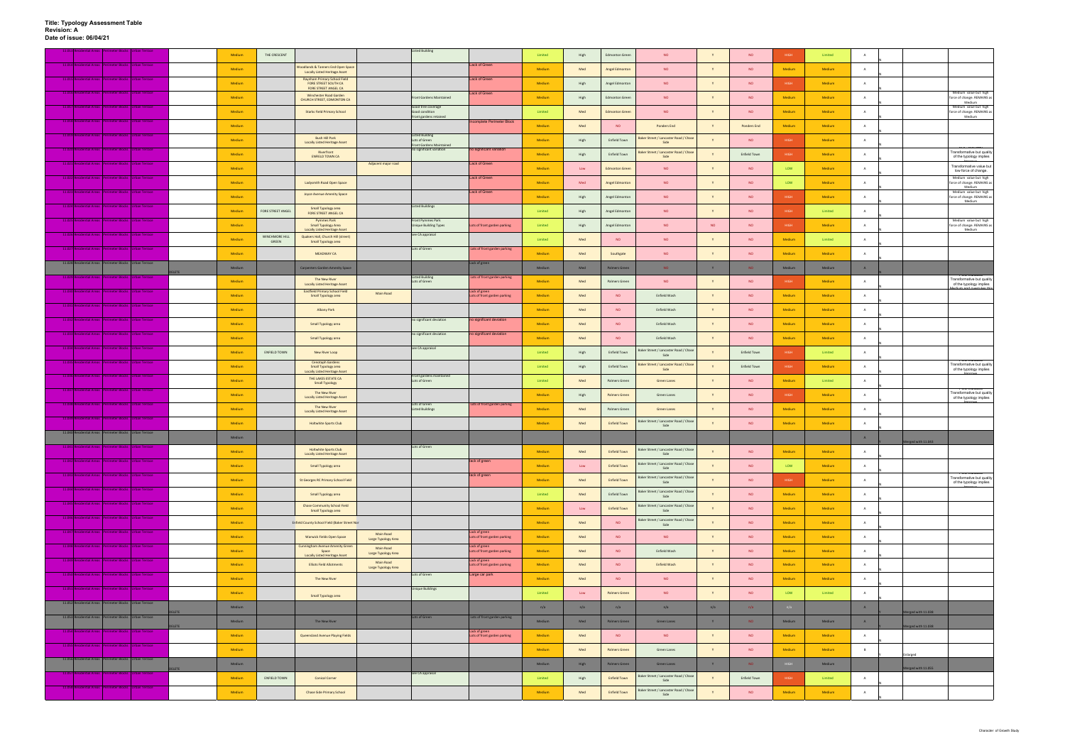|              |                                                          |              | Medium        | THE CRESCENT            |                                                                                          |                                  | <b>Listed Building</b>                                   |                                               | Limited | High          | <b>Edmonton Green</b> | <b>NO</b>                                     |           | <b>NO</b>           | HIGH        | Limited       |                |                                                                               |
|--------------|----------------------------------------------------------|--------------|---------------|-------------------------|------------------------------------------------------------------------------------------|----------------------------------|----------------------------------------------------------|-----------------------------------------------|---------|---------------|-----------------------|-----------------------------------------------|-----------|---------------------|-------------|---------------|----------------|-------------------------------------------------------------------------------|
|              | 11.014 Residential Areas Perimeter Blocks Urban Terrace  |              |               |                         |                                                                                          |                                  |                                                          | Lack of Green                                 |         |               |                       |                                               |           |                     |             |               |                |                                                                               |
|              |                                                          |              | Medium        |                         | <b>Woodlands &amp; Tanners End Open Space</b><br><b>Locally Listed Heritage Asset</b>    |                                  |                                                          |                                               | Medium  | Med           | Angel Edmonton        | <b>NO</b>                                     |           | <b>NO</b>           | Medium      | Medium        | A              |                                                                               |
|              | 11.015 Residential Areas Perimeter Blocks Ulrhan Terrace |              | Medium        |                         | <b>Raynham Primary School Field</b><br>FORE STREET SOUTH CA                              |                                  |                                                          | Lack of Green                                 | Medium  | High          | Angel Edmonton        | <b>NO</b>                                     |           | <b>NO</b>           | <b>HIGH</b> | Medium        | $\overline{A}$ |                                                                               |
|              | 11.016 Residential Areas Perimeter Blocks Urban Terrace  |              | Medium        |                         | FORE STREET ANGEL CA<br>Winchester Road Garden                                           |                                  | Front Gardens Maintained                                 | Lack of Green                                 | Medium  | High          | <b>Edmonton Green</b> | <b>NO</b>                                     | Y         | <b>NO</b>           | Medium      | Medium        | A              | Medium value but high<br>force of change. REMAINS as                          |
|              | 11.017 Residential Areas Perimeter Blocks Urban Terrace  |              |               |                         | CHURCH STREET, EDMONTON CA                                                               |                                  | Good tree coverage                                       |                                               |         |               |                       |                                               |           |                     |             |               |                | Medium<br>Medium value but high                                               |
|              |                                                          |              | Medium        |                         | <b>Starks Field Primary School</b>                                                       |                                  | Good condition<br>Front gardens retained                 |                                               | Limited | Med           | <b>Edmonton Green</b> | <b>NO</b>                                     |           | <b>NO</b>           | Medium      | Medium        |                | force of change. REMAINS as<br>Medium                                         |
| 11.018 Re    | Jential Areas Perimeter Blocks Urban Terrace             |              | <b>Medium</b> |                         |                                                                                          |                                  |                                                          | <b>Incomplete Perimeter Block</b>             | Medium  | Med           | <b>NO</b>             | <b>Ponders End</b>                            |           | <b>Ponders End</b>  | Medium      | Medium        | $\overline{A}$ |                                                                               |
|              | 11.019 Residential Areas Perimeter Blocks Urban Terrace  |              | Medium        |                         | <b>Bush Hill Park</b><br><b>Locally Listed Heritage Asset</b>                            |                                  | <b>Listed Building</b><br>Lots of Green                  |                                               | Medium  | High          | Enfield Town          | Baker Street / Lancaster Road / Chase<br>Side |           | <b>NO</b>           | <b>HIGH</b> | Medium        | A              |                                                                               |
|              | 11.020 Residential Areas Perimeter Blocks Urban Terrace  |              |               |                         | Riverfront                                                                               |                                  | Front Gardens Maintained<br>no significant variation     | no significant variation                      |         |               |                       | Baker Street / Lancaster Road / Chase         |           |                     |             |               |                | <b>FOC Indicated</b><br>Transformative but quality                            |
| 11.07        | ential Areas Perimeter Blocks Urban Terrace              |              | Medium        |                         | <b>ENFIELD TOWN CA</b>                                                                   | Adjacent major road              |                                                          | Lack of Green                                 | Medium  | High          | <b>Enfield Town</b>   | Side                                          |           | <b>Enfield Town</b> | <b>HIGH</b> | Medium        |                | of the typology implies                                                       |
|              |                                                          |              | Medium        |                         |                                                                                          |                                  |                                                          |                                               | Medium  | Low           | <b>Edmonton Green</b> | <b>NO</b>                                     |           | <b>NO</b>           | LOW         | <b>Medium</b> |                | Transformative value but<br>low force of change.                              |
|              | 11.022 Residential Areas Perimeter Blocks Urban Terrace  |              | Medium        |                         | Ladysmith Road Open Space                                                                |                                  |                                                          | Lack of Green                                 | Medium  | Med           | Angel Edmonton        | <b>NO</b>                                     | Y         | <b>NO</b>           | LOW         | Medium        | A              | Medium value but high<br>force of change. REMAINS as<br>Medium                |
|              | 11.023 Residential Areas Perimeter Blocks Urban Terrace  |              | Medium        |                         | Joyce Avenue Amenity Space                                                               |                                  |                                                          | Lack of Green                                 | Medium  | High          | Angel Edmonton        | <b>NO</b>                                     |           | <b>NO</b>           | <b>HIGH</b> | Medium        | $\mathbf{A}$   | Medium value but high<br>force of change. REMAINS as                          |
|              | 11.024 Residential Areas Perimeter Blocks Urban Terrace  |              |               |                         | Small Typology area                                                                      |                                  | <b>Listed Buildings</b>                                  |                                               |         |               |                       |                                               |           |                     |             |               |                | Medium                                                                        |
|              |                                                          |              | Medium        | FORE STREET ANGEL       | FORE STREET ANGEL CA                                                                     |                                  |                                                          |                                               | Limited | High          | Angel Edmonton        | <b>NO</b>                                     |           | <b>NO</b>           | HIGH        | Limited       |                |                                                                               |
|              | 11.025 Residential Areas Perimeter Blocks Urban Terrace  |              | Medium        |                         | <b>Pymmes Park</b><br><b>Small Typology Area</b><br><b>Locally Listed Heritage Asset</b> |                                  | <b>Front Pymmes Park</b><br><b>Unique Building Types</b> | ots of front garden parking                   | Limited | High          | Angel Edmonton        | NO.                                           | <b>NO</b> | <b>NO</b>           | <b>HIGH</b> | Medium        | <b>A</b>       | Medium value but high<br>force of change. REMAINS as<br>Medium                |
|              | 11.026 Residential Areas Perimeter Blocks Urban Terrace  |              | Medium        | WINCHMORE HILL<br>GREEN | Quakers Hall, Church Hill (street)<br>Small Typology area                                |                                  | see CA appraisal                                         |                                               | Limited | Med           | <b>NO</b>             | <b>NO</b>                                     |           | <b>NO</b>           | Medium      | Limited       | $\overline{A}$ |                                                                               |
| 11.027 Resid | Jential Areas Perimeter Blocks Urban Terrace             |              |               |                         |                                                                                          |                                  | Lots of Green                                            | Lots of front garden parking                  |         |               |                       |                                               |           | <b>NO</b>           |             |               | $\mathbf{A}$   |                                                                               |
|              | 11.028 Residential Areas Perimeter Blocks Urban Terrace  |              | Medium        |                         | <b>MEADWAY CA</b>                                                                        |                                  |                                                          | Lack of green                                 | Medium  | Med           | Southgate             | <b>NO</b>                                     |           |                     | Medium      | Medium        |                |                                                                               |
|              |                                                          | <b>ELETE</b> | Medium        |                         | <b>Carpenters Garden Amenity Space</b>                                                   |                                  |                                                          |                                               | Medium  | Med           | <b>Palmers Green</b>  | NO.                                           | Y         | NO <sub>1</sub>     | Medium      | Medium        | A              |                                                                               |
| 11.029       | dential Areas   Perimeter Blocks   Urban Terrace         |              | Medium        |                         | The New River<br><b>Locally Listed Heritage Asset</b>                                    |                                  | <b>Listed Building</b><br>Lots of Green                  | Lots of front garden parking                  | Medium  | Med           | Palmers Green         | <b>NO</b>                                     |           | <b>NO</b>           | <b>HIGH</b> | Medium        | A              | Transformative but quality<br>of the typology implies                         |
|              | 11.030 Residential Areas Perimeter Blocks Urban Terrace  |              | Medium        |                         | <b>Eastfield Primary School Field</b><br>Small Typology area                             | Main Road                        |                                                          | Lack of green<br>Lots of front garden parking | Medium  | Med           | <b>NO</b>             | Enfield Wash                                  | <b>Y</b>  | <b>NO</b>           | Medium      | Medium        | $\mathbf{A}$   |                                                                               |
|              | 11.031 Residential Areas Perimeter Blocks Urban Terrace  |              |               |                         |                                                                                          |                                  |                                                          |                                               |         |               |                       |                                               |           |                     |             |               |                |                                                                               |
| 11.032 Re    | Jential Areas Perimeter Blocks Urban Terrace             |              | Medium        |                         | Albany Park                                                                              |                                  | no significant deviation                                 | no significant deviation                      | Medium  | Med           | <b>NO</b>             | Enfield Wash                                  |           | <b>NO</b>           | Medium      | Medium        | $\overline{A}$ |                                                                               |
|              |                                                          |              | <b>Medium</b> |                         | Small Typology area                                                                      |                                  |                                                          |                                               | Medium  | Med           | NO                    | Enfield Wash                                  |           | <b>NO</b>           | Medium      | Medium        | A              |                                                                               |
|              | 11.033 Residential Areas Perimeter Blocks Urban Terrace  |              | Medium        |                         | Small Typology area                                                                      |                                  | no significant deviation                                 | no significant deviation                      | Medium  | Med           | <b>NO</b>             | Enfield Wash                                  | Y         | <b>NO</b>           | Medium      | Medium        | $\overline{A}$ |                                                                               |
|              | 11.034 Residential Areas Perimeter Blocks Urban Terrace  |              | Medium        | ENFIELD TOWN            | New River Loop                                                                           |                                  | see CA appraisal                                         |                                               | Limited | High          | <b>Enfield Town</b>   | Baker Street / Lancaster Road / Chase         |           | <b>Enfield Town</b> | <b>HIGH</b> | Limited       | $\overline{A}$ |                                                                               |
|              | 11.035 Residential Areas Perimeter Blocks Urban Terrace  |              |               |                         | <b>Cenotaph Gardens</b>                                                                  |                                  |                                                          |                                               |         |               |                       | Side                                          |           |                     |             |               |                | rvu ingiudi<br>Transformative but quality                                     |
|              | 11.036 Residential Areas Perimeter Blocks Urban Terrace  |              | Medium        |                         | Small Typology area<br>Locally Listed Heritage Asset                                     |                                  |                                                          |                                               | Limited | High          | <b>Enfield Town</b>   | Baker Street / Lancaster Road / Chas<br>Side  |           | Enfield Town        | HIGH        | <b>Medium</b> | $\mathsf{A}$   | of the typology implies                                                       |
|              |                                                          |              | Medium        |                         | THE LAKES ESTATE CA<br>Small Typology                                                    |                                  | Front gardens maintained<br>Lots of Green                |                                               | Limited | Med           | Palmers Green         | Green Lanes                                   |           | <b>NO</b>           | Medium      | Limited       | A              |                                                                               |
|              | 11.037 Residential Areas Perimeter Blocks Urban Terrace  |              | <b>Medium</b> |                         | The New River<br><b>Locally Listed Heritage Asset</b>                                    |                                  |                                                          |                                               | Medium  | High          | <b>Palmers Green</b>  | Green Lanes                                   | Y         | <b>NO</b>           | <b>HIGH</b> | <b>Medium</b> | $\overline{A}$ | <b>TOG INDICATED</b><br>Transformative but quality<br>of the typology implies |
|              | 11.038 Residential Areas Perimeter Blocks Urban Terrace  |              | Medium        |                         | The New River                                                                            |                                  | Lots of Green<br><b>Listed Buildings</b>                 | Lots of front garden parking                  | Medium  | Med           | Palmers Green         | <b>Green Lanes</b>                            | Y         | <b>NO</b>           | Medium      | Medium        | A              |                                                                               |
|              | 11.039 Residential Areas Perimeter Blocks Urban Terrace  |              |               |                         | <b>Locally Listed Heritage Asset</b>                                                     |                                  |                                                          |                                               |         |               |                       |                                               |           |                     |             |               |                |                                                                               |
|              |                                                          |              | Medium        |                         | <b>Holtwhite Sports Club</b>                                                             |                                  |                                                          |                                               | Medium  | Med           | <b>Enfield Town</b>   | Baker Street / Lancaster Road / Chase<br>Side |           | <b>NO</b>           | Medium      | Medium        | $\mathsf{A}$   |                                                                               |
|              | 11.040 Residential Areas Perimeter Blocks Urban Terrace  |              | Medium        |                         |                                                                                          |                                  |                                                          |                                               |         |               |                       |                                               |           |                     |             |               | A              | Merged with 11.043                                                            |
|              |                                                          |              | Medium        |                         | Holtwhite Sports Club<br><b>Locally Listed Heritage Asset</b>                            |                                  |                                                          |                                               | Medium  | Med           | <b>Enfield Town</b>   | Baker Street / Lancaster Road / Chase<br>Side | Y         | <b>NO</b>           | Medium      | Medium        | A              |                                                                               |
|              | 11.042 Residential Areas Perimeter Blocks Urban Terrace  |              | Medium        |                         | Small Typology area                                                                      |                                  |                                                          | lack of green                                 | Medium  | Low           | <b>Enfield Town</b>   | Baker Street / Lancaster Road / Chase         |           | <b>NO</b>           | LOW         | Medium        | A              |                                                                               |
|              | 11.043 Residential Areas Perimeter Blocks Urban Terrace  |              |               |                         |                                                                                          |                                  |                                                          | lack of green                                 |         |               |                       | Side                                          |           |                     |             |               |                | <b>TOC INGICATOR</b>                                                          |
|              |                                                          |              | Medium        |                         | St Georges RC Primary School Field                                                       |                                  |                                                          |                                               | Medium  | Med           | <b>Enfield Town</b>   | Baker Street / Lancaster Road / Chase<br>Side | Y         | <b>NO</b>           | HIGH        | Medium        | A              | Transformative but quality<br>of the typology implies                         |
|              | 11.044 Residential Areas Perimeter Blocks Urban Terrace  |              | Medium        |                         | Small Typology area                                                                      |                                  |                                                          |                                               | Limited | Med           | Enfield Town          | Baker Street / Lancaster Road / Chase<br>Side | Y         | <b>NO</b>           | Medium      | Medium        | A              |                                                                               |
|              | 11.045 Residential Areas Perimeter Blocks Urban Terrace  |              | Medium        |                         | <b>Chase Community School Field</b>                                                      |                                  |                                                          |                                               | Medium  | $\_$ Low $\_$ | <b>Enfield Town</b>   | Baker Street / Lancaster Road / Chase         |           | <b>NO</b>           | Medium      | Medium        | A              |                                                                               |
|              | 11.046 Residential Areas Perimeter Blocks Urban Terrace  |              | Medium        |                         | Small Typology area<br>Enfield County School Field (Baker Street Nor                     |                                  |                                                          |                                               | Medium  | Med           | NO.                   | Side<br>Baker Street / Lancaster Road / Chase | Y         | <b>NO</b>           | Medium      | Medium        | A              |                                                                               |
|              | 11.047 Residential Areas Perimeter Blocks Urban Terrace  |              |               |                         |                                                                                          |                                  |                                                          | Lack of green                                 |         |               |                       | Side                                          |           |                     |             |               |                |                                                                               |
|              |                                                          |              | Medium        |                         | Warwick Fields Open Space                                                                | Main Road<br>Large Typology Area |                                                          | Lots of front garden parking                  | Medium  | Med           | NO                    | NO                                            | Y         | <b>NO</b>           | Medium      | Medium        | A              |                                                                               |
|              | 11.048 Residential Areas Perimeter Blocks Urban Terrace  |              | Medium        |                         | <b>Cunningham Avenue Amenity Green</b><br>Space<br><b>Locally Listed Heritage Asset</b>  | Main Road<br>Large Typology Area |                                                          | Lack of green<br>Lots of front garden parking | Medium  | Med           | NO                    | Enfield Wash                                  | Y         | <b>NO</b>           | Medium      | Medium        | <b>A</b>       |                                                                               |
|              | 11.049 Residential Areas Perimeter Blocks Urban Terrace  |              | Medium        |                         | <b>Elliots Field Allotments</b>                                                          | Main Road                        |                                                          | Lack of green<br>Lots of front garden parking | Medium  | Med           | NO.                   | Enfield Wash                                  | Y         | <b>NO</b>           | Medium      | Medium        | A              |                                                                               |
|              | 11.050 Residential Areas Perimeter Blocks Urban Terrace  |              |               |                         |                                                                                          | Large Typology Area              | Lots of Green                                            | Large car park                                |         |               |                       |                                               |           |                     |             |               |                |                                                                               |
|              | 11.051 Residential Areas Perimeter Blocks Urban Terrace  |              | Medium        |                         | The New River                                                                            |                                  | <b>Unique Buildings</b>                                  |                                               | Medium  | Med           | <b>NO</b>             | NO                                            | Y         | <b>NO</b>           | Medium      | Medium        | <b>A</b>       |                                                                               |
|              |                                                          |              | Medium        |                         | Small Typology area                                                                      |                                  |                                                          |                                               | Limited | Low           | <b>Palmers Green</b>  | NO                                            | Y         | <b>NO</b>           | LOW         | Limited       | A              |                                                                               |
|              | 11.052 Residential Areas Perimeter Blocks Urban Terrace  | <b>ELETE</b> | Medium        |                         |                                                                                          |                                  |                                                          |                                               | n/a     | n/a           | n/a                   | n/a                                           | n/a       | n/a                 | n/a         |               | A              | erged with 11.038                                                             |
|              | 11.053 Residential Areas Perimeter Blocks Urban Terrace  |              | Medium        |                         | The New River                                                                            |                                  | Lots of Green                                            | Lots of front garden parking                  | Medium  | Med           | <b>Palmers Green</b>  | <b>Green Lanes</b>                            | Y         | NO                  | Medium      | Medium        | A              |                                                                               |
|              | 11.054 Residential Areas Perimeter Blocks Urban Terrace  | <b>ELETE</b> |               |                         |                                                                                          |                                  |                                                          | Lack of green                                 |         |               |                       |                                               |           |                     |             |               |                | lerged with 11.038                                                            |
|              | 11.055 Residential Areas Perimeter Blocks Urban Terrace  |              | Medium        |                         | Queensland Avenue Playing Fields                                                         |                                  |                                                          | ots of front garden parking                   | Medium  | Med           | NO                    | NO <sub>1</sub>                               | Y         | <b>NO</b>           | Medium      | Medium        | A              |                                                                               |
|              |                                                          |              | Medium        |                         |                                                                                          |                                  |                                                          |                                               | Medium  | Med           | Palmers Green         | Green Lanes                                   | Y         | <b>NO</b>           | Medium      | Medium        | $\overline{B}$ | inlarged                                                                      |
|              | 11.056 Residential Areas Perimeter Blocks Urban Terrace  |              | Medium        |                         |                                                                                          |                                  |                                                          |                                               | Medium  | High          | Palmers Green         | <b>Green Lanes</b>                            | Y         | <b>NO</b>           | HIGH        | Medium        |                |                                                                               |
| 11.057       | dential Areas Perimeter Blocks Urban Terrace             |              | Medium        | ENFIELD TOWN            | <b>Conical Corner</b>                                                                    |                                  | see CA appraisal                                         |                                               | Limited | High          | <b>Enfield Town</b>   | Baker Street / Lancaster Road / Chase         | Y         | <b>Enfield Town</b> | <b>HIGH</b> | Limited       | <b>A</b>       | lerged with 11.055                                                            |
|              | 11.058 Residential Areas Perimeter Blocks Urban Terrace  |              |               |                         |                                                                                          |                                  |                                                          |                                               |         |               |                       | Side                                          |           |                     |             |               |                |                                                                               |
|              |                                                          |              | Medium        |                         | <b>Chase Side Primary School</b>                                                         |                                  |                                                          |                                               | Medium  | Med           | <b>Enfield Town</b>   | Baker Street / Lancaster Road / Chase<br>Side | Y         | <b>NO</b>           | Medium      | Medium        | A              |                                                                               |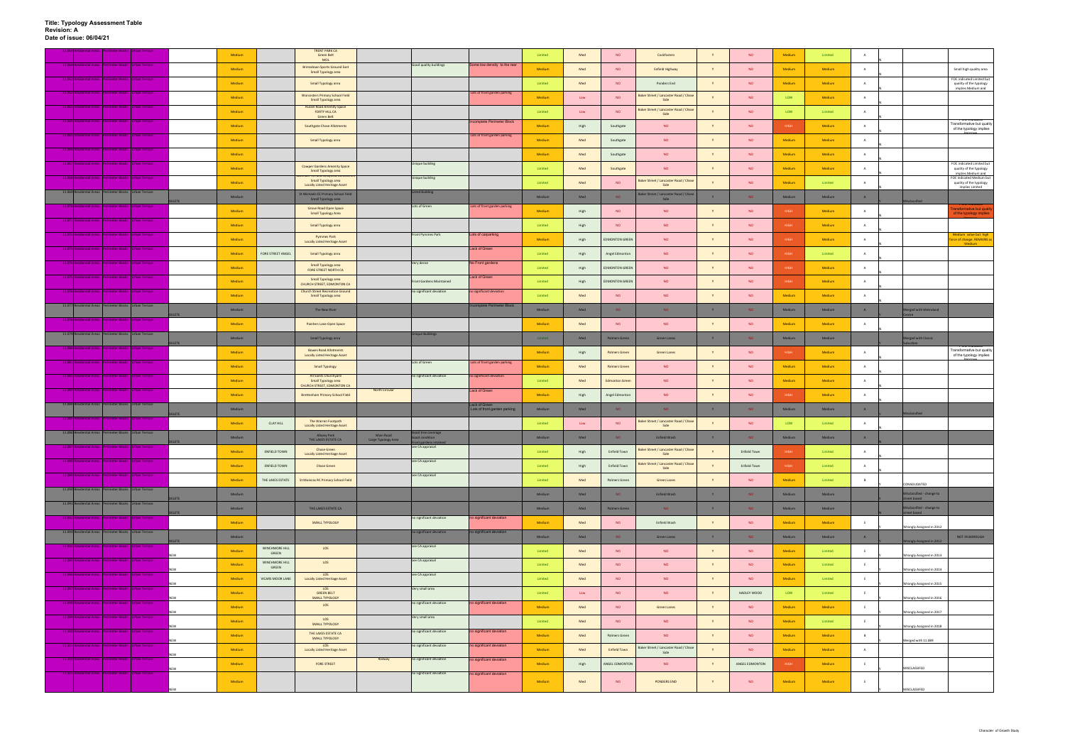|        | tial Areas II | rimeter Blocks   Urban Terrace                          |            |              | Medium |                         | <b>TRENT PARK CA</b><br>Green Belt<br>MOL                                           |                                  |                                                             |                              | Limited | Med  | <b>NO</b>             | Cockfosters                                   | Y        | <b>NO</b>           | Medium      | Limited       |                |                                          |                                                                            |
|--------|---------------|---------------------------------------------------------|------------|--------------|--------|-------------------------|-------------------------------------------------------------------------------------|----------------------------------|-------------------------------------------------------------|------------------------------|---------|------|-----------------------|-----------------------------------------------|----------|---------------------|-------------|---------------|----------------|------------------------------------------|----------------------------------------------------------------------------|
|        |               | 11.060 Residential Areas Perimeter Blocks Urban Terrace |            |              | Medium |                         | <b>Brimsdown Sports Ground East</b><br>Small Typology area                          |                                  | Good quality buildings                                      | Some low density to the rear | Medium  | Med  | <b>NO</b>             | <b>Enfield Highway</b>                        |          | <b>NO</b>           | Medium      | Medium        | A              |                                          | Small high quality area                                                    |
|        |               | 11.061 Residential Areas Perimeter Blocks Urban Terrace |            |              | Medium |                         | Small Typology area                                                                 |                                  |                                                             |                              | Limited | Med  | <b>NO</b>             | Ponders End                                   |          | <b>NO</b>           | Medium      | Medium        | A              |                                          | FOC indicated Limited but<br>quality of the typology<br>implies Medium and |
|        |               | 11.062 Residential Areas Perimeter Blocks Urban Terrace |            |              | Medium |                         | <b>Worcesters Primary School Field</b><br>Small Typology area                       |                                  |                                                             | Lots of front garden parking | Medium  | Low  | <b>NO</b>             | Baker Street / Lancaster Road / Chase<br>Side |          | <b>NO</b>           | LOW         | Medium        | $\overline{A}$ |                                          |                                                                            |
|        |               | 11.063 Residential Areas Perimeter Blocks Urban Terrace |            |              | Medium |                         | <b>Russel Road Amenity Space</b><br>FORTY HILL CA<br><b>Green Belt</b>              |                                  |                                                             |                              | Limited | Low  | <b>NO</b>             | Baker Street / Lancaster Road / Chase<br>Side |          | <b>NO</b>           | LOW         | Limited       |                |                                          |                                                                            |
|        |               | ntial Areas Perimeter Blocks Urban Terrace              |            |              | Medium |                         | <b>Southgate Chase Allotments</b>                                                   |                                  |                                                             | Incomplete Perimeter Block   | Medium  | High | Southgate             | <b>NO</b>                                     |          | <b>NO</b>           | HIGH        | <b>Medium</b> | A              |                                          | TVV INICATO<br>Transformative but quality<br>of the typology implies       |
|        |               | 11.065 Residential Areas Perimeter Blocks Urban Terrace |            |              | Medium |                         | Small Typology area                                                                 |                                  |                                                             | Lots of front garden parking | Medium  | Med  | Southgate             | <b>NO</b>                                     | Y        | <b>NO</b>           | Medium      | Medium        | A              |                                          |                                                                            |
|        |               | 11.066 Residential Areas Perimeter Blocks Urban Terrace |            |              | Medium |                         |                                                                                     |                                  |                                                             |                              | Medium  | Med  | Southgate             | <b>NO</b>                                     |          | <b>NO</b>           | Medium      | Medium        | $\overline{A}$ |                                          |                                                                            |
|        |               | 11.067 Residential Areas Perimeter Blocks Urban Terrace |            |              | Medium |                         | <b>Cowper Gardens Amenity Space</b><br>Small Typology area                          |                                  | Unique building                                             |                              | Limited | Med  | Southgate             | <b>NO</b>                                     |          | <b>NO</b>           | Medium      | Medium        | $\overline{A}$ |                                          | FOC indicated Limited but<br>quality of the typology                       |
|        |               | 11.068 Residential Areas Perimeter Blocks Urban Terrace |            |              | Medium |                         | rnii anu suaviiciu c<br>Small Typology area<br><b>Locally Listed Heritage Asset</b> |                                  | Unique building                                             |                              | Limited | Med  | NO.                   | Baker Street / Lancaster Road / Chase<br>Side |          | <b>NO</b>           | Medium      | Limited       | A              |                                          | implies Medium and<br>FOC indicated Medium but<br>quality of the typology  |
|        |               | 11.069 Residential Areas Perimeter Blocks Urban Terrace |            |              | Medium |                         | St Michaels CE Primary School Field                                                 |                                  | isted Building                                              |                              | Medium  | Med  | NO.                   | Baker Street / Lancaster Road / Chase<br>Side |          | NO.                 | Medium      | Medium        | A              |                                          | implies Limited                                                            |
| 11.070 |               | ential Areas Perimeter Blocks Urban Terrace             |            | <b>ELETE</b> | Medium |                         | Small Typology area<br>Grove Road Open Space                                        |                                  | Lots of Green                                               | Lots of front garden parking | Medium  | High | <b>NO</b>             | <b>NO</b>                                     |          | <b>NO</b>           | <b>HIGH</b> | Medium        | A              | heitizzala                               | <b>Insformative but qualit</b>                                             |
|        |               | 11.071 Residential Areas Perimeter Blocks Urban Terrace |            |              | Medium |                         | <b>Small Typology Area</b><br>Small Typology area                                   |                                  |                                                             |                              | Limited | High | NO                    | <b>NO</b>                                     |          | <b>NO</b>           | <b>HIGH</b> | <b>Medium</b> | $\overline{A}$ |                                          | of the typology implies                                                    |
|        |               | 11.072 Residential Areas Perimeter Blocks Urban Terrace |            |              | Medium |                         | <b>Pymmes Park</b>                                                                  |                                  | Front Pymmes Park                                           | Lots of carparking           | Medium  | High | <b>EDMONTON GREEN</b> | <b>NO</b>                                     |          | <b>NO</b>           | <b>HIGH</b> | Medium        | $\overline{A}$ |                                          | Medium value but high<br>rce of change. REMAINS as                         |
|        | 11.073 Resid  | dential Areas Perimeter Blocks Urban Terrace            |            |              | Medium | FORE STREET ANGEL       | <b>Locally Listed Heritage Asset</b><br>Small Typology area                         |                                  |                                                             | Lack of Green                | Limited | High | Angel Edmonton        | NO.                                           | Y        | <b>NO</b>           | <b>HIGH</b> | Limited       | $\mathbf{A}$   |                                          | Medium                                                                     |
|        |               | 11.074 Residential Areas Perimeter Blocks Urban Terrace |            |              | Medium |                         | Small Typology area                                                                 |                                  | Very dense                                                  | No Front gardens             | Limited | High | <b>EDMONTON GREEN</b> | <b>NO</b>                                     |          | <b>NO</b>           | <b>HIGH</b> | Medium        | $\overline{A}$ |                                          |                                                                            |
|        | 11.075 Resi   | ential Areas Perimeter Blocks Urban Terrace             |            |              | Medium |                         | FORE STREET NORTH CA<br>Small Typology area                                         |                                  |                                                             | Lack of Green                | Limited |      | <b>EDMONTON GREEN</b> | NO                                            | <b>V</b> | <b>NO</b>           | <b>HIGH</b> | <b>Medium</b> | A              |                                          |                                                                            |
|        |               | 11.076 Residential Areas Perimeter Blocks Urban Terrace |            |              |        |                         | CHURCH STREET, EDMONTON CA<br><b>Church Street Recreation Ground</b>                |                                  | <b>Front Gardens Maintained</b><br>no significant deviation | no significant deviation     |         | High |                       |                                               |          | <b>NO</b>           |             |               | $\overline{A}$ |                                          |                                                                            |
|        |               | 11.077 Residential Areas Perimeter Blocks Urban Terrace |            |              | Medium |                         | Small Typology area                                                                 |                                  |                                                             | Incomplete Perimeter Block   | Limited | Med  | <b>NO</b>             | <b>NO</b>                                     |          |                     | Medium      | Medium        |                |                                          |                                                                            |
|        |               | neter Block                                             | an Terrace | <b>ELETE</b> | Medium |                         | The New River                                                                       |                                  |                                                             |                              | Medium  | Med  | NO.                   | NO.                                           | Y        | <b>NO</b>           | Medium      | Medium        | A              | Aerged with Metroland<br>Centre          |                                                                            |
|        |               | 11.079 Residential Areas Perimeter Blocks Urban Terrace |            |              | Medium |                         | Painters Lane Open Space                                                            |                                  | <b>Unique Buildings</b>                                     |                              | Medium  | Med  | <b>NO</b>             | <b>NO</b>                                     | Y        | <b>NO</b>           | Medium      | Medium        | A              |                                          |                                                                            |
|        |               | 11.080 Residential Areas Perimeter Blocks Urban Terrace |            | <b>LETE</b>  | Medium |                         | Small Typology area<br><b>Bowes Road Allotments</b>                                 |                                  |                                                             |                              | Limited | Med  | Palmers Green         | <b>Green Lanes</b>                            | Y        | NO <sub>1</sub>     | Medium      | Medium        |                | <b>Aerged with Classic</b>               |                                                                            |
|        |               | 11.081 Residential Areas Perimeter Blocks Urban Terrace |            |              | Medium |                         | <b>Locally Listed Heritage Asset</b>                                                |                                  | Lots of Green                                               | Lots of front garden parking | Medium  | High | <b>Palmers Green</b>  | Green Lanes                                   | Y        | <b>NO</b>           | <b>HIGH</b> | <b>Medium</b> | $\overline{A}$ |                                          | Transformative but quality<br>of the typology implies                      |
|        |               | 11.082 Residential Areas Perimeter Blocks Urban Terrace |            |              | Medium |                         | <b>Small Typology</b><br>All Saints Churchyard                                      |                                  | no significant deviation                                    | no significant deviation     | Medium  | Med  | Palmers Green         | <b>NO</b>                                     |          | <b>NO</b>           | Medium      | Medium        | A              |                                          |                                                                            |
|        |               | 11.083 Residential Areas Perimeter Blocks Urban Terrace |            |              | Medium |                         | Small Typology area<br>CHURCH STREET, EDMONTON CA                                   | North Circular                   |                                                             | Lack of Green                | Limited | Med  | <b>Edmonton Green</b> | NO                                            |          | <b>NO</b>           | Medium      | Medium        | A              |                                          |                                                                            |
|        |               | 11.084 Residential Areas Perimeter Blocks Urban Terrace |            |              | Medium |                         | <b>Brettenham Primary School Field</b>                                              |                                  |                                                             | Lack of Green                | Medium  | High | Angel Edmonton        | <b>NO</b>                                     | Y        | <b>NO</b>           | <b>HIGH</b> | Medium        | $\overline{A}$ |                                          |                                                                            |
|        |               | 11.085 Residential Areas Perimeter Blocks Urban Terrace |            | LETE         | Medium |                         |                                                                                     |                                  |                                                             | Lots of front garden parking | Medium  | Med  | NO.                   | NO.                                           | V        | <b>NO</b>           | Medium      | Medium        | A              |                                          |                                                                            |
|        |               | 11.086 Residential Areas Perimeter Blocks Urban Terrace |            |              | Medium | <b>CLAY HILL</b>        | The Warren Footpath<br><b>Locally Listed Heritage Asset</b>                         |                                  | ood tree coverage                                           |                              | Limited | Low  | <b>NO</b>             | Baker Street / Lancaster Road / Chase<br>Side |          | <b>NO</b>           | LOW         | Limited       | A              |                                          |                                                                            |
|        |               |                                                         |            |              | Medium |                         | Albany Park<br>THE LAKES ESTATE CA                                                  | Main Road<br>Large Typology Area | Front gardens retained                                      |                              | Medium  | Med  | NO.                   | Enfield Wash                                  | Y        | NO <sub>1</sub>     | Medium      | Medium        | A              |                                          |                                                                            |
|        |               |                                                         |            |              | Medium | <b>ENFIELD TOWN</b>     | <b>Chase Green</b><br><b>Locally Listed Heritage Asset</b>                          |                                  | see CA app                                                  |                              | Limited | High | <b>Enfield Town</b>   | Baker Street / Lancaster Road / Chase<br>Side |          | <b>Enfield Town</b> | <b>HIGH</b> | Limited       | $\overline{A}$ |                                          |                                                                            |
|        |               | 11.088 Residential Areas Perimeter Blocks Urban Terrace |            |              | Medium | ENFIELD TOWN            | Chase Green                                                                         |                                  | see CA appraisal                                            |                              | Limited | High | <b>Enfield Town</b>   | Baker Street / Lancaster Road / Chase<br>Side | Y        | <b>Enfield Town</b> | HIGH        | Limited       | A              |                                          |                                                                            |
|        |               | 11.089 Residential Areas Perimeter Blocks Urban Terrace |            |              | Medium | THE LAKES ESTATE        | St Monicas RC Primary School Field                                                  |                                  | see CA appraisal                                            |                              | Limited | Med  | Palmers Green         | Green Lanes                                   | Y        | <b>NO</b>           | Medium      | Limited       | $\mathsf{B}$   | CONSOLIDATED                             |                                                                            |
|        |               | 11.090 Residential Areas Perimeter Blocks Urban Terrace |            | <b>IFTF</b>  | Medium |                         |                                                                                     |                                  |                                                             |                              | Medium  | Med  | NO                    | Enfield Wash                                  | Y        | NO.                 | Medium      | Medium        |                | isclassified - change to<br>street based |                                                                            |
|        |               | 11.091 Residential Areas Perimeter Blocks Urban Terrace |            | <b>ELETE</b> | Medium |                         | THE LAKES ESTATE CA                                                                 |                                  |                                                             |                              | Medium  | Med  | Palmers Green         | NO                                            | Y        | NO.                 | Medium      | Medium        |                | Aisclassified - change to<br>treet based |                                                                            |
|        |               | 11.092 Residential Areas Perimeter Blocks Urban Terrace |            |              | Medium |                         | SMALL TYPOLOGY                                                                      |                                  | no significant deviation                                    | no significant deviation     | Medium  | Med  | <b>NO</b>             | Enfield Wash                                  | Y        | <b>NO</b>           | Medium      | Medium        | E              | Wrongly Assigned in 2012                 |                                                                            |
|        |               | 11.093 Residential Areas Perimeter Blocks Urban Terrace |            | LETE         | Medium |                         |                                                                                     |                                  | no significant deviation                                    | no significant deviation     | Medium  | Med  | NO                    | Green Lanes                                   | Y        | NO.                 | Medium      | Medium        | A              | Vrongly Assigned in 2012                 | NOT IN BOROUGH                                                             |
|        |               | 11.094 Residential Areas Perimeter Blocks Urban Terrace |            |              | Medium | WINCHMORE HILL<br>GREEN | LOS                                                                                 |                                  | see CA appraisal                                            |                              | Limited | Med  | NO                    | NO                                            | Y        | <b>NO</b>           | Medium      | Limited       | E              | Wrongly Assigned in 2013                 |                                                                            |
|        |               | 11.095 Residential Areas Perimeter Blocks Urban Terrace |            |              | Medium | WINCHMORE HILL<br>GREEN | LOS                                                                                 |                                  | see CA appraisal                                            |                              | Limited | Med  | NO                    | NO                                            | Y        | <b>NO</b>           | Medium      | Limited       | E              | Wrongly Assigned in 2014                 |                                                                            |
|        |               | 11.096 Residential Areas Perimeter Blocks Urban Terrace |            | NEW          | Medium | VICARS MOOR LANE        | LOS<br><b>Locally Listed Heritage Asset</b>                                         |                                  | see CA appraisal                                            |                              | Limited | Med  | NO                    | <b>NO</b>                                     | Y        | <b>NO</b>           | Medium      | Limited       | E              | Wrongly Assigned in 2015                 |                                                                            |
|        |               | 11.097 Residential Areas Perimeter Blocks Urban Terrace |            | NEW          | Medium |                         | LOS<br><b>GREEN BELT</b><br>SMALL TYPOLOGY                                          |                                  | Very small area                                             |                              | Limited | Low  | NO                    | NO                                            | Y        | HADLEY WOOD         | LOW         | Limited       | E              | Wrongly Assigned in 2016                 |                                                                            |
|        |               | 11.098 Residential Areas Perimeter Blocks Urban Terrace |            |              | Medium |                         | LOS                                                                                 |                                  | no significant deviation                                    | no significant deviation     | Medium  | Med  | NO                    | Green Lanes                                   | Y        | NO                  | Medium      | Medium        | E              | Wrongly Assigned in 2017                 |                                                                            |
|        |               | 11.099 Residential Areas Perimeter Blocks Urban Terrace |            | NEW          | Medium |                         | LOS<br>SMALL TYPOLOGY                                                               |                                  | Very small area                                             |                              | Limited | Med  | <b>NO</b>             | <b>NO</b>                                     | Y        | <b>NO</b>           | Medium      | Limited       | E              |                                          |                                                                            |
|        |               | 11.100 Residential Areas Perimeter Blocks Urban Terrace |            |              | Medium |                         | THE LAKES ESTATE CA<br>SMALL TYPOLOGY                                               |                                  | no significant deviation                                    | no significant deviation     | Medium  | Med  | Palmers Green         | NO <sub>1</sub>                               | Y        | <b>NO</b>           | Medium      | Medium        | $\overline{B}$ | Wrongly Assigned in 2018                 |                                                                            |
|        |               | 11.101 Residential Areas Perimeter Blocks Urban Terrace |            | NEW          | Medium |                         | LOS<br><b>Locally Listed Heritage Asset</b>                                         |                                  | no significant deviation                                    | no significant deviation     | Medium  | Med  | <b>Enfield Town</b>   | Baker Street / Lancaster Road / Chase<br>Side | Y        | NO                  | Medium      | Medium        | A              | Merged with 11.089                       |                                                                            |
|        |               | 11.102 Residential Areas Perimeter Blocks Urban Terrace |            |              | Medium |                         | <b>FORE STREET</b>                                                                  | Railway                          | no significant deviation                                    | no significant deviation     | Medium  | High | ANGEL EDMONTON        | NO                                            |          | ANGEL EDMONTON      | <b>HIGH</b> | Medium        | E              |                                          |                                                                            |
|        |               | 11.103 Residential Areas Perimeter Blocks Urban Terrace |            | NEW          |        |                         |                                                                                     |                                  | no significant deviation                                    | no significant deviation     |         |      |                       |                                               | Y        |                     |             |               |                | MISCLASSIFED                             |                                                                            |
|        |               |                                                         |            |              | Medium |                         |                                                                                     |                                  |                                                             |                              | Medium  | Med  | NO                    | PONDERS END                                   |          | <b>NO</b>           | Medium      | Medium        | E              | MISCLASSIFED                             |                                                                            |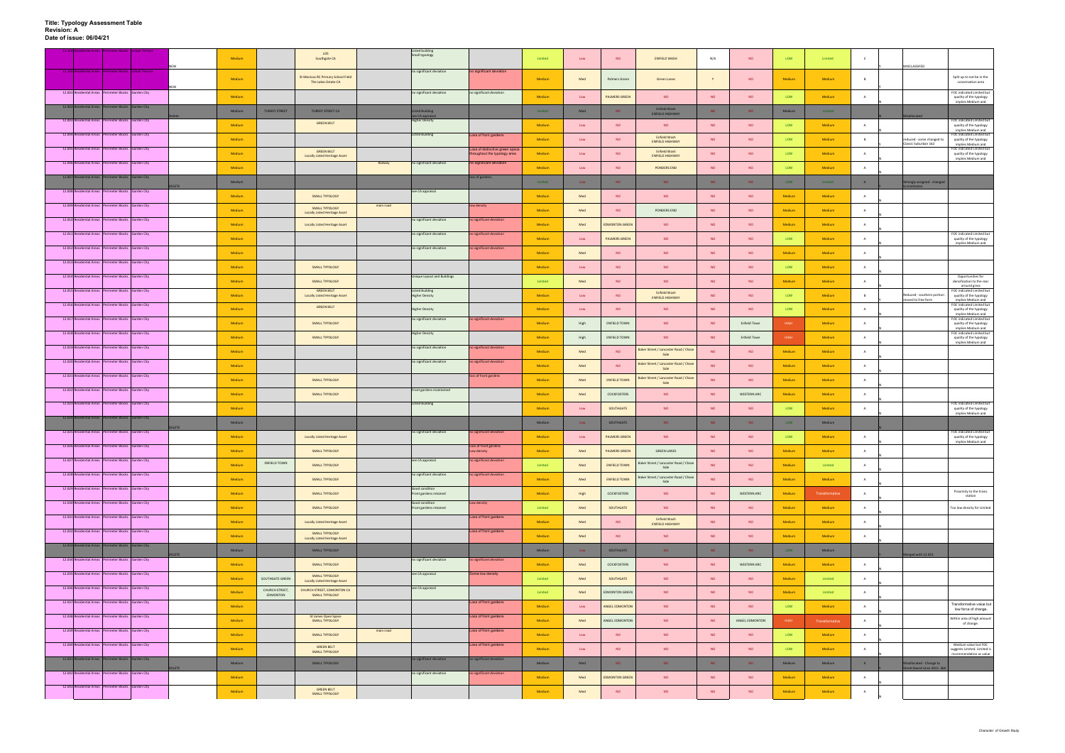|           | ntial Areas Perimeter Blocks Urban Terrace              |             | Medium |                            | LOS<br>Southgate CA                                       |           | <b>Listed building</b><br>Small typology        |                                      | Limited | Low  | NO                    | <b>ENFIELD WASH</b>                           | N/A             | <b>NO</b>           | LOW         | Limited        |                |                                                          |                                                                                   |
|-----------|---------------------------------------------------------|-------------|--------|----------------------------|-----------------------------------------------------------|-----------|-------------------------------------------------|--------------------------------------|---------|------|-----------------------|-----------------------------------------------|-----------------|---------------------|-------------|----------------|----------------|----------------------------------------------------------|-----------------------------------------------------------------------------------|
|           | 11.105 Residential Areas Perimeter Blocks Urban Terrace | NEW         | Medium |                            | St Monicas RC Primary School Field<br>The Lakes Estate CA |           | no significant deviation                        | no significant deviation             | Medium  | Med  | Palmers Green         | Green Lanes                                   | Y               | <b>NO</b>           | Medium      | Medium         | B              | MISCLASSIFED                                             | Split up to not be in the<br>conservation area                                    |
|           | 12.001 Residential Areas Perimeter Blocks Garden City   |             | Medium |                            |                                                           |           | no significant deviation                        | no significant deviation             | Medium  | Low  | <b>PALMERS GREEN</b>  | NO                                            | <b>NO</b>       | <b>NO</b>           | LOW         | Medium         | A              |                                                          | FOC indicated Limited but<br>quality of the typology                              |
| 12.002 Re | lential Areas Perimeter Blocks Garden City              |             | Medium | <b>TURKEY STREET</b>       | <b>TURKEY STREET CA</b>                                   |           | sted Building                                   |                                      | Limited | Med  | <b>NO</b>             | Enfield Wash                                  | NO <sub>1</sub> | NO <sub>1</sub>     | Medium      | Limited        |                |                                                          | implies Medium and                                                                |
|           | 12.003 Residential Areas Perimeter Blocks Garden City   |             |        |                            | <b>GREEN BELT</b>                                         |           | see CA appraisal<br><b>Higher Density</b>       |                                      |         |      |                       | <b>ENFIELD HIGHWAY</b>                        |                 |                     |             |                |                | Misallocated                                             | FOC indicated Limited but                                                         |
|           | 12.004 Residential Areas Perimeter Blocks Garden City   |             | Medium |                            |                                                           |           | <b>Listed Building</b>                          | Loss of front gardens                | Medium  | Low  | <b>NO</b>             | NO<br>Enfield Wash                            | <b>NO</b>       | <b>NO</b>           | LOW         | Medium         | $\overline{A}$ |                                                          | quality of the typology<br>implies Medium and<br>FOC indicated Limited but        |
|           | 12.005 Residential Areas Perimeter Blocks Garden City   |             | Medium |                            |                                                           |           |                                                 | Loss of distinctive green space      | Medium  | Low  | <b>NO</b>             | <b>ENFIELD HIGHWAY</b>                        | <b>NO</b>       | <b>NO</b>           | LOW         | Medium         | B              | reduced - some changed to<br>Classic Suburban 162        | quality of the typology<br>implies Medium and<br>FOC indicated Limited but        |
|           |                                                         |             | Medium |                            | <b>GREEN BELT</b><br><b>Locally Listed Heritage Asset</b> |           |                                                 | roughout the typology area           | Medium  | Low  | <b>NO</b>             | Enfield Wash<br><b>ENFIELD HIGHWAY</b>        | <b>NO</b>       | <b>NO</b>           | LOW         | Medium         | A              |                                                          | quality of the typology<br>implies Medium and                                     |
|           | 12.006 Residential Areas Perimeter Blocks Garden City   |             | Medium |                            |                                                           | Railway   | no significant deviation                        | no significant deviation             | Medium  | Low  | <b>NO</b>             | PONDERS END                                   | <b>NO</b>       | <b>NO</b>           | LOW         | Medium         | $\overline{A}$ |                                                          |                                                                                   |
|           | 12.007 Residential Areas Perimeter Blocks Garden City   | <b>LETE</b> | Medium |                            |                                                           |           |                                                 | loss of gardens                      | Limited | Low  | NO.                   | NO.                                           | NO.             | NO <sub>1</sub>     | LOW         | Limited        | A              | Nrongly assigned - changed                               |                                                                                   |
|           | 12.008 Residential Areas Perimeter Blocks Garden City   |             | Medium |                            | SMALL TYPOLOGY                                            |           | see CA appraisal                                |                                      | Medium  | Med  | <b>NO</b>             | <b>NO</b>                                     | <b>NO</b>       | <b>NO</b>           | Medium      | Medium         | A              |                                                          |                                                                                   |
|           | 12.009 Residential Areas Perimeter Blocks Garden City   |             | Medium |                            | SMALL TYPOLOGY<br><b>Locally Listed Heritage Asset</b>    | main road |                                                 | low density                          | Medium  | Med  | <b>NO</b>             | PONDERS END                                   | <b>NO</b>       | <b>NO</b>           | Medium      | Medium         | A              |                                                          |                                                                                   |
|           | 12.010 Residential Areas Perimeter Blocks Garden City   |             | Medium |                            | <b>Locally Listed Heritage Asset</b>                      |           | no significant deviation                        | no significant deviation             | Medium  | Med  | <b>EDMONTON GREEN</b> | <b>NO</b>                                     | <b>NO</b>       | <b>NO</b>           | Medium      | <b>Medium</b>  | $\overline{A}$ |                                                          |                                                                                   |
|           | 12.011 Residential Areas Perimeter Blocks Garden City   |             | Medium |                            |                                                           |           | no significant deviation                        | no significant deviation             | Medium  | Low  | <b>PALMERS GREEN</b>  | <b>NO</b>                                     | <b>NO</b>       | <b>NO</b>           | LOW         | Medium         | A              |                                                          | FOC indicated Limited but<br>quality of the typology                              |
|           | 12.012 Residential Areas Perimeter Blocks Garden City   |             |        |                            |                                                           |           | no significant deviation                        | no significant deviation             |         |      |                       |                                               |                 |                     |             |                |                |                                                          | implies Medium and                                                                |
|           | 12.013 Residential Areas Perimeter Blocks Garden City   |             | Medium |                            |                                                           |           |                                                 |                                      | Medium  | Med  | <b>NO</b>             | <b>NO</b>                                     | <b>NO</b>       | <b>NO</b>           | Medium      | Medium         | A              |                                                          |                                                                                   |
|           | 12.014 Residential Areas Perimeter Blocks Garden City   |             | Medium |                            | SMALL TYPOLOGY                                            |           | <b>Unique Layout and Buildings</b>              |                                      | Medium  | Low  | <b>NO</b>             | <b>NO</b>                                     | <b>NO</b>       | <b>NO</b>           | LOW         | Medium         | $\overline{A}$ |                                                          | Opportunities for                                                                 |
|           |                                                         |             | Medium |                            | SMALL TYPOLOGY                                            |           |                                                 |                                      | Limited | Med  | <b>NO</b>             | NO.                                           | <b>NO</b>       | <b>NO</b>           | Medium      | Medium         | A              |                                                          | densification to the rear<br>around grass                                         |
|           | 12.015 Residential Areas Perimeter Blocks Garden City   |             | Medium |                            | <b>GREEN BELT</b><br><b>Locally Listed Heritage Asset</b> |           | <b>Listed Building</b><br><b>Higher Density</b> |                                      | Medium  | Low  | <b>NO</b>             | <b>Enfield Wash</b><br><b>ENFIELD HIGHWAY</b> | <b>NO</b>       | <b>NO</b>           | LOW         | Medium         | B              | Reduced - southern portion<br>noved to free form         | FOC indicated Limited but<br>quality of the typology<br>implies Medium and        |
|           | 12.016 Residential Areas Perimeter Blocks Garden City   |             | Medium |                            | <b>GREEN BELT</b>                                         |           | <b>Higher Density</b>                           |                                      | Medium  | Low  | <b>NO</b>             | <b>NO</b>                                     | <b>NO</b>       | <b>NO</b>           | LOW         | Medium         | A              |                                                          | <b>FOC</b> indicated Limited but<br>quality of the typology<br>implies Medium and |
|           | 12.017 Residential Areas Perimeter Blocks Garden City   |             | Medium |                            | SMALL TYPOLOGY                                            |           | no significant deviation                        | no significant deviation             | Medium  | High | <b>ENFIELD TOWN</b>   | <b>NO</b>                                     | <b>NO</b>       | Enfield Town        | <b>HIGH</b> | Medium         | $\overline{A}$ |                                                          | FOC indicated Limited but<br>quality of the typology<br>implies Medium and        |
|           | 12.018 Residential Areas Perimeter Blocks Garden City   |             | Medium |                            | SMALL TYPOLOGY                                            |           | <b>Higher Density</b>                           |                                      | Medium  | High | <b>ENFIELD TOWN</b>   | <b>NO</b>                                     | <b>NO</b>       | <b>Enfield Town</b> | <b>HIGH</b> | Medium         | A              |                                                          | FOC indicated Limited but<br>quality of the typology                              |
|           | 12.019 Residential Areas Perimeter Blocks Garden City   |             | Medium |                            |                                                           |           | no significant deviation                        | no significant deviation             | Medium  | Med  | <b>NO</b>             | Baker Street / Lancaster Road / Chas<br>Side  | <b>NO</b>       | <b>NO</b>           | Medium      | Medium         | A              |                                                          | implies Medium and                                                                |
|           | 12.020 Residential Areas Perimeter Blocks Garden City   |             | Medium |                            |                                                           |           | no significant deviation                        | no significant deviation             | Medium  | Med  | <b>NO</b>             | Baker Street / Lancaster Road / Chase         | <b>NO</b>       | <b>NO</b>           | Medium      | Medium         | A              |                                                          |                                                                                   |
|           | 12.021 Residential Areas Perimeter Blocks Garden City   |             |        |                            |                                                           |           |                                                 | loss of front gardens                |         |      |                       | Side<br>Baker Street / Lancaster Road / Chase |                 |                     |             |                |                |                                                          |                                                                                   |
|           | 12.022 Residential Areas Perimeter Blocks Garden City   |             | Medium |                            | <b>SMALL TYPOLOGY</b>                                     |           | Front gardens maintained                        |                                      | Medium  | Med  | <b>ENFIELD TOWN</b>   | Side                                          | <b>NO</b>       | <b>NO</b>           | Medium      | Medium         | A              |                                                          |                                                                                   |
|           | 12.023 Residential Areas Perimeter Blocks Garden City   |             | Medium |                            | SMALL TYPOLOGY                                            |           | <b>Listed Building</b>                          |                                      | Medium  | Med  | COCKFOSTERS           | <b>NO</b>                                     | <b>NO</b>       | <b>WESTERN ARC</b>  | Medium      | Medium         | A              |                                                          | FOC indicated Limited but                                                         |
|           | 12.024 Residential Areas Perimeter Blocks Garden City   |             | Medium |                            |                                                           |           |                                                 |                                      | Medium  | Low  | SOUTHGATE             | <b>NO</b>                                     | <b>NO</b>       | <b>NO</b>           | LOW         | Medium         | A              |                                                          | quality of the typology<br>implies Medium and                                     |
|           |                                                         | ELETE       | Medium |                            |                                                           |           |                                                 |                                      | Medium  | Low  | SOUTHGATE             | NO.                                           | NO <sub>1</sub> | <b>NO</b>           | LOW         | Medium         |                |                                                          |                                                                                   |
|           | 12.025 Residential Areas Perimeter Blocks Garden City   |             | Medium |                            | <b>Locally Listed Heritage Asset</b>                      |           | no significant deviation                        | no significant deviation             | Medium  | Low  | <b>PALMERS GREEN</b>  | <b>NO</b>                                     | <b>NO</b>       | <b>NO</b>           | LOW         | Medium         | A              |                                                          | FOC indicated Limited but<br>quality of the typology<br>implies Medium and        |
|           | 12.026 Residential Areas Perimeter Blocks Garden City   |             | Medium |                            | <b>SMALL TYPOLOGY</b>                                     |           |                                                 | Loss of front gardens<br>Low density | Medium  | Med  | <b>PALMERS GREEN</b>  | <b>GREEN LANES</b>                            | <b>NO</b>       | <b>NO</b>           | Medium      | Medium         | A              |                                                          |                                                                                   |
|           | 12.027 Residential Areas Perimeter Blocks Garden City   |             | Medium | ENFIELD TOWN               | SMALL TYPOLOGY                                            |           | see CA appraisal                                | no significant deviation             | Limited | Med  | <b>ENFIELD TOWN</b>   | Baker Street / Lancaster Road / Chase<br>Side | <b>NO</b>       | <b>NO</b>           | Medium      | Limited        | A              |                                                          |                                                                                   |
|           | 12.028 Residential Areas Perimeter Blocks Garden City   |             | Medium |                            | <b>SMALL TYPOLOGY</b>                                     |           | no significant deviation                        | no significant deviation             | Medium  | Med  | <b>ENFIELD TOWN</b>   | Baker Street / Lancaster Road / Chase<br>Side | <b>NO</b>       | <b>NO</b>           | Medium      | Medium         | A              |                                                          |                                                                                   |
|           | 12.029 Residential Areas Perimeter Blocks Garden City   |             | Medium |                            | SMALL TYPOLOGY                                            |           | Good condition<br>Front gardens retained        |                                      | Medium  | High | COCKFOSTERS           | <b>NO</b>                                     | <b>NO</b>       | WESTERN ARC         | Medium      | Transformative | A              |                                                          | Proximity to the trains                                                           |
|           | 12.030 Residential Areas Perimeter Blocks Garden City   |             | Medium |                            | <b>SMALL TYPOLOGY</b>                                     |           | Good condition<br>Front gardens retained        | Low density                          | Limited | Med  | SOUTHGATE             | NO <sub>1</sub>                               | <b>NO</b>       | <b>NO</b>           | Medium      | Medium         | A              |                                                          | station<br>Too low density for Limited                                            |
|           | 12.031 Residential Areas Perimeter Blocks Garden City   |             | Medium |                            | <b>Locally Listed Heritage Asset</b>                      |           |                                                 | Loss of front gardens                | Medium  | Med  | NO                    | Enfield Wash                                  | <b>NO</b>       | <b>NO</b>           | Medium      | Medium         | A              |                                                          |                                                                                   |
|           | 12.032 Residential Areas Perimeter Blocks Garden City   |             |        |                            | SMALL TYPOLOGY                                            |           |                                                 | Loss of front gardens                |         |      |                       | <b>ENFIELD HIGHWAY</b>                        |                 |                     |             |                |                |                                                          |                                                                                   |
| 12.033 Re | dential Areas Perimeter Blocks Garden City              |             | Medium |                            | <b>Locally Listed Heritage Asset</b>                      |           |                                                 |                                      | Medium  | Med  | <b>NO</b>             | <b>NO</b>                                     | <b>NO</b>       | <b>NO</b>           | Medium      | Medium         | A              |                                                          |                                                                                   |
|           | 12.034 Residential Areas Perimeter Blocks Garden City   | <b>LETE</b> | Medium |                            | SMALL TYPOLOGY                                            |           | no significant deviation                        | o significant deviation              | Medium  | Low  | SOUTHGATE             | NO.                                           | NO <sub>1</sub> | NO <sub>1</sub>     | LOW         | Medium         |                | erged with 12.023                                        |                                                                                   |
|           |                                                         |             | Medium |                            | SMALL TYPOLOGY                                            |           |                                                 |                                      | Medium  | Med  | COCKFOSTERS           | NO                                            | <b>NO</b>       | WESTERN ARC         | Medium      | Medium         | A              |                                                          |                                                                                   |
|           | 12.035 Residential Areas Perimeter Blocks Garden City   |             | Medium | SOUTHGATE GREEN            | SMALL TYPOLOGY<br><b>Locally Listed Heritage Asset</b>    |           | see CA appraisal                                | Some low density                     | Limited | Med  | SOUTHGATE             | NO                                            | <b>NO</b>       | <b>NO</b>           | Medium      | Limited        | $\overline{A}$ |                                                          |                                                                                   |
|           | 12.036 Residential Areas Perimeter Blocks Garden City   |             | Medium | CHURCH STREET.<br>EDMONTON | CHURCH STREET, EDMONTON CA<br>SMALL TYPOLOGY              |           | see CA appraisal                                |                                      | Limited | Med  | <b>EDMONTON GREEN</b> | <b>NO</b>                                     | <b>NO</b>       | <b>NO</b>           | Medium      | Limited        | $\overline{A}$ |                                                          |                                                                                   |
|           | 12.037 Residential Areas Perimeter Blocks Garden City   |             | Medium |                            |                                                           |           |                                                 | Loss of front gardens                | Medium  | Low  | ANGEL EDMONTON        | NO                                            | NO              | NO                  | LOW         | Medium         | A              |                                                          | Transformative value but<br>low force of change.                                  |
|           | 12.038 Residential Areas Perimeter Blocks Garden City   |             | Medium |                            | St James Open Space<br>SMALL TYPOLOGY                     |           |                                                 | Loss of front gardens                | Medium  | Med  | ANGEL EDMONTON        | <b>NO</b>                                     | <b>NO</b>       | ANGEL EDMONTON      | <b>HIGH</b> | Transformative | $\overline{A}$ |                                                          | Within area of high amount<br>of change.                                          |
|           | 12.039 Residential Areas Perimeter Blocks Garden City   |             | Medium |                            | <b>SMALL TYPOLOGY</b>                                     | main road |                                                 | Loss of front gardens                | Medium  | Low  | <b>NO</b>             | <b>NO</b>                                     | <b>NO</b>       | <b>NO</b>           | LOW         | Medium         | $\overline{A}$ |                                                          |                                                                                   |
|           | 12.040 Residential Areas Perimeter Blocks Garden City   |             | Medium |                            | <b>GREEN BELT</b>                                         |           |                                                 | Loss of front gardens                | Medium  |      | <b>NO</b>             | <b>NO</b>                                     | <b>NO</b>       | <b>NO</b>           | LOW         | Medium         | A              |                                                          | Medium value but FOC<br>suggests Limited. Limited is                              |
|           | 12.041 Residential Areas Perimeter Blocks Garden City   |             |        |                            | SMALL TYPOLOGY                                            |           | no significant deviation                        | no significant deviation             |         | Low  |                       |                                               |                 |                     |             |                |                |                                                          | recommendation as value                                                           |
|           | 12.042 Residential Areas Perimeter Blocks Garden City   | DELETE      | Medium |                            | SMALL TYPOLOGY                                            |           | no significant deviation                        | no significant deviation             | Medium  | Med  | NO.                   | NO.                                           | NO <sub>1</sub> | <b>NO</b>           | Medium      | Medium         | A              | Aisallocated - Change to<br>Street Based since 2011. 460 |                                                                                   |
|           | 12.043 Residential Areas Perimeter Blocks Garden City   |             | Medium |                            |                                                           |           |                                                 |                                      | Medium  | Med  | <b>EDMONTON GREEN</b> | <b>NO</b>                                     | <b>NO</b>       | <b>NO</b>           | Medium      | Medium         | A              |                                                          |                                                                                   |
|           |                                                         |             | Medium |                            | <b>GREEN BELT</b><br>SMALL TYPOLOGY                       |           |                                                 |                                      | Medium  | Med  | <b>NO</b>             | <b>NO</b>                                     | <b>NO</b>       | <b>NO</b>           | Medium      | Medium         | Α              |                                                          |                                                                                   |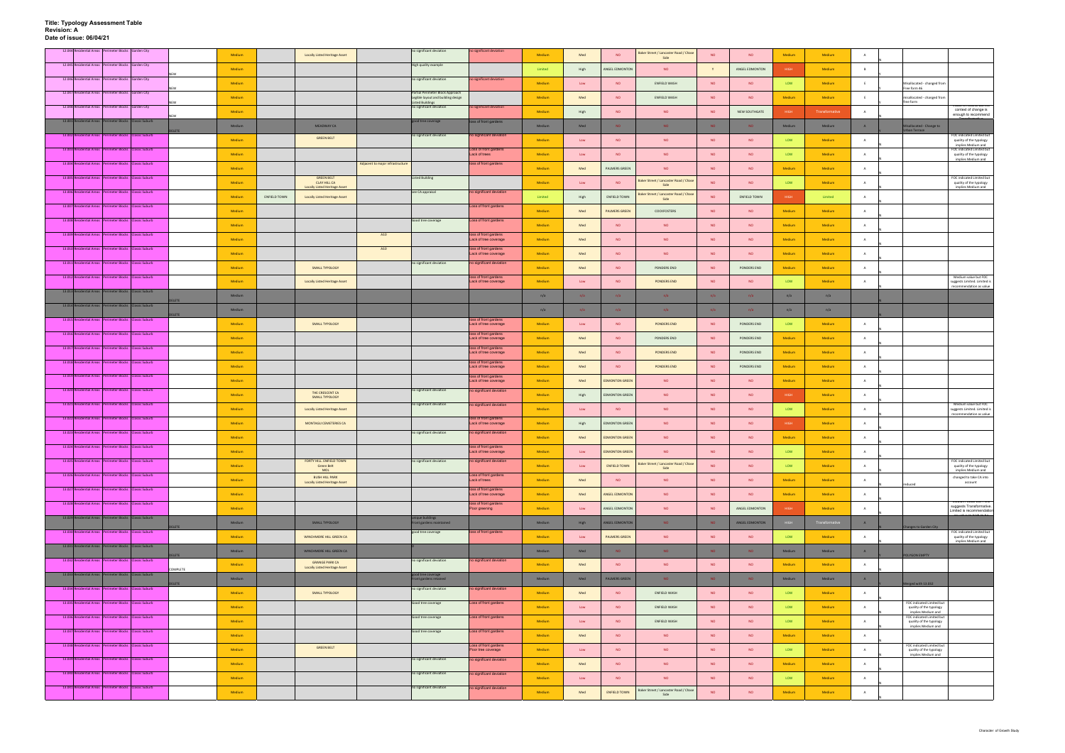|                          | 12.044 Residential Areas Perimeter Blocks Garden City    |              | Medium |              | <b>Locally Listed Heritage Asset</b>                                             |                                  | no significant deviation                                               | no significant deviation                       | Medium  | Med  | <b>NO</b>             | Baker Street / Lancaster Road / Chase<br>Side | <b>NO</b>       | <b>NO</b>      | Medium      | Medium         |                |                                                                            |                                                                                 |
|--------------------------|----------------------------------------------------------|--------------|--------|--------------|----------------------------------------------------------------------------------|----------------------------------|------------------------------------------------------------------------|------------------------------------------------|---------|------|-----------------------|-----------------------------------------------|-----------------|----------------|-------------|----------------|----------------|----------------------------------------------------------------------------|---------------------------------------------------------------------------------|
|                          | 12.045 Residential Areas Perimeter Blocks Garden City    |              | Medium |              |                                                                                  |                                  | High quality example                                                   |                                                | Limited | High | ANGEL EDMONTON        | <b>NO</b>                                     |                 | ANGEL EDMONTON | HIGH        | Medium         | B              |                                                                            |                                                                                 |
|                          | 12.046 Residential Areas Perimeter Blocks Garden City    |              | Medium |              |                                                                                  |                                  | no significant deviation                                               | no significant deviation                       | Medium  | Low  | <b>NO</b>             | ENFIELD WASH                                  | NO              | NO.            | LOW         | Medium         |                | Misallocated - changed from                                                |                                                                                 |
|                          | 12.047 Residential Areas Perimeter Blocks Garden City    |              | Medium |              |                                                                                  |                                  | Partial Perimeter Block Approach<br>Legible layout and building design |                                                | Medium  | Med  | <b>NO</b>             | ENFIELD WASH                                  | <b>NO</b>       | <b>NO</b>      | Medium      | Medium         | E              | Free form 46<br>isallocated - changed from                                 |                                                                                 |
|                          | 12.048 Residential Areas Perimeter Blocks Garden City    |              | Medium |              |                                                                                  |                                  | <b>Listed Buildings</b><br>no significant deviation                    | no significant deviation                       | Medium  | High | <b>NO</b>             | <b>NO</b>                                     | <b>NO</b>       | NEW SOUTHGATE  | <b>HIGH</b> | Transformative |                | free form                                                                  | ris neuu ar pu<br>context of change is                                          |
|                          | 13.001 Residential Areas Perimeter Blocks Classic Suburb |              |        |              |                                                                                  |                                  | good tree coverage                                                     | loss of front gardens                          |         |      |                       |                                               |                 |                |             |                |                |                                                                            | enough to recommend                                                             |
|                          | 13.002 Residential Areas Perimeter Blocks Classic Suburb |              | Medium |              | <b>MEADWAY CA</b><br><b>GREEN BELT</b>                                           |                                  | no significant deviation                                               | no significant deviation                       | Medium  | Med  | <b>NO</b>             | NO.                                           | <b>NO</b>       | <b>NO</b>      | Medium      | Medium         | A              | isallocated - Change to<br>rban Terrace                                    | FOC indicated Limited but                                                       |
|                          | 13.003 Residential Areas Perimeter Blocks Classic Suburb |              | Medium |              |                                                                                  |                                  |                                                                        | Loss of front gardens                          | Medium  | Low  | <b>NO</b>             | <b>NO</b>                                     | <b>NO</b>       | <b>NO</b>      | LOW         | Medium         | A              |                                                                            | quality of the typology<br>implies Medium and<br>FOC indicated Limited but      |
|                          | 13.004 Residential Areas Perimeter Blocks Classic Suburb |              | Medium |              |                                                                                  | Adjacent to major infrastructure |                                                                        | Lack of trees<br>loss of front gardens         | Medium  | Low  | <b>NO</b>             | <b>NO</b>                                     | NO              | <b>NO</b>      | LOW         | Medium         | A              |                                                                            | quality of the typology<br>implies Medium and                                   |
|                          |                                                          |              | Medium |              |                                                                                  |                                  |                                                                        |                                                | Medium  | Med  | PALMERS GREEN         | <b>NO</b>                                     | <b>NO</b>       | <b>NO</b>      | Medium      | Medium         | $\overline{A}$ |                                                                            |                                                                                 |
|                          | 13.005 Residential Areas Perimeter Blocks Classic Suburb |              | Medium |              | <b>GREEN BELT</b><br><b>CLAY HILL CA</b><br><b>Locally Listed Heritage Asset</b> |                                  | Listed Building                                                        |                                                | Medium  | Low  | <b>NO</b>             | Baker Street / Lancaster Road / Chas<br>Side  | <b>NO</b>       | <b>NO</b>      | LOW         | Medium         | $\overline{A}$ |                                                                            | FOC indicated Limited but<br>quality of the typology<br>implies Medium and      |
|                          | 13.006 Residential Areas Perimeter Blocks Classic Suburb |              | Medium | ENFIELD TOWN | <b>Locally Listed Heritage Asset</b>                                             |                                  | see CA appraisal                                                       | no significant deviation                       | Limited | High | <b>ENFIELD TOWN</b>   | Baker Street / Lancaster Road / Chase<br>Side | <b>NO</b>       | ENFIELD TOWN   | <b>HIGH</b> | Limited        | $\overline{A}$ |                                                                            |                                                                                 |
|                          | 13.007 Residential Areas Perimeter Blocks Classic Suburb |              | Medium |              |                                                                                  |                                  |                                                                        | Loss of front gardens                          | Medium  | Med  | <b>PALMERS GREEN</b>  | COCKFOSTERS                                   | NO              | <b>NO</b>      | Medium      | Medium         | $\overline{A}$ |                                                                            |                                                                                 |
|                          | 13.008 Residential Areas Perimeter Blocks Classic Suburb |              | Medium |              |                                                                                  |                                  | Good tree coverage                                                     | Loss of front gardens                          | Medium  | Med  | <b>NO</b>             | <b>NO</b>                                     | <b>NO</b>       | <b>NO</b>      | Medium      | Medium         | A              |                                                                            |                                                                                 |
|                          | 13.009 Residential Areas Perimeter Blocks Classic Suburb |              | Medium |              |                                                                                  | A10                              |                                                                        | loss of front gardens<br>Lack of tree coverage | Medium  | Med  | <b>NO</b>             | <b>NO</b>                                     | <b>NO</b>       | <b>NO</b>      | Medium      | Medium         | A              |                                                                            |                                                                                 |
|                          | 13.010 Residential Areas Perimeter Blocks Classic Suburb |              | Medium |              |                                                                                  | A10                              |                                                                        | loss of front gardens<br>Lack of tree coverage | Medium  | Med  | <b>NO</b>             | <b>NO</b>                                     | <b>NO</b>       | <b>NO</b>      | Medium      | Medium         | A              |                                                                            |                                                                                 |
|                          | 13.011 Residential Areas Perimeter Blocks Classic Suburb |              | Medium |              | SMALL TYPOLOGY                                                                   |                                  | no significant deviation                                               | no significant deviation                       | Medium  | Med  | <b>NO</b>             | PONDERS END                                   | <b>NO</b>       | PONDERS END    | Medium      | Medium         |                |                                                                            |                                                                                 |
|                          | 13.012 Residential Areas Perimeter Blocks Classic Suburb |              | Medium |              | Locally Listed Heritage Asset                                                    |                                  |                                                                        | loss of front gardens<br>Lack of tree coverage | Medium  | Low  | <b>NO</b>             | PONDERS END                                   | <b>NO</b>       | <b>NO</b>      | LOW         | Medium         | A              |                                                                            | Medium value but FOC<br>suggests Limited. Limited is                            |
|                          | 13.013 Residential Areas Perimeter Blocks Classic Suburb |              |        |              |                                                                                  |                                  |                                                                        |                                                |         |      |                       |                                               |                 |                |             |                |                |                                                                            | recommendation as value                                                         |
| 13.014 Residential Areas | erimeter Blocks Classic Suburb                           | <b>ELETE</b> | Medium |              |                                                                                  |                                  |                                                                        |                                                | n/a     | n/a  | n/a                   | n/a                                           | n/a             | n/a            | n/a         | n/a            |                |                                                                            |                                                                                 |
| 13.015 <sup>R</sup>      | dential Areas Perimeter Blocks Classic Suburb            | ELETE        | Medium |              |                                                                                  |                                  |                                                                        | loss of front gardens                          | n/a     | n/a  | n/a                   | n/a                                           | n/a             | n/a            | n/a         | n/a            |                |                                                                            |                                                                                 |
|                          | 13.016 Residential Areas Perimeter Blocks Classic Suburb |              | Medium |              | SMALL TYPOLOGY                                                                   |                                  |                                                                        | Lack of tree coverage<br>loss of front gardens | Medium  | Low  | <b>NO</b>             | PONDERS END                                   | <b>NO</b>       | PONDERS END    | LOW         | Medium         | A              |                                                                            |                                                                                 |
|                          |                                                          |              | Medium |              |                                                                                  |                                  |                                                                        | Lack of tree coverage                          | Medium  | Med  | <b>NO</b>             | PONDERS END                                   | <b>NO</b>       | PONDERS END    | Medium      | Medium         | $\overline{A}$ |                                                                            |                                                                                 |
|                          | 13.017 Residential Areas Perimeter Blocks Classic Suburb |              | Medium |              |                                                                                  |                                  |                                                                        | loss of front gardens<br>Lack of tree coverage | Medium  | Med  | <b>NO</b>             | PONDERS END                                   | <b>NO</b>       | PONDERS END    | Medium      | Medium         | $\overline{A}$ |                                                                            |                                                                                 |
|                          | 13.018 Residential Areas Perimeter Blocks Classic Suburb |              | Medium |              |                                                                                  |                                  |                                                                        | loss of front gardens<br>Lack of tree coverage | Medium  | Med  | <b>NO</b>             | PONDERS END                                   | <b>NO</b>       | PONDERS END    | Medium      | Medium         | A              |                                                                            |                                                                                 |
|                          | 13.019 Residential Areas Perimeter Blocks Classic Suburb |              | Medium |              |                                                                                  |                                  |                                                                        | loss of front gardens<br>Lack of tree coverage | Medium  | Med  | <b>EDMONTON GREEN</b> | <b>NO</b>                                     | NO              | <b>NO</b>      | Medium      | Medium         | $\overline{A}$ |                                                                            |                                                                                 |
|                          | 13.020 Residential Areas Perimeter Blocks Classic Suburb |              | Medium |              | THE CRESCENT CA<br><b>SMALL TYPOLOGY</b>                                         |                                  | no significant deviation                                               | no significant deviation                       | Medium  | High | <b>EDMONTON GREEN</b> | <b>NO</b>                                     | <b>NO</b>       | <b>NO</b>      | <b>HIGH</b> | Medium         | A              |                                                                            |                                                                                 |
|                          | 13.021 Residential Areas Perimeter Blocks Classic Suburb |              | Medium |              | Locally Listed Heritage Asset                                                    |                                  | no significant deviation                                               | no significant deviation                       | Medium  | Low  | NO                    | <b>NO</b>                                     | <b>NO</b>       | <b>NO</b>      | LOW         | Medium         | A              |                                                                            | Medium value but FOC<br>suggests Limited. Limited is                            |
|                          | 13.022 Residential Areas Perimeter Blocks Classic Suburb |              | Medium |              | MONTAGU CEMETERIES CA                                                            |                                  |                                                                        | loss of front gardens<br>Lack of tree coverage | Medium  | High | <b>EDMONTON GREEN</b> | <b>NO</b>                                     | <b>NO</b>       | <b>NO</b>      | HIGH        | Medium         |                |                                                                            | recommendation as value                                                         |
|                          | 13.023 Residential Areas Perimeter Blocks Classic Suburb |              | Medium |              |                                                                                  |                                  | no significant deviation                                               | no significant deviation                       | Medium  | Med  | <b>EDMONTON GREEN</b> | <b>NO</b>                                     | <b>NO</b>       | <b>NO</b>      | Medium      | Medium         | A              |                                                                            |                                                                                 |
|                          | 13.024 Residential Areas Perimeter Blocks Classic Suburb |              | Medium |              |                                                                                  |                                  |                                                                        | loss of front gardens<br>Lack of tree coverage | Medium  | Low  | <b>EDMONTON GREEN</b> | <b>NO</b>                                     | <b>NO</b>       | <b>NO</b>      | LOW         | Medium         | A              |                                                                            |                                                                                 |
|                          | 13.025 Residential Areas Perimeter Blocks Classic Suburb |              | Medium |              | FORTY HILL. ENFIELD TOWN<br><b>Green Belt</b>                                    |                                  | no significant deviation                                               | no significant deviation                       | Medium  |      | <b>ENFIELD TOWN</b>   | Baker Street / Lancaster Road / Chase         | NO              | <b>NO</b>      | LOW         | Medium         | $\overline{A}$ |                                                                            | FOC indicated Limited but<br>quality of the typology                            |
|                          | 13.026 Residential Areas Perimeter Blocks Classic Suburb |              |        |              | MOL<br><b>BUSH HILL PARK</b>                                                     |                                  |                                                                        | Loss of front gardens                          |         | Low  |                       | Side                                          |                 |                |             |                |                |                                                                            | implies Medium and<br>changed to take CA into                                   |
|                          | 13.027 Residential Areas Perimeter Blocks Classic Suburb |              | Medium |              | <b>Locally Listed Heritage Asset</b>                                             |                                  |                                                                        | Lack of trees<br>loss of front gardens         | Medium  | Med  | <b>NO</b>             | <b>NO</b>                                     | NO              | <b>NO</b>      | Medium      | Medium         | $\overline{A}$ | educed                                                                     | account                                                                         |
|                          | 13.028 Residential Areas Perimeter Blocks Classic Suburb |              | Medium |              |                                                                                  |                                  |                                                                        | Lack of tree coverage<br>loss of front gardens | Medium  | Med  | ANGEL EDMONTON        | <b>NO</b>                                     | <b>NO</b>       | <b>NO</b>      | Medium      | Medium         | A              |                                                                            | egigini valge put roc                                                           |
|                          | 13.029 Residential Areas Perimeter Blocks Classic Suburb |              | Medium |              |                                                                                  |                                  | unique buildings                                                       | Poor greening                                  | Medium  | Low  | ANGEL EDMONTON        | <b>NO</b>                                     | <b>NO</b>       | ANGEL EDMONTON | <b>HIGH</b> | Medium         | $\overline{A}$ |                                                                            | suggests Transformative.<br>Limited is recommendation<br><u>مط مه طمنط مه ه</u> |
|                          | 13.030 Residential Areas Perimeter Blocks Classic Suburb | 11 ST 21     | Medium |              | SMALL TYPOLOGY                                                                   |                                  | ront gardens maintained<br>good tree coverage                          | loss of front gardens                          | Medium  | High | ANGEL EDMONTON        | NO.                                           | NO <sub>1</sub> | ANGEL EDMONTON |             | ransformative  | A              | hanges to Garden City                                                      | FOC indicated Limited but                                                       |
|                          |                                                          |              | Medium |              | WINCHMORE HILL GREEN CA                                                          |                                  |                                                                        |                                                | Medium  | Low  | <b>PALMERS GREEN</b>  | <b>NO</b>                                     | <b>NO</b>       | <b>NO</b>      | LOW         | Medium         | $\overline{A}$ |                                                                            | quality of the typology<br>implies Medium and                                   |
|                          | 13.031 Residential Areas Perimeter Blocks Classic Suburb | <b>ELETE</b> | Medium |              | WINCHMORE HILL GREEN CA                                                          |                                  |                                                                        |                                                | Medium  | Med  | <b>NO</b>             | NO.                                           | NO              | NO.            | Medium      | Medium         | A              | POLYGON EMPTY                                                              |                                                                                 |
|                          | 13.032 Residential Areas Perimeter Blocks Classic Suburb | COMPLETE     | Medium |              | <b>GRANGE PARK CA</b><br><b>Locally Listed Heritage Asset</b>                    |                                  | no significant deviation                                               | no significant deviation                       | Medium  | Med  | NO                    | <b>NO</b>                                     | <b>NO</b>       | <b>NO</b>      | Medium      | Medium         | A              |                                                                            |                                                                                 |
|                          | 13.033 Residential Areas Perimeter Blocks Classic Suburb | <b>ELETE</b> | Medium |              |                                                                                  |                                  | good tree coverage<br>Front gardens retained                           |                                                | Medium  | Med  | PALMERS GREEN         | NO.                                           | NO.             | NO.            | Medium      | Medium         | A              | rged with 13.032                                                           |                                                                                 |
|                          | 13.034 Residential Areas Perimeter Blocks Classic Suburb |              | Medium |              | SMALL TYPOLOGY                                                                   |                                  | no significant deviation                                               | no significant deviation                       | Medium  | Med  | NO                    | ENFIELD WASH                                  | <b>NO</b>       | <b>NO</b>      | LOW         | Medium         | A              |                                                                            |                                                                                 |
|                          | 13.035 Residential Areas Perimeter Blocks Classic Suburb |              | Medium |              |                                                                                  |                                  | Good tree coverage                                                     | Loss of front gardens                          | Medium  | Low  | NO.                   | ENFIELD WASH                                  | <b>NO</b>       | <b>NO</b>      | LOW         | Medium         | A              | FOC indicated Limited but<br>quality of the typology                       |                                                                                 |
|                          | 13.036 Residential Areas Perimeter Blocks Classic Suburb |              | Medium |              |                                                                                  |                                  | Good tree coverage                                                     | Loss of front gardens                          | Medium  | Low  | <b>NO</b>             | ENFIELD WASH                                  | <b>NO</b>       | <b>NO</b>      | LOW         | Medium         |                | implies Medium and<br>FOC indicated Limited but<br>quality of the typology |                                                                                 |
|                          | 13.037 Residential Areas Perimeter Blocks Classic Suburb |              | Medium |              |                                                                                  |                                  | Good tree coverage                                                     | Loss of front gardens                          | Medium  | Med  | <b>NO</b>             | <b>NO</b>                                     | NO              | <b>NO</b>      | Medium      | Medium         | A              | implies Medium and                                                         |                                                                                 |
|                          | 13.038 Residential Areas Perimeter Blocks Classic Suburb |              | Medium |              | <b>GREEN BELT</b>                                                                |                                  |                                                                        | Loss of front gardens<br>Poor tree coverage    | Medium  | Low  | NO.                   | <b>NO</b>                                     | <b>NO</b>       | <b>NO</b>      | LOW         | Medium         | A              | FOC indicated Limited but<br>quality of the typology                       |                                                                                 |
|                          | 13.039 Residential Areas Perimeter Blocks Classic Suburb |              |        |              |                                                                                  |                                  | no significant deviation                                               | no significant deviation                       |         |      |                       |                                               |                 |                |             |                |                | implies Medium and                                                         |                                                                                 |
|                          | 13.040 Residential Areas Perimeter Blocks Classic Suburb |              | Medium |              |                                                                                  |                                  | no significant deviation                                               | no significant deviation                       | Medium  | Med  | NO                    | <b>NO</b>                                     | <b>NO</b>       | <b>NO</b>      | Medium      | Medium         | A              |                                                                            |                                                                                 |
|                          | 13.041 Residential Areas Perimeter Blocks Classic Suburb |              | Medium |              |                                                                                  |                                  | no significant deviation                                               | no significant deviation                       | Medium  | Low  | <b>NO</b>             | <b>NO</b>                                     | <b>NO</b>       | <b>NO</b>      | LOW         | Medium         |                |                                                                            |                                                                                 |
|                          |                                                          |              | Medium |              |                                                                                  |                                  |                                                                        |                                                | Medium  | Med  | <b>ENFIELD TOWN</b>   | Baker Street / Lancaster Road / Chase<br>Side | <b>NO</b>       | <b>NO</b>      | Medium      | Medium         | A              |                                                                            |                                                                                 |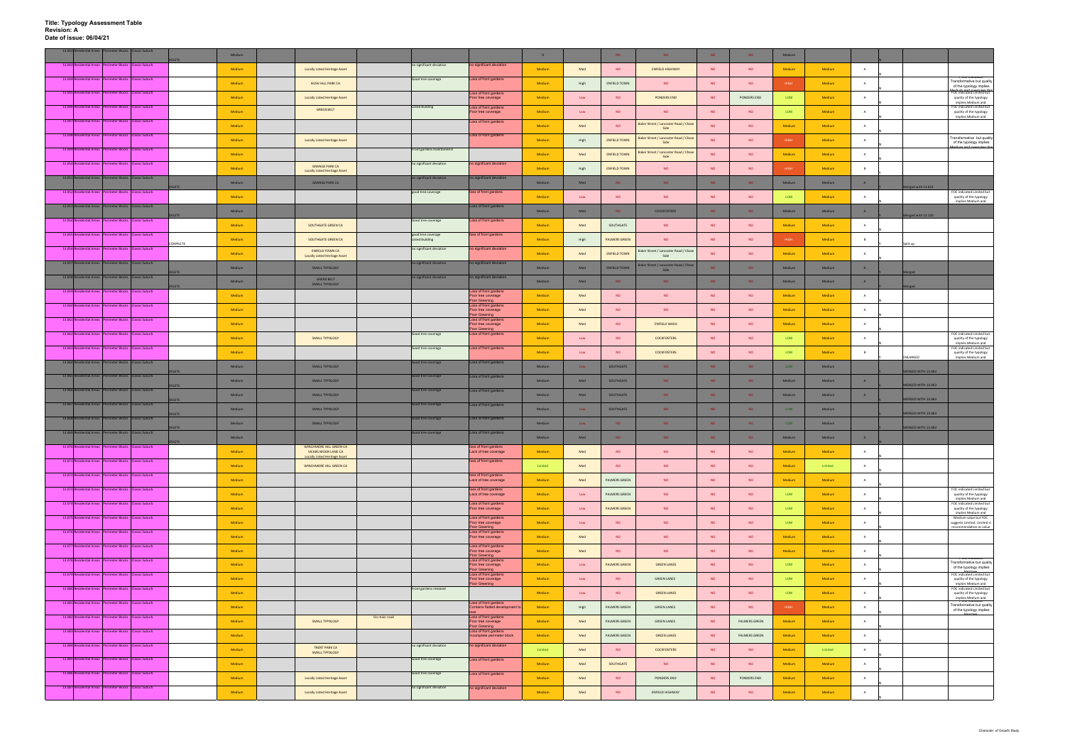| 13.042 Residential Areas Perimeter Blocks Classic Suburb |                                               |                               |               | Medium |                                                                 |              |                                              |                                                                      | D       |                | NO <sub>1</sub>      | NO.                                               | <b>NO</b>       | <b>NO</b>       | Medium      |         |                |                                                                                        |
|----------------------------------------------------------|-----------------------------------------------|-------------------------------|---------------|--------|-----------------------------------------------------------------|--------------|----------------------------------------------|----------------------------------------------------------------------|---------|----------------|----------------------|---------------------------------------------------|-----------------|-----------------|-------------|---------|----------------|----------------------------------------------------------------------------------------|
| 13.043 Residential Areas Perimeter Blocks Classic Suburb |                                               |                               |               | Medium | Locally Listed Heritage Asset                                   |              | no significant deviation                     | no significant deviation                                             | Medium  | Med            | <b>NO</b>            | <b>ENFIELD HIGHWAY</b>                            | <b>NO</b>       | <b>NO</b>       | Medium      | Medium  |                |                                                                                        |
| 13.044 Residential Areas Perimeter Blocks Classic Suburb |                                               |                               |               | Medium | <b>BUSH HILL PARK CA</b>                                        |              | Good tree coverage                           | Loss of front gardens                                                | Medium  | High           | <b>ENFIELD TOWN</b>  | <b>NO</b>                                         | <b>NO</b>       | <b>NO</b>       | HIGH        | Medium  | A              | <b>TOO INGRED</b><br>Transformative but quality                                        |
| 13.045 Residential Areas Perimeter Blocks Classic Suburb |                                               |                               |               | Medium | <b>Locally Listed Heritage Asset</b>                            |              |                                              | Loss of front gardens<br>Poor tree coverage                          | Medium  | Low            | <b>NO</b>            | PONDERS END                                       | <b>NO</b>       | PONDERS END     | LOW         | Medium  | $\overline{A}$ | of the typology implies<br>FOC indicated Limited but<br>quality of the typology        |
| 13.046 Residential Areas Perimeter Blocks Classic Suburb |                                               |                               |               |        | <b>GREEN BELT</b>                                               |              | <b>Listed Building</b>                       | Loss of front gardens                                                |         |                |                      |                                                   |                 |                 |             |         |                | implies Medium and<br>FOC indicated Limited but                                        |
| 13.047 Residential Areas Perimeter Blocks Classic Suburb |                                               |                               |               | Medium |                                                                 |              |                                              | Poor tree coverage<br>Loss of front gardens                          | Medium  | Low            | <b>NO</b>            | <b>NO</b><br>Baker Street / Lancaster Road / Chas | <b>NO</b>       | <b>NO</b>       | LOW         | Medium  | $\mathbf{A}$   | quality of the typology<br>implies Medium and                                          |
| 13.048 Residential Areas Perimeter Blocks Classic Suburb |                                               |                               |               | Medium |                                                                 |              |                                              | Loss of front gardens                                                | Medium  | Med            | <b>NO</b>            | Side                                              | <b>NO</b>       | <b>NO</b>       | Medium      | Medium  | $\overline{A}$ | <b>POC matated</b>                                                                     |
| 13.049 Residential Areas Perimeter Blocks Classic Suburb |                                               |                               |               | Medium | <b>Locally Listed Heritage Asset</b>                            |              | Front gardens maintained d                   |                                                                      | Medium  | High           | <b>ENFIELD TOWN</b>  | Baker Street / Lancaster Road / Chase<br>Side     | <b>NO</b>       | <b>NO</b>       | HIGH        | Medium  | A              | Transformative but quality<br>of the typology implies                                  |
|                                                          |                                               |                               |               | Medium |                                                                 |              |                                              |                                                                      | Medium  | Med            | <b>ENFIELD TOWN</b>  | Baker Street / Lancaster Road / Chase<br>Side     | <b>NO</b>       | <b>NO</b>       | Medium      | Medium  | $\mathbf{A}$   |                                                                                        |
| 13.050 Residential Areas Perimeter Blocks Classic Suburb |                                               |                               |               | Medium | <b>GRANGE PARK CA</b><br><b>Locally Listed Heritage Asset</b>   |              | no significant deviation                     | no significant deviation                                             | Medium  | High           | <b>ENFIELD TOWN</b>  | <b>NO</b>                                         | <b>NO</b>       | <b>NO</b>       | HIGH        | Medium  | B              |                                                                                        |
| 13.051 Residential Areas Perimeter Blocks Classic Suburb |                                               |                               | <b>ELETE</b>  | Medium | <b>GRANGE PARK CA</b>                                           |              | no significant deviation                     | no significant deviation                                             | Medium  | Med            | NO.                  | NO.                                               | NO <sub>1</sub> | NO.             | Medium      | Medium  | A              | Merged with 13.032                                                                     |
| 13.052 Residential Areas Perimeter Blocks Classic Suburb |                                               |                               |               | Medium |                                                                 |              | good tree coverage                           | loss of front gardens                                                | Medium  | Low            | <b>NO</b>            | NO                                                | <b>NO</b>       | <b>NO</b>       | LOW         | Medium  | $\mathbf{A}$   | FOC indicated Limited but<br>quality of the typology<br>implies Medium and             |
| 13.053 Residential Areas Perimeter Blocks Classic Suburb |                                               |                               |               | Medium |                                                                 |              |                                              | Loss of front gardens                                                | Medium  | Med            | NO.                  | <b>COCKFOSTERS</b>                                | NO.             | <b>NO</b>       | Medium      | Medium  | A              | Merged with 13.120                                                                     |
| 13.054 Residential Areas Perimeter Blocks Classic Suburb |                                               |                               |               | Medium | SOUTHGATE GREEN CA                                              |              | Good tree coverage                           | Loss of front gardens                                                | Medium  | Med            | SOUTHGATE            | NO                                                | <b>NO</b>       | <b>NO</b>       | Medium      | Medium  | A              |                                                                                        |
| 13.055 Residential Areas Perimeter Blocks Classic Suburb |                                               |                               |               | Medium | SOUTHGATE GREEN CA                                              |              | good tree coverage<br><b>Listed Building</b> | loss of front gardens                                                | Medium  | High           | <b>PALMERS GREEN</b> | <b>NO</b>                                         | <b>NO</b>       | <b>NO</b>       | HIGH        | Medium  | B              |                                                                                        |
| 13.056 Residential Areas Perimeter Blocks Classic Suburb |                                               |                               | OMPLETE       | Medium | <b>ENFIELD TOWN CA</b>                                          |              | no significant deviation                     | no significant deviation                                             | Medium  | Med            | <b>ENFIELD TOWN</b>  | Baker Street / Lancaster Road / Chase             | <b>NO</b>       | <b>NO</b>       | Medium      | Medium  | $\overline{A}$ | Split up                                                                               |
| 13.057 Residential Areas Perimeter Blocks Classic Suburb |                                               |                               |               | Medium | <b>Locally Listed Heritage Asset</b><br>SMALL TYPOLOGY          |              | no significant deviation                     | no significant deviation                                             | Medium  | Med            | <b>ENFIELD TOWN</b>  | Side<br>Baker Street / Lancaster Road / Chase     | N <sub>O</sub>  | <b>NO</b>       | Medium      | Medium  | $\overline{A}$ |                                                                                        |
| 13.058 Re<br>ential Areas                                |                                               | rimeter Blocks Classic Suburb | <b>ELETE</b>  |        | <b>GREEN BELT</b>                                               |              | no significant deviation                     | no significant deviation                                             |         |                | NO                   | Side                                              | NO.             |                 |             |         | A              | erged                                                                                  |
| 13.059 Residential Areas Perimeter Blocks Classic Suburb |                                               |                               | <b>LETE</b>   | Medium | SMALL TYPOLOGY                                                  |              |                                              | Loss of front gardens                                                | Medium  | Med            |                      | NO.                                               |                 | NO <sub>1</sub> | Medium      | Medium  |                |                                                                                        |
| 13.060 Residential Areas Perimeter Blocks Classic Suburb |                                               |                               |               | Medium |                                                                 |              |                                              | Poor tree coverage<br>Poor Greening<br>Loss of front gardens         | Medium  | Med            | <b>NO</b>            | <b>NO</b>                                         | <b>NO</b>       | <b>NO</b>       | Medium      | Medium  | $\overline{A}$ |                                                                                        |
| 13.061 Residential Areas Perimeter Blocks Classic Suburb |                                               |                               |               | Medium |                                                                 |              |                                              | Poor tree coverage<br>Poor Greening<br>Loss of front gardens         | Medium  | Med            | <b>NO</b>            | <b>NO</b>                                         | <b>NO</b>       | <b>NO</b>       | Medium      | Medium  | $\overline{A}$ |                                                                                        |
| 13.062 Residential Areas Perimeter Blocks Classic Suburb |                                               |                               |               | Medium |                                                                 |              | Good tree coverage                           | Poor tree coverage<br>Poor Greening<br>Loss of front gardens         | Medium  | Med            | <b>NO</b>            | <b>ENFIELD WASH</b>                               | <b>NO</b>       | <b>NO</b>       | Medium      | Medium  | $\overline{A}$ | FOC indicated Limited but                                                              |
|                                                          |                                               |                               |               | Medium | SMALL TYPOLOGY                                                  |              |                                              |                                                                      | Medium  | $\mathsf{Low}$ | <b>NO</b>            | <b>COCKFOSTERS</b>                                | <b>NO</b>       | <b>NO</b>       | LOW         | Medium  | A              | quality of the typology<br>implies Medium and                                          |
| 13.063 Residential Areas Perimeter Blocks Classic Suburb |                                               |                               |               | Medium |                                                                 |              | Good tree coverage                           | Loss of front gardens                                                | Medium  | Low            | <b>NO</b>            | <b>COCKFOSTERS</b>                                | <b>NO</b>       | <b>NO</b>       | LOW         | Medium  | B              | FOC indicated Limited but<br>quality of the typology<br>ENLARGED<br>implies Medium and |
| 13.064 Residential Areas Perimeter Blocks Classic Suburb |                                               |                               | <b>ELETE</b>  | Medium | SMALL TYPOLOGY                                                  |              | Good tree coverage                           | Loss of front gardens                                                | Medium  | Low            | SOUTHGATE            | NO.                                               | N <sub>O</sub>  | <b>NO</b>       | LOW         | Medium  |                | MERGED WITH 13.063                                                                     |
| 13.065 Residential Areas Perimeter Blocks Classic Suburb |                                               |                               | <b>DELETE</b> | Medium | SMALL TYPOLOGY                                                  |              | Good tree coverage                           | oss of front gardens                                                 | Medium  | Med            | SOUTHGATE            | NO.                                               | NO <sub>1</sub> | NO.             | Medium      | Medium  | A              | ERGED WITH 13.063                                                                      |
| 13.066 Residential Areas Perimeter Blocks Classic Suburb |                                               |                               |               | Medium | SMALL TYPOLOGY                                                  |              | Good tree coverage                           | Loss of front gardens                                                | Medium  | Med            | SOUTHGATE            | NO.                                               | NO.             | <b>NO</b>       | Medium      | Medium  | A              |                                                                                        |
| 13.067 Resid<br>lential Areas                            |                                               | rimeter Blocks Classic Suburb | <b>ELETE</b>  | Medium | <b>SMALL TYPOLOGY</b>                                           |              | Good tree coverage                           | Loss of front gardens                                                | Medium  | Low            | SOUTHGATE            | NO.                                               | <b>NO</b>       | NO.             | LOW         | Medium  |                | ERGED WITH 13.063                                                                      |
| 13.068 Residential Areas Perimeter Blocks Classic Suburb |                                               |                               | LETE          | Medium | SMALL TYPOLOGY                                                  |              | Good tree coverage                           | Loss of front gardens                                                | Medium  | Low            | NO                   | NO.                                               | NO <sub>1</sub> | NO <sub>1</sub> | LOW         | Medium  |                | ERGED WITH 13.063                                                                      |
| 13.069 Res                                               | dential Areas Perimeter Blocks Classic Suburb |                               | <b>DELETE</b> | Medium |                                                                 |              | Good tree coverage                           | Loss of front gardens                                                | Medium  | Med            | NO.                  | NO.                                               | NO.             | <b>NO</b>       | Medium      | Medium  | A              | MERGED WITH 13.063                                                                     |
| ial Areas                                                |                                               | neter Blocks Classic Suburb   | DELETE        | Medium | WINCHMORE HILL GREEN CA<br>VICARS MOOR LANE CA                  |              |                                              | oss of front gardens<br>Lack of tree coverage                        | Medium  | Med            | <b>NO</b>            | <b>NO</b>                                         | <b>NO</b>       | <b>NO</b>       | Medium      | Medium  | A              |                                                                                        |
| 13.071 Residential Areas Perimeter Blocks Classic Suburb |                                               |                               |               | Medium | <b>Locally Listed Heritage Asset</b><br>WINCHMORE HILL GREEN CA |              |                                              | loss of front gardens                                                | Limited | Med            | <b>NO</b>            | <b>NO</b>                                         | <b>NO</b>       | <b>NO</b>       | Medium      | Limited | A              |                                                                                        |
| 13.072 Residential Areas Perimeter Blocks Classic Suburb |                                               |                               |               |        |                                                                 |              |                                              | loss of front gardens                                                |         |                |                      |                                                   |                 |                 |             |         |                |                                                                                        |
| 13.073 Residential Areas Perimeter Blocks Classic Suburb |                                               |                               |               | Medium |                                                                 |              |                                              | Lack of tree coverage<br>loss of front gardens                       | Medium  | Med            | PALMERS GREEN        | <b>NO</b>                                         | <b>NO</b>       | <b>NO</b>       | Medium      | Medium  | $\overline{A}$ | FOC indicated Limited but                                                              |
| 13.074 Residential Areas Perimeter Blocks Classic Suburb |                                               |                               |               | Medium |                                                                 |              |                                              | Lack of tree coverage<br>Loss of front gardens                       | Medium  | Low            | PALMERS GREEN        | <b>NO</b>                                         | <b>NO</b>       | <b>NO</b>       | LOW         | Medium  | A              | quality of the typology<br>implies Medium and<br>FOC indicated Limited but             |
| 13.075 Residential Areas Perimeter Blocks Classic Suburb |                                               |                               |               | Medium |                                                                 |              |                                              | Poor tree coverage<br>Loss of front gardens                          | Medium  | Low            | <b>PALMERS GREEN</b> | <b>NO</b>                                         | <b>NO</b>       | <b>NO</b>       | LOW         | Medium  | $\overline{A}$ | quality of the typology<br>implies Medium and<br>Medium value but FOC                  |
| 13.076 Residential Areas Perimeter Blocks Classic Suburb |                                               |                               |               | Medium |                                                                 |              |                                              | Poor tree coverage<br>Poor Greening<br>Loss of front gardens         | Medium  | Low            | <b>NO</b>            | <b>NO</b>                                         | <b>NO</b>       | <b>NO</b>       | LOW         | Medium  | $\overline{A}$ | suggests Limited. Limited is<br>recommendation as value                                |
|                                                          |                                               |                               |               | Medium |                                                                 |              |                                              | Poor tree coverage                                                   | Medium  | Med            | <b>NO</b>            | <b>NO</b>                                         | <b>NO</b>       | <b>NO</b>       | Medium      | Medium  | A              |                                                                                        |
| 13.077 Residential Areas Perimeter Blocks Classic Suburb |                                               |                               |               | Medium |                                                                 |              |                                              | Loss of front gardens<br>Poor tree coverage<br>Poor Greening         | Medium  | Med            | <b>NO</b>            | NO                                                | <b>NO</b>       | <b>NO</b>       | Medium      | Medium  | A              | <b>roc mulcate</b>                                                                     |
| 13.078 Residential Areas Perimeter Blocks Classic Suburb |                                               |                               |               | Medium |                                                                 |              |                                              | Loss of front gardens<br>Poor tree coverage<br>Poor Greening         | Medium  | Low            | PALMERS GREEN        | <b>GREEN LANES</b>                                | <b>NO</b>       | <b>NO</b>       | LOW         | Medium  | A              | Transformative but quality<br>of the typology implies                                  |
| 13.079 Residential Areas Perimeter Blocks Classic Suburb |                                               |                               |               | Medium |                                                                 |              |                                              | Loss of front gardens<br>Poor tree coverage<br>Poor Greening         | Medium  | Low            | NO.                  | <b>GREEN LANES</b>                                | <b>NO</b>       | <b>NO</b>       | LOW         | Medium  | $\overline{A}$ | FOC indicated Limited but<br>quality of the typology<br>implies Medium and             |
| 13.080 Residential Areas Perimeter Blocks Classic Suburb |                                               |                               |               | Medium |                                                                 |              | Front gardens retained                       |                                                                      | Medium  | Low            | <b>NO</b>            | <b>GREEN LANES</b>                                | <b>NO</b>       | <b>NO</b>       | LOW         | Medium  |                | FOC indicated Limited but<br>quality of the typology<br>implies Medium and             |
| 13.081 Residential Areas Perimeter Blocks Classic Suburb |                                               |                               |               | Medium |                                                                 |              |                                              | Loss of front gardens<br>Contains flatted development t              | Medium  | High           | PALMERS GREEN        | <b>GREEN LANES</b>                                | <b>NO</b>       | <b>NO</b>       | <b>HIGH</b> | Medium  | A              | OC mulcater<br>Transformative but quality<br>of the typology implies                   |
| 13.082 Residential Areas Perimeter Blocks Classic Suburb |                                               |                               |               | Medium | SMALL TYPOLOGY                                                  | On main road |                                              | Loss of front gardens<br>Poor tree coverage                          | Medium  | Med            | PALMERS GREEN        | <b>GREEN LANES</b>                                | <b>NO</b>       | PALMERS GREEN   | Medium      | Medium  |                |                                                                                        |
| 13.083 Residential Areas Perimeter Blocks Classic Suburb |                                               |                               |               | Medium |                                                                 |              |                                              | Poor Greening<br>Loss of front gardens<br>Incomplete perimeter block | Medium  | Med            | PALMERS GREEN        | <b>GREEN LANES</b>                                | <b>NO</b>       | PALMERS GREEN   | Medium      | Medium  | $\overline{A}$ |                                                                                        |
| 13.084 Residential Areas Perimeter Blocks Classic Suburb |                                               |                               |               | Medium | TRENT PARK CA                                                   |              | no significant deviation                     | no significant deviation                                             | Limited | Med            | NO <sub>1</sub>      | <b>COCKFOSTERS</b>                                | <b>NO</b>       | <b>NO</b>       | Medium      | Limited | $\overline{A}$ |                                                                                        |
| 13.085 Residential Areas Perimeter Blocks Classic Suburb |                                               |                               |               | Medium | SMALL TYPOLOGY                                                  |              | Good tree coverage                           | Loss of front gardens                                                | Medium  | Med            | SOUTHGATE            | <b>NO</b>                                         | <b>NO</b>       | <b>NO</b>       | Medium      | Medium  | $\mathbf{A}$   |                                                                                        |
| 13.086 Residential Areas Perimeter Blocks Classic Suburb |                                               |                               |               |        |                                                                 |              | Good tree coverage                           | Loss of front gardens                                                |         |                |                      |                                                   |                 |                 |             |         |                |                                                                                        |
| 13.087 Residential Areas Perimeter Blocks Classic Suburb |                                               |                               |               | Medium | <b>Locally Listed Heritage Asset</b>                            |              | no significant deviation                     | no significant deviation                                             | Medium  | Med            | <b>NO</b>            | PONDERS END                                       | <b>NO</b>       | PONDERS END     | Medium      | Medium  | $\overline{A}$ |                                                                                        |
|                                                          |                                               |                               |               | Medium | <b>Locally Listed Heritage Asset</b>                            |              |                                              |                                                                      | Medium  | Med            | <b>NO</b>            | ENFIELD HIGHWAY                                   | <b>NO</b>       | <b>NO</b>       | Medium      | Medium  | A              |                                                                                        |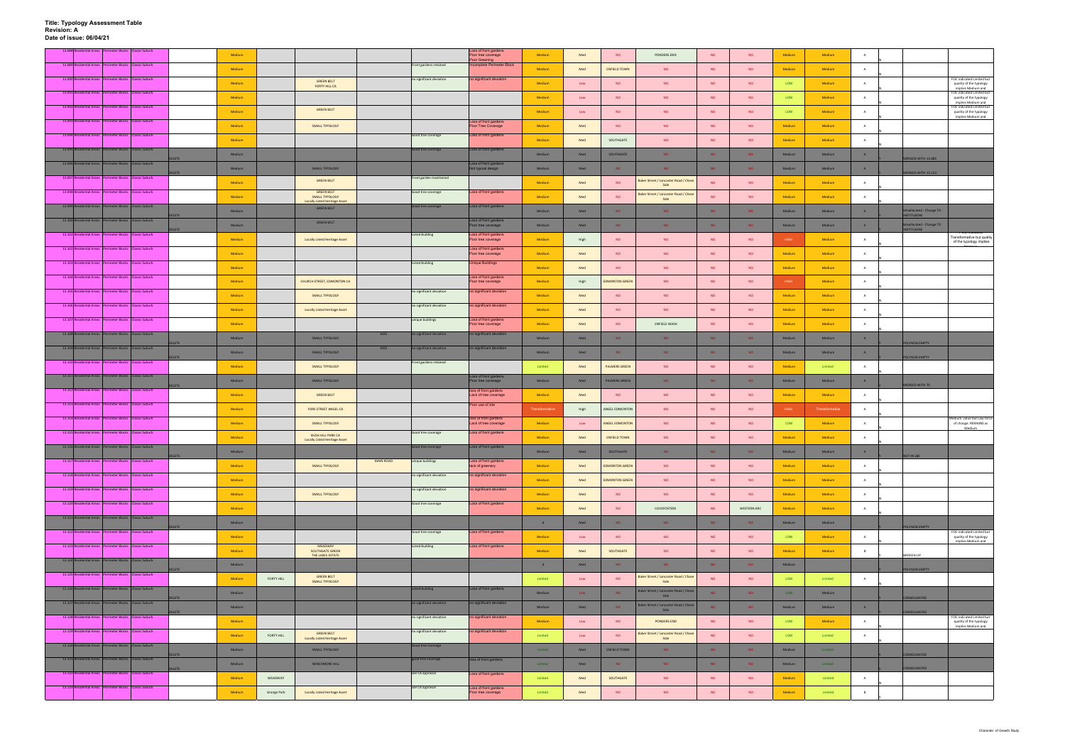|                     | 13.088 Residential Areas Per<br>rimeter Blocks Classic Suburb |              | Medium |             |                                                           |                  |                          | oss of front gardens.<br>Poor tree coverage    | Medium         | Med  | <b>NO</b>             | PONDERS END                                   | <b>NO</b>       | <b>NO</b>          | Medium      | Medium         | $\mathbf{A}$   |                                               |                                                                            |
|---------------------|---------------------------------------------------------------|--------------|--------|-------------|-----------------------------------------------------------|------------------|--------------------------|------------------------------------------------|----------------|------|-----------------------|-----------------------------------------------|-----------------|--------------------|-------------|----------------|----------------|-----------------------------------------------|----------------------------------------------------------------------------|
|                     | 13.089 Residential Areas Perimeter Blocks Classic Suburb      |              | Medium |             |                                                           |                  | Front gardens retained   | oor Greening<br>ncomplete Perimeter Block      | Medium         | Med  | <b>ENFIELD TOWN</b>   | <b>NO</b>                                     | <b>NO</b>       | <b>NO</b>          | Medium      | Medium         | $\overline{A}$ |                                               |                                                                            |
|                     | 13.090 Residential Areas Perimeter Blocks Classic Suburb      |              |        |             | <b>GREEN BELT</b>                                         |                  | no significant deviation | no significant deviation                       |                |      |                       |                                               |                 |                    |             |                |                |                                               | FOC indicated Limited but                                                  |
|                     | 13.091 Residential Areas Perimeter Blocks Classic Suburb      |              | Medium |             | FORTY HILL CA                                             |                  |                          |                                                | Medium         | Low  | <b>NO</b>             | <b>NO</b>                                     | <b>NO</b>       | <b>NO</b>          | <b>LOW</b>  | Medium         | A              |                                               | quality of the typology<br>implies Medium and<br>FOC indicated Limited but |
|                     |                                                               |              | Medium |             |                                                           |                  |                          |                                                | Medium         | Low  | <b>NO</b>             | <b>NO</b>                                     | <b>NO</b>       | <b>NO</b>          | LOW         | Medium         | A              |                                               | quality of the typology<br>implies Medium and                              |
|                     | 13.092 Residential Areas Perimeter Blocks Classic Suburb      |              | Medium |             | <b>GREEN BELT</b>                                         |                  |                          |                                                | Medium         | Low  | <b>NO</b>             | <b>NO</b>                                     | <b>NO</b>       | <b>NO</b>          | <b>LOW</b>  | Medium         | $\overline{A}$ |                                               | FOC indicated Limited but<br>quality of the typology<br>implies Medium and |
|                     | 13.093 Residential Areas Perimeter Blocks Classic Suburb      |              | Medium |             | <b>SMALL TYPOLOGY</b>                                     |                  |                          | Loss of front gardens<br>Poor Tree Coverage    | Medium         | Med  | <b>NO</b>             | <b>NO</b>                                     | <b>NO</b>       | <b>NO</b>          | Medium      | Medium         | A              |                                               |                                                                            |
|                     | 13.094 Residential Areas Perimeter Blocks Classic Suburb      |              | Medium |             |                                                           |                  | Good tree coverage       | Loss of front gardens                          | Medium         | Med  | SOUTHGATE             | <b>NO</b>                                     | <b>NO</b>       | <b>NO</b>          | Medium      | Medium         | A              |                                               |                                                                            |
|                     | 13.095 Residential Areas Perimeter Blocks Classic Suburb      |              |        |             |                                                           |                  | Good tree coverage       | Loss of front gardens                          |                |      |                       |                                               |                 |                    |             |                |                |                                               |                                                                            |
|                     | 13.096 Residential Areas Perimeter Blocks Classic Suburb      | <b>ELETE</b> | Medium |             |                                                           |                  |                          | Loss of front gardens                          | Medium         | Med  | SOUTHGATE             | NO.                                           | NO <sub>1</sub> | NO <sub>1</sub>    | Medium      | Medium         | A              | ERGED WITH 13.085                             |                                                                            |
|                     |                                                               |              | Medium |             | SMALL TYPOLOGY                                            |                  |                          | Not typical design                             | Medium         | Med  | NO.                   | NO.                                           | N <sub>O</sub>  | <b>NO</b>          | Medium      | Medium         | A              | MERGED WITH 13.123                            |                                                                            |
| 13.097 <sup>F</sup> | sidential Areas P<br>rimeter Blocks Classic Suburb            |              | Medium |             | <b>GREEN BELT</b>                                         |                  | Front garden maintained  |                                                | Medium         | Med  | <b>NO</b>             | Baker Street / Lancaster Road / Chas<br>Side  | <b>NO</b>       | <b>NO</b>          | Medium      | Medium         | A              |                                               |                                                                            |
|                     | 13.098 Residential Areas Perimeter Blocks Classic Suburb      |              | Medium |             | <b>GREEN BELT</b><br><b>SMALL TYPOLOGY</b>                |                  | Good tree coverage       | Loss of front gardens                          | Medium         | Med  | <b>NO</b>             | Baker Street / Lancaster Road / Chase<br>Side | <b>NO</b>       | <b>NO</b>          | Medium      | Medium         | $\overline{A}$ |                                               |                                                                            |
|                     | 13.099 Residential Areas Perimeter Blocks Classic Suburb      |              | Medium |             | <b>Locally Listed Heritage Asset</b><br><b>GREEN BELT</b> |                  | Good tree coverage       | Loss of front gardens                          | Medium         | Med  | NO.                   | NO.                                           | NO.             | NO.                | Medium      | Medium         | A              | Iisallocated - Change TO                      |                                                                            |
|                     | 13.100 Residential Areas Perimeter Blocks Classic Suburb      | <b>ELETE</b> |        |             | <b>GREEN BELT</b>                                         |                  |                          | Loss of front gardens                          |                |      |                       |                                               |                 |                    |             |                |                | <b>NSTITUIONS</b>                             |                                                                            |
|                     | 13.101 Residential Areas Perimeter Blocks Classic Suburb      | <b>IFTE</b>  | Medium |             |                                                           |                  | <b>Listed Building</b>   | Poor tree coverage<br>Loss of front gardens    | Medium         | Med  | NO.                   | NO.                                           | NO.             | <b>NO</b>          | Medium      | Medium         | A              | Iisallocated - Change TO<br><b>NSTITUIONS</b> |                                                                            |
|                     |                                                               |              | Medium |             | <b>Locally Listed Heritage Asset</b>                      |                  |                          | Poor tree coverage                             | Medium         | High | <b>NO</b>             | <b>NO</b>                                     | <b>NO</b>       | <b>NO</b>          | HIGH        | Medium         | A              |                                               | Transformative but quality<br>of the typology implies                      |
|                     | 13.102 Residential Areas Perimeter Blocks Classic Suburb      |              | Medium |             |                                                           |                  |                          | Loss of front gardens<br>Poor tree coverage    | Medium         | Med  | <b>NO</b>             | <b>NO</b>                                     | <b>NO</b>       | <b>NO</b>          | Medium      | Medium         | A              |                                               |                                                                            |
|                     | 13.103 Residential Areas Perimeter Blocks Classic Suburb      |              | Medium |             |                                                           |                  | <b>Listed Building</b>   | <b>Unique Buildings</b>                        | Medium         | Med  | <b>NO</b>             | <b>NO</b>                                     | <b>NO</b>       | <b>NO</b>          | Medium      | Medium         | A              |                                               |                                                                            |
|                     | 13.104 Residential Areas Perimeter Blocks Classic Suburb      |              | Medium |             | CHURCH STREET, EDMONTON CA                                |                  |                          | Loss of front gardens<br>Poor tree coverage    | Medium         | High | <b>EDMONTON GREEN</b> | NO                                            | <b>NO</b>       | <b>NO</b>          | <b>HIGH</b> | <b>Medium</b>  | $\overline{A}$ |                                               |                                                                            |
|                     | 13.105 Residential Areas Perimeter Blocks Classic Suburb      |              |        |             |                                                           |                  | no significant deviation | no significant deviation                       | Medium         | Med  | <b>NO</b>             | <b>NO</b>                                     | <b>NO</b>       | <b>NO</b>          |             | Medium         | A              |                                               |                                                                            |
|                     | 13.106 Residential Areas Perimeter Blocks Classic Suburb      |              | Medium |             | SMALL TYPOLOGY                                            |                  | no significant deviation | no significant deviation                       |                |      |                       |                                               |                 |                    | Medium      |                |                |                                               |                                                                            |
|                     |                                                               |              | Medium |             | <b>Locally Listed Heritage Asset</b>                      |                  |                          |                                                | Medium         | Med  | NO                    | <b>NO</b>                                     | <b>NO</b>       | <b>NO</b>          | Medium      | Medium         | A              |                                               |                                                                            |
|                     | 13.107 Residential Areas Perimeter Blocks Classic Suburb      |              | Medium |             |                                                           |                  | unique buildings         | Loss of front gardens<br>Poor tree coverage    | Medium         | Med  | <b>NO</b>             | <b>ENFIELD WASH</b>                           | <b>NO</b>       | <b>NO</b>          | Medium      | Medium         | $\overline{A}$ |                                               |                                                                            |
|                     | 13.108 Residential Areas Perimeter Blocks Classic Suburb      | <b>LETE</b>  | Medium |             | <b>SMALL TYPOLOGY</b>                                     | M25              | no significant deviation | no significant deviation                       | Medium         | Med  | NO.                   | NO.                                           | NO <sub>1</sub> | NO.                | Medium      | Medium         | A              | <b>DLYGON EMPTY</b>                           |                                                                            |
|                     | 13.109 Residential Areas Perimeter Blocks Classic Suburb      |              | Medium |             | SMALL TYPOLOGY                                            | M25              | o significant deviation  | no significant deviation                       | Medium         | Med  | <b>NO</b>             | NO.                                           | <b>NO</b>       | <b>NO</b>          | Medium      | Medium         | A              |                                               |                                                                            |
|                     | 13.110 Residential Areas Perimeter Blocks Classic Suburb      | DELETE       | Medium |             | <b>SMALL TYPOLOGY</b>                                     |                  | Front gardens retained   |                                                | Limited        | Med  | PALMERS GREEN         | <b>NO</b>                                     | <b>NO</b>       | <b>NO</b>          | Medium      | Limited        | $\overline{A}$ | POLYGON EMPTY                                 |                                                                            |
|                     | 13.111 Residential Areas Perimeter Blocks Classic Suburb      |              |        |             |                                                           |                  |                          | Loss of front gardens                          |                |      |                       |                                               |                 |                    |             |                |                |                                               |                                                                            |
|                     | 13.112 Residential Areas Perimeter Blocks Classic Suburb      |              | Medium |             | SMALL TYPOLOGY                                            |                  |                          | Poor tree coverage<br>oss of front gardens     | Medium         | Med  | <b>PALMERS GREEN</b>  | NO.                                           | NO <sub>1</sub> | NO <sub>1</sub>    | Medium      | Medium         | A              | MERGED WITH 70                                |                                                                            |
|                     |                                                               |              | Medium |             | <b>GREEN BELT</b>                                         |                  |                          | Lack of tree coverage                          | Medium         | Med  | <b>NO</b>             | <b>NO</b>                                     | <b>NO</b>       | <b>NO</b>          | Medium      | Medium         | A              |                                               |                                                                            |
|                     | 13.113 Residential Areas Perimeter Blocks Classic Suburb      |              | Medium |             | FORE STREET ANGEL CA                                      |                  |                          | Poor use of site                               | Transformative | High | ANGEL EDMONTON        | <b>NO</b>                                     | <b>NO</b>       | <b>NO</b>          | <b>HIGH</b> | Transformative | A              |                                               |                                                                            |
|                     | 13.114 Residential Areas Perimeter Blocks Classic Suburb      |              | Medium |             | SMALL TYPOLOGY                                            |                  |                          | loss of front gardens<br>Lack of tree coverage | Medium         | Low  | ANGEL EDMONTON        | <b>NO</b>                                     | <b>NO</b>       | <b>NO</b>          | LOW         | Medium         |                |                                               | Medium value but Low force<br>of change. REMAINS as                        |
|                     | 13.115 Residential Areas Perimeter Blocks Classic Suburb      |              | Medium |             | <b>BUSH HILL PARK CA</b>                                  |                  | Good tree coverage       | Loss of front gardens                          | Medium         | Med  | <b>ENFIELD TOWN</b>   | NO                                            | NO              | <b>NO</b>          | Medium      | Medium         | A              |                                               | Medium                                                                     |
|                     | 13.116 Residential Areas Perimeter Blocks Classic Suburb      |              | Medium |             | <b>Locally Listed Heritage Asset</b>                      |                  | Good tree coverage       | Loss of front gardens                          | Medium         | Med  | SOUTHGATE             | <b>NO</b>                                     | NO.             | <b>NO</b>          | Medium      | Medium         | A              |                                               |                                                                            |
|                     | 13.117 Residential Areas Perimeter Blocks Classic Suburb      | DELETE       |        |             |                                                           | <b>MAIN ROAD</b> | unique buildings         | Loss of front gardens                          |                |      |                       |                                               |                 |                    |             |                |                | NOT IN LBE                                    |                                                                            |
|                     | 13.118 Residential Areas Perimeter Blocks Classic Suburb      |              | Medium |             | SMALL TYPOLOGY                                            |                  | no significant deviation | lack of greenery<br>no significant deviation   | Medium         | Med  | <b>EDMONTON GREEN</b> | NO                                            | NO              | NO                 | Medium      | Medium         | A              |                                               |                                                                            |
|                     |                                                               |              | Medium |             |                                                           |                  |                          |                                                | Medium         | Med  | <b>EDMONTON GREEN</b> | NO                                            | <b>NO</b>       | <b>NO</b>          | Medium      | Medium         | A              |                                               |                                                                            |
|                     | 13.119 Residential Areas Perimeter Blocks Classic Suburb      |              | Medium |             | SMALL TYPOLOGY                                            |                  | no significant deviation | no significant deviation                       | Medium         | Med  | NO                    | NO                                            | <b>NO</b>       | <b>NO</b>          | Medium      | Medium         | A              |                                               |                                                                            |
|                     | 13.120 Residential Areas Perimeter Blocks Classic Suburb      |              | Medium |             |                                                           |                  | Good tree coverage       | Loss of front gardens                          | Medium         | Med  | NO                    | COCKFOSTERS                                   | <b>NO</b>       | <b>WESTERN ARC</b> | Medium      | Medium         | A              |                                               |                                                                            |
|                     | 13.121 Residential Areas Perimeter Blocks Classic Suburb      |              | Medium |             |                                                           |                  |                          |                                                | d              | Med  | NO.                   | NO.                                           | NO.             | <b>NO</b>          | Medium      | Medium         |                |                                               |                                                                            |
|                     | 13.122 Residential Areas Perimeter Blocks Classic Suburb      |              |        |             |                                                           |                  | Good tree coverage       | Loss of front gardens                          |                |      |                       |                                               |                 |                    |             |                |                | <b>POLYGON EMPTY</b>                          | FOC indicated Limited but                                                  |
|                     | 13.123 Residential Areas Perimeter Blocks Classic Suburb      |              | Medium |             | MEADWAY                                                   |                  | <b>Listed Building</b>   | Loss of front gardens                          | Medium         | Low  | <b>NO</b>             | <b>NO</b>                                     | <b>NO</b>       | NO                 | LOW         | Medium         | <b>A</b>       |                                               | quality of the typology<br>implies Medium and                              |
|                     | 13.124 Residential Areas Perimeter Blocks Classic Suburb      |              | Medium |             | SOUTHGATE GREEN<br>THE LAKES ESTATE                       |                  |                          |                                                | Medium         | Med  | SOUTHGATE             | NO                                            | <b>NO</b>       | <b>NO</b>          | Medium      | Medium         | $\mathsf{B}$   | <b>BROKEN UP</b>                              |                                                                            |
|                     |                                                               |              | Medium |             |                                                           |                  |                          |                                                | d              | Med  | NO.                   | NO.                                           | NO <sub>1</sub> | NO <sub>1</sub>    | Medium      |                |                | OLYGON EMPTY                                  |                                                                            |
|                     | 13.125 Residential Areas Perimeter Blocks Classic Suburb      |              | Medium | FORTY HILL  | <b>GREEN BELT</b><br><b>SMALL TYPOLOGY</b>                |                  |                          |                                                | Limited        | Low  | <b>NO</b>             | Baker Street / Lancaster Road / Chase<br>Side | <b>NO</b>       | <b>NO</b>          | LOW         | Limited        |                |                                               |                                                                            |
|                     | 13.126 Residential Areas Perimeter Blocks Classic Suburb      |              | Medium |             |                                                           |                  | <b>Listed Building</b>   | Loss of front gardens                          | Medium         | Low  | NO.                   | Baker Street / Lancaster Road / Chase<br>Side | NO <sub>1</sub> | NO <sub>1</sub>    | LOW         | Medium         |                |                                               |                                                                            |
|                     | 13.127 Residential Areas Perimeter Blocks Classic Suburb      | <b>ELETE</b> | Medium |             |                                                           |                  | no significant deviation | no significant deviation                       | Medium         | Med  | NO.                   | Baker Street / Lancaster Road / Chase         | NO <sub>1</sub> | NO <sub>1</sub>    | Medium      | Medium         | A              | CONSOLIDATED                                  |                                                                            |
|                     | 13.128 Residential Areas Perimeter Blocks Classic Suburb      |              |        |             |                                                           |                  | no significant deviation | no significant deviation                       |                |      |                       | Side                                          |                 |                    |             |                |                | CONSOLIDATED                                  | FOC indicated Limited but                                                  |
|                     | 13.129 Residential Areas Perimeter Blocks Classic Suburb      |              | Medium |             |                                                           |                  | no significant deviation | no significant deviation                       | Medium         | Low  | <b>NO</b>             | PONDERS END                                   | <b>NO</b>       | <b>NO</b>          | LOW         | Medium         | $\overline{A}$ |                                               | quality of the typology<br>implies Medium and                              |
|                     |                                                               |              | Medium | FORTY HILL  | <b>GREEN BELT</b><br><b>Locally Listed Heritage Asset</b> |                  |                          |                                                | Limited        | Low  | <b>NO</b>             | Baker Street / Lancaster Road / Chas<br>Side  | <b>NO</b>       | <b>NO</b>          | LOW         | Limited        | $\overline{A}$ |                                               |                                                                            |
|                     | 13.130 Residential Areas Perimeter Blocks Classic Suburb      | <b>ELETE</b> | Medium |             | SMALL TYPOLOGY                                            |                  | Good tree coverage       |                                                | Limited        | Med  | <b>ENFIELD TOWN</b>   | NO.                                           | NO.             | <b>NO</b>          | Medium      | Limited        |                | CONSOLIDATED                                  |                                                                            |
|                     | 13.131 Residential Areas Perimeter Blocks Classic Suburb      |              | Medium |             | WINCHMORE HILL                                            |                  | good tree coverage       | loss of front gardens                          | Limited        | Med  | <b>NO</b>             | NO.                                           | <b>NO</b>       | NO <sub>1</sub>    | Medium      | Limited        |                |                                               |                                                                            |
|                     | 13.132 Residential Areas Perimeter Blocks Classic Suburb      | <b>LETE</b>  | Medium | MEADWAY     |                                                           |                  | see CA appraisal         | Loss of front gardens                          | Limited        | Med  | SOUTHGATE             | <b>NO</b>                                     | <b>NO</b>       | <b>NO</b>          | Medium      | Limited        | A              | ONSOLIDATED                                   |                                                                            |
|                     | 13.133 Residential Areas Perimeter Blocks Classic Suburb      |              |        |             |                                                           |                  | see CA appraisal         | Loss of front gardens                          |                |      |                       |                                               |                 |                    |             |                |                |                                               |                                                                            |
|                     |                                                               |              | Medium | Grange Park | <b>Locally Listed Heritage Asset</b>                      |                  |                          | Poor tree coverage                             | Limited        | Med  | NO                    | NO                                            | NO              | NO                 | Medium      | Limited        | $\mathbf{B}$   |                                               |                                                                            |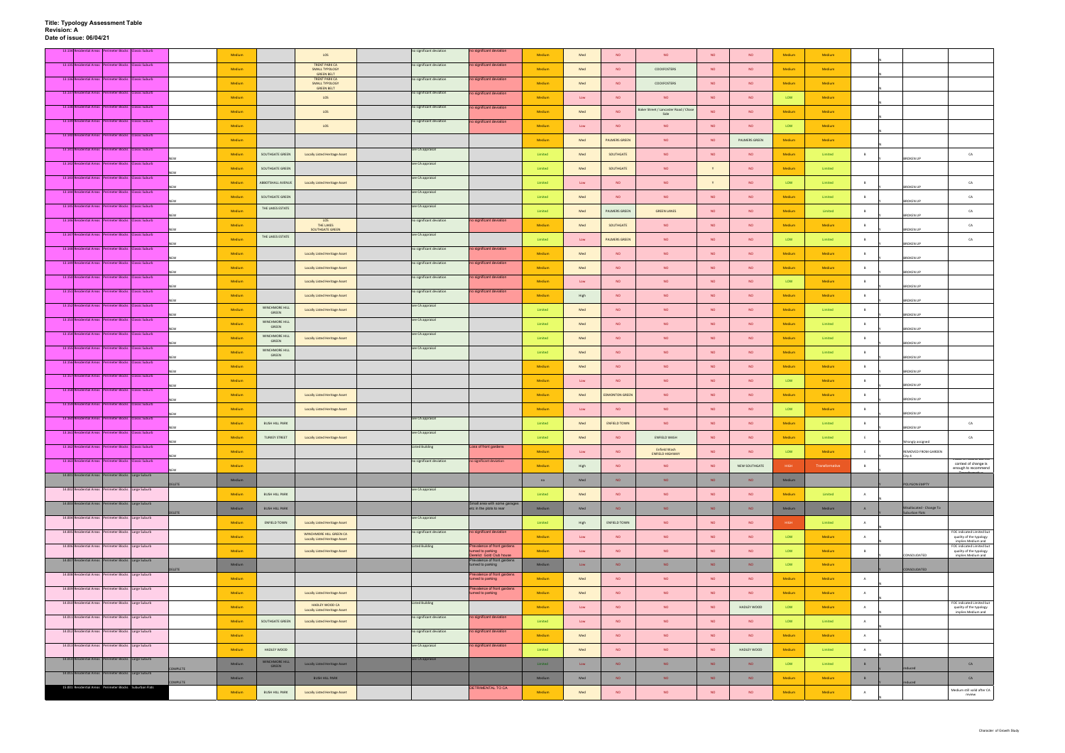| 13.134 Residential Areas Perimeter Blocks Classic Suburb |            | Medium        |                                      | LOS                                                         | no significant deviation | no significant deviation                                                    | Medium  | Med  | <b>NO</b>             | <b>NO</b>                                    | <b>NO</b> | <b>NO</b>     | Medium | Medium         |                |                               |                                                                            |
|----------------------------------------------------------|------------|---------------|--------------------------------------|-------------------------------------------------------------|--------------------------|-----------------------------------------------------------------------------|---------|------|-----------------------|----------------------------------------------|-----------|---------------|--------|----------------|----------------|-------------------------------|----------------------------------------------------------------------------|
| 13.135 Residential Areas Perimeter Blocks Classic Suburb |            |               |                                      | <b>TRENT PARK CA</b>                                        | no significant deviation | no significant deviation                                                    |         |      |                       |                                              |           |               |        |                |                |                               |                                                                            |
| 13.136 Residential Areas Perimeter Blocks Classic Suburb |            | Medium        |                                      | SMALL TYPOLOGY<br><b>GREEN BELT</b><br><b>TRENT PARK CA</b> | no significant deviation | no significant deviation                                                    | Medium  | Med  | <b>NO</b>             | COCKFOSTERS                                  | <b>NO</b> | <b>NO</b>     | Medium | Medium         |                |                               |                                                                            |
|                                                          |            | <b>Medium</b> |                                      | <b>SMALL TYPOLOGY</b><br><b>GREEN BELT</b>                  |                          |                                                                             | Medium  | Med  | <b>NO</b>             | COCKFOSTERS                                  | <b>NO</b> | <b>NO</b>     | Medium | Medium         |                |                               |                                                                            |
| 13.137 Residential Areas Perimeter Blocks Classic Suburb |            | Medium        |                                      | LOS                                                         | no significant deviation | no significant deviation                                                    | Medium  | Low  | <b>NO</b>             | <b>NO</b>                                    | <b>NO</b> | <b>NO</b>     | LOW    | Medium         |                |                               |                                                                            |
| 13.138 Residential Areas Perimeter Blocks Classic Suburb |            | Medium        |                                      | LOS                                                         | no significant deviation | no significant deviation                                                    | Medium  | Med  | <b>NO</b>             | Baker Street / Lancaster Road / Chas<br>Side | <b>NO</b> | <b>NO</b>     | Medium | Medium         |                |                               |                                                                            |
| 13.139 Residential Areas Perimeter Blocks Classic Suburb |            | <b>Medium</b> |                                      | LOS                                                         | no significant deviation | no significant deviation                                                    | Medium  | Low  | <b>NO</b>             | <b>NO</b>                                    | <b>NO</b> | NO            | LOW    | Medium         |                |                               |                                                                            |
| 13.140 Residential Areas Perimeter Blocks Classic Suburb |            | Medium        |                                      |                                                             |                          |                                                                             | Medium  | Med  | <b>PALMERS GREEN</b>  | <b>NO</b>                                    | <b>NO</b> | PALMERS GREEN | Medium | Medium         |                |                               |                                                                            |
| 13.141 Residential Areas Perimeter Blocks Classic Suburb |            |               |                                      |                                                             | see CA appraisal         |                                                                             |         |      |                       |                                              |           |               |        |                |                |                               |                                                                            |
| 13.142 Residential Areas Perimeter Blocks Classic Suburb |            | Medium        | SOUTHGATE GREEN                      | <b>Locally Listed Heritage Asset</b>                        | see CA appraisal         |                                                                             | Limited | Med  | SOUTHGATE             | <b>NO</b>                                    | <b>NO</b> | <b>NO</b>     | Medium | Limited        |                | <b>BROKEN UP</b>              | CA                                                                         |
| 13.143 Residential Areas Perimeter Blocks Classic Suburb |            | Medium        | SOUTHGATE GREEN                      |                                                             | see CA appraisal         |                                                                             | Limited | Med  | SOUTHGATE             | <b>NO</b>                                    |           | <b>NO</b>     | Medium | Limited        |                |                               |                                                                            |
|                                                          |            | Medium        | ABBOTSHALL AVENUE                    | <b>Locally Listed Heritage Asset</b>                        |                          |                                                                             | Limited | Low  | <b>NO</b>             | <b>NO</b>                                    | <b>Y</b>  | <b>NO</b>     | LOW    | Limited        | B              | <b>BROKEN UP</b>              | CA                                                                         |
| 13.144 Residential Areas Perimeter Blocks Classic Suburb |            | Medium        | SOUTHGATE GREEN                      |                                                             | see CA appraisal         |                                                                             | Limited | Med  | <b>NO</b>             | <b>NO</b>                                    | NO.       | <b>NO</b>     | Medium | Limited        |                | <b>BROKEN UP</b>              | CA                                                                         |
| 13.145 Residential Areas Perimeter Blocks Classic Suburb |            | Medium        | THE LAKES ESTATE                     |                                                             | see CA appraisal         |                                                                             | Limited | Med  | PALMERS GREEN         | <b>GREEN LANES</b>                           | <b>NO</b> | <b>NO</b>     | Medium | Limited        |                | <b>BROKEN UP</b>              | CA                                                                         |
| 13.146 Residential Areas Perimeter Blocks Classic Suburb |            | Medium        |                                      | LOS<br>THE LAKES                                            | no significant deviation | no significant deviation                                                    | Medium  | Med  | SOUTHGATE             | <b>NO</b>                                    | <b>NO</b> | <b>NO</b>     | Medium | Medium         | $\mathbf{B}$   |                               | CA                                                                         |
| 13.147 Residential Areas Perimeter Blocks Classic Suburb |            | Medium        | THE LAKES ESTATE                     | SOUTHGATE GREEN                                             | see CA appraisal         |                                                                             | Limited | Low  | <b>PALMERS GREEN</b>  | <b>NO</b>                                    | <b>NO</b> | <b>NO</b>     | LOW    | Limited        | B              | <b>BROKEN UP</b>              | CA.                                                                        |
| 13.148 Residential Areas Perimeter Blocks Classic Suburb |            |               |                                      |                                                             | no significant deviation | no significant deviation                                                    |         |      |                       |                                              |           |               |        |                |                | <b>RROKEN UP</b>              |                                                                            |
| 13.149 Residential Areas Perimeter Blocks Classic Suburb |            | Medium        |                                      | <b>Locally Listed Heritage Asset</b>                        | no significant deviation | no significant deviation                                                    | Medium  | Med  | <b>NO</b>             | <b>NO</b>                                    | <b>NO</b> | <b>NO</b>     | Medium | Medium         | $\mathbf{B}$   | <b>BROKEN UP</b>              |                                                                            |
| 13.150 Residential Areas Perimeter Blocks Classic Suburb |            | Medium        |                                      | <b>Locally Listed Heritage Asset</b>                        |                          |                                                                             | Medium  | Med  | <b>NO</b>             | <b>NO</b>                                    | <b>NO</b> | <b>NO</b>     | Medium | Medium         | B              | <b>BROKEN UP</b>              |                                                                            |
|                                                          |            | Medium        |                                      | <b>Locally Listed Heritage Asset</b>                        | no significant deviation | no significant deviation                                                    | Medium  | Low  | <b>NO</b>             | <b>NO</b>                                    | <b>NO</b> | <b>NO</b>     | LOW    | Medium         | B              | <b>BROKEN UP</b>              |                                                                            |
| 13.151 Residential Areas Perimeter Blocks Classic Suburb |            | Medium        |                                      | <b>Locally Listed Heritage Asset</b>                        | no significant deviation | no significant deviation                                                    | Medium  | High | <b>NO</b>             | <b>NO</b>                                    | <b>NO</b> | <b>NO</b>     | Medium | Medium         | <b>B</b>       | <b>BROKEN UP</b>              |                                                                            |
| 13.152 Residential Areas Perimeter Blocks Classic Suburb |            | Medium        | WINCHMORE HILL<br>GREEN              | <b>Locally Listed Heritage Asset</b>                        | see CA appraisal         |                                                                             | Limited | Med  | <b>NO</b>             | <b>NO</b>                                    | <b>NO</b> | <b>NO</b>     | Medium | Limited        | <b>B</b>       |                               |                                                                            |
| 13.153 Residential Areas Perimeter Blocks Classic Suburb |            | Medium        | WINCHMORE HILL                       |                                                             | see CA appraisal         |                                                                             | Limited | Med  | <b>NO</b>             | <b>NO</b>                                    | <b>NO</b> | <b>NO</b>     | Medium | Limited        | $\overline{B}$ | <b>BROKEN UP</b>              |                                                                            |
| 13.154 Residential Areas Perimeter Blocks Classic Suburb |            | Medium        | GREEN<br><b>WINCHMORE HILL</b>       | <b>Locally Listed Heritage Asset</b>                        | see CA appraisal         |                                                                             | Limited | Med  | <b>NO</b>             | <b>NO</b>                                    | <b>NO</b> | <b>NO</b>     | Medium | Limited        | B              | <b>BROKEN UP</b>              |                                                                            |
| 13.155 Residential Areas Perimeter Blocks Classic Suburb |            |               | GREEN<br>WINCHMORE HILL              |                                                             | see CA appraisal         |                                                                             |         |      |                       |                                              |           |               |        |                |                | <b>BROKEN UP</b>              |                                                                            |
| 13.156 Residential Areas Perimeter Blocks Classic Suburb |            | Medium        | GREEN                                |                                                             |                          |                                                                             | Limited | Med  | <b>NO</b>             | <b>NO</b>                                    | NO.       | <b>NO</b>     | Medium | Limited        |                | ROKEN UP                      |                                                                            |
|                                                          |            | Medium        |                                      |                                                             |                          |                                                                             | Medium  | Med  | <b>NO</b>             | <b>NO</b>                                    | <b>NO</b> | <b>NO</b>     | Medium | Medium         | $\overline{B}$ | <b>BROKEN UP</b>              |                                                                            |
| 13.157 Residential Areas Perimeter Blocks Classic Suburb |            | Medium        |                                      |                                                             |                          |                                                                             | Medium  | Low  | <b>NO</b>             | <b>NO</b>                                    | <b>NO</b> | <b>NO</b>     | LOW    | Medium         | B              | <b>BROKEN UP</b>              |                                                                            |
| 13.158 Residential Areas Perimeter Blocks Classic Suburb |            | <b>Medium</b> |                                      | Locally Listed Heritage Asset                               |                          |                                                                             | Medium  | Med  | <b>EDMONTON GREEN</b> | <b>NO</b>                                    | <b>NO</b> | NO            | Medium | Medium         |                | <b>BROKEN UP</b>              |                                                                            |
| 13.159 Residential Areas Perimeter Blocks Classic Suburb |            | Medium        |                                      | <b>Locally Listed Heritage Asset</b>                        |                          |                                                                             | Medium  | Low  | <b>NO</b>             | <b>NO</b>                                    | <b>NO</b> | <b>NO</b>     | LOW    | Medium         | B              |                               |                                                                            |
| 13.160 Residential Areas Perimeter Blocks Classic Suburb |            | Medium        | <b>BUSH HILL PARK</b>                |                                                             | see CA appraisal         |                                                                             | Limited | Med  | <b>ENFIELD TOWN</b>   | NO                                           | <b>NO</b> | <b>NO</b>     | Medium | Limited        | $\overline{B}$ | <b>BROKEN UP</b>              | CA                                                                         |
| 13.161 Residential Areas Perimeter Blocks Classic Suburb |            | Medium        | <b>TURKEY STREET</b>                 | <b>Locally Listed Heritage Asset</b>                        | see CA appraisal         |                                                                             | Limited | Med  | NO                    | ENFIELD WASH                                 | <b>NO</b> | <b>NO</b>     | Medium | Limited        |                | <b>BROKEN UP</b>              | CA                                                                         |
| 13.162 Residential Areas Perimeter Blocks Classic Suburb | <b>NEW</b> |               |                                      |                                                             | Listed Building          | Loss of front gardens                                                       |         |      |                       | <b>Enfield Wash</b>                          |           |               |        |                |                | Wrongly assigned              |                                                                            |
| 13.163 Residential Areas Perimeter Blocks Classic Suburb |            | Medium        |                                      |                                                             | no significant deviation | no significant deviation                                                    | Medium  | Low  | NO                    | <b>ENFIELD HIGHWAY</b>                       | NO        | NO            | LOW    | Medium         | E              | REMOVED FROM GARDEN<br>City 4 | value is neutral but the                                                   |
|                                                          |            | Medium        |                                      |                                                             |                          |                                                                             | Medium  | High | <b>NO</b>             | <b>NO</b>                                    | <b>NO</b> | NEW SOUTHGATE | HIGH   | Transformative | B              |                               | context of change is<br>enough to recommend                                |
| 14.001 Residential Areas Perimeter Blocks Large Suburb   | DELETE     | Medium        |                                      |                                                             |                          |                                                                             | na      | Med  | NO.                   | NO                                           | <b>NO</b> | <b>NO</b>     | Medium |                |                | POLYGON EMPTY                 |                                                                            |
| 14.002 Residential Areas Perimeter Blocks Large Suburb   |            | Medium        | <b>BUSH HILL PARK</b>                |                                                             | see CA appraisal         |                                                                             | Limited | Med  | <b>NO</b>             | <b>NO</b>                                    | <b>NO</b> | <b>NO</b>     | Medium | Limited        | A              |                               |                                                                            |
| 14.003 Residential Areas Perimeter Blocks Large Suburb   |            | Medium        | <b>BUSH HILL PARK</b>                |                                                             |                          | Small area with some garages<br>etc in the plots to rear                    | Medium  | Med  | NO                    | NO                                           | <b>NO</b> | <b>NO</b>     | Medium | Medium         |                | Misallocated - Change To      |                                                                            |
| 14.004 Residential Areas Perimeter Blocks Large Suburb   | ELETE      | Medium        | ENFIELD TOWN                         | <b>Locally Listed Heritage Asset</b>                        | see CA appraisal         |                                                                             | Limited | High | <b>ENFIELD TOWN</b>   | NO                                           | <b>NO</b> | <b>NO</b>     | HIGH   | Limited        | A              | Suburban Flats                |                                                                            |
| 14.005 Residential Areas Perimeter Blocks Large Suburb   |            | Medium        |                                      | WINCHMORE HILL GREEN CA                                     | no significant deviation | no significant deviation                                                    | Medium  | Low  | NO                    | <b>NO</b>                                    | <b>NO</b> | <b>NO</b>     | LOW    | Medium         | A              |                               | FOC indicated Limited but<br>quality of the typology                       |
| 14.006 Residential Areas Perimeter Blocks Large Suburb   |            |               |                                      | <b>Locally Listed Heritage Asset</b>                        | <b>Listed Building</b>   | revalence of front gardens                                                  |         |      |                       |                                              |           |               |        |                |                |                               | implies Medium and<br>FOC indicated Limited but                            |
| 14.007 Residential Areas Perimeter Blocks Large Suburb   |            | Medium        |                                      | <b>Locally Listed Heritage Asset</b>                        |                          | turned to parking<br>erelict Gold Club house<br>Prevalence of front gardens | Medium  | Low  | NO                    | NO                                           | NO.       | <b>NO</b>     | LOW    | Medium         | B              | CONSOLIDATED                  | quality of the typology<br>implies Medium and                              |
| 14.008 Residential Areas Perimeter Blocks Large Suburb   | DELETE     | Medium        |                                      |                                                             |                          | turned to parking<br>Prevalence of front gardens                            | Medium  | Low  | <b>NO</b>             | NO                                           | <b>NO</b> | <b>NO</b>     | LOW    | Medium         |                | CONSOLIDATED                  |                                                                            |
|                                                          |            | Medium        |                                      |                                                             |                          | turned to parking                                                           | Medium  | Med  | <b>NO</b>             | <b>NO</b>                                    | <b>NO</b> | <b>NO</b>     | Medium | Medium         | A              |                               |                                                                            |
| 14.009 Residential Areas Perimeter Blocks Large Suburb   |            | Medium        |                                      | <b>Locally Listed Heritage Asset</b>                        |                          | Prevalence of front gardens<br>turned to parking                            | Medium  | Med  | NO                    | NO                                           | NO        | <b>NO</b>     | Medium | Medium         | A              |                               |                                                                            |
| 14.010 Residential Areas Perimeter Blocks Large Suburb   |            | Medium        |                                      | HADLEY WOOD CA<br><b>Locally Listed Heritage Asset</b>      | <b>Listed Building</b>   |                                                                             | Medium  | Low  | <b>NO</b>             | <b>NO</b>                                    | <b>NO</b> | HADLEY WOOD   | LOW    | Medium         | A              |                               | FOC indicated Limited but<br>quality of the typology<br>implies Medium and |
| 14.011 Residential Areas Perimeter Blocks Large Suburb   |            | Medium        | SOUTHGATE GREEN                      | <b>Locally Listed Heritage Asset</b>                        | no significant deviation | no significant deviation                                                    | Limited | Low  | <b>NO</b>             | <b>NO</b>                                    | <b>NO</b> | <b>NO</b>     | LOW    | Limited        | A              |                               |                                                                            |
| 14.012 Residential Areas Perimeter Blocks Large Suburb   |            | Medium        |                                      |                                                             | no significant deviation | no significant deviation                                                    | Medium  | Med  | <b>NO</b>             | NO                                           | <b>NO</b> | <b>NO</b>     | Medium | Medium         | A              |                               |                                                                            |
| 14.013 Residential Areas Perimeter Blocks Large Suburb   |            |               |                                      |                                                             | see CA appraisal         | no significant deviation                                                    |         |      |                       |                                              |           |               |        |                |                |                               |                                                                            |
| 14.014 Residential Areas Perimeter Blocks Large Suburb   |            | Medium        | HADLEY WOOD<br><b>WINCHMORE HILL</b> |                                                             | see CA appraisal         |                                                                             | Limited | Med  | NO                    | NO                                           | <b>NO</b> | HADLEY WOOD   | Medium | Limited        | $\overline{A}$ |                               |                                                                            |
| 14.015 Residential Areas Perimeter Blocks Large Suburb   | COMPLETE   | Medium        | GREEN                                | Locally Listed Heritage Asset                               |                          |                                                                             | Limited | Low  | <b>NO</b>             | <b>NO</b>                                    | <b>NO</b> | <b>NO</b>     | LOW    | Limited        | B              | educed                        | CA                                                                         |
|                                                          | OMPLETE    | Medium        |                                      | <b>BUSH HILL PARK</b>                                       |                          |                                                                             | Medium  | Med  | <b>NO</b>             | NO                                           | <b>NO</b> | <b>NO</b>     | Medium | Medium         | B              | duced                         | CA                                                                         |
| 15.001 Residential Areas Perimeter Blocks Suburban Flats |            | Medium        | <b>BUSH HILL PARK</b>                | <b>Locally Listed Heritage Asset</b>                        |                          | DETRIMENTAL TO CA                                                           | Medium  | Med  | NO                    | <b>NO</b>                                    | NO        | <b>NO</b>     | Medium | Medium         | A              |                               | Medium still valid after CA<br>review                                      |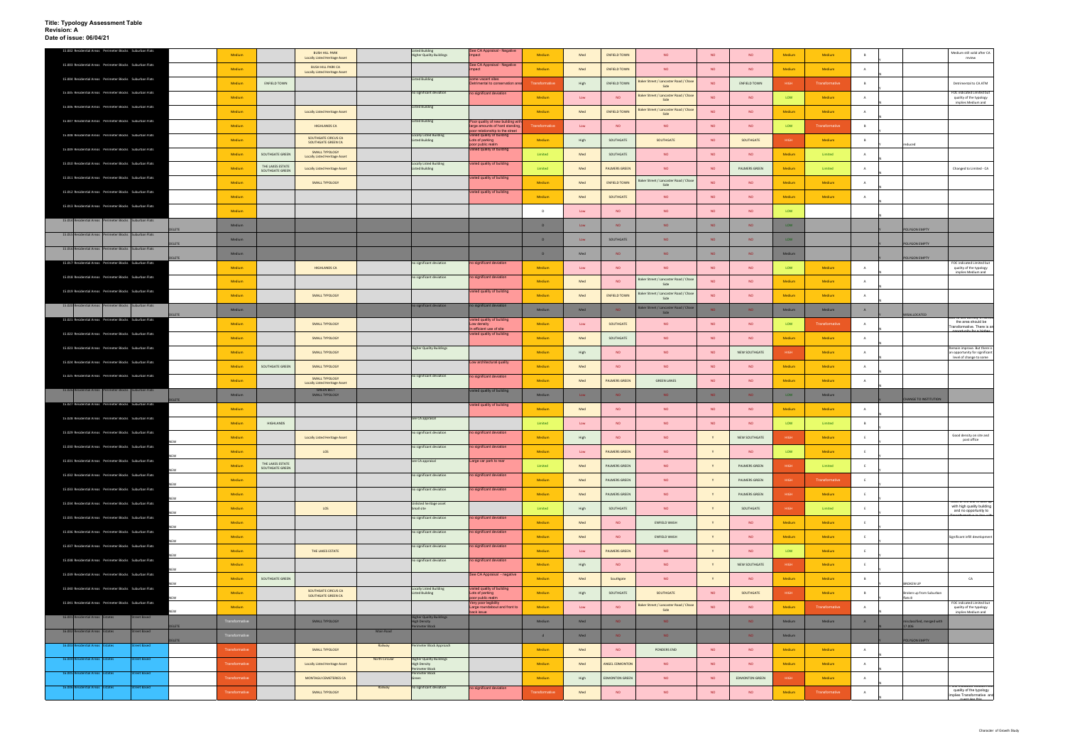| 15.002 Residential Areas Perimeter Blocks Suburban Flats                 |                      |                                     | <b>BUSH HILL PARK</b>                                            |                       | <b>Listed Building</b>                                                  | See CA Appraisal - Negative                                                                  |                |             |                       |                                               |           |                       |        |                       |                |                                    | Medium still valid after CA                                                |
|--------------------------------------------------------------------------|----------------------|-------------------------------------|------------------------------------------------------------------|-----------------------|-------------------------------------------------------------------------|----------------------------------------------------------------------------------------------|----------------|-------------|-----------------------|-----------------------------------------------|-----------|-----------------------|--------|-----------------------|----------------|------------------------------------|----------------------------------------------------------------------------|
| 15.003 Residential Areas Perimeter Blocks Suburban Flats                 | Medium               |                                     | <b>Locally Listed Heritage Asset</b>                             |                       | <b>Higher Quality Buildings</b>                                         | mpact<br>See CA Appraisal - Negative                                                         | Medium         | Med         | <b>ENFIELD TOWN</b>   | <b>NO</b>                                     | <b>NO</b> | <b>NO</b>             | Medium | Medium                |                |                                    | review                                                                     |
|                                                                          | Medium               |                                     | <b>BUSH HILL PARK CA</b><br><b>Locally Listed Heritage Asset</b> |                       |                                                                         |                                                                                              | Medium         | Med         | <b>ENFIELD TOWN</b>   | <b>NO</b>                                     | <b>NO</b> | <b>NO</b>             | Medium | Medium                | A              |                                    |                                                                            |
| 15.004 Residential Areas Perimeter Blocks Suburban Flats                 | Medium               | ENFIELD TOWN                        |                                                                  |                       | isted Building                                                          | some vacant sites<br>etrimental to conservation are                                          | Transformative | High        | <b>ENFIELD TOWN</b>   | Baker Street / Lancaster Road / Chas<br>Side  | <b>NO</b> | <b>ENFIELD TOWN</b>   | HIGH   | <b>Transformative</b> | B              |                                    | Detrimental to CA ATM                                                      |
| 15.005 Residential Areas Perimeter Blocks Suburban Flats                 | Medium               |                                     |                                                                  |                       | no significant deviation                                                | no significant deviation                                                                     | Medium         | Low         | <b>NO</b>             | Baker Street / Lancaster Road / Chase<br>Side | <b>NO</b> | <b>NO</b>             | LOW    | Medium                | A              |                                    | FOC indicated Limited but<br>quality of the typology                       |
| 15.006 Residential Areas Perimeter Blocks Suburban Flats                 | Medium               |                                     | <b>Locally Listed Heritage Asset</b>                             |                       | <b>Listed Building</b>                                                  |                                                                                              | Medium         | Med         | <b>ENFIELD TOWN</b>   | Baker Street / Lancaster Road / Chas          | <b>NO</b> | NO.                   | Medium | Medium                | A              |                                    | implies Medium and                                                         |
| 15.007 Residential Areas Perimeter Blocks Suburban Flats                 |                      |                                     |                                                                  |                       | isted Building                                                          | oor quality of new building wit                                                              |                |             |                       | Side                                          |           |                       |        |                       |                |                                    |                                                                            |
| 15.008 Residential Areas Perimeter Blocks Suburban Flats                 | Medium               |                                     | <b>HIGHLANDS CA</b>                                              |                       | <b>Locally Listed Building</b>                                          | arge amounts of hard standing<br>oor relationship to the street<br>aried quality of building | ansformative   | Low         | <b>NO</b>             | <b>NO</b>                                     | <b>NO</b> | <b>NO</b>             | LOW    | Transformative        | B              |                                    |                                                                            |
|                                                                          | Medium               |                                     | SOUTHGATE CIRCUS CA<br>SOUTHGATE GREEN CA                        |                       | Listed Building                                                         | Lots of parking<br>oor public realm                                                          | Medium         | High        | SOUTHGATE             | SOUTHGATE                                     | <b>NO</b> | SOUTHGATE             | HIGH   | Medium                | B              | reduced                            |                                                                            |
| 15.009 Residential Areas Perimeter Blocks Suburban Flats                 | Medium               | SOUTHGATE GREEN                     | SMALL TYPOLOGY<br><b>Locally Listed Heritage Asset</b>           |                       |                                                                         | varied quality of building                                                                   | Limited        | Med         | SOUTHGATE             | <b>NO</b>                                     | <b>NO</b> | <b>NO</b>             | Medium | Limited               | $\overline{A}$ |                                    |                                                                            |
| 15.010 Residential Areas Perimeter Blocks Suburban Flats                 | Medium               | THE LAKES ESTATE<br>SOUTHGATE GREEN | <b>Locally Listed Heritage Asset</b>                             |                       | <b>Locally Listed Building</b><br><b>Listed Building</b>                | varied quality of building                                                                   | Limited        | Med         | <b>PALMERS GREEN</b>  | <b>NO</b>                                     | <b>NO</b> | PALMERS GREEN         | Medium | Limited               |                |                                    | Changed to Limited - CA                                                    |
| 15.011 Residential Areas Perimeter Blocks Suburban Flats                 | Medium               |                                     | SMALL TYPOLOGY                                                   |                       |                                                                         | varied quality of building                                                                   | Medium         | Med         | <b>ENFIELD TOWN</b>   | Baker Street / Lancaster Road / Chas          | <b>NO</b> | <b>NO</b>             | Medium | Medium                | A              |                                    |                                                                            |
| 15.012 Residential Areas Perimeter Blocks Suburban Flats                 |                      |                                     |                                                                  |                       |                                                                         | varied quality of building                                                                   |                |             |                       | Side                                          |           |                       |        |                       |                |                                    |                                                                            |
| 15.013 Residential Areas Perimeter Blocks Suburban Flats                 | Medium               |                                     |                                                                  |                       |                                                                         |                                                                                              | Medium         | Med         | SOUTHGATE             | <b>NO</b>                                     | <b>NO</b> | <b>NO</b>             | Medium | Medium                | A              |                                    |                                                                            |
|                                                                          | Medium               |                                     |                                                                  |                       |                                                                         |                                                                                              | D              | Low         | <b>NO</b>             | <b>NO</b>                                     | <b>NO</b> | <b>NO</b>             | LOW    |                       |                |                                    |                                                                            |
| 15.014 Residential Areas Perimeter Blocks Suburban Flats<br><b>ELETE</b> | Medium               |                                     |                                                                  |                       |                                                                         |                                                                                              | D              | Low         | <b>NO</b>             | NO.                                           | <b>NO</b> | <b>NO</b>             | LOW    |                       |                | POLYGON EMPTY                      |                                                                            |
| 15.015 Residential Areas Perimeter Blocks Suburban Flats                 | Medium               |                                     |                                                                  |                       |                                                                         |                                                                                              | D              | Low         | SOUTHGATE             | NO.                                           | <b>NO</b> | NO.                   | LOW    |                       |                |                                    |                                                                            |
| ELETE<br>15.016 Residential Areas Perimeter Blocks Suburban Flats        | Medium               |                                     |                                                                  |                       |                                                                         |                                                                                              | D              | Med         | <b>NO</b>             | NO.                                           | <b>NO</b> | NO.                   | Medium |                       |                | POLYGON EMPTY                      |                                                                            |
| <b>FTF</b><br>15.017 Residential Areas Perimeter Blocks Suburban Flats   |                      |                                     |                                                                  |                       | no significant deviation                                                | no significant deviation                                                                     |                |             |                       |                                               |           |                       |        |                       |                | <b>POLYGON EMPTY</b>               | FOC indicated Limited bu                                                   |
| 15.018 Residential Areas Perimeter Blocks Suburban Flats                 | Medium               |                                     | <b>HIGHLANDS CA</b>                                              |                       | no significant deviation                                                | o significant deviation                                                                      | Medium         | Low         | <b>NO</b>             | <b>NO</b>                                     | <b>NO</b> | <b>NO</b>             | LOW    | Medium                |                |                                    | quality of the typology<br>implies Medium and                              |
|                                                                          | Medium               |                                     |                                                                  |                       |                                                                         |                                                                                              | Medium         | Med         | NO.                   | Baker Street / Lancaster Road / Chas<br>Side  | <b>NO</b> | <b>NO</b>             | Medium | Medium                | $\overline{A}$ |                                    |                                                                            |
| 15.019 Residential Areas Perimeter Blocks Suburban Flats                 | Medium               |                                     | SMALL TYPOLOGY                                                   |                       |                                                                         | varied quality of building                                                                   | Medium         | Med         | <b>ENFIELD TOWN</b>   | Baker Street / Lancaster Road / Chase<br>Side | <b>NO</b> | <b>NO</b>             | Medium | Medium                |                |                                    |                                                                            |
| 15.020 Residential Areas Perimeter Blocks Suburban Flats                 | Medium               |                                     |                                                                  |                       | no significant deviation                                                | no significant deviation                                                                     | Medium         | Med         | NO.                   | Baker Street / Lancaster Road / Chas<br>Side  | NO.       | NO.                   | Medium | Medium                | A              |                                    |                                                                            |
| LETE<br>15.021 Residential Areas Perimeter Blocks Suburban Flats         | Medium               |                                     | SMALL TYPOLOGY                                                   |                       |                                                                         | varied quality of building<br>Low density                                                    | Medium         | Low         | SOUTHGATE             | <b>NO</b>                                     | <b>NO</b> | <b>NO</b>             | LOW    | Transformative        | A              | MISALLOCATED                       | the area should be                                                         |
| 15.022 Residential Areas Perimeter Blocks Suburban Flats                 |                      |                                     |                                                                  |                       |                                                                         | In efficient use of site<br>varied quality of building                                       |                |             |                       |                                               |           |                       |        |                       |                |                                    | Transformative. There is ar                                                |
| 15.023 Residential Areas Perimeter Blocks Suburban Flats                 | Medium               |                                     | SMALL TYPOLOGY                                                   |                       | <b>Higher Quality Buildings</b>                                         |                                                                                              | Medium         | Med         | SOUTHGATE             | <b>NO</b>                                     | <b>NO</b> | NO.                   | Medium | Medium                | A              |                                    | Remain improve. But there is                                               |
|                                                                          | Medium               |                                     | SMALL TYPOLOGY                                                   |                       |                                                                         |                                                                                              | Medium         | High        | <b>NO</b>             | <b>NO</b>                                     | <b>NO</b> | NEW SOUTHGATE         | HIGH   | Medium                | A              |                                    | n opportunity for significant<br>level of change to some                   |
| 15.024 Residential Areas Perimeter Blocks Suburban Flats                 | Medium               | SOUTHGATE GREEN                     | SMALL TYPOLOGY                                                   |                       |                                                                         | Low architectural quality                                                                    | Medium         | Med         | <b>NO</b>             | <b>NO</b>                                     | <b>NO</b> | <b>NO</b>             | Medium | Medium                | A              |                                    |                                                                            |
| 15.025 Residential Areas Perimeter Blocks Suburban Flats                 | Medium               |                                     | SMALL TYPOLOGY<br><b>Locally Listed Heritage Asset</b>           |                       | no significant deviation                                                | o significant deviation                                                                      | Medium         | Med         | <b>PALMERS GREEN</b>  | <b>GREEN LANES</b>                            | <b>NO</b> | <b>NO</b>             | Medium | Medium                | A              |                                    |                                                                            |
| 15.026 Residential Areas Perimeter Blocks Suburban Flats                 | Medium               |                                     | <b>GREEN BELT</b><br>SMALL TYPOLOGY                              |                       |                                                                         | varied quality of building                                                                   | Medium         | Low         | NO.                   | NO.                                           | NO        | NO.                   | LOW    | Medium                |                |                                    |                                                                            |
| LETE<br>15.027 Residential Areas Perimeter Blocks Suburban Flats         | Medium               |                                     |                                                                  |                       |                                                                         | varied quality of building                                                                   | Medium         | Med         | <b>NO</b>             | <b>NO</b>                                     | <b>NO</b> | <b>NO</b>             | Medium | Medium                | A              | <b>CHANGE TO INSTITUTION</b>       |                                                                            |
| 15.028 Residential Areas Perimeter Blocks Suburban Flats                 |                      |                                     |                                                                  |                       | see CA appraisal                                                        |                                                                                              |                |             |                       |                                               |           |                       |        |                       |                |                                    |                                                                            |
| 15.029 Residential Areas Perimeter Blocks Suburban Flats                 | Medium               | <b>HIGHLANDS</b>                    |                                                                  |                       | no significant deviation                                                | o significant deviation                                                                      | Limited        | Low         | <b>NO</b>             | <b>NO</b>                                     | <b>NO</b> | <b>NO</b>             | LOW    | Limited               | B              |                                    |                                                                            |
| NEW                                                                      | Medium               |                                     | Locally Listed Heritage Asset                                    |                       |                                                                         |                                                                                              | Medium         | High        | <b>NO</b>             | <b>NO</b>                                     | Y         | NEW SOUTHGATE         | HIGH   | Medium                | E              |                                    | Good density on site and<br>post office                                    |
| 15.030 Residential Areas Perimeter Blocks Suburban Flats                 | Medium               |                                     | LOS                                                              |                       | no significant deviation                                                | no significant deviation                                                                     | Medium         | Low         | <b>PALMERS GREEN</b>  | <b>NO</b>                                     | Y         | <b>NO</b>             | LOW    | Medium                |                |                                    |                                                                            |
| 15.031 Residential Areas Perimeter Blocks Suburban Flats                 | Medium               | THE LAKES ESTATE<br>SOUTHGATE GREEN |                                                                  |                       | see CA appraisal                                                        | Large car park to rear                                                                       | Limited        | Med         | PALMERS GREEN         | <b>NO</b>                                     | Y         | PALMERS GREEN         | HIGH   | Limited               |                |                                    |                                                                            |
| NEW<br>15.032 Residential Areas Perimeter Blocks Suburban Flats          | Medium               |                                     |                                                                  |                       | no significant deviation                                                | o significant deviation                                                                      | Medium         | Med         | PALMERS GREEN         | <b>NO</b>                                     | Y         | PALMERS GREEN         | HIGH   | Transformative        | E              |                                    |                                                                            |
| NEW<br>15.033 Residential Areas Perimeter Blocks Suburban Flats          |                      |                                     |                                                                  |                       | no significant deviation                                                | o significant deviation                                                                      |                |             |                       |                                               |           |                       |        |                       | E              |                                    |                                                                            |
| 15.034 Residential Areas Perimeter Blocks Suburban Flats                 | Medium               |                                     |                                                                  |                       | <b>Jnlisted heritage asset</b>                                          |                                                                                              | Medium         | Med         | PALMERS GREEN         | <b>NO</b>                                     | Y         | PALMERS GREEN         | HIGH   | Medium                |                |                                    | wost or the site is take ut                                                |
| NEW<br>15.035 Residential Areas Perimeter Blocks Suburban Flats          | Medium               |                                     | LOS                                                              |                       | Small site                                                              |                                                                                              | Limited        | High        | SOUTHGATE             | <b>NO</b>                                     | Y         | SOUTHGATE             | HIGH   | Limited               | E              |                                    | with high quality building<br>and no opportunity to                        |
| NEW                                                                      | Medium               |                                     |                                                                  |                       | no significant deviation                                                | o significant deviation                                                                      | Medium         | Med         | <b>NO</b>             | <b>ENFIELD WASH</b>                           | Y         | <b>NO</b>             | Medium | Medium                | E              |                                    |                                                                            |
| 15.036 Residential Areas Perimeter Blocks Suburban Flats<br>NEW          | Medium               |                                     |                                                                  |                       | no significant deviation                                                | o significant deviation                                                                      | Medium         | Med         | NO                    | ENFIELD WASH                                  |           | NO.                   | Medium | Medium                | E              |                                    | Significant infill development                                             |
| 15.037 Residential Areas Perimeter Blocks Suburban Flats                 | Medium               |                                     | THE LAKES ESTATE                                                 |                       | no significant deviation                                                | o significant deviation                                                                      | Medium         | Low         | <b>PALMERS GREEN</b>  | <b>NO</b>                                     | Y         | <b>NO</b>             | LOW    | Medium                | E              |                                    |                                                                            |
| NEW<br>15.038 Residential Areas Perimeter Blocks Suburban Flats          | Medium               |                                     |                                                                  |                       | no significant deviation                                                | o significant deviation                                                                      | Medium         | High        | <b>NO</b>             | <b>NO</b>                                     | Y         | NEW SOUTHGATE         | HIGH   | Medium                | E              |                                    |                                                                            |
| NEW<br>15.039 Residential Areas Perimeter Blocks Suburban Flats          |                      |                                     |                                                                  |                       |                                                                         | See CA Appraisal - negative                                                                  |                |             |                       |                                               |           |                       |        |                       |                |                                    |                                                                            |
| NEW<br>15,040 Residential Areas Perimeter Blocks Suburban Flats          | Medium               | SOUTHGATE GREEN                     |                                                                  |                       | <b>Locally Listed Building</b>                                          | varied quality of building                                                                   | Medium         | Med         | Southgate             | <b>NO</b>                                     |           | <b>NO</b>             | Medium | Medium                | B              | <b>BROKEN UP</b>                   | CA                                                                         |
| NEW                                                                      | Medium               |                                     | SOUTHGATE CIRCUS CA<br>SOUTHGATE GREEN CA                        |                       | Listed Building                                                         | Lots of parking<br>oor public realm                                                          | Medium         | High        | SOUTHGATE             | SOUTHGATE                                     | <b>NO</b> | SOUTHGATE             | HIGH   | Medium                | B              | Broken up from Suburban<br>flats 8 |                                                                            |
| 15.041 Residential Areas Perimeter Blocks Suburban Flats<br>NFW          | Medium               |                                     |                                                                  |                       |                                                                         | ery poor legibility<br>Large roundabout and front to<br>ack issue                            | Medium         | ${\sf Low}$ | <b>NO</b>             | Baker Street / Lancaster Road / Chase<br>Side | <b>NO</b> | <b>NO</b>             | Medium | Transformative        | A              |                                    | FOC indicated Limited but<br>quality of the typology<br>implies Medium and |
| treet Based<br>16.001 Residential Areas Estates<br><b>ELETE</b>          | Transformative       |                                     | SMALL TYPOLOGY                                                   |                       | <b>Higher Quality Buildings</b><br><b>High Density</b><br>rimeter Block |                                                                                              | Medium         | Med         | NO.                   | NO.                                           |           | <b>NO</b>             | Medium | Medium                | A              | sclassified, merged with<br>7.006  |                                                                            |
| reet Based<br>16.002 Residential Areas Estates                           | <b>ransformative</b> |                                     |                                                                  | Main Road             |                                                                         |                                                                                              | d              | Med         | NO.                   | NO                                            |           | <b>NO</b>             | Medium |                       |                |                                    |                                                                            |
| <b>LETE</b><br>16.003 Residential Areas Estates<br>reet Based            | Transformative       |                                     | SMALL TYPOLOGY                                                   | Railway               | rimeter Block Approach                                                  |                                                                                              | Medium         | Med         | <b>NO</b>             | PONDERS END                                   | <b>NO</b> | <b>NO</b>             | Medium | Medium                | A              | <b>OLYGON EMPTY</b>                |                                                                            |
| <b>Street Based</b><br>16.004 Residential Areas Estates                  |                      |                                     |                                                                  | <b>North Circular</b> | <b>Higher Quality Buildings</b>                                         |                                                                                              |                |             |                       |                                               |           |                       |        |                       |                |                                    |                                                                            |
| 16.005 Residential Areas Estates<br>treet Based                          | Transformative       |                                     | <b>Locally Listed Heritage Asset</b>                             |                       | <b>High Density</b><br>Perimeter Block<br>erimeter Block                |                                                                                              | Medium         | Med         | <b>ANGEL EDMONTON</b> | <b>NO</b>                                     | <b>NO</b> | NO.                   | Medium | Medium                | $\overline{A}$ |                                    |                                                                            |
|                                                                          | Transformative       |                                     | MONTAGU CEMETERIES CA                                            |                       | Green                                                                   |                                                                                              | Medium         | High        | <b>EDMONTON GREEN</b> | <b>NO</b>                                     | <b>NO</b> | <b>EDMONTON GREEN</b> | HIGH   | Medium                |                |                                    | <b>C. BRICARDO MAR</b>                                                     |
| 16.006 Residential Areas Estates<br>treet Based                          | Transformative       |                                     | SMALL TYPOLOGY                                                   | Railway               | o significant deviation                                                 | no significant deviation                                                                     | Transformative | Med         | <b>NO</b>             | <b>NO</b>                                     | <b>NO</b> | <b>NO</b>             | Medium | Transformative        | A              |                                    | quality of the typology<br>implies Transformative and                      |
|                                                                          |                      |                                     |                                                                  |                       |                                                                         |                                                                                              |                |             |                       |                                               |           |                       |        |                       |                |                                    |                                                                            |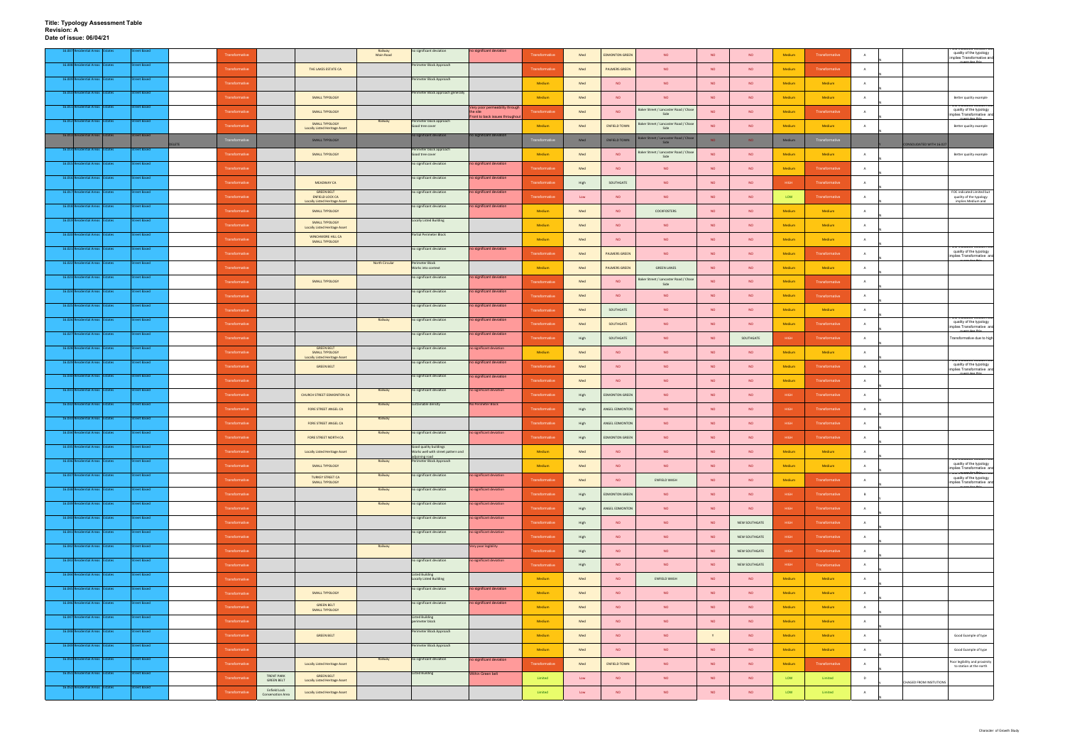**Title: Typology Assessment Table Revision: A Date of issue: 06/04/21**

|                                      |                | itreet Based        | Transformative |                                                 |                                                                             | Railway<br>Main Road | no significant deviation                                     | no significant deviation                   | Transformative | Med            | <b>EDMONTON GREEN</b> | <b>NO</b>                                                  | <b>NO</b> | <b>NO</b>     | Medium      | Transformative        |                |                                       | quality of the typology<br>implies Transformative and                                        |
|--------------------------------------|----------------|---------------------|----------------|-------------------------------------------------|-----------------------------------------------------------------------------|----------------------|--------------------------------------------------------------|--------------------------------------------|----------------|----------------|-----------------------|------------------------------------------------------------|-----------|---------------|-------------|-----------------------|----------------|---------------------------------------|----------------------------------------------------------------------------------------------|
| 16.008 Residential Areas Estates     |                | <b>Street Based</b> | Transformative |                                                 | THE LAKES ESTATE CA                                                         |                      | Perimeter Block Approach                                     |                                            | Transformative | Med            | <b>PALMERS GREEN</b>  | <b>NO</b>                                                  | <b>NO</b> | <b>NO</b>     | Medium      | Transformative        |                |                                       |                                                                                              |
| 16.009 Resi<br>dential Areas         | <b>Estates</b> | Street Based        | Transformative |                                                 |                                                                             |                      | Perimeter Block Approach                                     |                                            | Medium         | Med            | <b>NO</b>             | <b>NO</b>                                                  | NO        | <b>NO</b>     | Medium      | Medium                | A              |                                       |                                                                                              |
| 16.010 Residential Areas Estates     |                | <b>Street Based</b> | Transformative |                                                 | SMALL TYPOLOGY                                                              |                      | Perimeter Block approach generally                           |                                            | Medium         | Med            | <b>NO</b>             | <b>NO</b>                                                  | <b>NO</b> | <b>NO</b>     | Medium      | Medium                | A              |                                       | Better quality example                                                                       |
| 16.011 Residential Areas Estates     |                | <b>Street Based</b> | Transformativ  |                                                 | SMALL TYPOLOGY                                                              |                      |                                                              | Very poor permeability througl<br>the site | Transformative | Med            | <b>NO</b>             | Baker Street / Lancaster Road / Chase<br>Side              | <b>NO</b> | <b>NO</b>     | Medium      | Transformative        |                |                                       | quality of the typology<br>implies Transformative and                                        |
| 16.012 Residential Areas Estates     |                | <b>Street Based</b> | Transformative |                                                 | SMALL TYPOLOGY<br><b>Locally Listed Heritage Asset</b>                      | Railway              | Perimeter block approach<br>Good tree cover                  | Front to back issues througho              | Medium         | Med            | <b>ENFIELD TOWN</b>   | Baker Street / Lancaster Road / Chase<br>Side              | <b>NO</b> | <b>NO</b>     | Medium      | Medium                | $\mathbf{A}$   |                                       | Better quality example                                                                       |
| 16.013 Residential Areas Estates     |                | <b>Street Based</b> | Transformative |                                                 | SMALL TYPOLOGY                                                              |                      | no significant deviation                                     | no significant deviation                   | Transformativ  | Med            | <b>ENFIELD TOWN</b>   | Baker Street / Lancaster Road / Chase<br>Side              | NO.       | NO            | Medium      | Transformative        |                |                                       |                                                                                              |
| 16.014 Residential Areas Estates     |                | street Based        | Transformative |                                                 | SMALL TYPOLOGY                                                              |                      | Perimeter block approach<br>Good tree cover                  |                                            | Medium         | Med            | <b>NO</b>             | Baker Street / Lancaster Road / Chase                      | <b>NO</b> | <b>NO</b>     | Medium      | Medium                | A              | CONSOLIDATED WITH 16.027              | Better quality example                                                                       |
| 16.015 Residential Areas Estates     |                | <b>Street Based</b> | Transformative |                                                 |                                                                             |                      | no significant deviation                                     | no significant deviation                   | Transformative | Med            | <b>NO</b>             | Side<br><b>NO</b>                                          | <b>NO</b> | <b>NO</b>     | Medium      | Transformative        | $\mathbf{A}$   |                                       |                                                                                              |
| 16.016 Residential Areas Estates     |                | <b>Street Based</b> | Transformative |                                                 | MEADWAY CA                                                                  |                      | no significant deviation                                     | o significant deviation                    | Transformative | High           | SOUTHGATE             | <b>NO</b>                                                  | <b>NO</b> | <b>NO</b>     | HIGH        | Transformative        |                |                                       |                                                                                              |
| 16.017 Residential Areas Estates     |                | <b>Street Based</b> | Transformativ  |                                                 | <b>GREEN BELT</b><br><b>ENFIELD LOCK CA</b>                                 |                      | no significant deviation                                     | no significant deviation                   | Transformative | $\mathsf{Low}$ | <b>NO</b>             | <b>NO</b>                                                  | <b>NO</b> | <b>NO</b>     | LOW         | <b>Fransformative</b> | A              |                                       | FOC indicated Limited but<br>quality of the typology                                         |
| 16.018 Residential Areas Estates     |                | <b>Street Based</b> | Transformative |                                                 | <b>Locally Listed Heritage Asset</b><br>SMALL TYPOLOGY                      |                      | no significant deviation                                     | no significant deviation                   | Medium         | Med            | NO.                   | COCKFOSTERS                                                | <b>NO</b> | <b>NO</b>     | Medium      | Medium                | A              |                                       | implies Medium and                                                                           |
| 16.019 Residential Areas Estates     |                | <b>Street Based</b> | Transformative |                                                 | SMALL TYPOLOGY                                                              |                      | <b>Locally Listed Building</b>                               |                                            | Medium         | Med            | <b>NO</b>             | <b>NO</b>                                                  | <b>NO</b> | <b>NO</b>     | Medium      | Medium                |                |                                       |                                                                                              |
| 16.020 Residential Areas             | states         | <b>Street Based</b> |                |                                                 | <b>Locally Listed Heritage Asset</b><br>WINCHMORE HILL CA                   |                      | Partial Perimeter Block                                      |                                            | Medium         |                | <b>NO</b>             | NO                                                         | NO        |               | Medium      | Medium                | A              |                                       |                                                                                              |
| 16.021 Residential Areas Estates     |                | <b>Street Based</b> | Transformative |                                                 | SMALL TYPOLOGY                                                              |                      | no significant deviation                                     | no significant deviation                   |                | Med            |                       |                                                            |           | <b>NO</b>     |             |                       |                |                                       | quality of the typology                                                                      |
| 16.022 Residential Areas Estates     |                | <b>Street Based</b> | Transformativ  |                                                 |                                                                             | North Circular       | <b>Perimeter Block</b>                                       |                                            | Transformative | Med            | <b>PALMERS GREEN</b>  | <b>NO</b>                                                  | <b>NO</b> | <b>NO</b>     | Medium      | Transformative        |                |                                       | mplies Transformative and                                                                    |
| 16.023 Residential Areas Estates     |                | <b>Street Based</b> | Transformative |                                                 |                                                                             |                      | Works into context<br>no significant deviation               | no significant deviation                   | Medium         | Med            | <b>PALMERS GREEN</b>  | <b>GREEN LANES</b><br>Baker Street / Lancaster Road / Chas | <b>NO</b> | <b>NO</b>     | Medium      | Medium                | A              |                                       |                                                                                              |
| 16.024 Resi<br>dential Areas Estates |                | <b>Street Based</b> | Transformative |                                                 | SMALL TYPOLOGY                                                              |                      | no significant deviation                                     | no significant deviation                   | Transformative | Med            | <b>NO</b>             | Side                                                       | <b>NO</b> | <b>NO</b>     | Medium      | Transformative        |                |                                       |                                                                                              |
| 16.025 Residential Areas Estates     |                | Street Based        | Transformative |                                                 |                                                                             |                      | no significant deviation                                     | to significant deviation                   | Transformative | Med            | <b>NO</b>             | <b>NO</b>                                                  | <b>NO</b> | <b>NO</b>     | Medium      | Transformative        | A              |                                       |                                                                                              |
| 16.026 Residential Areas Estates     |                | <b>Street Based</b> | Transformative |                                                 |                                                                             | Railway              | no significant deviation                                     | no significant deviation                   | Transformative | Med            | SOUTHGATE             | <b>NO</b>                                                  | <b>NO</b> | <b>NO</b>     | Medium      | Medium                | A              |                                       |                                                                                              |
|                                      |                |                     | Transformative |                                                 |                                                                             |                      |                                                              |                                            | Transformative | Med            | SOUTHGATE             | <b>NO</b>                                                  | <b>NO</b> | <b>NO</b>     | Medium      | Transformative        |                |                                       | quality of the typology<br>implies Transformative and                                        |
| 16.027 Residential Areas Estates     |                | <b>Street Based</b> | Transformative |                                                 |                                                                             |                      | no significant deviation                                     | o significant deviation                    | Transformative | High           | SOUTHGATE             | NO                                                         | NO        | SOUTHGATE     | HIGH        | Transformative        | A              |                                       | Transformative due to high                                                                   |
| 16.028 Residential Areas Estates     |                | <b>Street Based</b> | Transformative |                                                 | <b>GREEN BELT</b><br><b>SMALL TYPOLOGY</b><br>Locally Listed Heritage Asset |                      | no significant deviation                                     | to significant deviation                   | Medium         | Med            | <b>NO</b>             | <b>NO</b>                                                  | <b>NO</b> | <b>NO</b>     | Medium      | Medium                | A              |                                       | OC muicated iwedian                                                                          |
| 16.029 Residential Areas Estates     |                | <b>Street Based</b> | Transformative |                                                 | <b>GREEN BELT</b>                                                           |                      | no significant deviation                                     | no significant deviation                   | Transformative | Med            | <b>NO</b>             | <b>NO</b>                                                  | <b>NO</b> | <b>NO</b>     | Medium      | Transformative        | A              |                                       | quality of the typology<br>implies Transformative and                                        |
| 16.030 Residential Areas Estates     |                | Street Based        | Transformative |                                                 |                                                                             |                      | no significant deviation                                     | o significant deviation                    | Transformative | Med            | <b>NO</b>             | <b>NO</b>                                                  | <b>NO</b> | <b>NO</b>     | Medium      | Transformative        |                |                                       |                                                                                              |
| 16.031 Res<br>dential Areas Estates  |                | treet Based         | Transformative |                                                 | CHURCH STREET EDMONTON CA                                                   | Railway              | no significant deviation                                     | no significant deviation                   | Transformative | High           | <b>EDMONTON GREEN</b> | <b>NO</b>                                                  | <b>NO</b> | <b>NO</b>     | HIGH        | Transformative        | A              |                                       |                                                                                              |
| 16.032 Residential Areas Estates     |                | <b>Street Based</b> | Transformative |                                                 | FORE STREET ANGEL CA                                                        | Railway              | sustainable density                                          | No Perimeter Block                         | Transformative | High           | ANGEL EDMONTON        | <b>NO</b>                                                  | <b>NO</b> | <b>NO</b>     | HIGH        | Transformative        | A              |                                       |                                                                                              |
| 16.033 Residential Areas Estates     |                | <b>Street Based</b> | Transformative |                                                 | FORE STREET ANGEL CA                                                        | Railway              |                                                              |                                            | Transformative | High           | ANGEL EDMONTON        | <b>NO</b>                                                  | <b>NO</b> | <b>NO</b>     | <b>HIGH</b> | Transformative        |                |                                       |                                                                                              |
| 16.034 Residential Areas Estates     |                | <b>Street Based</b> | Transformative |                                                 | FORE STREET NORTH CA                                                        | Railway              | no significant deviation                                     | o significant deviation                    | Transformative | High           | <b>EDMONTON GREEN</b> | NO                                                         | <b>NO</b> | <b>NO</b>     | HIGH        | Transformative        | A              |                                       |                                                                                              |
| 16.035 Residential Areas Estates     |                | Street Based        | ransformative  |                                                 | <b>Locally Listed Heritage Asset</b>                                        |                      | Good quality buildings<br>Works well with street pattern and |                                            | Medium         | Med            | <b>NO</b>             | NO                                                         | NO        | <b>NO</b>     | Medium      | Medium                | A              |                                       |                                                                                              |
| 16.036 Residential Areas Estates     |                | <b>Street Based</b> | Transformative |                                                 | SMALL TYPOLOGY                                                              | Railway              | adjoining road<br>Perimeter Block Approach                   |                                            | Medium         | Med            | NO                    | NO                                                         | <b>NO</b> | <b>NO</b>     | Medium      | Medium                | A              |                                       | OC mulcated medium pu<br>quality of the typology<br>implies Transformative and               |
| 16.037 Residential Areas Estates     |                | <b>Street Based</b> | Transformative |                                                 | <b>TURKEY STREET CA</b><br>SMALL TYPOLOGY                                   | Railway              | no significant deviation                                     | to significant deviation                   | Transformative | Med            | NO                    | ENFIELD WASH                                               | <b>NO</b> | <b>NO</b>     | Medium      | Transformative        |                |                                       | <del>oc marcatela wikinam oad</del><br>quality of the typology<br>implies Transformative and |
| 16.038 Residential Areas Estates     |                | <b>Street Based</b> | Transformative |                                                 |                                                                             | Railway              | no significant deviation                                     | no significant deviation                   | Transformative | High           | <b>EDMONTON GREEN</b> | NO                                                         | <b>NO</b> | <b>NO</b>     | HIGH        | Transformative        | $\overline{B}$ |                                       |                                                                                              |
| 16.039 Residential Areas Estates     |                | <b>Street Based</b> | Transformative |                                                 |                                                                             | Railway              | no significant deviation                                     | to significant deviation                   | Transformative | High           | ANGEL EDMONTON        | <b>NO</b>                                                  | <b>NO</b> | <b>NO</b>     | HIGH        | Transformative        | A              |                                       |                                                                                              |
| 16.040 Residential Areas Estates     |                | <b>Street Based</b> | Transformative |                                                 |                                                                             |                      | no significant deviation                                     | no significant deviation                   | Transformative | High           | NO                    | NO                                                         | <b>NO</b> | NEW SOUTHGATE | HIGH        | Transformative        | A              |                                       |                                                                                              |
| 16.041 Residential Areas Estates     |                | <b>Street Based</b> | Transformative |                                                 |                                                                             |                      | no significant deviation                                     | o significant deviation                    | Transformative | High           | NO.                   | <b>NO</b>                                                  | <b>NO</b> | NEW SOUTHGATE | HIGH        | Transformative        | A              |                                       |                                                                                              |
| 16.042 Residential Areas Estates     |                | <b>Street Based</b> | Transformative |                                                 |                                                                             | Railway              |                                                              | Very poor legibility                       | Transformative | High           | <b>NO</b>             | <b>NO</b>                                                  | <b>NO</b> | NEW SOUTHGATE | HIGH        | Transformative        | A              |                                       |                                                                                              |
| 16.043 Residential Areas Estates     |                | <b>Street Based</b> | Transformative |                                                 |                                                                             |                      | no significant deviation                                     | o significant deviation                    | Transformative | High           | NO                    | NO                                                         | <b>NO</b> | NEW SOUTHGATE | HIGH        | Transformative        | A              |                                       |                                                                                              |
| 16.044 Residential Areas Estates     |                | <b>Street Based</b> | Transformative |                                                 |                                                                             |                      | <b>Listed Building</b><br><b>Locally Listed Building</b>     |                                            | Medium         | Med            | <b>NO</b>             | ENFIELD WASH                                               | <b>NO</b> | <b>NO</b>     | Medium      | Medium                | $\overline{A}$ |                                       |                                                                                              |
| 16.045 Residential Areas Estates     |                | <b>Street Based</b> | Transformative |                                                 | <b>SMALL TYPOLOGY</b>                                                       |                      | no significant deviation                                     | no significant deviation                   | Medium         | Med            | NO                    | NO                                                         | <b>NO</b> | <b>NO</b>     | Medium      | Medium                | A              |                                       |                                                                                              |
| 16.046 Residential Areas Estates     |                | <b>Street Based</b> |                |                                                 | <b>GREEN BELT</b>                                                           |                      | no significant deviation                                     | no significant deviation                   |                |                |                       |                                                            |           |               |             |                       |                |                                       |                                                                                              |
| 16.047 Residential Areas Estates     |                | <b>Street Based</b> | Transformative |                                                 | <b>SMALL TYPOLOGY</b>                                                       |                      | <b>Listed Building</b>                                       |                                            | Medium         | Med            | NO                    | <b>NO</b>                                                  | <b>NO</b> | <b>NO</b>     | Medium      | Medium                | A              |                                       |                                                                                              |
| 16.048 Residential Areas Estates     |                | <b>Street Based</b> | Transformative |                                                 |                                                                             |                      | perimeter block<br>Perimeter Block Approach                  |                                            | Medium         | Med            | <b>NO</b>             | NO                                                         | <b>NO</b> | <b>NO</b>     | Medium      | Medium                | A              |                                       |                                                                                              |
| 16.049 Residential Areas Estates     |                | <b>Street Based</b> | Transformative |                                                 | <b>GREEN BELT</b>                                                           |                      | Perimeter Block Approach                                     |                                            | Medium         | Med            | <b>NO</b>             | <b>NO</b>                                                  |           | <b>NO</b>     | Medium      | Medium                |                |                                       | Good Example of type                                                                         |
| 16.050 Residential Areas Estates     |                | <b>Street Based</b> | Transformative |                                                 |                                                                             | Railway              | no significant deviation                                     | significant deviation                      | Medium         | Med            | NO                    | <b>NO</b>                                                  | <b>NO</b> | <b>NO</b>     | Medium      | Medium                | A              |                                       | Good Example of type<br>Poor legibility and proximity                                        |
| 16.051 Residential Areas Estates     |                | <b>Street Based</b> | Transformative |                                                 | <b>Locally Listed Heritage Asset</b>                                        |                      | <b>Listed Building</b>                                       | Within Green belt                          | Transformative | Med            | <b>ENFIELD TOWN</b>   | NO                                                         | <b>NO</b> | <b>NO</b>     | Medium      | Transformative        | A              |                                       | to station at the north                                                                      |
| 16.052 Residential Areas Estates     |                | <b>Street Based</b> | Transformative | <b>TRENT PARK</b><br><b>GREEN BELT</b>          | <b>GREEN BELT</b><br><b>Locally Listed Heritage Asset</b>                   |                      |                                                              |                                            | Limited        | $\mathsf{Low}$ | <b>NO</b>             | <b>NO</b>                                                  | <b>NO</b> | <b>NO</b>     | LOW         | Limited               | D              | <b><i>EHAGED FROM INSITUTIONS</i></b> |                                                                                              |
|                                      |                |                     | Transformative | <b>Enfield Lock</b><br><b>Conservation Area</b> | Locally Listed Heritage Asset                                               |                      |                                                              |                                            | Limited        | Low            | NO                    | NO                                                         | NO        | <b>NO</b>     | LOW         | Limited               | <b>A</b>       |                                       |                                                                                              |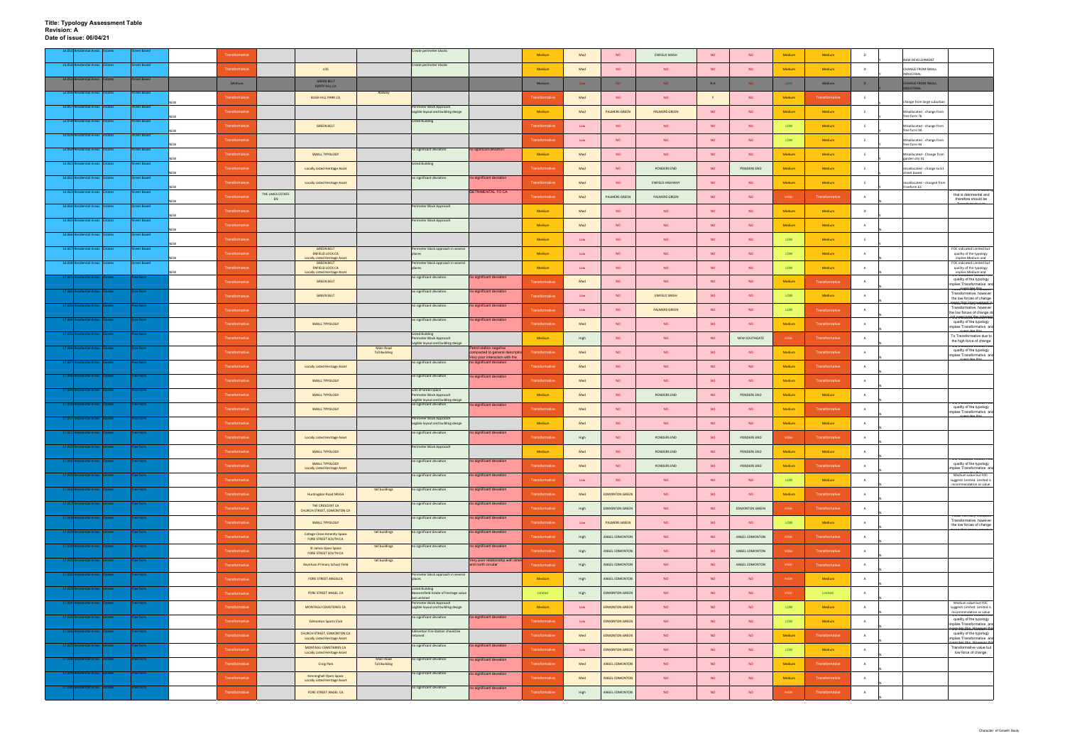|                     |                          |                                  | eet Baser           |  |                       |                  |                                                                    |                                   | Create perimeter blocks                                                           |                                                                                            |                       |                |                       |                        |           |                       |             |                       |                |                                                                                            |
|---------------------|--------------------------|----------------------------------|---------------------|--|-----------------------|------------------|--------------------------------------------------------------------|-----------------------------------|-----------------------------------------------------------------------------------|--------------------------------------------------------------------------------------------|-----------------------|----------------|-----------------------|------------------------|-----------|-----------------------|-------------|-----------------------|----------------|--------------------------------------------------------------------------------------------|
|                     |                          |                                  |                     |  | Transformative        |                  |                                                                    |                                   |                                                                                   |                                                                                            | Medium                | Med            | <b>NO</b>             | ENFIELD WASH           | <b>NO</b> | <b>NO</b>             | Medium      | Medium                | D              | NEW DEVELOPMENT                                                                            |
|                     |                          | 16.054 Residential Areas Estates | <b>Street Based</b> |  | Transformative        |                  | LOS                                                                |                                   | Create perimeter blocks                                                           |                                                                                            | Medium                | Med            | <b>NO</b>             | <b>NO</b>              | <b>NO</b> | <b>NO</b>             | Medium      | Medium                | D              | CHANGE FROM SMALL<br>NDUSTRIAL                                                             |
| 16.055 Re           |                          | dential Areas Estates            | <b>Street Based</b> |  | Medium                |                  | <b>GREEN BELT</b><br>FORTY HILL CA                                 |                                   |                                                                                   |                                                                                            | Medium                | Low            | NO <sub>1</sub>       | NO.                    | N.A       | NO <sub>1</sub>       | LOW         | Medium                | D              | <b>HANGE FROM SMALL</b>                                                                    |
|                     |                          | 16.056 Residential Areas Estates | reet Based          |  | Transformative        |                  | <b>BUSH HILL PARK CA</b>                                           | Railway                           |                                                                                   |                                                                                            | <b>Transformative</b> | Med            | <b>NO</b>             | <b>NO</b>              |           | <b>NO</b>             | Medium      | Transformative        | E              | <b>DUSTRIAL</b>                                                                            |
| 16.057 Resid        |                          | dential Areas Estates            | treet Based         |  |                       |                  |                                                                    |                                   | Perimeter Block Approach                                                          |                                                                                            |                       |                |                       |                        |           |                       |             |                       |                | hange from large suburbar                                                                  |
|                     |                          | 16.058 Residential Areas Estates | <b>Street Based</b> |  | Transformative        |                  |                                                                    |                                   | Legible layout and building design<br><b>Listed Building</b>                      |                                                                                            | Medium                | Med            | <b>PALMERS GREEN</b>  | <b>PALMERS GREEN</b>   | <b>NO</b> | <b>NO</b>             | Medium      | <b>Medium</b>         |                | Misallocated - change from<br>free form 76                                                 |
|                     |                          |                                  |                     |  | Transformative        |                  | <b>GREEN BELT</b>                                                  |                                   |                                                                                   |                                                                                            | Transformative        | $\mathsf{Low}$ | <b>NO</b>             | <b>NO</b>              | <b>NO</b> | <b>NO</b>             | LOW         | Medium                | <b>E</b>       | Misallocated - change from<br>free form 94                                                 |
|                     | 16.059 Residential Areas | states                           | reet Based          |  | Transformative        |                  |                                                                    |                                   |                                                                                   |                                                                                            | Transformative        | Low            | <b>NO</b>             | <b>NO</b>              | <b>NO</b> | <b>NO</b>             | LOW         | Medium                | E              | Misallocated - change from<br>free form 94                                                 |
|                     |                          | 16.060 Residential Areas Estates | treet Based         |  | Transformative        |                  | SMALL TYPOLOGY                                                     |                                   | no significant deviation                                                          | no significant deviation                                                                   | Medium                | Med            | <b>NO</b>             | <b>NO</b>              | <b>NO</b> | <b>NO</b>             | Medium      | Medium                | E              | Misallocated - Change from                                                                 |
|                     |                          | 16.061 Residential Areas Estates | <b>Street Based</b> |  | Transformative        |                  | <b>Locally Listed Heritage Asset</b>                               |                                   | <b>Listed Building</b>                                                            |                                                                                            | Transformative        | Med            | <b>NO</b>             | PONDERS END            | <b>NO</b> | PONDERS END           | Medium      | Medium                | -F.            | garden city 41<br>nisallocated - change to 61                                              |
|                     |                          | 16.062 Residential Areas Estates | treet Based         |  | Transformative        |                  | <b>Locally Listed Heritage Asset</b>                               |                                   | no significant deviation                                                          | no significant deviation                                                                   | Transformative        | Med            | <b>NO</b>             | <b>ENFIELD HIGHWAY</b> | <b>NO</b> | <b>NO</b>             | Medium      | Medium                | E              | street based<br>misallocated - changed from                                                |
| 16.063 Res          |                          | ential Areas<br>Estates          | reet Based          |  |                       | THE LAKES ESTATE |                                                                    |                                   |                                                                                   | <b>DETRIMENTAL TO CA</b>                                                                   |                       |                |                       |                        |           |                       |             |                       |                | Freeform 61<br>marks uns as a pu<br>that is detrimental and                                |
|                     |                          | 16.064 Residential Areas Estates | treet Based         |  | Transformative        | EN               |                                                                    |                                   | Perimeter Block Approach                                                          |                                                                                            | Transformativ         | Med            | PALMERS GREEN         | PALMERS GREEN          | <b>NO</b> | <b>NO</b>             | <b>HIGH</b> | Transformativ         | A              | therefore should be                                                                        |
|                     |                          |                                  |                     |  | Transformative        |                  |                                                                    |                                   |                                                                                   |                                                                                            | Medium                | Med            | <b>NO</b>             | <b>NO</b>              | <b>NO</b> | <b>NO</b>             | Medium      | Medium                | D              |                                                                                            |
|                     |                          | 16.065 Residential Areas Estates | <b>Street Based</b> |  | Transformative        |                  |                                                                    |                                   | Perimeter Block Approach                                                          |                                                                                            | Medium                | Med            | <b>NO</b>             | <b>NO</b>              | <b>NO</b> | <b>NO</b>             | Medium      | Medium                | $\overline{A}$ |                                                                                            |
| 16.066 Re           |                          | ntial Areas                      | reet Based          |  | <b>Transformative</b> |                  |                                                                    |                                   |                                                                                   |                                                                                            | Medium                | Low            | <b>NO</b>             | <b>NO</b>              | <b>NO</b> | <b>NO</b>             | LOW         | Medium                | E              |                                                                                            |
|                     |                          | 16.067 Residential Areas Estates | treet Based         |  | Transformative        |                  | <b>GREEN BELT</b><br><b>ENFIELD LOCK CA</b>                        |                                   | Perimeter block approach in several                                               |                                                                                            | Medium                | Low            | <b>NO</b>             | <b>NO</b>              | <b>NO</b> | <b>NO</b>             | LOW         | Medium                | $\overline{A}$ | FOC indicated Limited but<br>quality of the typology                                       |
|                     |                          | 16.068 Residential Areas Estates | reet Based          |  |                       |                  | <b>Locally Listed Heritage Asset</b><br><b>GREEN BELT</b>          |                                   | Perimeter block approach in several                                               |                                                                                            |                       |                |                       |                        |           |                       |             |                       |                | implies Medium and<br>FOC indicated Limited but                                            |
|                     |                          |                                  |                     |  | Transformative        |                  | <b>ENFIELD LOCK CA</b><br><b>Locally Listed Heritage Asset</b>     |                                   | no significant deviation                                                          | no significant deviation                                                                   | Medium                | Low            | <b>NO</b>             | <b>NO</b>              | <b>NO</b> | <b>NO</b>             | <b>LOW</b>  | Medium                | $\overline{A}$ | quality of the typology<br>implies Medium and                                              |
|                     |                          | ntial Areas Estates              | ee form             |  | Transformative        |                  | <b>GREEN BELT</b>                                                  |                                   | no significant deviation                                                          |                                                                                            | <b>Transformative</b> | Med            | <b>NO</b>             | <b>NO</b>              | <b>NO</b> | <b>NO</b>             | Medium      | Transformativ         | $\overline{A}$ | quality of the typology<br>mplies Transformative and<br>.<br>value trontrially thiocales   |
| 17.002              |                          |                                  |                     |  | Transformative        |                  | <b>GREEN BELT</b>                                                  |                                   |                                                                                   | no significant deviation                                                                   | <b>Transformative</b> | Low            | NO                    | <b>ENFIELD WASH</b>    | <b>NO</b> | <b>NO</b>             | LOW         | Medium                | $\overline{A}$ | Transformative, however<br>the low forces of change<br>vanne thot imany moncant is         |
| 17.003              |                          | ential Areas Estates             | ree form            |  | Transformative        |                  |                                                                    |                                   | no significant deviation                                                          | no significant deviation                                                                   | Transformative        | Low            | <b>NO</b>             | <b>PALMERS GREEN</b>   | <b>NO</b> | <b>NO</b>             | LOW         | Transformative        | $\mathbf{A}$   | Transformative, however<br>the low forces of change do                                     |
| 17.004              |                          | <b>Itial Areas</b>               | ee form             |  | Transformative        |                  | <b>SMALL TYPOLOGY</b>                                              |                                   | no significant deviation                                                          | no significant deviation                                                                   | Transformative        | Med            | <b>NO</b>             | <b>NO</b>              | <b>NO</b> | <b>NO</b>             | Medium      | Transformative        | $\overline{A}$ | <del>otchnament Meinhmont</del><br>quality of the typology<br>implies Transformative and   |
|                     |                          |                                  | e form              |  | Transformative        |                  |                                                                    |                                   | <b>Listed Building</b><br>Perimeter Block Approach                                |                                                                                            | Medium                | High           | <b>NO</b>             | <b>NO</b>              | <b>NO</b> | NEW SOUTHGATE         | HIGH        | Transformative        | $\mathsf{A}$   | To Transformative due to                                                                   |
| 17.006R             |                          | ential Areas Estates             | ee form :           |  |                       |                  |                                                                    | Main Road                         | Legible layout and building design                                                | Petrol station negative                                                                    |                       |                |                       |                        |           |                       |             |                       |                | the high force of change<br><b>OC mulcated Medium Du</b><br>quality of the typology        |
| 17.007              |                          |                                  | ee form             |  | Transformative        |                  |                                                                    | <b>Tall Building</b>              | no significant deviation                                                          | ompacted to general descript<br>Very poor interaction with the<br>no significant deviation | ansformativ           | Med            | <b>NO</b>             | <b>NO</b>              | <b>NO</b> | <b>NO</b>             | Medium      | <b>Transformativ</b>  | $\overline{A}$ | implies Transformative and                                                                 |
|                     |                          |                                  |                     |  | Transformative        |                  | <b>Locally Listed Heritage Asset</b>                               |                                   |                                                                                   |                                                                                            | Transformative        | Med            | <b>NO</b>             | <b>NO</b>              | <b>NO</b> | <b>NO</b>             | Medium      | <b>Transformative</b> | A              |                                                                                            |
| 17.00818            |                          | <b>Initial Areas Estates</b>     | ee form             |  | Transformative        |                  | SMALL TYPOLOGY                                                     |                                   | no significant deviation                                                          | no significant deviation                                                                   | <b>Transformative</b> | Med            | <b>NO</b>             | <b>NO</b>              | <b>NO</b> | <b>NO</b>             | Medium      | Transformative        | $\overline{A}$ |                                                                                            |
| 17.00               |                          | itial Areas   Estates            | ee form             |  | Transformative        |                  | SMALL TYPOLOGY                                                     |                                   | Lots of Green space<br>Perimeter Block Approach                                   |                                                                                            | Medium                | Med            | <b>NO</b>             | PONDERS END            | <b>NO</b> | PONDERS END           | Medium      | Medium                | A              |                                                                                            |
| 17.010              |                          | itial Areas I                    | ee form             |  | Transformative        |                  | SMALL TYPOLOGY                                                     |                                   | Legible layout and building design<br>no significant deviation                    | no significant deviation                                                                   | Transformative        | Med            | <b>NO</b>             | <b>NO</b>              | <b>NO</b> | <b>NO</b>             | Medium      | <b>Transformative</b> | A              | quality of the typology                                                                    |
| 17.011              |                          | ntial Areas   Estates            | ee form             |  | Transformative        |                  |                                                                    |                                   | Perimeter Block Approach<br>Legible layout and building design                    |                                                                                            | Medium                | Med            | <b>NO</b>             | <b>NO</b>              | <b>NO</b> | <b>NO</b>             | Medium      | Medium                | А              | implies Transformative and                                                                 |
| 17.012              |                          | ential Areas Estates             |                     |  |                       |                  |                                                                    |                                   | no significant deviation                                                          | no significant deviation                                                                   |                       |                |                       |                        |           |                       |             |                       |                |                                                                                            |
|                     |                          |                                  |                     |  | Transformative        |                  | <b>Locally Listed Heritage Asset</b>                               |                                   | Perimeter Block Approach                                                          |                                                                                            | Transformative        | High           | NO                    | PONDERS END            | <b>NO</b> | PONDERS END           | <b>HIGH</b> | Transformative        | A              |                                                                                            |
|                     |                          |                                  |                     |  | <b>Fransformative</b> |                  | SMALL TYPOLOGY                                                     |                                   |                                                                                   |                                                                                            | Medium                | Med            | <b>NO</b>             | PONDERS END            | <b>NO</b> | PONDERS END           | Medium      | Medium                | A              | <b>OC maicated wedigm p</b>                                                                |
|                     |                          | 17.014 Residential Areas Estates | ree form            |  | Transformative        |                  | SMALL TYPOLOGY<br><b>Locally Listed Heritage Asset</b>             |                                   | no significant deviation                                                          | no significant deviation                                                                   | Transformative        | Med            | NO                    | PONDERS END            | <b>NO</b> | PONDERS END           | Medium      | Transformative        | $\overline{A}$ | quality of the typology<br>implies Transformative and                                      |
| 17.015              |                          | <b>Initial Areas Estates</b>     | ree form            |  | Transformative        |                  |                                                                    |                                   | no significant deviation                                                          | no significant deviation                                                                   | Transformative        | Low            | <b>NO</b>             | <b>NO</b>              | <b>NO</b> | <b>NO</b>             | LOW         | Medium                | A              | Medium value but FOC<br>suggests Limited. Limited is                                       |
| 17.016              |                          | ential Areas Estates             | ee form             |  | Transformative        |                  | Huntingdon Road MUGA                                               | tall buildings                    | no significant deviation                                                          | no significant deviation                                                                   | Transformative        | Med            | <b>EDMONTON GREEN</b> | <b>NO</b>              | <b>NO</b> | <b>NO</b>             | Medium      | Transformative        | A              | recommendation as value                                                                    |
| 17.017 Resi         |                          | idential Areas Estates           | ee form             |  | Transformative        |                  | THE CRESCENT CA                                                    |                                   | no significant deviation                                                          | no significant deviation                                                                   | Transformative        | High           | <b>EDMONTON GREEN</b> | <b>NO</b>              | <b>NO</b> | <b>EDMONTON GREEN</b> | HIGH        | Transformative        | $\overline{A}$ |                                                                                            |
| $17.018$ R          |                          | dential Areas Estates            | ree form            |  |                       |                  | CHURCH STREET, EDMONTON CA                                         |                                   | no significant deviation                                                          | no significant deviation                                                                   |                       |                |                       |                        |           |                       |             |                       |                | arue normany murcate<br>Transformative, however                                            |
| 17.019              |                          | dential Areas Estates            | ee form             |  | Transformative        |                  | SMALL TYPOLOGY                                                     | tall buildings                    | no significant deviation                                                          | no significant deviation                                                                   | Transformative        | Low            | PALMERS GREEN         | <b>NO</b>              | <b>NO</b> | <b>NO</b>             | LOW         | Medium                | A              | the low forces of change                                                                   |
|                     |                          |                                  |                     |  | Transformative        |                  | <b>College Close Amenity Space</b><br>FORE STREET SOUTH CA         |                                   |                                                                                   |                                                                                            | Transformative        | High           | ANGEL EDMONTON        | <b>NO</b>              | <b>NO</b> | ANGEL EDMONTON        | <b>HIGH</b> | Transformative        | $\mathsf{A}$   |                                                                                            |
|                     |                          | 17.020 Residential Areas Estates | ee form             |  | Transformative        |                  | St James Open Space<br>FORE STREET SOUTH CA                        | tall buildings                    | no significant deviation                                                          | no significant deviation                                                                   | Transformative        | High           | ANGEL EDMONTON        | NO                     | <b>NO</b> | ANGEL EDMONTON        | HIGH        | Transformative        | A              |                                                                                            |
| 17.021 <sup>R</sup> |                          | ential Areas Estates             | ee form             |  | Transformative        |                  | Raynham Primary School Field                                       | tall buildings                    |                                                                                   | Very poor relationship with str<br>and north circular                                      | Transformative        | High           | ANGEL EDMONTON        | <b>NO</b>              | <b>NO</b> | ANGEL EDMONTON        | HIGH        | Transformative        | $\overline{A}$ |                                                                                            |
|                     |                          | 17.022 Residential Areas Estates | ree form            |  | Transformative        |                  | FORE STREET ANGELCA                                                |                                   | Perimeter block approach in several                                               |                                                                                            | Medium                | High           | ANGEL EDMONTON        | <b>NO</b>              | <b>NO</b> | <b>NO</b>             | HIGH        | Medium                | A              |                                                                                            |
| 17.023              |                          | ential Areas Estates             | ee form             |  | Transformative        |                  | FORE STREET ANGEL CA                                               |                                   | <b>Listed Building</b>                                                            |                                                                                            |                       |                | <b>EDMONTON GREEN</b> | NO                     | <b>NO</b> | <b>NO</b>             | <b>HIGH</b> | Limited               | A              |                                                                                            |
| 17.024 Res          |                          | dential Areas Estates            | ee form             |  |                       |                  |                                                                    |                                   | Beaconsfield Estate of heritage value<br>but unlisted<br>Perimeter Block Approach |                                                                                            | Limited               | High           |                       |                        |           |                       |             |                       |                | Medium value but FOC                                                                       |
| 17.025 Re           |                          | dential Areas Estates            | ree form            |  | Transformative        |                  | MONTAGU CEMETERIES CA                                              |                                   | Legible layout and building design<br>no significant deviation                    | no significant deviation                                                                   | Medium                | Low            | <b>EDMONTON GREEN</b> | <b>NO</b>              | <b>NO</b> | <b>NO</b>             | LOW         | Medium                | A              | suggests Limited. Limited is<br>recommendation as value<br>TOC muicated wiedium Dui        |
|                     |                          |                                  |                     |  | Transformative        |                  | <b>Edmonton Sports Club</b>                                        |                                   |                                                                                   |                                                                                            | Transformative        | Low            | <b>EDMONTON GREEN</b> | <b>NO</b>              | <b>NO</b> | <b>NO</b>             | LOW         | Medium                | A              | quality of the typology<br>implies Transformative and<br><del>ochladaieu Meulunn Dui</del> |
| 17.026              |                          | <b>Initial Areas Estates</b>     | ree form            |  | Transformative        |                  | CHURCH STREET, EDMONTON CA<br><b>Locally Listed Heritage Asset</b> |                                   | Edmonton Fire Station should be<br>retained                                       |                                                                                            | Transformative        | Med            | <b>EDMONTON GREEN</b> | <b>NO</b>              | <b>NO</b> | <b>NO</b>             | Medium      | Transformative        | A              | quality of the typology<br>implies Transformative and                                      |
| 17.027 Re           |                          | idential Areas   Estates         | ee form             |  | Transformative        |                  | MONTAGU CEMETARIES CA<br><b>Locally Listed Heritage Asset</b>      |                                   | no significant deviation                                                          | no significant deviation                                                                   | Transformative        | Low            | <b>EDMONTON GREEN</b> | <b>NO</b>              | <b>NO</b> | <b>NO</b>             | LOW         | Medium                | A              | Transformative value but<br>low force of change.                                           |
| 17.028 Res          |                          | ential Areas Estates             | ee form             |  | Transformative        |                  | Craig Park                                                         | Main Road<br><b>Tall Building</b> | no significant deviation                                                          | no significant deviation                                                                   | Transformative        | Med            | ANGEL EDMONTON        | <b>NO</b>              | <b>NO</b> | <b>NO</b>             | Medium      | Transformative        | A              |                                                                                            |
| 17.029              |                          | ential Areas Estates             | ree form            |  |                       |                  | Kenninghall Open Space                                             |                                   | no significant deviation                                                          | no significant deviation                                                                   |                       |                |                       |                        |           |                       |             |                       |                |                                                                                            |
| 17.030              |                          | ential Areas Estates             | ee form             |  | Transformative        |                  | <b>Locally Listed Heritage Asset</b>                               |                                   | no significant deviation                                                          | no significant deviation                                                                   | Transformative        | Med            | ANGEL EDMONTON        | <b>NO</b>              | <b>NO</b> | <b>NO</b>             | Medium      | Transformative        | $\overline{A}$ |                                                                                            |
|                     |                          |                                  |                     |  | Transformative        |                  | FORE STREET ANGEL CA                                               |                                   |                                                                                   |                                                                                            | Transformative        | High           | ANGEL EDMONTON        | <b>NO</b>              | NO        | <b>NO</b>             | <b>HIGH</b> | Transformative        | A              |                                                                                            |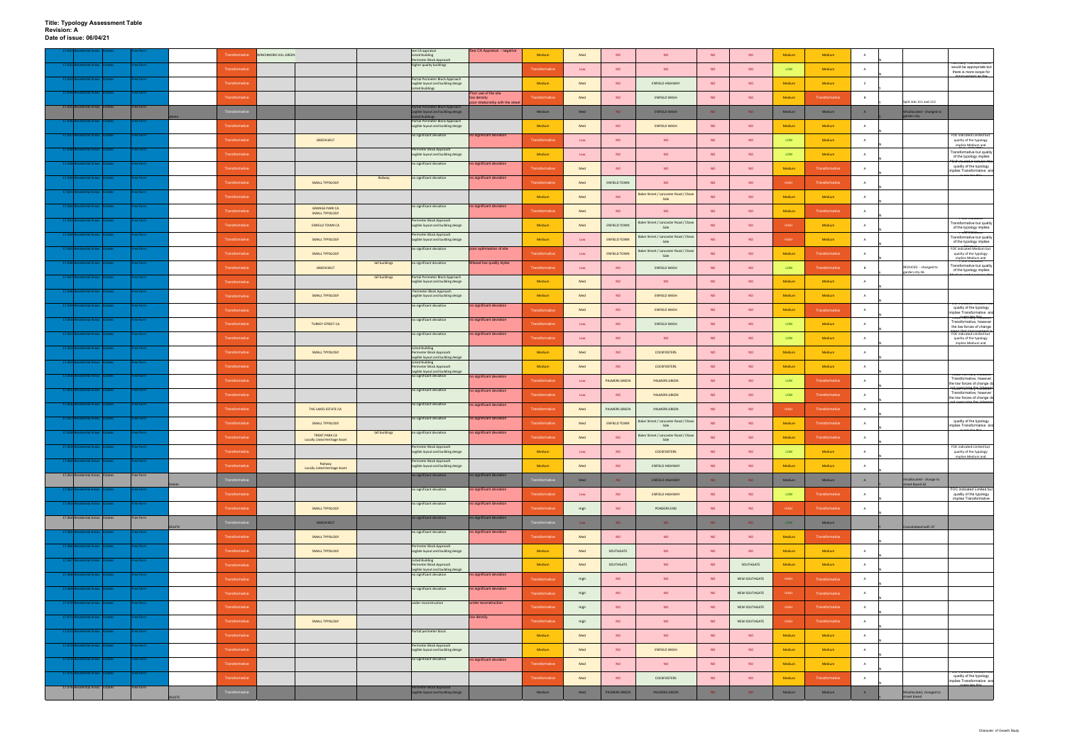|                                      |                |           |               | Transformative        | WINCHMORE HILL GREEN |                                                              |                | see CA appraisal<br><b>Listed Building</b>                                                        | See CA Appraisal - negative        | Medium                | Med         | <b>NO</b>            | <b>NO</b>                                     | <b>NO</b>       | <b>NO</b>       | Medium      | Medium                | $\overline{A}$ |                                          |                                                                                                                            |
|--------------------------------------|----------------|-----------|---------------|-----------------------|----------------------|--------------------------------------------------------------|----------------|---------------------------------------------------------------------------------------------------|------------------------------------|-----------------------|-------------|----------------------|-----------------------------------------------|-----------------|-----------------|-------------|-----------------------|----------------|------------------------------------------|----------------------------------------------------------------------------------------------------------------------------|
| ntial Areas                          | Estates        | ree form  |               | Transformative        |                      |                                                              |                | Perimeter Block Approach<br>higher quality buildings                                              |                                    | Transformative        | Low         | <b>NO</b>            | <b>NO</b>                                     | <b>NO</b>       | <b>NO</b>       | LOW         | Medium                | $\overline{A}$ |                                          | would be appropriate but                                                                                                   |
| <b>ntial Areas</b>                   | tates          | ree form  |               | Transformative        |                      |                                                              |                | Partial Perimeter Block Approach<br>Legible layout and building design                            |                                    | Medium                | Med         | NO                   | <b>ENFIELD HIGHWAY</b>                        | <b>NO</b>       | <b>NO</b>       | Medium      | Medium                | E              |                                          | there is more scope for<br>an the                                                                                          |
| dential Areas Estates<br>17.034 Resi |                | Free form |               | Transformative        |                      |                                                              |                | <b>Listed Buildings</b>                                                                           | Poor use of the site<br>ow density | Transformative        | Med         | <b>NO</b>            | ENFIELD WASH                                  | <b>NO</b>       | <b>NO</b>       | Medium      | Transformative        | B              |                                          |                                                                                                                            |
| 17.035 Residential Areas Estates     |                | Free form |               |                       |                      |                                                              |                | Partial Perimeter Block Approach                                                                  | oor relationship with the stree    |                       |             |                      |                                               |                 |                 |             |                       |                | pilt into 111 and 112                    |                                                                                                                            |
| ntial Area                           |                | ee form   |               |                       |                      |                                                              |                | Legible layout and building design<br><b>Listed Buildings</b><br>Partial Perimeter Block Approach |                                    | Medium                | Med         | NO.                  | <b>ENFIELD WASH</b>                           | NO <sub>1</sub> | NO <sub>1</sub> | Medium      | Medium                | A              | Aisallocated - changed to<br>garden city |                                                                                                                            |
| <b>idential Areas</b>                | tates          | ee form   |               | Transformative        |                      |                                                              |                | Legible layout and building design<br>no significant deviation                                    | no significant deviation           | Medium                | Med         | <b>NO</b>            | <b>ENFIELD WASH</b>                           | <b>NO</b>       | <b>NO</b>       | Medium      | Medium                | A              |                                          | FOC indicated Limited but                                                                                                  |
| 17.038 Re<br><b>dential Areas</b>    | Estates        | Free form |               | Transformative        |                      | <b>GREEN BELT</b>                                            |                | Perimeter Block Approach                                                                          |                                    | Transformative        | Low         | NO                   | NO                                            | <b>NO</b>       | <b>NO</b>       | LOW         | Medium                | A              |                                          | quality of the typology<br>implies Medium and                                                                              |
| ntial Areas<br>17.039                |                | Free form |               | Transformativ         |                      |                                                              |                | Legible layout and building design<br>no significant deviation                                    |                                    | Medium                | Low         | <b>NO</b>            | <b>NO</b>                                     | <b>NO</b>       | <b>NO</b>       | LOW         | Medium                | $\overline{A}$ |                                          | Transformative but quality<br>of the typology implies<br><del>'Oc'umacadormeulan 'bin</del>                                |
|                                      | Estates        |           |               | Transformative        |                      |                                                              |                |                                                                                                   | to significant deviation           | Transformative        | Med         | <b>NO</b>            | <b>NO</b>                                     | <b>NO</b>       | <b>NO</b>       | Medium      | Transformative        | $\mathbf{A}$   |                                          | quality of the typology<br>implies Transformative and<br>executes this                                                     |
| 17.040 Residential Areas             | states         | Free form |               | Transformative        |                      | SMALL TYPOLOGY                                               | Railway        | no significant deviation                                                                          | o significant deviation            | Transformative        | Med         | <b>ENFIELD TOWN</b>  | <b>NO</b>                                     | <b>NO</b>       | <b>NO</b>       | HIGH        | Transformative        | A              |                                          |                                                                                                                            |
| <b>Itial Areas</b>                   |                | ree form  |               | Transformativ         |                      |                                                              |                |                                                                                                   |                                    | Medium                | Med         | <b>NO</b>            | Baker Street / Lancaster Road / Chase<br>Side | <b>NO</b>       | <b>NO</b>       | Medium      | Medium                | A              |                                          |                                                                                                                            |
| <b>Jential Areas</b><br>17.042 F     | <b>states</b>  | Free form |               | Transformative        |                      | <b>GRANGE PARK CA</b><br>SMALL TYPOLOGY                      |                | no significant deviation                                                                          | no significant deviation           | Transformative        | Med         | <b>NO</b>            | <b>NO</b>                                     | <b>NO</b>       | <b>NO</b>       | Medium      | Transformative        | $\overline{A}$ |                                          |                                                                                                                            |
| dential Areas Estates<br>17.043 Re   |                | Free form |               | Transformative        |                      | <b>ENFIELD TOWN CA</b>                                       |                | Perimeter Block Approach<br>Legible layout and building design                                    |                                    | Medium                | Med         | <b>ENFIELD TOWN</b>  | Baker Street / Lancaster Road / Chase<br>Side | <b>NO</b>       | <b>NO</b>       | HIGH        | Medium                | A              |                                          | <b>TOC INDICATE</b><br>Transformative but quality<br>of the typology implies                                               |
|                                      |                |           |               | Transformative        |                      | SMALL TYPOLOGY                                               |                | Perimeter Block Approach<br>Legible layout and building design                                    |                                    | Medium                | Low         | <b>ENFIELD TOWN</b>  | Baker Street / Lancaster Road / Chas<br>Side  | <b>NO</b>       | <b>NO</b>       | <b>HIGH</b> | Medium                | $\overline{A}$ |                                          | <del>rde maca.cu</del><br>Transformative but quality<br>of the typology implies                                            |
| 17.045<br>dential Areas IEstates     |                | Free form |               | Transformative        |                      | SMALL TYPOLOGY                                               |                | no significant deviation                                                                          | poor optimisation of site          | Transformativ         | Low         | <b>ENFIELD TOWN</b>  | Baker Street / Lancaster Road / Chase<br>Side | <b>NO</b>       | <b>NO</b>       | Medium      | <b>Transformative</b> | A              |                                          | FOC indicated Medium but<br>quality of the typology                                                                        |
| dential Areas Estates<br>17.046 Resi |                | ree form  |               | Transformative        |                      | <b>GREEN BELT</b>                                            | tall buildings | no significant deviation                                                                          | issed low quality styles           | Transformative        | Low         | NO                   | ENFIELD WASH                                  | <b>NO</b>       | <b>NO</b>       | LOW         | Transformative        | B              | REDUCED - changed to                     | implies Medium and<br>Transformative but quality                                                                           |
| itial Area                           |                | ree form  |               | Transformative        |                      |                                                              | tall buildings | Partial Perimeter Block Approach<br>Legible layout and building design                            |                                    | Medium                | Med         | <b>NO</b>            | <b>NO</b>                                     | <b>NO</b>       | <b>NO</b>       | Medium      | Medium                | A              | garden city 46                           | of the typology implies<br>بملهمه حسناه                                                                                    |
| ential Areas<br>17.048               | states         | ree form  |               |                       |                      |                                                              |                | Perimeter Block Approach                                                                          |                                    |                       |             |                      |                                               |                 |                 |             |                       |                |                                          |                                                                                                                            |
| 17.049 F<br>dential Areas Estates    |                | ree form  |               | Transformative        |                      | SMALL TYPOLOGY                                               |                | Legible layout and building design<br>no significant deviation                                    | to significant deviation           | Medium                | Med         | <b>NO</b>            | <b>ENFIELD WASH</b>                           | <b>NO</b>       | <b>NO</b>       | Medium      | Medium                | A              |                                          | OC mulcated wedium b<br>quality of the typology                                                                            |
| 17.05<br>ntial Areas                 | states         | Free form |               | Transformative        |                      |                                                              |                | no significant deviation                                                                          | no significant deviation           | Transformative        | Med         | NO                   | ENFIELD WASH                                  | <b>NO</b>       | <b>NO</b>       | Medium      | Transformative        | $\overline{A}$ |                                          | implies Transformative and<br>v <del>arue Yorrilary Worcares</del><br>Transformative, however                              |
| <b>dential Areas</b>                 | ates           | ee form   |               | Transformative        |                      | <b>TURKEY STREET CA</b>                                      |                | no significant deviation                                                                          | o significant deviation            | Transformative        | ${\sf Low}$ | <b>NO</b>            | ENFIELD WASH                                  | <b>NO</b>       | <b>NO</b>       | LOW         | Medium                | A              |                                          | the low forces of change<br>FOC indicated Limited but                                                                      |
| 17.052F<br>dential Areas Estates     |                | Free form |               | Transformative        |                      |                                                              |                | <b>Listed Building</b>                                                                            |                                    | Transformative        | Low         | <b>NO</b>            | <b>NO</b>                                     | <b>NO</b>       | <b>NO</b>       | LOW         | Medium                | $\mathsf{A}$   |                                          | quality of the typology<br>implies Medium and                                                                              |
| ntial Areas                          |                | Free form |               | Transformative        |                      | SMALL TYPOLOGY                                               |                | Perimeter Block Approach<br>Legible layout and building design                                    |                                    | Medium                | Med         | NO                   | <b>COCKFOSTERS</b>                            | <b>NO</b>       | <b>NO</b>       | Medium      | Medium                | A              |                                          |                                                                                                                            |
|                                      |                |           |               | Transformative        |                      |                                                              |                | <b>Listed Building</b><br>Perimeter Block Approach<br>Legible layout and building design          |                                    | Medium                | Med         | NO                   | <b>COCKFOSTERS</b>                            | <b>NO</b>       | <b>NO</b>       | Medium      | Medium                | A              |                                          | value normally indicates                                                                                                   |
| 17.054 Re<br>dential Areas           | states         | Free form |               | Transformative        |                      |                                                              |                | no significant deviation                                                                          | to significant deviation           | Transformative        | Low         | <b>PALMERS GREEN</b> | <b>PALMERS GREEN</b>                          | <b>NO</b>       | <b>NO</b>       | LOW         | Transformative        | $\overline{A}$ |                                          | Transformative, however<br>the low forces of change do                                                                     |
| ntial Areas Estates                  |                | ree form  |               | Transformative        |                      |                                                              |                | no significant deviation                                                                          | no significant deviation           | Transformative        | Low         | <b>NO</b>            | <b>PALMERS GREEN</b>                          | <b>NO</b>       | <b>NO</b>       | LOW         | Transformative        | A              |                                          | <del>vanuerrormailyn inbarest</del><br>Transformative, however<br>the low forces of change do<br>aat ayaaaana tha ishacaat |
| 17.056<br>ential Areas               | <b>states</b>  | Free form |               | Transformative        |                      | THE LAKES ESTATE CA                                          |                | no significant deviation                                                                          | no significant deviation           | Transformative        | Med         | PALMERS GREEN        | PALMERS GREEN                                 | <b>NO</b>       | <b>NO</b>       | <b>HIGH</b> | Transformative        | A              |                                          |                                                                                                                            |
| ential Areas<br>17.057               | Estates        | Free form |               | Transformative        |                      | <b>SMALL TYPOLOGY</b>                                        |                | no significant deviation                                                                          | no significant deviation           | Transformative        | Med         | <b>ENFIELD TOWN</b>  | Baker Street / Lancaster Road / Chase<br>Side | <b>NO</b>       | <b>NO</b>       | Medium      | Transformative        | A              |                                          | io ingicateg met<br>quality of the typology<br>implies Transformative and                                                  |
| ential Areas Estates                 |                |           |               | Transformative        |                      | <b>TRENT PARK CA</b><br><b>Locally Listed Heritage Asset</b> | tall buildings | no significant deviation                                                                          | no significant deviation           | Transformative        | Med         | <b>NO</b>            | Baker Street / Lancaster Road / Chas<br>Side  | <b>NO</b>       | <b>NO</b>       | Medium      | Transformative        | A              |                                          |                                                                                                                            |
|                                      |                |           |               |                       |                      |                                                              |                | Perimeter Block Approach<br>Legible layout and building design                                    |                                    | Medium                | Low         | NO                   | <b>COCKFOSTERS</b>                            | <b>NO</b>       | <b>NO</b>       | LOW         | Medium                | A              |                                          | FOC indicated Limited but<br>quality of the typology                                                                       |
| 17.060 Residential Areas Estates     |                | Free form |               | Transformative        |                      | Railway                                                      |                | Perimeter Block Approach<br>Legible layout and building design                                    |                                    | Medium                | Med         | NO                   | ENFIELD HIGHWAY                               | <b>NO</b>       | <b>NO</b>       | Medium      | Medium                | $\overline{A}$ |                                          | implies Medium and                                                                                                         |
| 17.061 Residential Areas Estates     |                | Free form |               | Transformative        |                      | <b>Locally Listed Heritage Asset</b>                         |                | no significant deviation                                                                          | no significant deviation           | <b>Transformativ</b>  | Med         | NO.                  | <b>ENFIELD HIGHWAY</b>                        | <b>NO</b>       | <b>NO</b>       | Medium      | Medium                | A              | nisallocated - change to                 |                                                                                                                            |
| ıtial Area:                          |                |           |               | Transformative        |                      |                                                              |                | no significant deviation                                                                          | o significant deviation            | Transformative        |             | <b>NO</b>            |                                               | <b>NO</b>       | <b>NO</b>       | LOW         | Transformative        | A              | street Based 62                          | OC indicated Limited but                                                                                                   |
| 17.063 Residential Areas Estates     |                | Free form |               |                       |                      |                                                              |                | no significant deviation                                                                          | o significant deviation            |                       | Low         |                      | <b>ENFIELD HIGHWAY</b>                        |                 |                 |             |                       |                |                                          | quality of the typology<br>implies Transformative                                                                          |
| 17.064 Residential Areas Estates     |                | Free form |               | Transformative        |                      | SMALL TYPOLOGY                                               |                | no significant deviation                                                                          | no significant deviation           | Transformative        | High        | <b>NO</b>            | PONDERS END                                   | <b>NO</b>       | <b>NO</b>       | <b>HIGH</b> | Transformative        | $\overline{A}$ |                                          |                                                                                                                            |
| ntial Area                           |                |           | ELETE         | Transformative        |                      | <b>GREEN BELT</b>                                            |                | no significant deviation                                                                          | to significant deviation           | <b>Fransformative</b> | Low         | NO.                  | NO.                                           | NO <sub>1</sub> | NO <sub>1</sub> | LOW         | Medium                |                | Consolidated with 37                     |                                                                                                                            |
| 17.066 Residential Areas Estates     |                | Free form |               | Transformative        |                      | SMALL TYPOLOGY                                               |                | Perimeter Block Approach                                                                          |                                    | Transformative        | Med         | <b>NO</b>            | <b>NO</b>                                     | <b>NO</b>       | <b>NO</b>       | Medium      | Transformative        |                |                                          |                                                                                                                            |
| idential Areas<br>17.067 Re          | <b>Estates</b> | Free form |               | Transformative        |                      | SMALL TYPOLOGY                                               |                | Legible layout and building design<br><b>Listed Building</b>                                      |                                    | Medium                | Med         | SOUTHGATE            | <b>NO</b>                                     | <b>NO</b>       | <b>NO</b>       | Medium      | Medium                | A              |                                          |                                                                                                                            |
| 17.068 Residential Areas Estates     |                | Free form |               | Transformative        |                      |                                                              |                | Perimeter Block Approach<br>Legible layout and building design                                    |                                    | Medium                | Med         | SOUTHGATE            | <b>NO</b>                                     | <b>NO</b>       | SOUTHGATE       | Medium      | Medium                | A              |                                          |                                                                                                                            |
|                                      |                |           |               | Transformative        |                      |                                                              |                | no significant deviation                                                                          | no significant deviation           | Transformative        | High        | <b>NO</b>            | <b>NO</b>                                     | <b>NO</b>       | NEW SOUTHGATE   | <b>HIGH</b> | Transformative        | A              |                                          |                                                                                                                            |
| ential Areas Estates                 |                | Free form |               | Transformative        |                      |                                                              |                | no significant deviation                                                                          | no significant deviation           | Transformative        | High        | <b>NO</b>            | <b>NO</b>                                     | <b>NO</b>       | NEW SOUTHGATE   | <b>HIGH</b> | Transformative        | A              |                                          |                                                                                                                            |
| 17.070 F<br>dential Areas Estates    |                | Free form |               | Transformative        |                      |                                                              |                | under reconstruction                                                                              | under reconstruction               | Transformative        | High        | <b>NO</b>            | <b>NO</b>                                     | <b>NO</b>       | NEW SOUTHGATE   | <b>HIGH</b> | Transformative        | A              |                                          |                                                                                                                            |
| dential Areas Estates<br>17.071      |                | Free form |               | Transformative        |                      | SMALL TYPOLOGY                                               |                |                                                                                                   | low density                        | Transformative        | High        | NO                   | <b>NO</b>                                     | <b>NO</b>       | NEW SOUTHGATE   | <b>HIGH</b> | Transformative        | A              |                                          |                                                                                                                            |
| dential Areas Estates                |                | Free form |               | Transformative        |                      |                                                              |                | Partial perimeter block                                                                           |                                    | Medium                | Med         | <b>NO</b>            | <b>NO</b>                                     | <b>NO</b>       | <b>NO</b>       | Medium      | Medium                | A              |                                          |                                                                                                                            |
| 17.073 Residential Areas Estates     |                | Free form |               | Transformative        |                      |                                                              |                | Perimeter Block Approach<br>Legible layout and building design                                    |                                    | Medium                | Med         | <b>NO</b>            | <b>ENFIELD WASH</b>                           | <b>NO</b>       | <b>NO</b>       | Medium      | Medium                | A              |                                          |                                                                                                                            |
| lential Areas<br>17.074R             | states         | ree form  |               | <b>Transformative</b> |                      |                                                              |                | no significant deviation                                                                          | no significant deviation           | Transformative        | Med         | <b>NO</b>            | <b>NO</b>                                     | <b>NO</b>       | <b>NO</b>       | Medium      | Medium                | $\mathsf{A}$   |                                          |                                                                                                                            |
| 17.075 Residential Areas Estates     |                | Free form |               | Transformative        |                      |                                                              |                |                                                                                                   |                                    | Transformative        | Med         | <b>NO</b>            | COCKFOSTERS                                   | <b>NO</b>       | <b>NO</b>       | Medium      | Transformative        | A              |                                          | quality of the typology                                                                                                    |
| 17.076 Residential Areas Estates     |                | Free form |               | Transformative        |                      |                                                              |                | Perimeter Block Approach<br>Legible layout and building design                                    |                                    | Medium                | Med         | PALMERS GREEN        | PALMERS GREEN                                 | NO.             | NO              | Medium      | Medium                | A              | Misallocated, changed to                 | implies Transformative and                                                                                                 |
|                                      |                |           | <b>DELETE</b> |                       |                      |                                                              |                |                                                                                                   |                                    |                       |             |                      |                                               |                 |                 |             |                       |                | reet based                               |                                                                                                                            |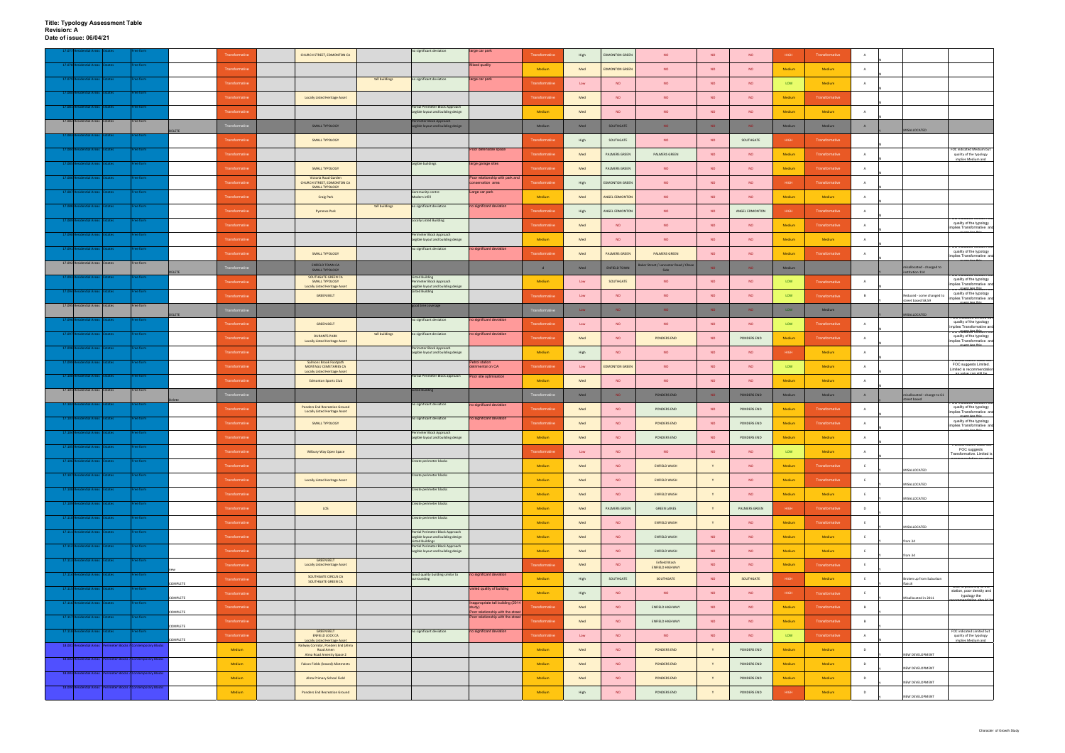**Title: Typology Assessment Table Revision: A Date of issue: 06/04/21**

|                                                                 |               |           |               | Transformative | CHURCH STREET, EDMONTON CA                                                               |                | no significant deviation                                               | large car park                                                       | Transformative        |      | <b>EDMONTON GREEN</b> | <b>NO</b>                             | <b>NO</b> | <b>NO</b>      | HIGH        | Transformative |                |                                            |                                                                                               |
|-----------------------------------------------------------------|---------------|-----------|---------------|----------------|------------------------------------------------------------------------------------------|----------------|------------------------------------------------------------------------|----------------------------------------------------------------------|-----------------------|------|-----------------------|---------------------------------------|-----------|----------------|-------------|----------------|----------------|--------------------------------------------|-----------------------------------------------------------------------------------------------|
| 17.078 R<br>ential Areas                                        | ates          | ree form  |               |                |                                                                                          |                |                                                                        | Mixed quality                                                        |                       | High |                       |                                       |           |                |             |                |                |                                            |                                                                                               |
|                                                                 |               |           |               | Transformative |                                                                                          |                |                                                                        |                                                                      | Medium                | Med  | <b>EDMONTON GREEN</b> | <b>NO</b>                             | <b>NO</b> | <b>NO</b>      | Medium      | Medium         |                |                                            |                                                                                               |
|                                                                 |               |           |               | Transformative |                                                                                          | tall buildings | no significant deviation                                               | large car park                                                       | Transformativ         | Low  | <b>NO</b>             | NO                                    | NO        | NO             | LOW         | Medium         | A              |                                            |                                                                                               |
| 17.080 Re<br>lential Areas                                      |               | ree form  |               |                |                                                                                          |                |                                                                        |                                                                      |                       |      |                       |                                       |           |                |             |                |                |                                            |                                                                                               |
| 17.081 Re<br>ntial Areas                                        |               | ree form  |               | Transformative | <b>Locally Listed Heritage Asset</b>                                                     |                | Partial Perimeter Block Approach                                       |                                                                      | <b>Transformative</b> | Med  | <b>NO</b>             | <b>NO</b>                             | <b>NO</b> | <b>NO</b>      | Medium      | Transformative |                |                                            |                                                                                               |
|                                                                 | ates:         |           |               | Transformative |                                                                                          |                | Legible layout and building design                                     |                                                                      | Medium                | Med  | NO <sub>1</sub>       | <b>NO</b>                             | NO        | NO             | Medium      | Medium         | A              |                                            |                                                                                               |
| 17.082 Residential Areas Estates                                |               | Free form |               | Transformativ  | SMALL TYPOLOGY                                                                           |                | erimeter Block Approach<br>Legible layout and building design          |                                                                      | Medium                | Med  | SOUTHGATE             | NO.                                   | <b>NO</b> | <b>NO</b>      | Medium      | Medium         | A              |                                            |                                                                                               |
|                                                                 |               |           | <b>ELETE</b>  |                |                                                                                          |                |                                                                        |                                                                      |                       |      |                       |                                       |           |                |             |                |                | MISALLOCATED                               |                                                                                               |
|                                                                 |               |           |               | Transformative | <b>SMALL TYPOLOGY</b>                                                                    |                |                                                                        |                                                                      | Transformativ         | High | SOUTHGATE             | <b>NO</b>                             | <b>NO</b> | SOUTHGATE      | HIGH        | Transformative |                |                                            | FOC indicated Medium but                                                                      |
| 17.084 Re<br>ential Areas                                       |               | ee form   |               | Transformative |                                                                                          |                |                                                                        | Poor defensible space                                                | <b>Transformative</b> | Med  | PALMERS GREEN         | PALMERS GREEN                         | NO        | <b>NO</b>      | Medium      | Transformative |                |                                            | quality of the typology<br>implies Medium and                                                 |
| 17.085<br>ntial Areas                                           |               | ree form  |               | Transformative | SMALL TYPOLOGY                                                                           |                | Legible buildings                                                      | large garage sites                                                   | <b>Transformative</b> | Med  | PALMERS GREEN         | <b>NO</b>                             | <b>NO</b> | <b>NO</b>      | Medium      | Transformative |                |                                            |                                                                                               |
| <b>Intial Are</b>                                               |               |           |               |                | Victoria Road Garden                                                                     |                |                                                                        | Poor relationship with park an                                       |                       |      |                       |                                       |           |                |             |                |                |                                            |                                                                                               |
| 17.087 Re:<br>ential Areas                                      |               | ree form  |               | Transformative | CHURCH STREET, EDMONTON CA<br>SMALL TYPOLOGY                                             |                | Community centre                                                       | onservation area                                                     | Transformative        | High | <b>EDMONTON GREEN</b> | NO                                    | NO        | <b>NO</b>      | HIGH        | Transformative | $\overline{A}$ |                                            |                                                                                               |
|                                                                 |               |           |               | Transformative | <b>Craig Park</b>                                                                        |                | Modern infill                                                          | Large car park                                                       | Medium                | Med  | ANGEL EDMONTON        | <b>NO</b>                             | <b>NO</b> | <b>NO</b>      | Medium      | Medium         | A              |                                            |                                                                                               |
| 17.088<br>ntial Areas                                           |               | ree form  |               | Transformative | <b>Pymmes Park</b>                                                                       | tall buildings | no significant deviation                                               | no significant deviation                                             | <b>Transformative</b> | High | ANGEL EDMONTON        | <b>NO</b>                             | <b>NO</b> | ANGEL EDMONTON | HIGH        | Transformative |                |                                            |                                                                                               |
| <b>Iential Areas</b>                                            |               | ee form   |               |                |                                                                                          |                | <b>Locally Listed Building</b>                                         |                                                                      |                       |      |                       |                                       |           |                |             |                |                |                                            | oo mulcated iwedigi<br>quality of the typology                                                |
| tial Area<br>17.090                                             |               | ee form   |               | Transformative |                                                                                          |                | Perimeter Block Approach                                               |                                                                      | <b>Transformative</b> | Med  | <b>NO</b>             | <b>NO</b>                             | <b>NO</b> | <b>NO</b>      | Medium      | Transformative | A              |                                            | implies Transformative and                                                                    |
|                                                                 |               |           |               | Transformative |                                                                                          |                | Legible layout and building design                                     |                                                                      | Medium                | Med  | <b>NO</b>             | <b>NO</b>                             | <b>NO</b> | <b>NO</b>      | Medium      | Medium         | <b>A</b>       |                                            |                                                                                               |
| 17.091 Res<br>lential Areas                                     |               | ree form  |               | Transformative | SMALL TYPOLOGY                                                                           |                | no significant deviation                                               | no significant deviation                                             | <b>Transformative</b> | Med  | <b>PALMERS GREEN</b>  | <b>PALMERS GREEN</b>                  | <b>NO</b> | <b>NO</b>      | Medium      | Transformative |                |                                            | OC maicated wedigm put<br>quality of the typology<br>implies Transformative and               |
| 17.092 Residential Areas Estates                                |               | Free form |               |                | <b>ENFIELD TOWN CA</b>                                                                   |                |                                                                        |                                                                      |                       |      |                       | Baker Street / Lancaster Road / Chase |           |                |             |                |                |                                            |                                                                                               |
|                                                                 |               |           | <b>ELETE</b>  | Transformativ  | <b>SMALL TYPOLOGY</b><br>SOUTHGATE GREEN CA                                              |                | <b>Listed Building</b>                                                 |                                                                      | d                     | Med  | ENFIELD TOWN          | Side                                  | <b>NO</b> | <b>NO</b>      | Medium      |                |                | isallocated - changed to<br>stitution 114  | , marcateg iviegiam po                                                                        |
|                                                                 |               |           |               | Transformative | SMALL TYPOLOGY<br><b>Locally Listed Heritage Asset</b>                                   |                | Perimeter Block Approach<br>Legible layout and building design         |                                                                      | Medium                | Low  | SOUTHGATE             | <b>NO</b>                             | NO        | <b>NO</b>      | LOW         | Transformative | A              |                                            | quality of the typology<br>implies Transformative and                                         |
| 17.094 Res<br>lential Areas I                                   | states:       | ree form  |               | Transformative | <b>GREEN BELT</b>                                                                        |                | <b>Listed Building</b>                                                 |                                                                      | <b>Transformativ</b>  | Low  | <b>NO</b>             | <b>NO</b>                             | <b>NO</b> | <b>NO</b>      | LOW         | Transformative |                | Reduced - some changed to                  | <del>och rarcatela wikinam oad</del><br>quality of the typology<br>implies Transformative and |
| 17.095 Residential Areas Estates                                |               | Free form |               |                |                                                                                          |                | good tree coverage                                                     |                                                                      |                       |      |                       |                                       |           |                |             |                |                | treet based 58,59                          |                                                                                               |
|                                                                 |               |           | <b>DELETE</b> | Transformativ  |                                                                                          |                |                                                                        |                                                                      | ansformativ           | Low  | <b>NO</b>             | NO.                                   | NO.       | <b>NO</b>      | LOW         | Medium         |                | MISALLOCATED                               |                                                                                               |
|                                                                 |               |           |               | Transformative | <b>GREEN BELT</b>                                                                        |                | no significant deviation                                               | no significant deviation                                             | Transformativ         | Low  | <b>NO</b>             | <b>NO</b>                             | <b>NO</b> | <b>NO</b>      | LOW         | Transformative | A              |                                            | quality of the typology<br>implies Transformative and                                         |
| ential Areas<br>17.097                                          |               | ee form   |               | Transformative | <b>DURANTS PARK</b><br><b>Locally Listed Heritage Asset</b>                              | tall buildings | no significant deviation                                               | no significant deviation                                             | Transformative        | Med  | <b>NO</b>             | PONDERS END                           | NO        | PONDERS END    | Medium      | Transformative | $\overline{A}$ |                                            | <del>oc intucatela wikinam par</del><br>quality of the typology<br>implies Transformative and |
| 17.098 Residential Areas                                        |               | ree form  |               |                |                                                                                          |                | Perimeter Block Approach                                               |                                                                      |                       |      |                       |                                       |           |                |             |                |                |                                            | executes this                                                                                 |
| tial Areas                                                      |               | ee form   |               | Transformative | Salmons Brook Footpath                                                                   |                | Legible layout and building design                                     | <b>Petrol station</b>                                                | Medium                | High | <b>NO</b>             | <b>NO</b>                             | <b>NO</b> | <b>NO</b>      | HIGH        | Medium         | $\overline{A}$ |                                            | sionnauve value put                                                                           |
|                                                                 |               |           |               | Transformative | MONTAGU CEMETARIES CA<br><b>Locally Listed Heritage Asset</b>                            |                |                                                                        | detrimental on CA                                                    | <b>Transformative</b> | Low  | <b>EDMONTON GREEN</b> | <b>NO</b>                             | <b>NO</b> | <b>NO</b>      | LOW         | Medium         | A              |                                            | FOC suggests Limited.<br>Limited is recommendation                                            |
| ntial Area                                                      |               | e form    |               | Transformative | <b>Edmonton Sports Club</b>                                                              |                | Partial Perimeter Block approach                                       | Poor site optimisation                                               | Medium                | Med  | NO <sub>1</sub>       | NO                                    | NO        | NO             | Medium      | Medium         |                |                                            | ومساميرهم ويساميرهم                                                                           |
| 17.101 Residential Areas Estates                                |               | Free form |               | Traneformat    |                                                                                          |                | <b>Listed Building</b>                                                 |                                                                      | raneforma             |      |                       |                                       |           |                |             |                |                |                                            |                                                                                               |
|                                                                 |               |           |               |                |                                                                                          |                |                                                                        |                                                                      |                       | Med  | NO.                   | PONDERS END                           | NO        | PONDERS END    | Medium      | Medium         | A              | isallocated - change to 61<br>street based | , man saregi weginian tai                                                                     |
|                                                                 |               |           |               | Transformative | <b>Ponders End Recreation Ground</b><br><b>Locally Listed Heritage Asset</b>             |                | no significant deviation                                               | no significant deviation                                             | Transformativ         | Med  | NO                    | PONDERS END                           | NO.       | PONDERS END    | Medium      | Transformative | A              |                                            | quality of the typology<br>implies Transformative and                                         |
| dential Areas<br>17.103 Resi                                    | tates         | ree form  |               | Transformative | <b>SMALL TYPOLOGY</b>                                                                    |                | no significant deviation                                               | no significant deviation                                             | <b>Transformative</b> | Med  | <b>NO</b>             | PONDERS END                           | <b>NO</b> | PONDERS END    | Medium      | Transformative |                |                                            | <del>och rarcatela wikinam oad</del><br>quality of the typology<br>implies Transformative and |
| 17.104 Residential Areas Estates                                |               | ree form  |               |                |                                                                                          |                | Perimeter Block Approach                                               |                                                                      |                       |      |                       |                                       |           |                |             |                |                |                                            |                                                                                               |
|                                                                 |               |           |               | Transformative |                                                                                          |                | Legible layout and building design                                     |                                                                      | Medium                | Med  | <b>NO</b>             | PONDERS END                           | <b>NO</b> | PONDERS END    | Medium      | Medium         | A.             |                                            | mansionnative value put                                                                       |
|                                                                 |               |           |               | ransformative  | Wilbury Way Open Space                                                                   |                |                                                                        |                                                                      | ransformative         | Low  | NO                    | <b>NO</b>                             | <b>NO</b> | <b>NO</b>      | LOW         | Medium         | A              |                                            | FOC suggests<br>Transformative. Limited is                                                    |
| 17.106 Residential Areas Estates                                |               | ree form  |               | Transformative |                                                                                          |                | Create perimeter blocks                                                |                                                                      | Medium                | Med  | NO                    | ENFIELD WASH                          |           | <b>NO</b>      | Medium      | Transformative |                |                                            |                                                                                               |
| ential Areas                                                    |               | ree form  |               |                |                                                                                          |                | Create perimeter blocks                                                |                                                                      |                       |      |                       |                                       |           |                |             |                |                | MISALLOCATED                               |                                                                                               |
| 17.108 Residential Areas Estates                                |               | ree form  |               | Transformative | <b>Locally Listed Heritage Asset</b>                                                     |                | Create perimeter blocks                                                |                                                                      | Medium                | Med  | NO                    | ENFIELD WASH                          | Y         | <b>NO</b>      | Medium      | Transformative | E              | MISALLOCATED                               |                                                                                               |
|                                                                 |               |           |               | Transformative |                                                                                          |                |                                                                        |                                                                      | Medium                | Med  | NO                    | <b>ENFIELD WASH</b>                   |           | <b>NO</b>      | Medium      | Medium         | E              | MISALLOCATED                               |                                                                                               |
| ential Areas<br>17.109 R                                        | <b>states</b> | ee form   |               | Transformative | LOS                                                                                      |                | Create perimeter blocks                                                |                                                                      | Medium                | Med  | PALMERS GREEN         | <b>GREEN LANES</b>                    | Y         | PALMERS GREEN  | <b>HIGH</b> | Transformative | $\mathbf{D}$   |                                            |                                                                                               |
| 17.110 Residential Areas                                        | <b>states</b> | ree form  |               |                |                                                                                          |                | Create perimeter blocks                                                |                                                                      |                       |      |                       |                                       | Y         |                |             |                |                |                                            |                                                                                               |
| 17.111 Residential Areas                                        | Estates       | ree form  |               | Transformative |                                                                                          |                | Partial Perimeter Block Approach                                       |                                                                      | Medium                | Med  | NO                    | <b>ENFIELD WASH</b>                   |           | <b>NO</b>      | Medium      | Transformative |                | MISALLOCATED                               |                                                                                               |
|                                                                 |               |           |               | Transformative |                                                                                          |                | Legible layout and building design<br><b>Listed Buildings</b>          |                                                                      | Medium                | Med  | NO                    | ENFIELD WASH                          | <b>NO</b> | <b>NO</b>      | Medium      | Medium         | E              | om 34                                      |                                                                                               |
| 17.112 Residential Areas Estates                                |               | ree form  |               | Transformative |                                                                                          |                | Partial Perimeter Block Approach<br>Legible layout and building design |                                                                      | Medium                | Med  | NO                    | ENFIELD WASH                          | <b>NO</b> | <b>NO</b>      | Medium      | Medium         | E              | rom 34                                     |                                                                                               |
| 17.113 R<br>lential Areas                                       | tates         | ree form  |               | Transformative | <b>GREEN BELT</b><br><b>Locally Listed Heritage Asset</b>                                |                |                                                                        |                                                                      | Transformative        | Med  | NO                    | Enfield Wash                          | <b>NO</b> | <b>NO</b>      | Medium      | Transformative | F              |                                            |                                                                                               |
| 17.114 Residential Areas                                        | states        | ree form  |               |                |                                                                                          |                | Good quality building similar to                                       | no significant deviation                                             |                       |      |                       | <b>ENFIELD HIGHWAY</b>                |           |                |             |                |                |                                            |                                                                                               |
|                                                                 |               |           | COMPLETE      | Transformative | SOUTHGATE CIRCUS CA<br>SOUTHGATE GREEN CA                                                |                | surrounding                                                            |                                                                      | Medium                | High | SOUTHGATE             | SOUTHGATE                             | <b>NO</b> | SOUTHGATE      | HIGH        | Medium         | E              | Broken up from Suburban<br>flats 8         | σα <del>στο ρισχιπικ</del> γιο <del>τιο</del>                                                 |
| 17.115 Residential Areas Estates                                |               | ree form  |               | Transformative |                                                                                          |                |                                                                        | varied quality of building                                           | Medium                | High | NO                    | NO                                    | <b>NO</b> | <b>NO</b>      | HIGH        | Transformative | E              |                                            | station, poor density and<br>typology the                                                     |
| 17.116 Residential Areas                                        |               | ree form  | COMPLETE      | Transformative |                                                                                          |                |                                                                        | nappropriate tall building (201                                      | <b>Transformative</b> | Med  | NO.                   | ENFIELD HIGHWAY                       | <b>NO</b> | <b>NO</b>      | Medium      | Transformative | B              | Misallocated in 2011                       |                                                                                               |
| 17.117 Residential Areas Estates                                |               | ree form  | COMPLETE      |                |                                                                                          |                |                                                                        | Poor relationship with the stre-<br>Poor relationship with the stree |                       |      |                       |                                       |           |                |             |                |                |                                            |                                                                                               |
|                                                                 |               |           | COMPLETE      | Transformative |                                                                                          |                |                                                                        |                                                                      | Transformative        | Med  | NO                    | ENFIELD HIGHWAY                       | <b>NO</b> | <b>NO</b>      | Medium      | Transformative | B              |                                            |                                                                                               |
| dential Areas                                                   | tates         | ee form   | OMPLETE       | Transformative | <b>GREEN BELT</b><br><b>ENFIELD LOCK CA</b>                                              |                | no significant deviation                                               | no significant deviation                                             | <b>Transformative</b> | Low  | NO                    | <b>NO</b>                             | <b>NO</b> | <b>NO</b>      | LOW         | Transformative | A.             |                                            | FOC indicated Limited but<br>quality of the typology                                          |
| 18.001 Residential Areas Perimeter Blocks ? Contemporary Blocks |               |           |               | Medium         | <b>Locally Listed Heritage Asset</b><br>Railway Corridor, Ponders End (Alma<br>Road Amen |                |                                                                        |                                                                      | Medium                | Med  | NO.                   | PONDERS END                           | Y         | PONDERS END    | Medium      | Medium         | D              |                                            | implies Medium and                                                                            |
| 18.002 Residential Areas Perimeter Blocks ? Contemporary Blocks |               |           |               |                | Alma Road Amenity Space 2                                                                |                |                                                                        |                                                                      |                       |      |                       |                                       |           |                |             |                |                | NEW DEVELOPMENT                            |                                                                                               |
|                                                                 |               |           |               | Medium         | <b>Falcon Fields (leased) Allotments</b>                                                 |                |                                                                        |                                                                      | Medium                | Med  | NO                    | PONDERS END                           | Y         | PONDERS END    | Medium      | Medium         | D              | NEW DEVELOPMENT                            |                                                                                               |
| 18.003 Residential Areas Perimeter Blocks ? Contemporary Blocks |               |           |               | Medium         | Alma Primary School Field                                                                |                |                                                                        |                                                                      | Medium                | Med  | <b>NO</b>             | PONDERS END                           | Y         | PONDERS END    | Medium      | Medium         | D              |                                            |                                                                                               |
| 18.004 Residential Areas Perimeter Blocks ? Contemporary Blocks |               |           |               | Medium         | <b>Ponders End Recreation Ground</b>                                                     |                |                                                                        |                                                                      | Medium                | High | NO                    | PONDERS END                           | Y         | PONDERS END    | HIGH        | Medium         | D              | NEW DEVELOPMENT                            |                                                                                               |
|                                                                 |               |           |               |                |                                                                                          |                |                                                                        |                                                                      |                       |      |                       |                                       |           |                |             |                |                | NEW DEVELOPMENT                            |                                                                                               |